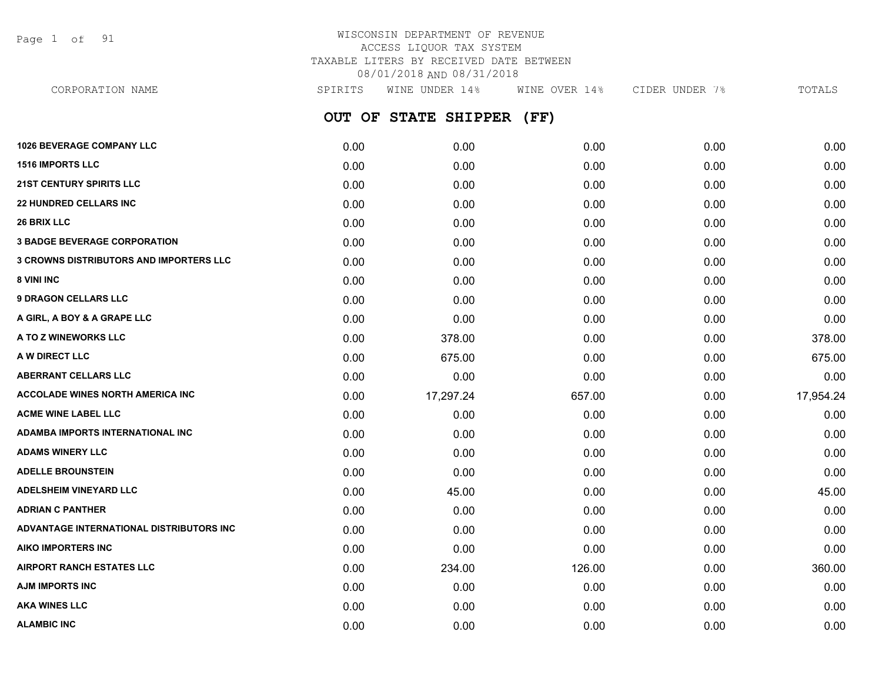Page 1 of 91

### WISCONSIN DEPARTMENT OF REVENUE ACCESS LIQUOR TAX SYSTEM TAXABLE LITERS BY RECEIVED DATE BETWEEN 08/01/2018 AND 08/31/2018

**OUT OF STATE SHIPPER (FF) 1026 BEVERAGE COMPANY LLC** 0.00 0.00 0.00 0.00 0.00 **1516 IMPORTS LLC** 0.00 0.00 0.00 0.00 0.00 **21ST CENTURY SPIRITS LLC** 0.00 0.00 0.00 0.00 0.00 **22 HUNDRED CELLARS INC** 0.00 0.00 0.00 0.00 0.00 **26 BRIX LLC** 0.00 0.00 0.00 0.00 0.00 **3 BADGE BEVERAGE CORPORATION** 0.00 0.00 0.00 0.00 0.00 **3 CROWNS DISTRIBUTORS AND IMPORTERS LLC** 0.00 0.00 0.00 0.00 0.00 **8 VINI INC** 0.00 0.00 0.00 0.00 0.00 **9 DRAGON CELLARS LLC** 0.00 0.00 0.00 0.00 0.00 **A GIRL, A BOY & A GRAPE LLC** 0.00 0.00 0.00 0.00 0.00 **A TO Z WINEWORKS LLC** 0.00 378.00 0.00 0.00 378.00 **A W DIRECT LLC** 0.00 675.00 0.00 0.00 675.00 **ABERRANT CELLARS LLC** 0.00 0.00 0.00 0.00 0.00 **ACCOLADE WINES NORTH AMERICA INC** 0.00 17,297.24 657.00 0.00 17,954.24 **ACME WINE LABEL LLC** 0.00 0.00 0.00 0.00 0.00 **ADAMBA IMPORTS INTERNATIONAL INC** 0.00 0.00 0.00 0.00 0.00 **ADAMS WINERY LLC** 0.00 0.00 0.00 0.00 0.00 **ADELLE BROUNSTEIN** 0.00 0.00 0.00 0.00 0.00 **ADELSHEIM VINEYARD LLC** 0.00 45.00 0.00 0.00 45.00 **ADRIAN C PANTHER** 0.00 0.00 0.00 0.00 0.00 **ADVANTAGE INTERNATIONAL DISTRIBUTORS INC** 0.00 0.00 0.00 0.00 0.00 **AIKO IMPORTERS INC** 0.00 0.00 0.00 0.00 0.00 **AIRPORT RANCH ESTATES LLC** 0.00 234.00 126.00 0.00 360.00 **AJM IMPORTS INC** 0.00 0.00 0.00 0.00 0.00 **AKA WINES LLC** 0.00 0.00 0.00 0.00 0.00 CORPORATION NAME SPIRITS WINE UNDER 14% WINE OVER 14% CIDER UNDER 7% TOTALS

**ALAMBIC INC** 0.00 0.00 0.00 0.00 0.00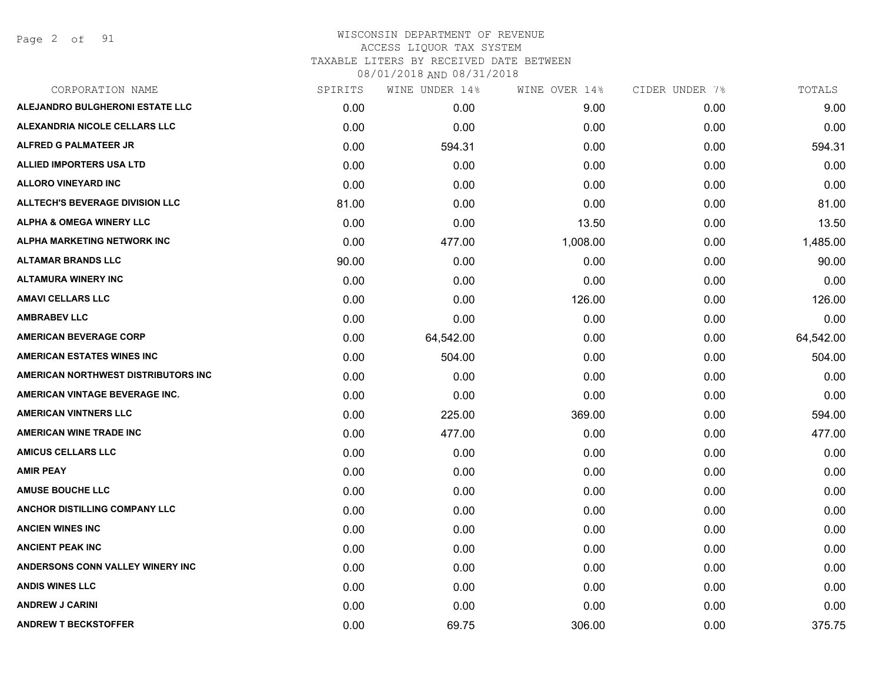Page 2 of 91

# WISCONSIN DEPARTMENT OF REVENUE ACCESS LIQUOR TAX SYSTEM TAXABLE LITERS BY RECEIVED DATE BETWEEN

| CORPORATION NAME                       | SPIRITS | WINE UNDER 14% | WINE OVER 14% | CIDER UNDER 7% | TOTALS    |
|----------------------------------------|---------|----------------|---------------|----------------|-----------|
| ALEJANDRO BULGHERONI ESTATE LLC        | 0.00    | 0.00           | 9.00          | 0.00           | 9.00      |
| ALEXANDRIA NICOLE CELLARS LLC          | 0.00    | 0.00           | 0.00          | 0.00           | 0.00      |
| <b>ALFRED G PALMATEER JR</b>           | 0.00    | 594.31         | 0.00          | 0.00           | 594.31    |
| <b>ALLIED IMPORTERS USA LTD</b>        | 0.00    | 0.00           | 0.00          | 0.00           | 0.00      |
| <b>ALLORO VINEYARD INC</b>             | 0.00    | 0.00           | 0.00          | 0.00           | 0.00      |
| <b>ALLTECH'S BEVERAGE DIVISION LLC</b> | 81.00   | 0.00           | 0.00          | 0.00           | 81.00     |
| <b>ALPHA &amp; OMEGA WINERY LLC</b>    | 0.00    | 0.00           | 13.50         | 0.00           | 13.50     |
| <b>ALPHA MARKETING NETWORK INC</b>     | 0.00    | 477.00         | 1,008.00      | 0.00           | 1,485.00  |
| <b>ALTAMAR BRANDS LLC</b>              | 90.00   | 0.00           | 0.00          | 0.00           | 90.00     |
| <b>ALTAMURA WINERY INC</b>             | 0.00    | 0.00           | 0.00          | 0.00           | 0.00      |
| <b>AMAVI CELLARS LLC</b>               | 0.00    | 0.00           | 126.00        | 0.00           | 126.00    |
| <b>AMBRABEV LLC</b>                    | 0.00    | 0.00           | 0.00          | 0.00           | 0.00      |
| <b>AMERICAN BEVERAGE CORP</b>          | 0.00    | 64,542.00      | 0.00          | 0.00           | 64,542.00 |
| <b>AMERICAN ESTATES WINES INC</b>      | 0.00    | 504.00         | 0.00          | 0.00           | 504.00    |
| AMERICAN NORTHWEST DISTRIBUTORS INC    | 0.00    | 0.00           | 0.00          | 0.00           | 0.00      |
| AMERICAN VINTAGE BEVERAGE INC.         | 0.00    | 0.00           | 0.00          | 0.00           | 0.00      |
| <b>AMERICAN VINTNERS LLC</b>           | 0.00    | 225.00         | 369.00        | 0.00           | 594.00    |
| <b>AMERICAN WINE TRADE INC</b>         | 0.00    | 477.00         | 0.00          | 0.00           | 477.00    |
| <b>AMICUS CELLARS LLC</b>              | 0.00    | 0.00           | 0.00          | 0.00           | 0.00      |
| <b>AMIR PEAY</b>                       | 0.00    | 0.00           | 0.00          | 0.00           | 0.00      |
| <b>AMUSE BOUCHE LLC</b>                | 0.00    | 0.00           | 0.00          | 0.00           | 0.00      |
| <b>ANCHOR DISTILLING COMPANY LLC</b>   | 0.00    | 0.00           | 0.00          | 0.00           | 0.00      |
| <b>ANCIEN WINES INC</b>                | 0.00    | 0.00           | 0.00          | 0.00           | 0.00      |
| <b>ANCIENT PEAK INC</b>                | 0.00    | 0.00           | 0.00          | 0.00           | 0.00      |
| ANDERSONS CONN VALLEY WINERY INC       | 0.00    | 0.00           | 0.00          | 0.00           | 0.00      |
| <b>ANDIS WINES LLC</b>                 | 0.00    | 0.00           | 0.00          | 0.00           | 0.00      |
| <b>ANDREW J CARINI</b>                 | 0.00    | 0.00           | 0.00          | 0.00           | 0.00      |
| <b>ANDREW T BECKSTOFFER</b>            | 0.00    | 69.75          | 306.00        | 0.00           | 375.75    |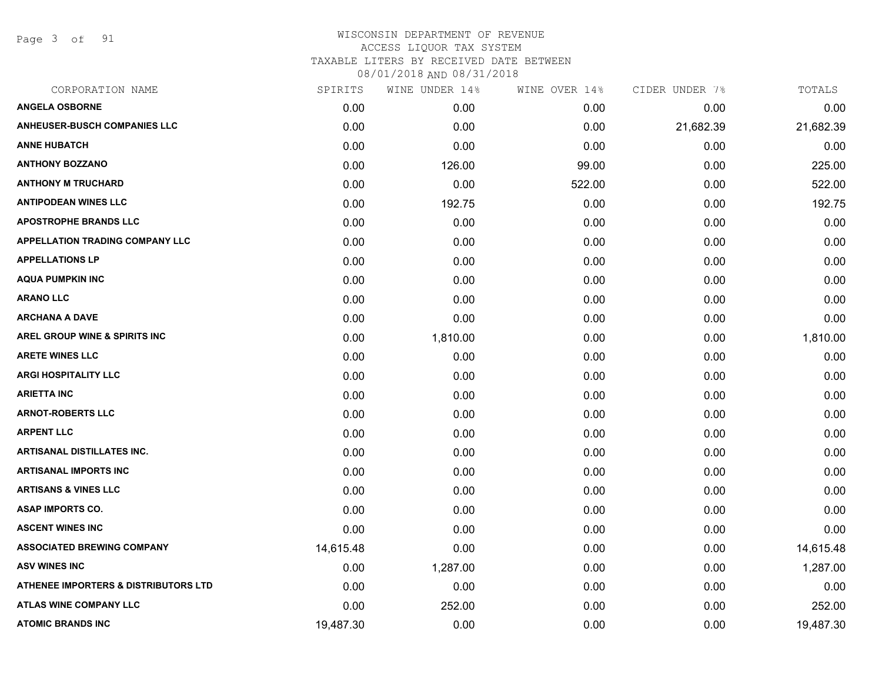Page 3 of 91

| CORPORATION NAME                                | SPIRITS   | WINE UNDER 14% | WINE OVER 14% | CIDER UNDER 7% | TOTALS    |
|-------------------------------------------------|-----------|----------------|---------------|----------------|-----------|
| <b>ANGELA OSBORNE</b>                           | 0.00      | 0.00           | 0.00          | 0.00           | 0.00      |
| <b>ANHEUSER-BUSCH COMPANIES LLC</b>             | 0.00      | 0.00           | 0.00          | 21,682.39      | 21,682.39 |
| <b>ANNE HUBATCH</b>                             | 0.00      | 0.00           | 0.00          | 0.00           | 0.00      |
| <b>ANTHONY BOZZANO</b>                          | 0.00      | 126.00         | 99.00         | 0.00           | 225.00    |
| <b>ANTHONY M TRUCHARD</b>                       | 0.00      | 0.00           | 522.00        | 0.00           | 522.00    |
| <b>ANTIPODEAN WINES LLC</b>                     | 0.00      | 192.75         | 0.00          | 0.00           | 192.75    |
| <b>APOSTROPHE BRANDS LLC</b>                    | 0.00      | 0.00           | 0.00          | 0.00           | 0.00      |
| <b>APPELLATION TRADING COMPANY LLC</b>          | 0.00      | 0.00           | 0.00          | 0.00           | 0.00      |
| <b>APPELLATIONS LP</b>                          | 0.00      | 0.00           | 0.00          | 0.00           | 0.00      |
| <b>AQUA PUMPKIN INC</b>                         | 0.00      | 0.00           | 0.00          | 0.00           | 0.00      |
| <b>ARANO LLC</b>                                | 0.00      | 0.00           | 0.00          | 0.00           | 0.00      |
| <b>ARCHANA A DAVE</b>                           | 0.00      | 0.00           | 0.00          | 0.00           | 0.00      |
| AREL GROUP WINE & SPIRITS INC                   | 0.00      | 1,810.00       | 0.00          | 0.00           | 1,810.00  |
| <b>ARETE WINES LLC</b>                          | 0.00      | 0.00           | 0.00          | 0.00           | 0.00      |
| <b>ARGI HOSPITALITY LLC</b>                     | 0.00      | 0.00           | 0.00          | 0.00           | 0.00      |
| <b>ARIETTA INC</b>                              | 0.00      | 0.00           | 0.00          | 0.00           | 0.00      |
| <b>ARNOT-ROBERTS LLC</b>                        | 0.00      | 0.00           | 0.00          | 0.00           | 0.00      |
| <b>ARPENT LLC</b>                               | 0.00      | 0.00           | 0.00          | 0.00           | 0.00      |
| <b>ARTISANAL DISTILLATES INC.</b>               | 0.00      | 0.00           | 0.00          | 0.00           | 0.00      |
| <b>ARTISANAL IMPORTS INC</b>                    | 0.00      | 0.00           | 0.00          | 0.00           | 0.00      |
| <b>ARTISANS &amp; VINES LLC</b>                 | 0.00      | 0.00           | 0.00          | 0.00           | 0.00      |
| <b>ASAP IMPORTS CO.</b>                         | 0.00      | 0.00           | 0.00          | 0.00           | 0.00      |
| <b>ASCENT WINES INC</b>                         | 0.00      | 0.00           | 0.00          | 0.00           | 0.00      |
| <b>ASSOCIATED BREWING COMPANY</b>               | 14,615.48 | 0.00           | 0.00          | 0.00           | 14,615.48 |
| <b>ASV WINES INC</b>                            | 0.00      | 1,287.00       | 0.00          | 0.00           | 1,287.00  |
| <b>ATHENEE IMPORTERS &amp; DISTRIBUTORS LTD</b> | 0.00      | 0.00           | 0.00          | 0.00           | 0.00      |
| <b>ATLAS WINE COMPANY LLC</b>                   | 0.00      | 252.00         | 0.00          | 0.00           | 252.00    |
| <b>ATOMIC BRANDS INC</b>                        | 19,487.30 | 0.00           | 0.00          | 0.00           | 19,487.30 |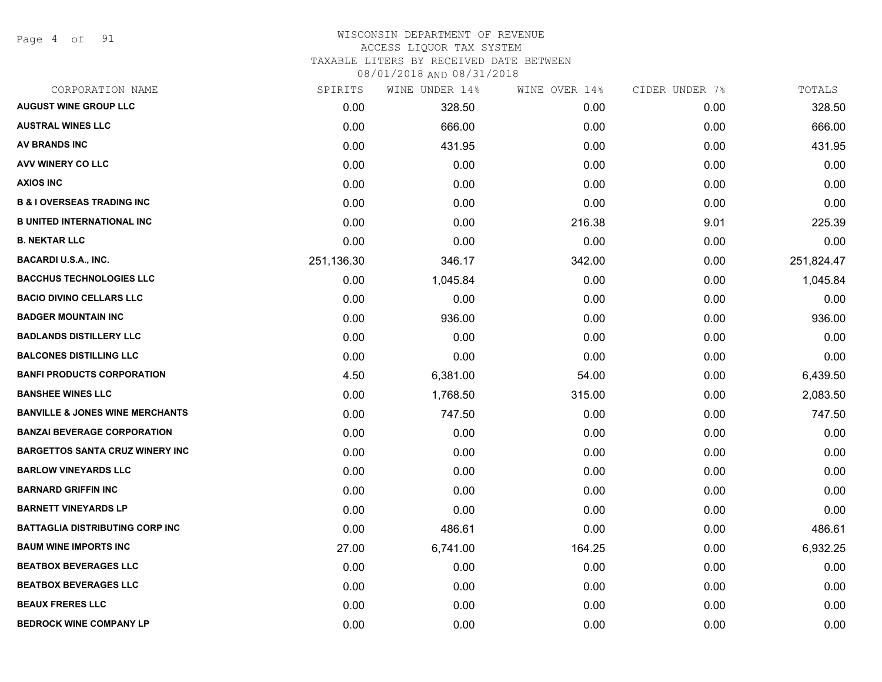Page 4 of 91

# WISCONSIN DEPARTMENT OF REVENUE

# ACCESS LIQUOR TAX SYSTEM

TAXABLE LITERS BY RECEIVED DATE BETWEEN

| CORPORATION NAME                           | SPIRITS    | WINE UNDER 14% | WINE OVER 14% | CIDER UNDER 7% | TOTALS     |
|--------------------------------------------|------------|----------------|---------------|----------------|------------|
| <b>AUGUST WINE GROUP LLC</b>               | 0.00       | 328.50         | 0.00          | 0.00           | 328.50     |
| <b>AUSTRAL WINES LLC</b>                   | 0.00       | 666.00         | 0.00          | 0.00           | 666.00     |
| <b>AV BRANDS INC</b>                       | 0.00       | 431.95         | 0.00          | 0.00           | 431.95     |
| AVV WINERY CO LLC                          | 0.00       | 0.00           | 0.00          | 0.00           | 0.00       |
| <b>AXIOS INC</b>                           | 0.00       | 0.00           | 0.00          | 0.00           | 0.00       |
| <b>B &amp; I OVERSEAS TRADING INC</b>      | 0.00       | 0.00           | 0.00          | 0.00           | 0.00       |
| <b>B UNITED INTERNATIONAL INC</b>          | 0.00       | 0.00           | 216.38        | 9.01           | 225.39     |
| <b>B. NEKTAR LLC</b>                       | 0.00       | 0.00           | 0.00          | 0.00           | 0.00       |
| <b>BACARDI U.S.A., INC.</b>                | 251,136.30 | 346.17         | 342.00        | 0.00           | 251,824.47 |
| <b>BACCHUS TECHNOLOGIES LLC</b>            | 0.00       | 1,045.84       | 0.00          | 0.00           | 1,045.84   |
| <b>BACIO DIVINO CELLARS LLC</b>            | 0.00       | 0.00           | 0.00          | 0.00           | 0.00       |
| <b>BADGER MOUNTAIN INC</b>                 | 0.00       | 936.00         | 0.00          | 0.00           | 936.00     |
| <b>BADLANDS DISTILLERY LLC</b>             | 0.00       | 0.00           | 0.00          | 0.00           | 0.00       |
| <b>BALCONES DISTILLING LLC</b>             | 0.00       | 0.00           | 0.00          | 0.00           | 0.00       |
| <b>BANFI PRODUCTS CORPORATION</b>          | 4.50       | 6,381.00       | 54.00         | 0.00           | 6,439.50   |
| <b>BANSHEE WINES LLC</b>                   | 0.00       | 1,768.50       | 315.00        | 0.00           | 2,083.50   |
| <b>BANVILLE &amp; JONES WINE MERCHANTS</b> | 0.00       | 747.50         | 0.00          | 0.00           | 747.50     |
| <b>BANZAI BEVERAGE CORPORATION</b>         | 0.00       | 0.00           | 0.00          | 0.00           | 0.00       |
| <b>BARGETTOS SANTA CRUZ WINERY INC</b>     | 0.00       | 0.00           | 0.00          | 0.00           | 0.00       |
| <b>BARLOW VINEYARDS LLC</b>                | 0.00       | 0.00           | 0.00          | 0.00           | 0.00       |
| <b>BARNARD GRIFFIN INC</b>                 | 0.00       | 0.00           | 0.00          | 0.00           | 0.00       |
| <b>BARNETT VINEYARDS LP</b>                | 0.00       | 0.00           | 0.00          | 0.00           | 0.00       |
| <b>BATTAGLIA DISTRIBUTING CORP INC</b>     | 0.00       | 486.61         | 0.00          | 0.00           | 486.61     |
| <b>BAUM WINE IMPORTS INC</b>               | 27.00      | 6,741.00       | 164.25        | 0.00           | 6,932.25   |
| <b>BEATBOX BEVERAGES LLC</b>               | 0.00       | 0.00           | 0.00          | 0.00           | 0.00       |
| <b>BEATBOX BEVERAGES LLC</b>               | 0.00       | 0.00           | 0.00          | 0.00           | 0.00       |
| <b>BEAUX FRERES LLC</b>                    | 0.00       | 0.00           | 0.00          | 0.00           | 0.00       |
| <b>BEDROCK WINE COMPANY LP</b>             | 0.00       | 0.00           | 0.00          | 0.00           | 0.00       |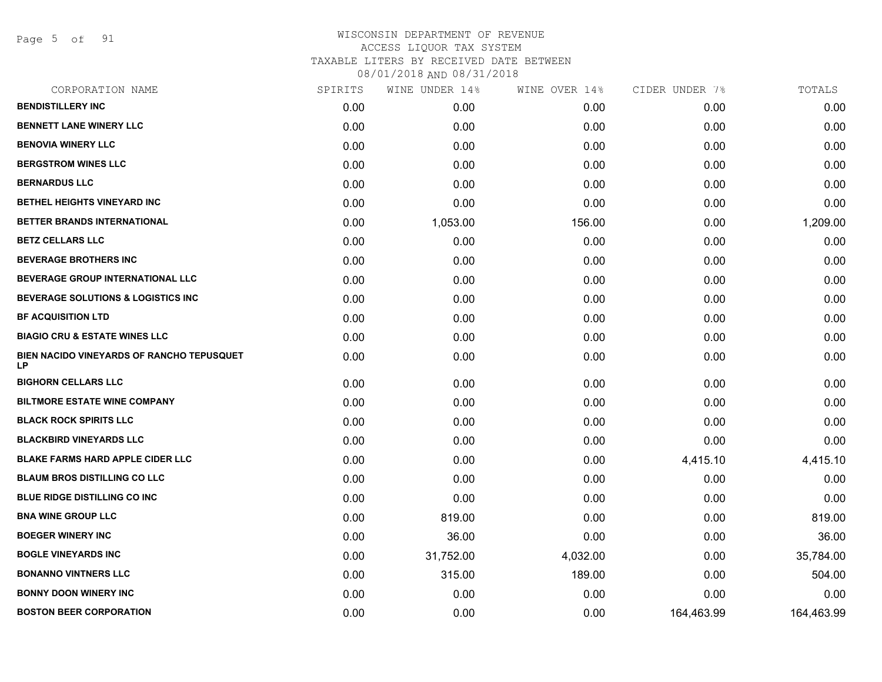Page 5 of 91

| CORPORATION NAME                                       | SPIRITS | WINE UNDER 14% | WINE OVER 14% | CIDER UNDER 7% | TOTALS     |
|--------------------------------------------------------|---------|----------------|---------------|----------------|------------|
| <b>BENDISTILLERY INC</b>                               | 0.00    | 0.00           | 0.00          | 0.00           | 0.00       |
| <b>BENNETT LANE WINERY LLC</b>                         | 0.00    | 0.00           | 0.00          | 0.00           | 0.00       |
| <b>BENOVIA WINERY LLC</b>                              | 0.00    | 0.00           | 0.00          | 0.00           | 0.00       |
| <b>BERGSTROM WINES LLC</b>                             | 0.00    | 0.00           | 0.00          | 0.00           | 0.00       |
| <b>BERNARDUS LLC</b>                                   | 0.00    | 0.00           | 0.00          | 0.00           | 0.00       |
| <b>BETHEL HEIGHTS VINEYARD INC</b>                     | 0.00    | 0.00           | 0.00          | 0.00           | 0.00       |
| BETTER BRANDS INTERNATIONAL                            | 0.00    | 1,053.00       | 156.00        | 0.00           | 1,209.00   |
| <b>BETZ CELLARS LLC</b>                                | 0.00    | 0.00           | 0.00          | 0.00           | 0.00       |
| <b>BEVERAGE BROTHERS INC</b>                           | 0.00    | 0.00           | 0.00          | 0.00           | 0.00       |
| <b>BEVERAGE GROUP INTERNATIONAL LLC</b>                | 0.00    | 0.00           | 0.00          | 0.00           | 0.00       |
| <b>BEVERAGE SOLUTIONS &amp; LOGISTICS INC</b>          | 0.00    | 0.00           | 0.00          | 0.00           | 0.00       |
| <b>BF ACQUISITION LTD</b>                              | 0.00    | 0.00           | 0.00          | 0.00           | 0.00       |
| <b>BIAGIO CRU &amp; ESTATE WINES LLC</b>               | 0.00    | 0.00           | 0.00          | 0.00           | 0.00       |
| BIEN NACIDO VINEYARDS OF RANCHO TEPUSQUET<br><b>LP</b> | 0.00    | 0.00           | 0.00          | 0.00           | 0.00       |
| <b>BIGHORN CELLARS LLC</b>                             | 0.00    | 0.00           | 0.00          | 0.00           | 0.00       |
| <b>BILTMORE ESTATE WINE COMPANY</b>                    | 0.00    | 0.00           | 0.00          | 0.00           | 0.00       |
| <b>BLACK ROCK SPIRITS LLC</b>                          | 0.00    | 0.00           | 0.00          | 0.00           | 0.00       |
| <b>BLACKBIRD VINEYARDS LLC</b>                         | 0.00    | 0.00           | 0.00          | 0.00           | 0.00       |
| <b>BLAKE FARMS HARD APPLE CIDER LLC</b>                | 0.00    | 0.00           | 0.00          | 4,415.10       | 4,415.10   |
| <b>BLAUM BROS DISTILLING CO LLC</b>                    | 0.00    | 0.00           | 0.00          | 0.00           | 0.00       |
| <b>BLUE RIDGE DISTILLING CO INC.</b>                   | 0.00    | 0.00           | 0.00          | 0.00           | 0.00       |
| <b>BNA WINE GROUP LLC</b>                              | 0.00    | 819.00         | 0.00          | 0.00           | 819.00     |
| <b>BOEGER WINERY INC</b>                               | 0.00    | 36.00          | 0.00          | 0.00           | 36.00      |
| <b>BOGLE VINEYARDS INC</b>                             | 0.00    | 31,752.00      | 4,032.00      | 0.00           | 35,784.00  |
| <b>BONANNO VINTNERS LLC</b>                            | 0.00    | 315.00         | 189.00        | 0.00           | 504.00     |
| <b>BONNY DOON WINERY INC.</b>                          | 0.00    | 0.00           | 0.00          | 0.00           | 0.00       |
| <b>BOSTON BEER CORPORATION</b>                         | 0.00    | 0.00           | 0.00          | 164,463.99     | 164,463.99 |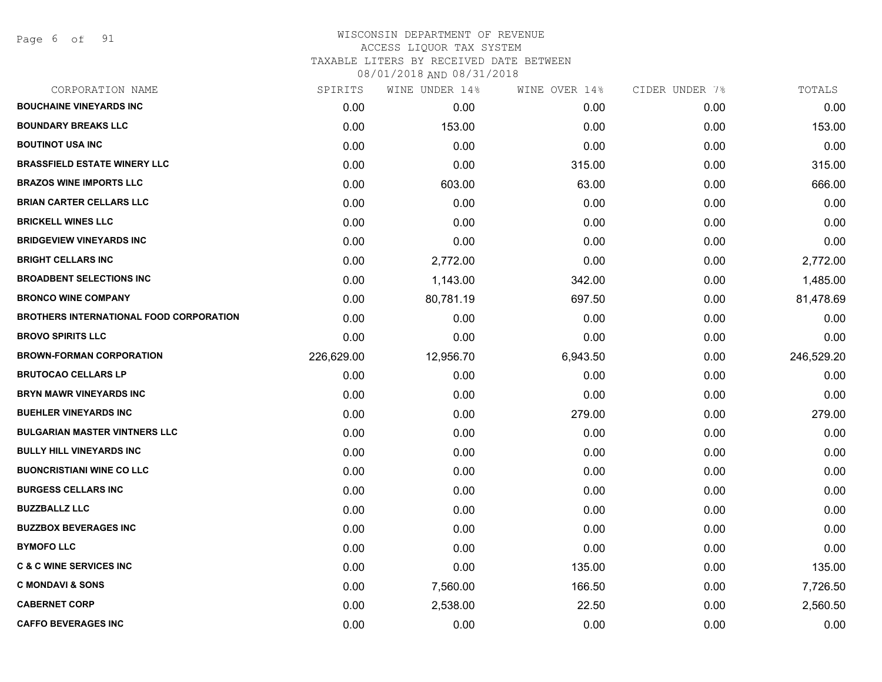Page 6 of 91

### WISCONSIN DEPARTMENT OF REVENUE ACCESS LIQUOR TAX SYSTEM TAXABLE LITERS BY RECEIVED DATE BETWEEN

| CORPORATION NAME                               | SPIRITS    | WINE UNDER 14% | WINE OVER 14% | CIDER UNDER 7% | TOTALS     |
|------------------------------------------------|------------|----------------|---------------|----------------|------------|
| <b>BOUCHAINE VINEYARDS INC</b>                 | 0.00       | 0.00           | 0.00          | 0.00           | 0.00       |
| <b>BOUNDARY BREAKS LLC</b>                     | 0.00       | 153.00         | 0.00          | 0.00           | 153.00     |
| <b>BOUTINOT USA INC</b>                        | 0.00       | 0.00           | 0.00          | 0.00           | 0.00       |
| <b>BRASSFIELD ESTATE WINERY LLC</b>            | 0.00       | 0.00           | 315.00        | 0.00           | 315.00     |
| <b>BRAZOS WINE IMPORTS LLC</b>                 | 0.00       | 603.00         | 63.00         | 0.00           | 666.00     |
| <b>BRIAN CARTER CELLARS LLC</b>                | 0.00       | 0.00           | 0.00          | 0.00           | 0.00       |
| <b>BRICKELL WINES LLC</b>                      | 0.00       | 0.00           | 0.00          | 0.00           | 0.00       |
| <b>BRIDGEVIEW VINEYARDS INC</b>                | 0.00       | 0.00           | 0.00          | 0.00           | 0.00       |
| <b>BRIGHT CELLARS INC</b>                      | 0.00       | 2,772.00       | 0.00          | 0.00           | 2,772.00   |
| <b>BROADBENT SELECTIONS INC</b>                | 0.00       | 1,143.00       | 342.00        | 0.00           | 1,485.00   |
| <b>BRONCO WINE COMPANY</b>                     | 0.00       | 80,781.19      | 697.50        | 0.00           | 81,478.69  |
| <b>BROTHERS INTERNATIONAL FOOD CORPORATION</b> | 0.00       | 0.00           | 0.00          | 0.00           | 0.00       |
| <b>BROVO SPIRITS LLC</b>                       | 0.00       | 0.00           | 0.00          | 0.00           | 0.00       |
| <b>BROWN-FORMAN CORPORATION</b>                | 226,629.00 | 12,956.70      | 6,943.50      | 0.00           | 246,529.20 |
| <b>BRUTOCAO CELLARS LP</b>                     | 0.00       | 0.00           | 0.00          | 0.00           | 0.00       |
| <b>BRYN MAWR VINEYARDS INC</b>                 | 0.00       | 0.00           | 0.00          | 0.00           | 0.00       |
| <b>BUEHLER VINEYARDS INC</b>                   | 0.00       | 0.00           | 279.00        | 0.00           | 279.00     |
| <b>BULGARIAN MASTER VINTNERS LLC</b>           | 0.00       | 0.00           | 0.00          | 0.00           | 0.00       |
| <b>BULLY HILL VINEYARDS INC</b>                | 0.00       | 0.00           | 0.00          | 0.00           | 0.00       |
| <b>BUONCRISTIANI WINE CO LLC</b>               | 0.00       | 0.00           | 0.00          | 0.00           | 0.00       |
| <b>BURGESS CELLARS INC</b>                     | 0.00       | 0.00           | 0.00          | 0.00           | 0.00       |
| <b>BUZZBALLZ LLC</b>                           | 0.00       | 0.00           | 0.00          | 0.00           | 0.00       |
| <b>BUZZBOX BEVERAGES INC</b>                   | 0.00       | 0.00           | 0.00          | 0.00           | 0.00       |
| <b>BYMOFO LLC</b>                              | 0.00       | 0.00           | 0.00          | 0.00           | 0.00       |
| <b>C &amp; C WINE SERVICES INC</b>             | 0.00       | 0.00           | 135.00        | 0.00           | 135.00     |
| <b>C MONDAVI &amp; SONS</b>                    | 0.00       | 7,560.00       | 166.50        | 0.00           | 7,726.50   |
| <b>CABERNET CORP</b>                           | 0.00       | 2,538.00       | 22.50         | 0.00           | 2,560.50   |
| <b>CAFFO BEVERAGES INC</b>                     | 0.00       | 0.00           | 0.00          | 0.00           | 0.00       |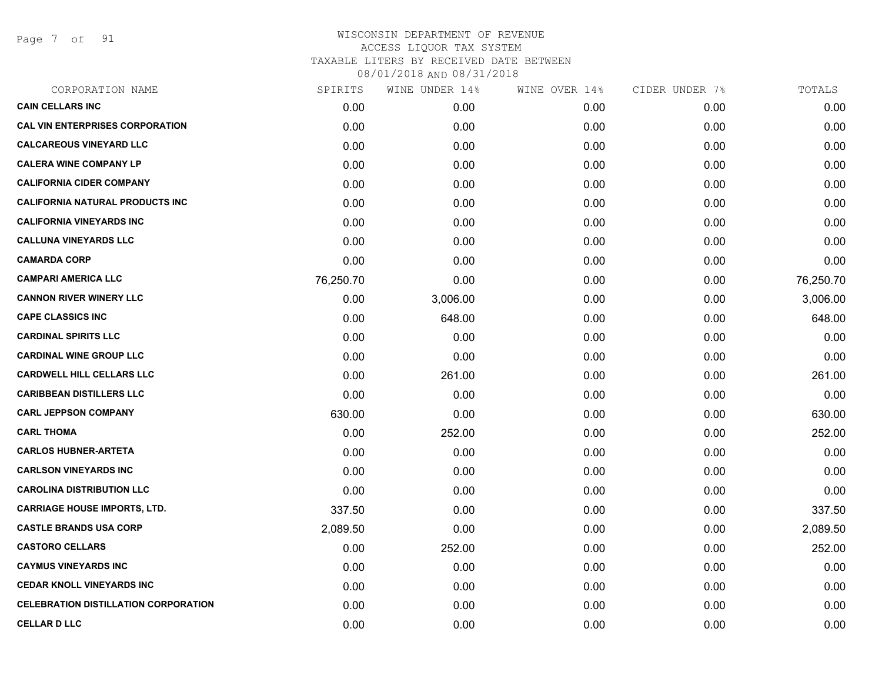Page 7 of 91

| SPIRITS   | WINE UNDER 14% | WINE OVER 14% | CIDER UNDER 7% | TOTALS    |
|-----------|----------------|---------------|----------------|-----------|
| 0.00      | 0.00           | 0.00          | 0.00           | 0.00      |
| 0.00      | 0.00           | 0.00          | 0.00           | 0.00      |
| 0.00      | 0.00           | 0.00          | 0.00           | 0.00      |
| 0.00      | 0.00           | 0.00          | 0.00           | 0.00      |
| 0.00      | 0.00           | 0.00          | 0.00           | 0.00      |
| 0.00      | 0.00           | 0.00          | 0.00           | 0.00      |
| 0.00      | 0.00           | 0.00          | 0.00           | 0.00      |
| 0.00      | 0.00           | 0.00          | 0.00           | 0.00      |
| 0.00      | 0.00           | 0.00          | 0.00           | 0.00      |
| 76,250.70 | 0.00           | 0.00          | 0.00           | 76,250.70 |
| 0.00      | 3,006.00       | 0.00          | 0.00           | 3,006.00  |
| 0.00      | 648.00         | 0.00          | 0.00           | 648.00    |
| 0.00      | 0.00           | 0.00          | 0.00           | 0.00      |
| 0.00      | 0.00           | 0.00          | 0.00           | 0.00      |
| 0.00      | 261.00         | 0.00          | 0.00           | 261.00    |
| 0.00      | 0.00           | 0.00          | 0.00           | 0.00      |
| 630.00    | 0.00           | 0.00          | 0.00           | 630.00    |
| 0.00      | 252.00         | 0.00          | 0.00           | 252.00    |
| 0.00      | 0.00           | 0.00          | 0.00           | 0.00      |
| 0.00      | 0.00           | 0.00          | 0.00           | 0.00      |
| 0.00      | 0.00           | 0.00          | 0.00           | 0.00      |
| 337.50    | 0.00           | 0.00          | 0.00           | 337.50    |
| 2,089.50  | 0.00           | 0.00          | 0.00           | 2,089.50  |
| 0.00      | 252.00         | 0.00          | 0.00           | 252.00    |
| 0.00      | 0.00           | 0.00          | 0.00           | 0.00      |
| 0.00      | 0.00           | 0.00          | 0.00           | 0.00      |
| 0.00      | 0.00           | 0.00          | 0.00           | 0.00      |
| 0.00      | 0.00           | 0.00          | 0.00           | 0.00      |
|           |                |               |                |           |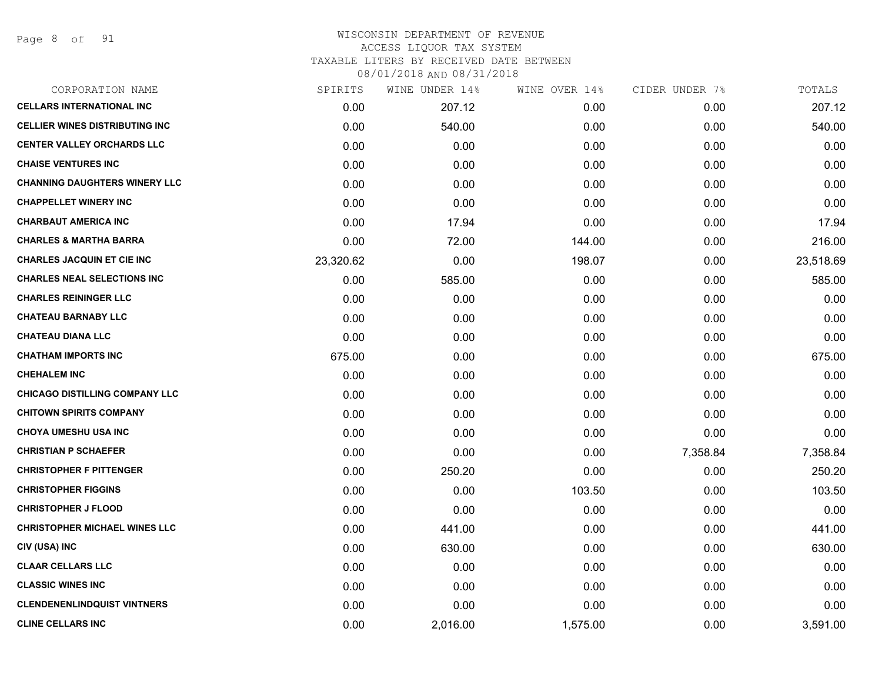Page 8 of 91

### WISCONSIN DEPARTMENT OF REVENUE ACCESS LIQUOR TAX SYSTEM TAXABLE LITERS BY RECEIVED DATE BETWEEN

| CORPORATION NAME                      | SPIRITS   | WINE UNDER 14% | WINE OVER 14% | CIDER UNDER 7% | TOTALS    |
|---------------------------------------|-----------|----------------|---------------|----------------|-----------|
| <b>CELLARS INTERNATIONAL INC</b>      | 0.00      | 207.12         | 0.00          | 0.00           | 207.12    |
| <b>CELLIER WINES DISTRIBUTING INC</b> | 0.00      | 540.00         | 0.00          | 0.00           | 540.00    |
| <b>CENTER VALLEY ORCHARDS LLC</b>     | 0.00      | 0.00           | 0.00          | 0.00           | 0.00      |
| <b>CHAISE VENTURES INC</b>            | 0.00      | 0.00           | 0.00          | 0.00           | 0.00      |
| <b>CHANNING DAUGHTERS WINERY LLC</b>  | 0.00      | 0.00           | 0.00          | 0.00           | 0.00      |
| <b>CHAPPELLET WINERY INC</b>          | 0.00      | 0.00           | 0.00          | 0.00           | 0.00      |
| <b>CHARBAUT AMERICA INC</b>           | 0.00      | 17.94          | 0.00          | 0.00           | 17.94     |
| <b>CHARLES &amp; MARTHA BARRA</b>     | 0.00      | 72.00          | 144.00        | 0.00           | 216.00    |
| <b>CHARLES JACQUIN ET CIE INC</b>     | 23,320.62 | 0.00           | 198.07        | 0.00           | 23,518.69 |
| <b>CHARLES NEAL SELECTIONS INC</b>    | 0.00      | 585.00         | 0.00          | 0.00           | 585.00    |
| <b>CHARLES REININGER LLC</b>          | 0.00      | 0.00           | 0.00          | 0.00           | 0.00      |
| <b>CHATEAU BARNABY LLC</b>            | 0.00      | 0.00           | 0.00          | 0.00           | 0.00      |
| <b>CHATEAU DIANA LLC</b>              | 0.00      | 0.00           | 0.00          | 0.00           | 0.00      |
| <b>CHATHAM IMPORTS INC</b>            | 675.00    | 0.00           | 0.00          | 0.00           | 675.00    |
| <b>CHEHALEM INC</b>                   | 0.00      | 0.00           | 0.00          | 0.00           | 0.00      |
| <b>CHICAGO DISTILLING COMPANY LLC</b> | 0.00      | 0.00           | 0.00          | 0.00           | 0.00      |
| <b>CHITOWN SPIRITS COMPANY</b>        | 0.00      | 0.00           | 0.00          | 0.00           | 0.00      |
| <b>CHOYA UMESHU USA INC</b>           | 0.00      | 0.00           | 0.00          | 0.00           | 0.00      |
| <b>CHRISTIAN P SCHAEFER</b>           | 0.00      | 0.00           | 0.00          | 7,358.84       | 7,358.84  |
| <b>CHRISTOPHER F PITTENGER</b>        | 0.00      | 250.20         | 0.00          | 0.00           | 250.20    |
| <b>CHRISTOPHER FIGGINS</b>            | 0.00      | 0.00           | 103.50        | 0.00           | 103.50    |
| <b>CHRISTOPHER J FLOOD</b>            | 0.00      | 0.00           | 0.00          | 0.00           | 0.00      |
| <b>CHRISTOPHER MICHAEL WINES LLC</b>  | 0.00      | 441.00         | 0.00          | 0.00           | 441.00    |
| CIV (USA) INC                         | 0.00      | 630.00         | 0.00          | 0.00           | 630.00    |
| <b>CLAAR CELLARS LLC</b>              | 0.00      | 0.00           | 0.00          | 0.00           | 0.00      |
| <b>CLASSIC WINES INC</b>              | 0.00      | 0.00           | 0.00          | 0.00           | 0.00      |
| <b>CLENDENENLINDQUIST VINTNERS</b>    | 0.00      | 0.00           | 0.00          | 0.00           | 0.00      |
| <b>CLINE CELLARS INC</b>              | 0.00      | 2,016.00       | 1,575.00      | 0.00           | 3,591.00  |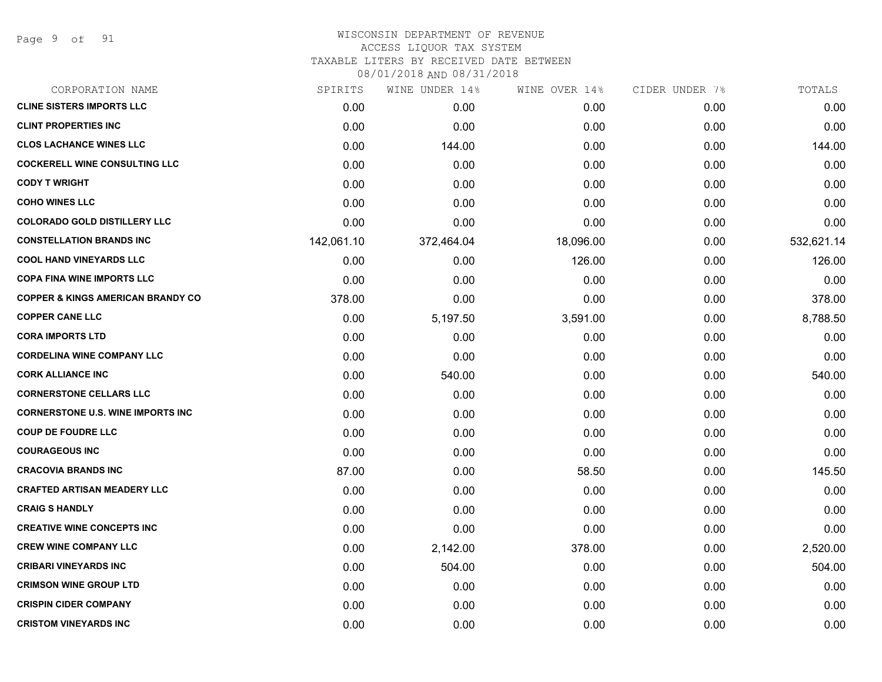Page 9 of 91

#### WISCONSIN DEPARTMENT OF REVENUE ACCESS LIQUOR TAX SYSTEM

TAXABLE LITERS BY RECEIVED DATE BETWEEN

| CORPORATION NAME                             | SPIRITS    | WINE UNDER 14% | WINE OVER 14% | CIDER UNDER 7% | TOTALS     |
|----------------------------------------------|------------|----------------|---------------|----------------|------------|
| <b>CLINE SISTERS IMPORTS LLC</b>             | 0.00       | 0.00           | 0.00          | 0.00           | 0.00       |
| <b>CLINT PROPERTIES INC</b>                  | 0.00       | 0.00           | 0.00          | 0.00           | 0.00       |
| <b>CLOS LACHANCE WINES LLC</b>               | 0.00       | 144.00         | 0.00          | 0.00           | 144.00     |
| <b>COCKERELL WINE CONSULTING LLC</b>         | 0.00       | 0.00           | 0.00          | 0.00           | 0.00       |
| <b>CODY T WRIGHT</b>                         | 0.00       | 0.00           | 0.00          | 0.00           | 0.00       |
| <b>COHO WINES LLC</b>                        | 0.00       | 0.00           | 0.00          | 0.00           | 0.00       |
| <b>COLORADO GOLD DISTILLERY LLC</b>          | 0.00       | 0.00           | 0.00          | 0.00           | 0.00       |
| <b>CONSTELLATION BRANDS INC</b>              | 142,061.10 | 372,464.04     | 18,096.00     | 0.00           | 532,621.14 |
| <b>COOL HAND VINEYARDS LLC</b>               | 0.00       | 0.00           | 126.00        | 0.00           | 126.00     |
| <b>COPA FINA WINE IMPORTS LLC</b>            | 0.00       | 0.00           | 0.00          | 0.00           | 0.00       |
| <b>COPPER &amp; KINGS AMERICAN BRANDY CO</b> | 378.00     | 0.00           | 0.00          | 0.00           | 378.00     |
| <b>COPPER CANE LLC</b>                       | 0.00       | 5,197.50       | 3,591.00      | 0.00           | 8,788.50   |
| <b>CORA IMPORTS LTD</b>                      | 0.00       | 0.00           | 0.00          | 0.00           | 0.00       |
| <b>CORDELINA WINE COMPANY LLC</b>            | 0.00       | 0.00           | 0.00          | 0.00           | 0.00       |
| <b>CORK ALLIANCE INC</b>                     | 0.00       | 540.00         | 0.00          | 0.00           | 540.00     |
| <b>CORNERSTONE CELLARS LLC</b>               | 0.00       | 0.00           | 0.00          | 0.00           | 0.00       |
| <b>CORNERSTONE U.S. WINE IMPORTS INC.</b>    | 0.00       | 0.00           | 0.00          | 0.00           | 0.00       |
| <b>COUP DE FOUDRE LLC</b>                    | 0.00       | 0.00           | 0.00          | 0.00           | 0.00       |
| <b>COURAGEOUS INC</b>                        | 0.00       | 0.00           | 0.00          | 0.00           | 0.00       |
| <b>CRACOVIA BRANDS INC</b>                   | 87.00      | 0.00           | 58.50         | 0.00           | 145.50     |
| <b>CRAFTED ARTISAN MEADERY LLC</b>           | 0.00       | 0.00           | 0.00          | 0.00           | 0.00       |
| <b>CRAIG S HANDLY</b>                        | 0.00       | 0.00           | 0.00          | 0.00           | 0.00       |
| <b>CREATIVE WINE CONCEPTS INC</b>            | 0.00       | 0.00           | 0.00          | 0.00           | 0.00       |
| <b>CREW WINE COMPANY LLC</b>                 | 0.00       | 2,142.00       | 378.00        | 0.00           | 2,520.00   |
| <b>CRIBARI VINEYARDS INC</b>                 | 0.00       | 504.00         | 0.00          | 0.00           | 504.00     |
| <b>CRIMSON WINE GROUP LTD</b>                | 0.00       | 0.00           | 0.00          | 0.00           | 0.00       |
| <b>CRISPIN CIDER COMPANY</b>                 | 0.00       | 0.00           | 0.00          | 0.00           | 0.00       |
| <b>CRISTOM VINEYARDS INC</b>                 | 0.00       | 0.00           | 0.00          | 0.00           | 0.00       |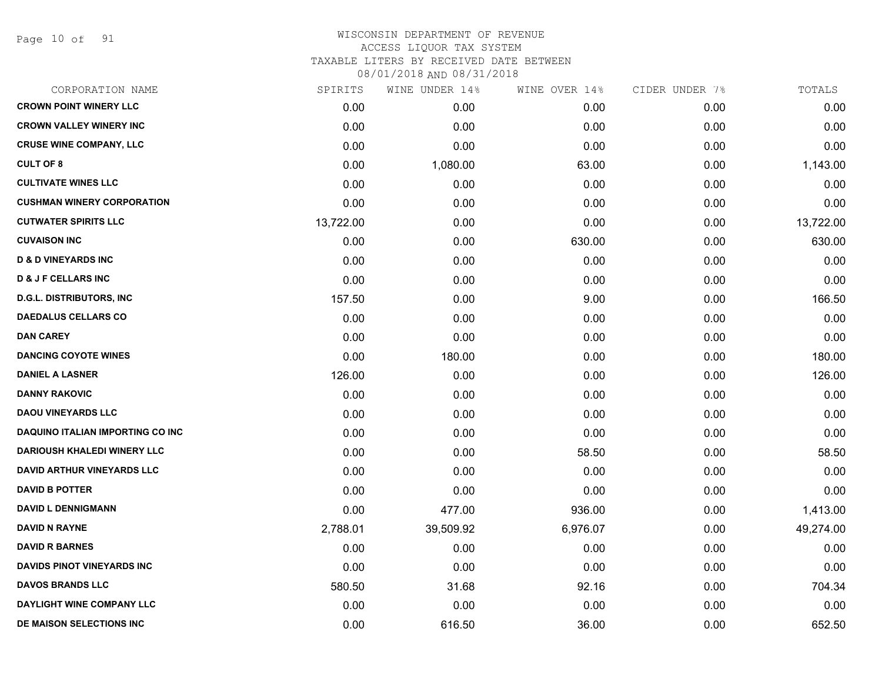Page 10 of 91

#### WISCONSIN DEPARTMENT OF REVENUE ACCESS LIQUOR TAX SYSTEM TAXABLE LITERS BY RECEIVED DATE BETWEEN

| CORPORATION NAME                        | SPIRITS   | WINE UNDER 14% | WINE OVER 14% | CIDER UNDER 7% | TOTALS    |
|-----------------------------------------|-----------|----------------|---------------|----------------|-----------|
| <b>CROWN POINT WINERY LLC</b>           | 0.00      | 0.00           | 0.00          | 0.00           | 0.00      |
| <b>CROWN VALLEY WINERY INC</b>          | 0.00      | 0.00           | 0.00          | 0.00           | 0.00      |
| <b>CRUSE WINE COMPANY, LLC</b>          | 0.00      | 0.00           | 0.00          | 0.00           | 0.00      |
| <b>CULT OF 8</b>                        | 0.00      | 1,080.00       | 63.00         | 0.00           | 1,143.00  |
| <b>CULTIVATE WINES LLC</b>              | 0.00      | 0.00           | 0.00          | 0.00           | 0.00      |
| <b>CUSHMAN WINERY CORPORATION</b>       | 0.00      | 0.00           | 0.00          | 0.00           | 0.00      |
| <b>CUTWATER SPIRITS LLC</b>             | 13,722.00 | 0.00           | 0.00          | 0.00           | 13,722.00 |
| <b>CUVAISON INC</b>                     | 0.00      | 0.00           | 630.00        | 0.00           | 630.00    |
| <b>D &amp; D VINEYARDS INC</b>          | 0.00      | 0.00           | 0.00          | 0.00           | 0.00      |
| <b>D &amp; J F CELLARS INC</b>          | 0.00      | 0.00           | 0.00          | 0.00           | 0.00      |
| <b>D.G.L. DISTRIBUTORS, INC</b>         | 157.50    | 0.00           | 9.00          | 0.00           | 166.50    |
| <b>DAEDALUS CELLARS CO</b>              | 0.00      | 0.00           | 0.00          | 0.00           | 0.00      |
| <b>DAN CAREY</b>                        | 0.00      | 0.00           | 0.00          | 0.00           | 0.00      |
| <b>DANCING COYOTE WINES</b>             | 0.00      | 180.00         | 0.00          | 0.00           | 180.00    |
| <b>DANIEL A LASNER</b>                  | 126.00    | 0.00           | 0.00          | 0.00           | 126.00    |
| <b>DANNY RAKOVIC</b>                    | 0.00      | 0.00           | 0.00          | 0.00           | 0.00      |
| <b>DAOU VINEYARDS LLC</b>               | 0.00      | 0.00           | 0.00          | 0.00           | 0.00      |
| <b>DAQUINO ITALIAN IMPORTING CO INC</b> | 0.00      | 0.00           | 0.00          | 0.00           | 0.00      |
| <b>DARIOUSH KHALEDI WINERY LLC</b>      | 0.00      | 0.00           | 58.50         | 0.00           | 58.50     |
| <b>DAVID ARTHUR VINEYARDS LLC</b>       | 0.00      | 0.00           | 0.00          | 0.00           | 0.00      |
| <b>DAVID B POTTER</b>                   | 0.00      | 0.00           | 0.00          | 0.00           | 0.00      |
| <b>DAVID L DENNIGMANN</b>               | 0.00      | 477.00         | 936.00        | 0.00           | 1,413.00  |
| <b>DAVID N RAYNE</b>                    | 2,788.01  | 39,509.92      | 6,976.07      | 0.00           | 49,274.00 |
| <b>DAVID R BARNES</b>                   | 0.00      | 0.00           | 0.00          | 0.00           | 0.00      |
| DAVIDS PINOT VINEYARDS INC              | 0.00      | 0.00           | 0.00          | 0.00           | 0.00      |
| <b>DAVOS BRANDS LLC</b>                 | 580.50    | 31.68          | 92.16         | 0.00           | 704.34    |
| DAYLIGHT WINE COMPANY LLC               | 0.00      | 0.00           | 0.00          | 0.00           | 0.00      |
| <b>DE MAISON SELECTIONS INC</b>         | 0.00      | 616.50         | 36.00         | 0.00           | 652.50    |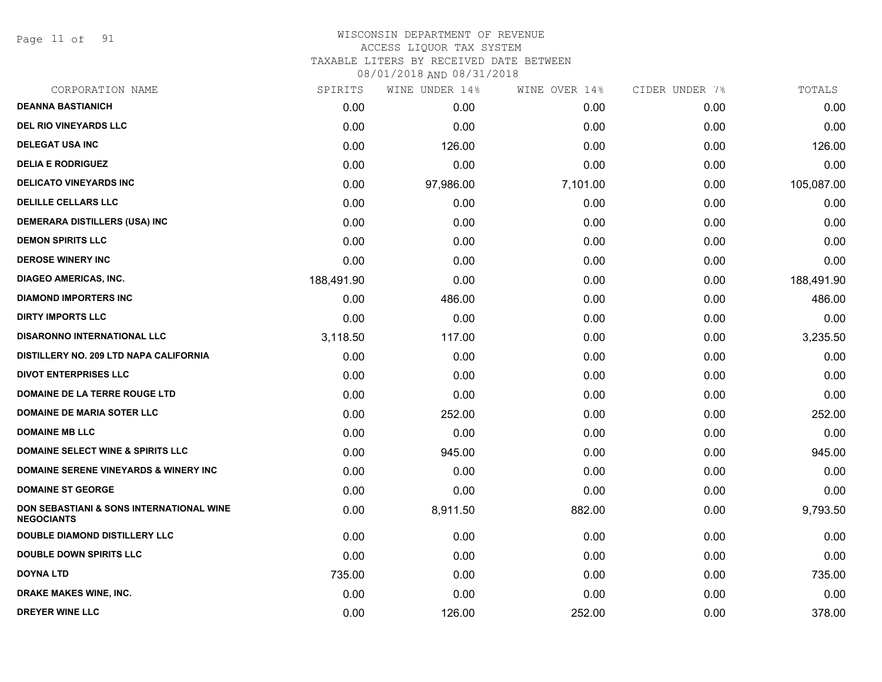Page 11 of 91

#### WISCONSIN DEPARTMENT OF REVENUE ACCESS LIQUOR TAX SYSTEM

TAXABLE LITERS BY RECEIVED DATE BETWEEN

| CORPORATION NAME                                                         | SPIRITS    | WINE UNDER 14% | WINE OVER 14% | CIDER UNDER 7% | TOTALS     |
|--------------------------------------------------------------------------|------------|----------------|---------------|----------------|------------|
| <b>DEANNA BASTIANICH</b>                                                 | 0.00       | 0.00           | 0.00          | 0.00           | 0.00       |
| <b>DEL RIO VINEYARDS LLC</b>                                             | 0.00       | 0.00           | 0.00          | 0.00           | 0.00       |
| <b>DELEGAT USA INC</b>                                                   | 0.00       | 126.00         | 0.00          | 0.00           | 126.00     |
| <b>DELIA E RODRIGUEZ</b>                                                 | 0.00       | 0.00           | 0.00          | 0.00           | 0.00       |
| <b>DELICATO VINEYARDS INC</b>                                            | 0.00       | 97,986.00      | 7,101.00      | 0.00           | 105,087.00 |
| <b>DELILLE CELLARS LLC</b>                                               | 0.00       | 0.00           | 0.00          | 0.00           | 0.00       |
| <b>DEMERARA DISTILLERS (USA) INC</b>                                     | 0.00       | 0.00           | 0.00          | 0.00           | 0.00       |
| <b>DEMON SPIRITS LLC</b>                                                 | 0.00       | 0.00           | 0.00          | 0.00           | 0.00       |
| <b>DEROSE WINERY INC</b>                                                 | 0.00       | 0.00           | 0.00          | 0.00           | 0.00       |
| <b>DIAGEO AMERICAS, INC.</b>                                             | 188,491.90 | 0.00           | 0.00          | 0.00           | 188,491.90 |
| <b>DIAMOND IMPORTERS INC</b>                                             | 0.00       | 486.00         | 0.00          | 0.00           | 486.00     |
| <b>DIRTY IMPORTS LLC</b>                                                 | 0.00       | 0.00           | 0.00          | 0.00           | 0.00       |
| <b>DISARONNO INTERNATIONAL LLC</b>                                       | 3,118.50   | 117.00         | 0.00          | 0.00           | 3,235.50   |
| DISTILLERY NO. 209 LTD NAPA CALIFORNIA                                   | 0.00       | 0.00           | 0.00          | 0.00           | 0.00       |
| <b>DIVOT ENTERPRISES LLC</b>                                             | 0.00       | 0.00           | 0.00          | 0.00           | 0.00       |
| DOMAINE DE LA TERRE ROUGE LTD                                            | 0.00       | 0.00           | 0.00          | 0.00           | 0.00       |
| <b>DOMAINE DE MARIA SOTER LLC</b>                                        | 0.00       | 252.00         | 0.00          | 0.00           | 252.00     |
| <b>DOMAINE MB LLC</b>                                                    | 0.00       | 0.00           | 0.00          | 0.00           | 0.00       |
| <b>DOMAINE SELECT WINE &amp; SPIRITS LLC</b>                             | 0.00       | 945.00         | 0.00          | 0.00           | 945.00     |
| <b>DOMAINE SERENE VINEYARDS &amp; WINERY INC</b>                         | 0.00       | 0.00           | 0.00          | 0.00           | 0.00       |
| <b>DOMAINE ST GEORGE</b>                                                 | 0.00       | 0.00           | 0.00          | 0.00           | 0.00       |
| <b>DON SEBASTIANI &amp; SONS INTERNATIONAL WINE</b><br><b>NEGOCIANTS</b> | 0.00       | 8,911.50       | 882.00        | 0.00           | 9,793.50   |
| <b>DOUBLE DIAMOND DISTILLERY LLC</b>                                     | 0.00       | 0.00           | 0.00          | 0.00           | 0.00       |
| <b>DOUBLE DOWN SPIRITS LLC</b>                                           | 0.00       | 0.00           | 0.00          | 0.00           | 0.00       |
| <b>DOYNA LTD</b>                                                         | 735.00     | 0.00           | 0.00          | 0.00           | 735.00     |
| <b>DRAKE MAKES WINE, INC.</b>                                            | 0.00       | 0.00           | 0.00          | 0.00           | 0.00       |
| <b>DREYER WINE LLC</b>                                                   | 0.00       | 126.00         | 252.00        | 0.00           | 378.00     |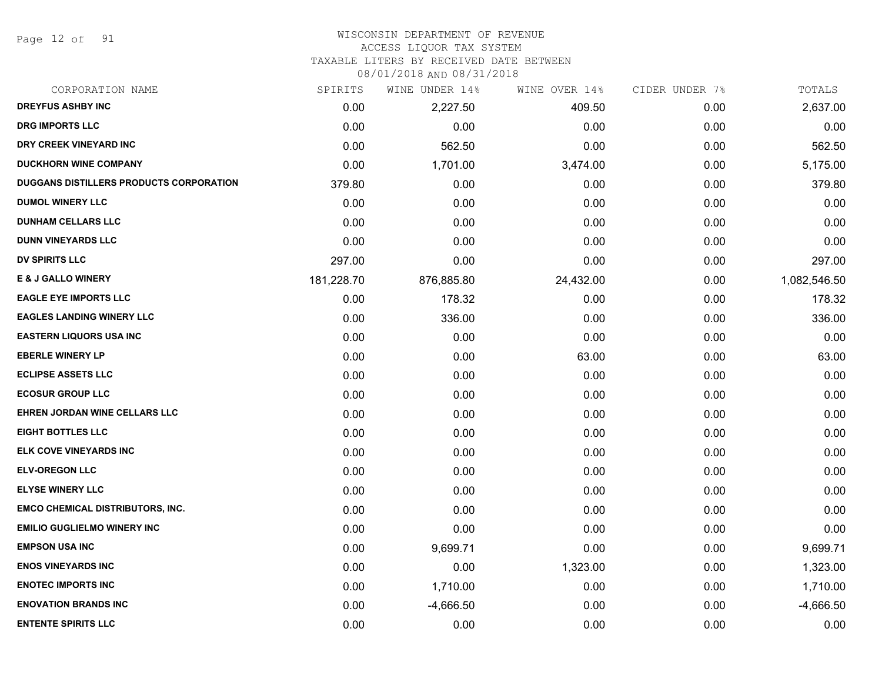Page 12 of 91

#### WISCONSIN DEPARTMENT OF REVENUE

#### ACCESS LIQUOR TAX SYSTEM

TAXABLE LITERS BY RECEIVED DATE BETWEEN

| CORPORATION NAME                        | SPIRITS    | WINE UNDER 14% | WINE OVER 14% | CIDER UNDER 7% | TOTALS       |
|-----------------------------------------|------------|----------------|---------------|----------------|--------------|
| <b>DREYFUS ASHBY INC</b>                | 0.00       | 2,227.50       | 409.50        | 0.00           | 2,637.00     |
| <b>DRG IMPORTS LLC</b>                  | 0.00       | 0.00           | 0.00          | 0.00           | 0.00         |
| DRY CREEK VINEYARD INC                  | 0.00       | 562.50         | 0.00          | 0.00           | 562.50       |
| <b>DUCKHORN WINE COMPANY</b>            | 0.00       | 1,701.00       | 3,474.00      | 0.00           | 5,175.00     |
| DUGGANS DISTILLERS PRODUCTS CORPORATION | 379.80     | 0.00           | 0.00          | 0.00           | 379.80       |
| <b>DUMOL WINERY LLC</b>                 | 0.00       | 0.00           | 0.00          | 0.00           | 0.00         |
| <b>DUNHAM CELLARS LLC</b>               | 0.00       | 0.00           | 0.00          | 0.00           | 0.00         |
| <b>DUNN VINEYARDS LLC</b>               | 0.00       | 0.00           | 0.00          | 0.00           | 0.00         |
| <b>DV SPIRITS LLC</b>                   | 297.00     | 0.00           | 0.00          | 0.00           | 297.00       |
| <b>E &amp; J GALLO WINERY</b>           | 181,228.70 | 876,885.80     | 24,432.00     | 0.00           | 1,082,546.50 |
| <b>EAGLE EYE IMPORTS LLC</b>            | 0.00       | 178.32         | 0.00          | 0.00           | 178.32       |
| <b>EAGLES LANDING WINERY LLC</b>        | 0.00       | 336.00         | 0.00          | 0.00           | 336.00       |
| <b>EASTERN LIQUORS USA INC</b>          | 0.00       | 0.00           | 0.00          | 0.00           | 0.00         |
| <b>EBERLE WINERY LP</b>                 | 0.00       | 0.00           | 63.00         | 0.00           | 63.00        |
| <b>ECLIPSE ASSETS LLC</b>               | 0.00       | 0.00           | 0.00          | 0.00           | 0.00         |
| <b>ECOSUR GROUP LLC</b>                 | 0.00       | 0.00           | 0.00          | 0.00           | 0.00         |
| EHREN JORDAN WINE CELLARS LLC           | 0.00       | 0.00           | 0.00          | 0.00           | 0.00         |
| <b>EIGHT BOTTLES LLC</b>                | 0.00       | 0.00           | 0.00          | 0.00           | 0.00         |
| ELK COVE VINEYARDS INC                  | 0.00       | 0.00           | 0.00          | 0.00           | 0.00         |
| <b>ELV-OREGON LLC</b>                   | 0.00       | 0.00           | 0.00          | 0.00           | 0.00         |
| <b>ELYSE WINERY LLC</b>                 | 0.00       | 0.00           | 0.00          | 0.00           | 0.00         |
| <b>EMCO CHEMICAL DISTRIBUTORS, INC.</b> | 0.00       | 0.00           | 0.00          | 0.00           | 0.00         |
| <b>EMILIO GUGLIELMO WINERY INC</b>      | 0.00       | 0.00           | 0.00          | 0.00           | 0.00         |
| <b>EMPSON USA INC</b>                   | 0.00       | 9,699.71       | 0.00          | 0.00           | 9,699.71     |
| <b>ENOS VINEYARDS INC</b>               | 0.00       | 0.00           | 1,323.00      | 0.00           | 1,323.00     |
| <b>ENOTEC IMPORTS INC</b>               | 0.00       | 1,710.00       | 0.00          | 0.00           | 1,710.00     |
| <b>ENOVATION BRANDS INC</b>             | 0.00       | $-4,666.50$    | 0.00          | 0.00           | $-4,666.50$  |
| <b>ENTENTE SPIRITS LLC</b>              | 0.00       | 0.00           | 0.00          | 0.00           | 0.00         |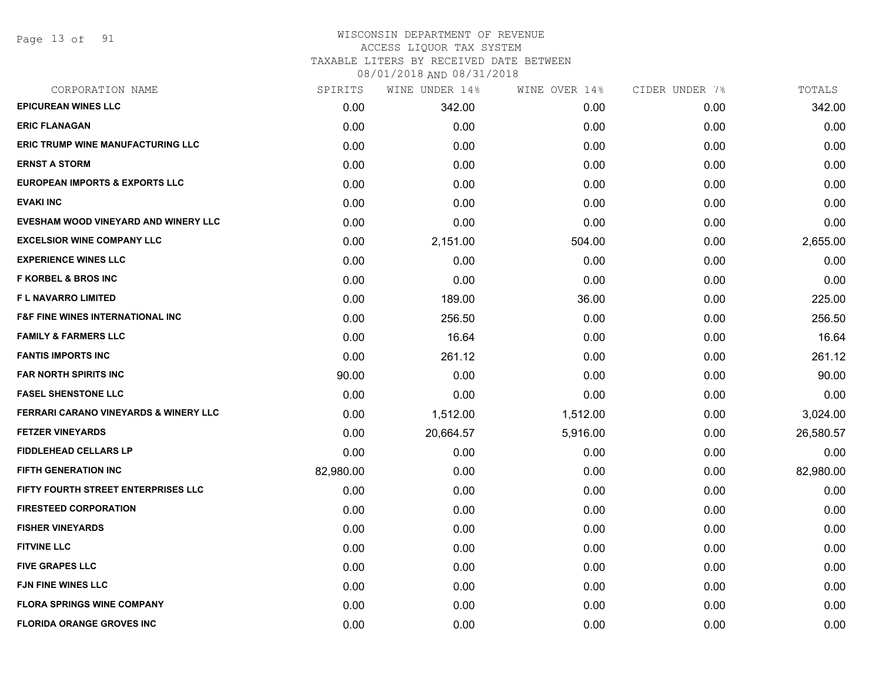Page 13 of 91

#### WISCONSIN DEPARTMENT OF REVENUE ACCESS LIQUOR TAX SYSTEM

TAXABLE LITERS BY RECEIVED DATE BETWEEN

| CORPORATION NAME                                 | SPIRITS   | WINE UNDER 14% | WINE OVER 14% | CIDER UNDER 7% | TOTALS    |
|--------------------------------------------------|-----------|----------------|---------------|----------------|-----------|
| <b>EPICUREAN WINES LLC</b>                       | 0.00      | 342.00         | 0.00          | 0.00           | 342.00    |
| <b>ERIC FLANAGAN</b>                             | 0.00      | 0.00           | 0.00          | 0.00           | 0.00      |
| <b>ERIC TRUMP WINE MANUFACTURING LLC</b>         | 0.00      | 0.00           | 0.00          | 0.00           | 0.00      |
| <b>ERNST A STORM</b>                             | 0.00      | 0.00           | 0.00          | 0.00           | 0.00      |
| <b>EUROPEAN IMPORTS &amp; EXPORTS LLC</b>        | 0.00      | 0.00           | 0.00          | 0.00           | 0.00      |
| <b>EVAKI INC</b>                                 | 0.00      | 0.00           | 0.00          | 0.00           | 0.00      |
| EVESHAM WOOD VINEYARD AND WINERY LLC             | 0.00      | 0.00           | 0.00          | 0.00           | 0.00      |
| <b>EXCELSIOR WINE COMPANY LLC</b>                | 0.00      | 2,151.00       | 504.00        | 0.00           | 2,655.00  |
| <b>EXPERIENCE WINES LLC</b>                      | 0.00      | 0.00           | 0.00          | 0.00           | 0.00      |
| <b>F KORBEL &amp; BROS INC</b>                   | 0.00      | 0.00           | 0.00          | 0.00           | 0.00      |
| F L NAVARRO LIMITED                              | 0.00      | 189.00         | 36.00         | 0.00           | 225.00    |
| <b>F&amp;F FINE WINES INTERNATIONAL INC</b>      | 0.00      | 256.50         | 0.00          | 0.00           | 256.50    |
| <b>FAMILY &amp; FARMERS LLC</b>                  | 0.00      | 16.64          | 0.00          | 0.00           | 16.64     |
| <b>FANTIS IMPORTS INC</b>                        | 0.00      | 261.12         | 0.00          | 0.00           | 261.12    |
| <b>FAR NORTH SPIRITS INC</b>                     | 90.00     | 0.00           | 0.00          | 0.00           | 90.00     |
| <b>FASEL SHENSTONE LLC</b>                       | 0.00      | 0.00           | 0.00          | 0.00           | 0.00      |
| <b>FERRARI CARANO VINEYARDS &amp; WINERY LLC</b> | 0.00      | 1,512.00       | 1,512.00      | 0.00           | 3,024.00  |
| <b>FETZER VINEYARDS</b>                          | 0.00      | 20,664.57      | 5,916.00      | 0.00           | 26,580.57 |
| <b>FIDDLEHEAD CELLARS LP</b>                     | 0.00      | 0.00           | 0.00          | 0.00           | 0.00      |
| <b>FIFTH GENERATION INC</b>                      | 82,980.00 | 0.00           | 0.00          | 0.00           | 82,980.00 |
| FIFTY FOURTH STREET ENTERPRISES LLC              | 0.00      | 0.00           | 0.00          | 0.00           | 0.00      |
| <b>FIRESTEED CORPORATION</b>                     | 0.00      | 0.00           | 0.00          | 0.00           | 0.00      |
| <b>FISHER VINEYARDS</b>                          | 0.00      | 0.00           | 0.00          | 0.00           | 0.00      |
| <b>FITVINE LLC</b>                               | 0.00      | 0.00           | 0.00          | 0.00           | 0.00      |
| <b>FIVE GRAPES LLC</b>                           | 0.00      | 0.00           | 0.00          | 0.00           | 0.00      |
| <b>FJN FINE WINES LLC</b>                        | 0.00      | 0.00           | 0.00          | 0.00           | 0.00      |
| <b>FLORA SPRINGS WINE COMPANY</b>                | 0.00      | 0.00           | 0.00          | 0.00           | 0.00      |
| <b>FLORIDA ORANGE GROVES INC</b>                 | 0.00      | 0.00           | 0.00          | 0.00           | 0.00      |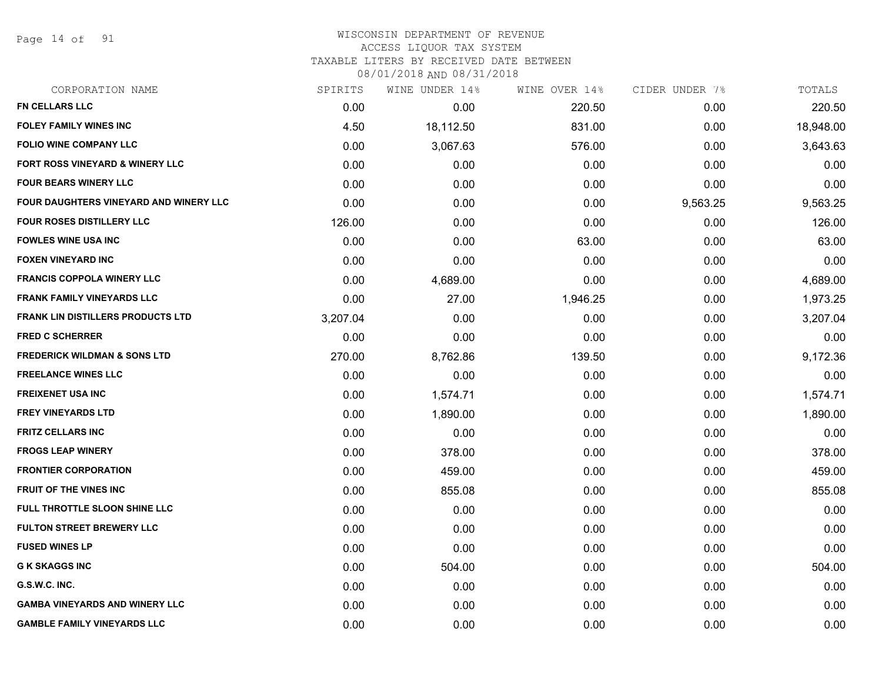Page 14 of 91

#### WISCONSIN DEPARTMENT OF REVENUE ACCESS LIQUOR TAX SYSTEM

TAXABLE LITERS BY RECEIVED DATE BETWEEN

| CORPORATION NAME                           | SPIRITS  | WINE UNDER 14% | WINE OVER 14% | CIDER UNDER 7% | TOTALS    |
|--------------------------------------------|----------|----------------|---------------|----------------|-----------|
| <b>FN CELLARS LLC</b>                      | 0.00     | 0.00           | 220.50        | 0.00           | 220.50    |
| FOLEY FAMILY WINES INC                     | 4.50     | 18,112.50      | 831.00        | 0.00           | 18,948.00 |
| <b>FOLIO WINE COMPANY LLC</b>              | 0.00     | 3,067.63       | 576.00        | 0.00           | 3,643.63  |
| <b>FORT ROSS VINEYARD &amp; WINERY LLC</b> | 0.00     | 0.00           | 0.00          | 0.00           | 0.00      |
| <b>FOUR BEARS WINERY LLC</b>               | 0.00     | 0.00           | 0.00          | 0.00           | 0.00      |
| FOUR DAUGHTERS VINEYARD AND WINERY LLC     | 0.00     | 0.00           | 0.00          | 9,563.25       | 9,563.25  |
| FOUR ROSES DISTILLERY LLC                  | 126.00   | 0.00           | 0.00          | 0.00           | 126.00    |
| <b>FOWLES WINE USA INC</b>                 | 0.00     | 0.00           | 63.00         | 0.00           | 63.00     |
| <b>FOXEN VINEYARD INC</b>                  | 0.00     | 0.00           | 0.00          | 0.00           | 0.00      |
| <b>FRANCIS COPPOLA WINERY LLC</b>          | 0.00     | 4,689.00       | 0.00          | 0.00           | 4,689.00  |
| <b>FRANK FAMILY VINEYARDS LLC</b>          | 0.00     | 27.00          | 1,946.25      | 0.00           | 1,973.25  |
| <b>FRANK LIN DISTILLERS PRODUCTS LTD</b>   | 3,207.04 | 0.00           | 0.00          | 0.00           | 3,207.04  |
| <b>FRED C SCHERRER</b>                     | 0.00     | 0.00           | 0.00          | 0.00           | 0.00      |
| <b>FREDERICK WILDMAN &amp; SONS LTD</b>    | 270.00   | 8,762.86       | 139.50        | 0.00           | 9,172.36  |
| <b>FREELANCE WINES LLC</b>                 | 0.00     | 0.00           | 0.00          | 0.00           | 0.00      |
| <b>FREIXENET USA INC</b>                   | 0.00     | 1,574.71       | 0.00          | 0.00           | 1,574.71  |
| <b>FREY VINEYARDS LTD</b>                  | 0.00     | 1,890.00       | 0.00          | 0.00           | 1,890.00  |
| <b>FRITZ CELLARS INC</b>                   | 0.00     | 0.00           | 0.00          | 0.00           | 0.00      |
| <b>FROGS LEAP WINERY</b>                   | 0.00     | 378.00         | 0.00          | 0.00           | 378.00    |
| <b>FRONTIER CORPORATION</b>                | 0.00     | 459.00         | 0.00          | 0.00           | 459.00    |
| <b>FRUIT OF THE VINES INC</b>              | 0.00     | 855.08         | 0.00          | 0.00           | 855.08    |
| FULL THROTTLE SLOON SHINE LLC              | 0.00     | 0.00           | 0.00          | 0.00           | 0.00      |
| FULTON STREET BREWERY LLC                  | 0.00     | 0.00           | 0.00          | 0.00           | 0.00      |
| <b>FUSED WINES LP</b>                      | 0.00     | 0.00           | 0.00          | 0.00           | 0.00      |
| <b>G K SKAGGS INC</b>                      | 0.00     | 504.00         | 0.00          | 0.00           | 504.00    |
| G.S.W.C. INC.                              | 0.00     | 0.00           | 0.00          | 0.00           | 0.00      |
| <b>GAMBA VINEYARDS AND WINERY LLC</b>      | 0.00     | 0.00           | 0.00          | 0.00           | 0.00      |
| <b>GAMBLE FAMILY VINEYARDS LLC</b>         | 0.00     | 0.00           | 0.00          | 0.00           | 0.00      |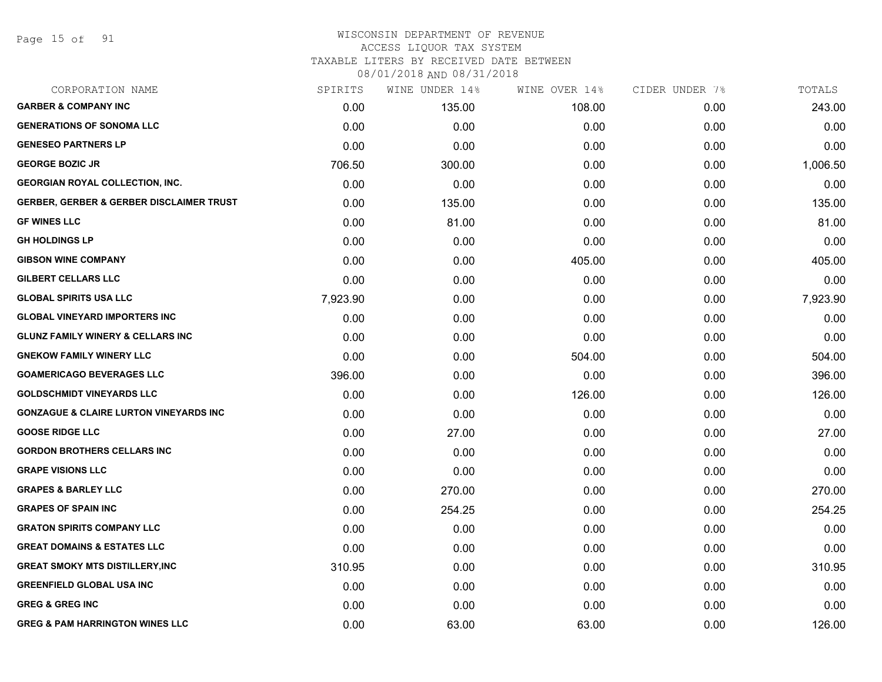Page 15 of 91

#### WISCONSIN DEPARTMENT OF REVENUE ACCESS LIQUOR TAX SYSTEM

TAXABLE LITERS BY RECEIVED DATE BETWEEN

| CORPORATION NAME                                    | SPIRITS  | WINE UNDER 14% | WINE OVER 14% | CIDER UNDER 7% | TOTALS   |
|-----------------------------------------------------|----------|----------------|---------------|----------------|----------|
| <b>GARBER &amp; COMPANY INC</b>                     | 0.00     | 135.00         | 108.00        | 0.00           | 243.00   |
| <b>GENERATIONS OF SONOMA LLC</b>                    | 0.00     | 0.00           | 0.00          | 0.00           | 0.00     |
| <b>GENESEO PARTNERS LP</b>                          | 0.00     | 0.00           | 0.00          | 0.00           | 0.00     |
| <b>GEORGE BOZIC JR</b>                              | 706.50   | 300.00         | 0.00          | 0.00           | 1,006.50 |
| <b>GEORGIAN ROYAL COLLECTION, INC.</b>              | 0.00     | 0.00           | 0.00          | 0.00           | 0.00     |
| <b>GERBER, GERBER &amp; GERBER DISCLAIMER TRUST</b> | 0.00     | 135.00         | 0.00          | 0.00           | 135.00   |
| <b>GF WINES LLC</b>                                 | 0.00     | 81.00          | 0.00          | 0.00           | 81.00    |
| <b>GH HOLDINGS LP</b>                               | 0.00     | 0.00           | 0.00          | 0.00           | 0.00     |
| <b>GIBSON WINE COMPANY</b>                          | 0.00     | 0.00           | 405.00        | 0.00           | 405.00   |
| <b>GILBERT CELLARS LLC</b>                          | 0.00     | 0.00           | 0.00          | 0.00           | 0.00     |
| <b>GLOBAL SPIRITS USA LLC</b>                       | 7,923.90 | 0.00           | 0.00          | 0.00           | 7,923.90 |
| <b>GLOBAL VINEYARD IMPORTERS INC</b>                | 0.00     | 0.00           | 0.00          | 0.00           | 0.00     |
| <b>GLUNZ FAMILY WINERY &amp; CELLARS INC</b>        | 0.00     | 0.00           | 0.00          | 0.00           | 0.00     |
| <b>GNEKOW FAMILY WINERY LLC</b>                     | 0.00     | 0.00           | 504.00        | 0.00           | 504.00   |
| <b>GOAMERICAGO BEVERAGES LLC</b>                    | 396.00   | 0.00           | 0.00          | 0.00           | 396.00   |
| <b>GOLDSCHMIDT VINEYARDS LLC</b>                    | 0.00     | 0.00           | 126.00        | 0.00           | 126.00   |
| <b>GONZAGUE &amp; CLAIRE LURTON VINEYARDS INC</b>   | 0.00     | 0.00           | 0.00          | 0.00           | 0.00     |
| <b>GOOSE RIDGE LLC</b>                              | 0.00     | 27.00          | 0.00          | 0.00           | 27.00    |
| <b>GORDON BROTHERS CELLARS INC</b>                  | 0.00     | 0.00           | 0.00          | 0.00           | 0.00     |
| <b>GRAPE VISIONS LLC</b>                            | 0.00     | 0.00           | 0.00          | 0.00           | 0.00     |
| <b>GRAPES &amp; BARLEY LLC</b>                      | 0.00     | 270.00         | 0.00          | 0.00           | 270.00   |
| <b>GRAPES OF SPAIN INC</b>                          | 0.00     | 254.25         | 0.00          | 0.00           | 254.25   |
| <b>GRATON SPIRITS COMPANY LLC</b>                   | 0.00     | 0.00           | 0.00          | 0.00           | 0.00     |
| <b>GREAT DOMAINS &amp; ESTATES LLC</b>              | 0.00     | 0.00           | 0.00          | 0.00           | 0.00     |
| <b>GREAT SMOKY MTS DISTILLERY, INC</b>              | 310.95   | 0.00           | 0.00          | 0.00           | 310.95   |
| <b>GREENFIELD GLOBAL USA INC</b>                    | 0.00     | 0.00           | 0.00          | 0.00           | 0.00     |
| <b>GREG &amp; GREG INC</b>                          | 0.00     | 0.00           | 0.00          | 0.00           | 0.00     |
| <b>GREG &amp; PAM HARRINGTON WINES LLC</b>          | 0.00     | 63.00          | 63.00         | 0.00           | 126.00   |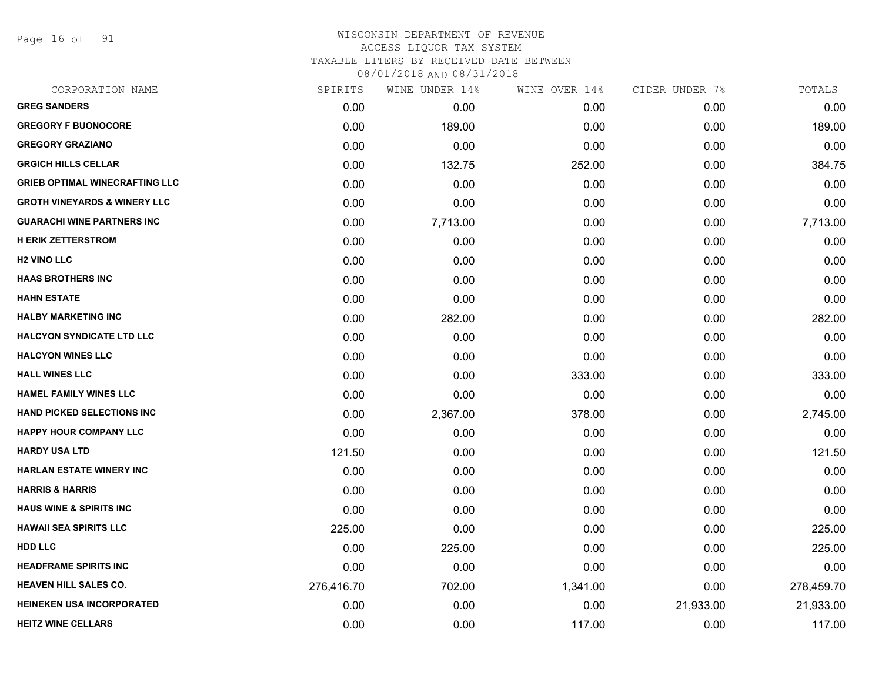Page 16 of 91

## WISCONSIN DEPARTMENT OF REVENUE ACCESS LIQUOR TAX SYSTEM TAXABLE LITERS BY RECEIVED DATE BETWEEN

| CORPORATION NAME                        | SPIRITS    | WINE UNDER 14% | WINE OVER 14% | CIDER UNDER 7% | TOTALS     |
|-----------------------------------------|------------|----------------|---------------|----------------|------------|
| <b>GREG SANDERS</b>                     | 0.00       | 0.00           | 0.00          | 0.00           | 0.00       |
| <b>GREGORY F BUONOCORE</b>              | 0.00       | 189.00         | 0.00          | 0.00           | 189.00     |
| <b>GREGORY GRAZIANO</b>                 | 0.00       | 0.00           | 0.00          | 0.00           | 0.00       |
| <b>GRGICH HILLS CELLAR</b>              | 0.00       | 132.75         | 252.00        | 0.00           | 384.75     |
| <b>GRIEB OPTIMAL WINECRAFTING LLC</b>   | 0.00       | 0.00           | 0.00          | 0.00           | 0.00       |
| <b>GROTH VINEYARDS &amp; WINERY LLC</b> | 0.00       | 0.00           | 0.00          | 0.00           | 0.00       |
| <b>GUARACHI WINE PARTNERS INC</b>       | 0.00       | 7,713.00       | 0.00          | 0.00           | 7,713.00   |
| <b>H ERIK ZETTERSTROM</b>               | 0.00       | 0.00           | 0.00          | 0.00           | 0.00       |
| <b>H<sub>2</sub> VINO LLC</b>           | 0.00       | 0.00           | 0.00          | 0.00           | 0.00       |
| <b>HAAS BROTHERS INC</b>                | 0.00       | 0.00           | 0.00          | 0.00           | 0.00       |
| <b>HAHN ESTATE</b>                      | 0.00       | 0.00           | 0.00          | 0.00           | 0.00       |
| <b>HALBY MARKETING INC</b>              | 0.00       | 282.00         | 0.00          | 0.00           | 282.00     |
| <b>HALCYON SYNDICATE LTD LLC</b>        | 0.00       | 0.00           | 0.00          | 0.00           | 0.00       |
| <b>HALCYON WINES LLC</b>                | 0.00       | 0.00           | 0.00          | 0.00           | 0.00       |
| <b>HALL WINES LLC</b>                   | 0.00       | 0.00           | 333.00        | 0.00           | 333.00     |
| <b>HAMEL FAMILY WINES LLC</b>           | 0.00       | 0.00           | 0.00          | 0.00           | 0.00       |
| <b>HAND PICKED SELECTIONS INC</b>       | 0.00       | 2,367.00       | 378.00        | 0.00           | 2,745.00   |
| HAPPY HOUR COMPANY LLC                  | 0.00       | 0.00           | 0.00          | 0.00           | 0.00       |
| <b>HARDY USA LTD</b>                    | 121.50     | 0.00           | 0.00          | 0.00           | 121.50     |
| <b>HARLAN ESTATE WINERY INC</b>         | 0.00       | 0.00           | 0.00          | 0.00           | 0.00       |
| <b>HARRIS &amp; HARRIS</b>              | 0.00       | 0.00           | 0.00          | 0.00           | 0.00       |
| <b>HAUS WINE &amp; SPIRITS INC</b>      | 0.00       | 0.00           | 0.00          | 0.00           | 0.00       |
| <b>HAWAII SEA SPIRITS LLC</b>           | 225.00     | 0.00           | 0.00          | 0.00           | 225.00     |
| HDD LLC                                 | 0.00       | 225.00         | 0.00          | 0.00           | 225.00     |
| <b>HEADFRAME SPIRITS INC</b>            | 0.00       | 0.00           | 0.00          | 0.00           | 0.00       |
| <b>HEAVEN HILL SALES CO.</b>            | 276,416.70 | 702.00         | 1,341.00      | 0.00           | 278,459.70 |
| <b>HEINEKEN USA INCORPORATED</b>        | 0.00       | 0.00           | 0.00          | 21,933.00      | 21,933.00  |
| <b>HEITZ WINE CELLARS</b>               | 0.00       | 0.00           | 117.00        | 0.00           | 117.00     |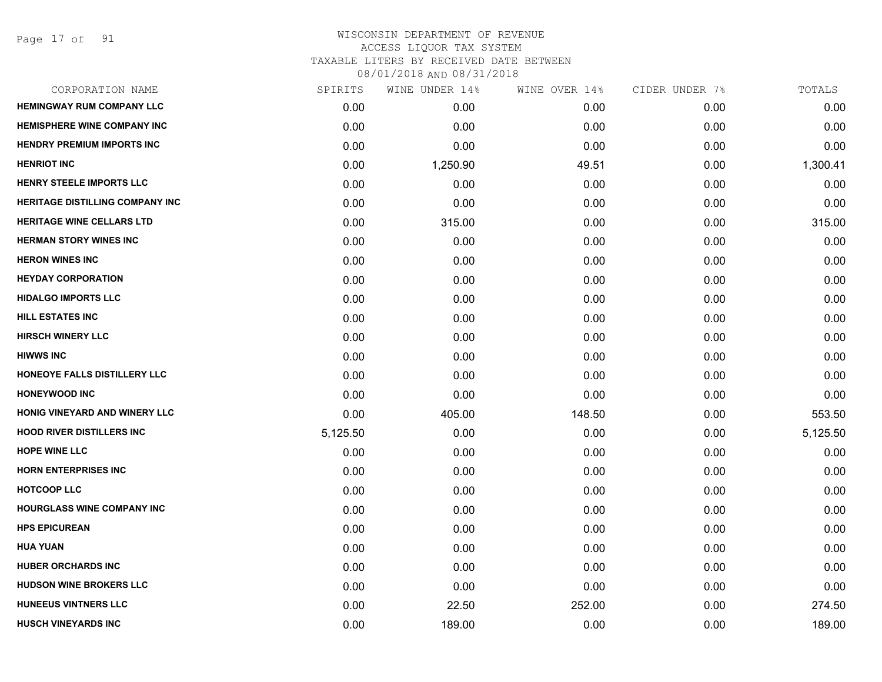Page 17 of 91

# WISCONSIN DEPARTMENT OF REVENUE ACCESS LIQUOR TAX SYSTEM TAXABLE LITERS BY RECEIVED DATE BETWEEN

| CORPORATION NAME                       | SPIRITS  | WINE UNDER 14% | WINE OVER 14% | CIDER UNDER 7% | TOTALS   |
|----------------------------------------|----------|----------------|---------------|----------------|----------|
| <b>HEMINGWAY RUM COMPANY LLC</b>       | 0.00     | 0.00           | 0.00          | 0.00           | 0.00     |
| <b>HEMISPHERE WINE COMPANY INC</b>     | 0.00     | 0.00           | 0.00          | 0.00           | 0.00     |
| <b>HENDRY PREMIUM IMPORTS INC</b>      | 0.00     | 0.00           | 0.00          | 0.00           | 0.00     |
| <b>HENRIOT INC</b>                     | 0.00     | 1,250.90       | 49.51         | 0.00           | 1,300.41 |
| <b>HENRY STEELE IMPORTS LLC</b>        | 0.00     | 0.00           | 0.00          | 0.00           | 0.00     |
| <b>HERITAGE DISTILLING COMPANY INC</b> | 0.00     | 0.00           | 0.00          | 0.00           | 0.00     |
| <b>HERITAGE WINE CELLARS LTD</b>       | 0.00     | 315.00         | 0.00          | 0.00           | 315.00   |
| <b>HERMAN STORY WINES INC</b>          | 0.00     | 0.00           | 0.00          | 0.00           | 0.00     |
| <b>HERON WINES INC</b>                 | 0.00     | 0.00           | 0.00          | 0.00           | 0.00     |
| <b>HEYDAY CORPORATION</b>              | 0.00     | 0.00           | 0.00          | 0.00           | 0.00     |
| <b>HIDALGO IMPORTS LLC</b>             | 0.00     | 0.00           | 0.00          | 0.00           | 0.00     |
| <b>HILL ESTATES INC</b>                | 0.00     | 0.00           | 0.00          | 0.00           | 0.00     |
| <b>HIRSCH WINERY LLC</b>               | 0.00     | 0.00           | 0.00          | 0.00           | 0.00     |
| <b>HIWWS INC</b>                       | 0.00     | 0.00           | 0.00          | 0.00           | 0.00     |
| HONEOYE FALLS DISTILLERY LLC           | 0.00     | 0.00           | 0.00          | 0.00           | 0.00     |
| <b>HONEYWOOD INC</b>                   | 0.00     | 0.00           | 0.00          | 0.00           | 0.00     |
| HONIG VINEYARD AND WINERY LLC          | 0.00     | 405.00         | 148.50        | 0.00           | 553.50   |
| <b>HOOD RIVER DISTILLERS INC</b>       | 5,125.50 | 0.00           | 0.00          | 0.00           | 5,125.50 |
| <b>HOPE WINE LLC</b>                   | 0.00     | 0.00           | 0.00          | 0.00           | 0.00     |
| <b>HORN ENTERPRISES INC</b>            | 0.00     | 0.00           | 0.00          | 0.00           | 0.00     |
| <b>HOTCOOP LLC</b>                     | 0.00     | 0.00           | 0.00          | 0.00           | 0.00     |
| <b>HOURGLASS WINE COMPANY INC</b>      | 0.00     | 0.00           | 0.00          | 0.00           | 0.00     |
| <b>HPS EPICUREAN</b>                   | 0.00     | 0.00           | 0.00          | 0.00           | 0.00     |
| <b>HUA YUAN</b>                        | 0.00     | 0.00           | 0.00          | 0.00           | 0.00     |
| <b>HUBER ORCHARDS INC</b>              | 0.00     | 0.00           | 0.00          | 0.00           | 0.00     |
| <b>HUDSON WINE BROKERS LLC</b>         | 0.00     | 0.00           | 0.00          | 0.00           | 0.00     |
| <b>HUNEEUS VINTNERS LLC</b>            | 0.00     | 22.50          | 252.00        | 0.00           | 274.50   |
| <b>HUSCH VINEYARDS INC</b>             | 0.00     | 189.00         | 0.00          | 0.00           | 189.00   |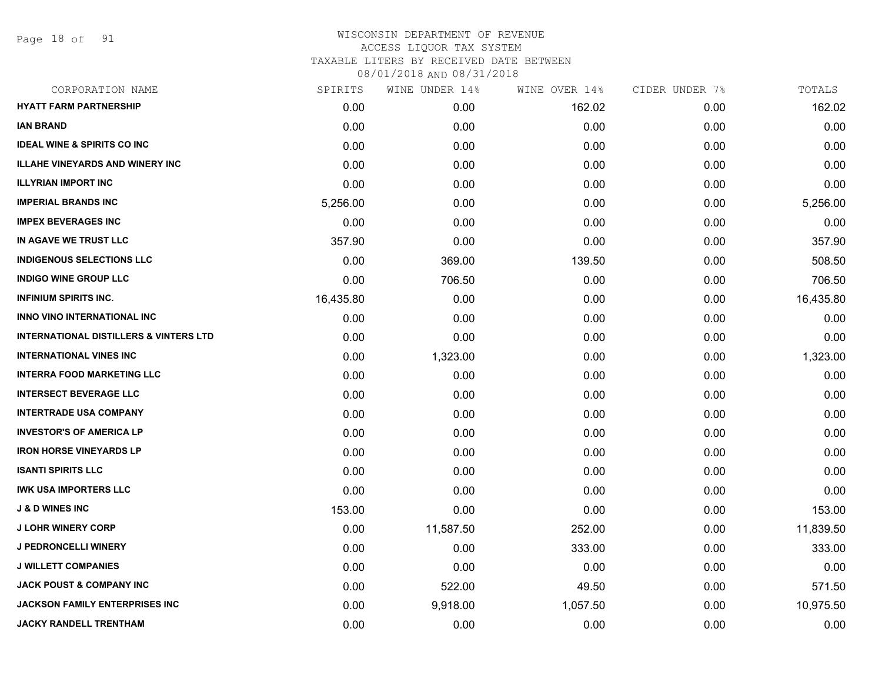Page 18 of 91

| SPIRITS   | WINE UNDER 14% | WINE OVER 14% | CIDER UNDER 7% | TOTALS    |
|-----------|----------------|---------------|----------------|-----------|
| 0.00      | 0.00           | 162.02        | 0.00           | 162.02    |
| 0.00      | 0.00           | 0.00          | 0.00           | 0.00      |
| 0.00      | 0.00           | 0.00          | 0.00           | 0.00      |
| 0.00      | 0.00           | 0.00          | 0.00           | 0.00      |
| 0.00      | 0.00           | 0.00          | 0.00           | 0.00      |
| 5,256.00  | 0.00           | 0.00          | 0.00           | 5,256.00  |
| 0.00      | 0.00           | 0.00          | 0.00           | 0.00      |
| 357.90    | 0.00           | 0.00          | 0.00           | 357.90    |
| 0.00      | 369.00         | 139.50        | 0.00           | 508.50    |
| 0.00      | 706.50         | 0.00          | 0.00           | 706.50    |
| 16,435.80 | 0.00           | 0.00          | 0.00           | 16,435.80 |
| 0.00      | 0.00           | 0.00          | 0.00           | 0.00      |
| 0.00      | 0.00           | 0.00          | 0.00           | 0.00      |
| 0.00      | 1,323.00       | 0.00          | 0.00           | 1,323.00  |
| 0.00      | 0.00           | 0.00          | 0.00           | 0.00      |
| 0.00      | 0.00           | 0.00          | 0.00           | 0.00      |
| 0.00      | 0.00           | 0.00          | 0.00           | 0.00      |
| 0.00      | 0.00           | 0.00          | 0.00           | 0.00      |
| 0.00      | 0.00           | 0.00          | 0.00           | 0.00      |
| 0.00      | 0.00           | 0.00          | 0.00           | 0.00      |
| 0.00      | 0.00           | 0.00          | 0.00           | 0.00      |
| 153.00    | 0.00           | 0.00          | 0.00           | 153.00    |
| 0.00      | 11,587.50      | 252.00        | 0.00           | 11,839.50 |
| 0.00      | 0.00           | 333.00        | 0.00           | 333.00    |
| 0.00      | 0.00           | 0.00          | 0.00           | 0.00      |
| 0.00      | 522.00         | 49.50         | 0.00           | 571.50    |
| 0.00      | 9,918.00       | 1,057.50      | 0.00           | 10,975.50 |
| 0.00      | 0.00           | 0.00          | 0.00           | 0.00      |
|           |                |               |                |           |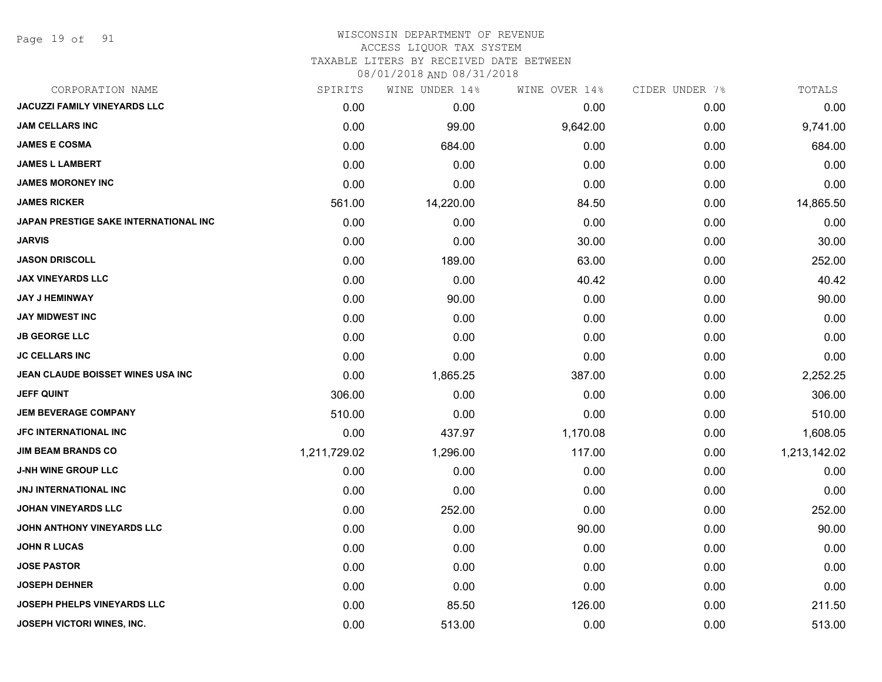Page 19 of 91

# WISCONSIN DEPARTMENT OF REVENUE

ACCESS LIQUOR TAX SYSTEM

TAXABLE LITERS BY RECEIVED DATE BETWEEN

| CORPORATION NAME                      | SPIRITS      | WINE UNDER 14% | WINE OVER 14% | CIDER UNDER 7% | TOTALS       |
|---------------------------------------|--------------|----------------|---------------|----------------|--------------|
| <b>JACUZZI FAMILY VINEYARDS LLC</b>   | 0.00         | 0.00           | 0.00          | 0.00           | 0.00         |
| <b>JAM CELLARS INC</b>                | 0.00         | 99.00          | 9,642.00      | 0.00           | 9,741.00     |
| <b>JAMES E COSMA</b>                  | 0.00         | 684.00         | 0.00          | 0.00           | 684.00       |
| <b>JAMES L LAMBERT</b>                | 0.00         | 0.00           | 0.00          | 0.00           | 0.00         |
| <b>JAMES MORONEY INC</b>              | 0.00         | 0.00           | 0.00          | 0.00           | 0.00         |
| <b>JAMES RICKER</b>                   | 561.00       | 14,220.00      | 84.50         | 0.00           | 14,865.50    |
| JAPAN PRESTIGE SAKE INTERNATIONAL INC | 0.00         | 0.00           | 0.00          | 0.00           | 0.00         |
| <b>JARVIS</b>                         | 0.00         | 0.00           | 30.00         | 0.00           | 30.00        |
| <b>JASON DRISCOLL</b>                 | 0.00         | 189.00         | 63.00         | 0.00           | 252.00       |
| <b>JAX VINEYARDS LLC</b>              | 0.00         | 0.00           | 40.42         | 0.00           | 40.42        |
| <b>JAY J HEMINWAY</b>                 | 0.00         | 90.00          | 0.00          | 0.00           | 90.00        |
| <b>JAY MIDWEST INC</b>                | 0.00         | 0.00           | 0.00          | 0.00           | 0.00         |
| <b>JB GEORGE LLC</b>                  | 0.00         | 0.00           | 0.00          | 0.00           | 0.00         |
| <b>JC CELLARS INC</b>                 | 0.00         | 0.00           | 0.00          | 0.00           | 0.00         |
| JEAN CLAUDE BOISSET WINES USA INC     | 0.00         | 1,865.25       | 387.00        | 0.00           | 2,252.25     |
| <b>JEFF QUINT</b>                     | 306.00       | 0.00           | 0.00          | 0.00           | 306.00       |
| <b>JEM BEVERAGE COMPANY</b>           | 510.00       | 0.00           | 0.00          | 0.00           | 510.00       |
| <b>JFC INTERNATIONAL INC</b>          | 0.00         | 437.97         | 1,170.08      | 0.00           | 1,608.05     |
| <b>JIM BEAM BRANDS CO</b>             | 1,211,729.02 | 1,296.00       | 117.00        | 0.00           | 1,213,142.02 |
| <b>J-NH WINE GROUP LLC</b>            | 0.00         | 0.00           | 0.00          | 0.00           | 0.00         |
| <b>JNJ INTERNATIONAL INC</b>          | 0.00         | 0.00           | 0.00          | 0.00           | 0.00         |
| <b>JOHAN VINEYARDS LLC</b>            | 0.00         | 252.00         | 0.00          | 0.00           | 252.00       |
| JOHN ANTHONY VINEYARDS LLC            | 0.00         | 0.00           | 90.00         | 0.00           | 90.00        |
| <b>JOHN R LUCAS</b>                   | 0.00         | 0.00           | 0.00          | 0.00           | 0.00         |
| <b>JOSE PASTOR</b>                    | 0.00         | 0.00           | 0.00          | 0.00           | 0.00         |
| <b>JOSEPH DEHNER</b>                  | 0.00         | 0.00           | 0.00          | 0.00           | 0.00         |
| <b>JOSEPH PHELPS VINEYARDS LLC</b>    | 0.00         | 85.50          | 126.00        | 0.00           | 211.50       |
| JOSEPH VICTORI WINES, INC.            | 0.00         | 513.00         | 0.00          | 0.00           | 513.00       |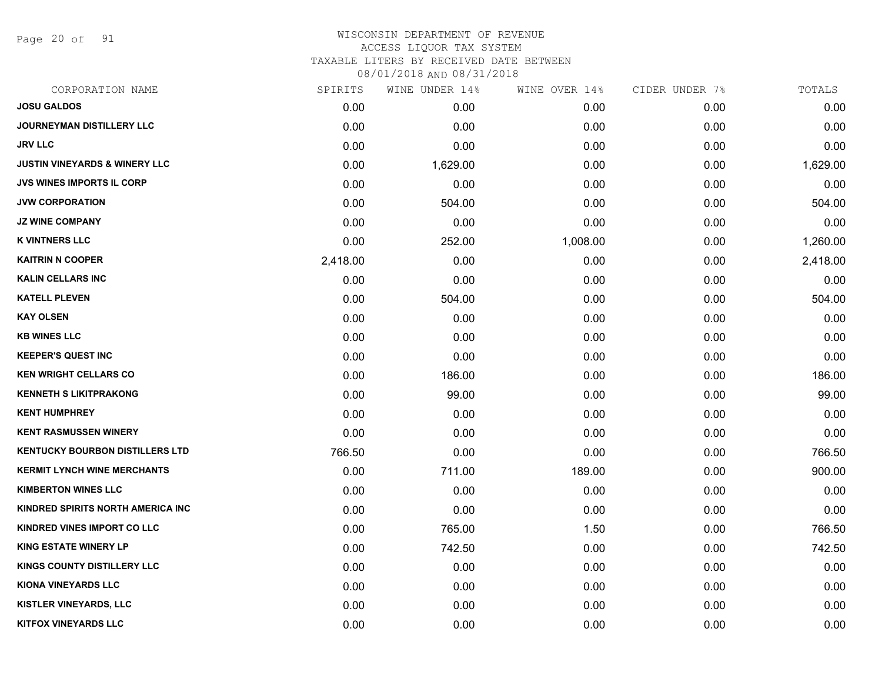Page 20 of 91

### WISCONSIN DEPARTMENT OF REVENUE ACCESS LIQUOR TAX SYSTEM

TAXABLE LITERS BY RECEIVED DATE BETWEEN

| CORPORATION NAME                         | SPIRITS  | WINE UNDER 14% | WINE OVER 14% | CIDER UNDER 7% | TOTALS   |
|------------------------------------------|----------|----------------|---------------|----------------|----------|
| <b>JOSU GALDOS</b>                       | 0.00     | 0.00           | 0.00          | 0.00           | 0.00     |
| <b>JOURNEYMAN DISTILLERY LLC</b>         | 0.00     | 0.00           | 0.00          | 0.00           | 0.00     |
| <b>JRV LLC</b>                           | 0.00     | 0.00           | 0.00          | 0.00           | 0.00     |
| <b>JUSTIN VINEYARDS &amp; WINERY LLC</b> | 0.00     | 1,629.00       | 0.00          | 0.00           | 1,629.00 |
| <b>JVS WINES IMPORTS IL CORP</b>         | 0.00     | 0.00           | 0.00          | 0.00           | 0.00     |
| <b>JVW CORPORATION</b>                   | 0.00     | 504.00         | 0.00          | 0.00           | 504.00   |
| <b>JZ WINE COMPANY</b>                   | 0.00     | 0.00           | 0.00          | 0.00           | 0.00     |
| <b>K VINTNERS LLC</b>                    | 0.00     | 252.00         | 1,008.00      | 0.00           | 1,260.00 |
| <b>KAITRIN N COOPER</b>                  | 2,418.00 | 0.00           | 0.00          | 0.00           | 2,418.00 |
| <b>KALIN CELLARS INC</b>                 | 0.00     | 0.00           | 0.00          | 0.00           | 0.00     |
| <b>KATELL PLEVEN</b>                     | 0.00     | 504.00         | 0.00          | 0.00           | 504.00   |
| <b>KAY OLSEN</b>                         | 0.00     | 0.00           | 0.00          | 0.00           | 0.00     |
| <b>KB WINES LLC</b>                      | 0.00     | 0.00           | 0.00          | 0.00           | 0.00     |
| <b>KEEPER'S QUEST INC</b>                | 0.00     | 0.00           | 0.00          | 0.00           | 0.00     |
| <b>KEN WRIGHT CELLARS CO</b>             | 0.00     | 186.00         | 0.00          | 0.00           | 186.00   |
| <b>KENNETH S LIKITPRAKONG</b>            | 0.00     | 99.00          | 0.00          | 0.00           | 99.00    |
| <b>KENT HUMPHREY</b>                     | 0.00     | 0.00           | 0.00          | 0.00           | 0.00     |
| <b>KENT RASMUSSEN WINERY</b>             | 0.00     | 0.00           | 0.00          | 0.00           | 0.00     |
| <b>KENTUCKY BOURBON DISTILLERS LTD</b>   | 766.50   | 0.00           | 0.00          | 0.00           | 766.50   |
| <b>KERMIT LYNCH WINE MERCHANTS</b>       | 0.00     | 711.00         | 189.00        | 0.00           | 900.00   |
| <b>KIMBERTON WINES LLC</b>               | 0.00     | 0.00           | 0.00          | 0.00           | 0.00     |
| KINDRED SPIRITS NORTH AMERICA INC        | 0.00     | 0.00           | 0.00          | 0.00           | 0.00     |
| KINDRED VINES IMPORT CO LLC              | 0.00     | 765.00         | 1.50          | 0.00           | 766.50   |
| <b>KING ESTATE WINERY LP</b>             | 0.00     | 742.50         | 0.00          | 0.00           | 742.50   |
| KINGS COUNTY DISTILLERY LLC              | 0.00     | 0.00           | 0.00          | 0.00           | 0.00     |
| <b>KIONA VINEYARDS LLC</b>               | 0.00     | 0.00           | 0.00          | 0.00           | 0.00     |
| <b>KISTLER VINEYARDS, LLC</b>            | 0.00     | 0.00           | 0.00          | 0.00           | 0.00     |
| <b>KITFOX VINEYARDS LLC</b>              | 0.00     | 0.00           | 0.00          | 0.00           | 0.00     |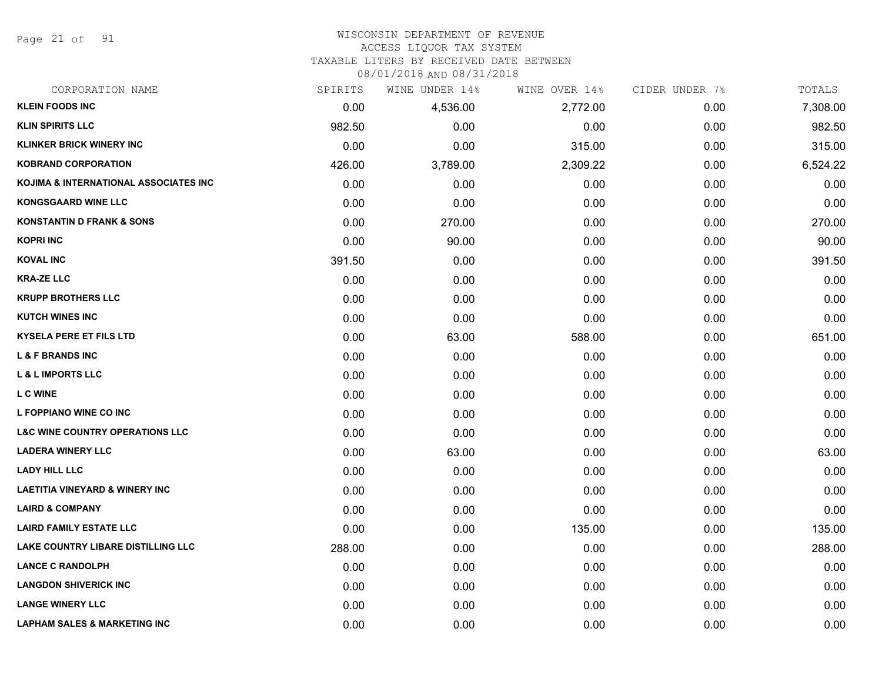Page 21 of 91

# WISCONSIN DEPARTMENT OF REVENUE

### ACCESS LIQUOR TAX SYSTEM

TAXABLE LITERS BY RECEIVED DATE BETWEEN

| CORPORATION NAME                           | SPIRITS | WINE UNDER 14% | WINE OVER 14% | CIDER UNDER 7% | TOTALS   |
|--------------------------------------------|---------|----------------|---------------|----------------|----------|
| <b>KLEIN FOODS INC</b>                     | 0.00    | 4,536.00       | 2,772.00      | 0.00           | 7,308.00 |
| <b>KLIN SPIRITS LLC</b>                    | 982.50  | 0.00           | 0.00          | 0.00           | 982.50   |
| <b>KLINKER BRICK WINERY INC</b>            | 0.00    | 0.00           | 315.00        | 0.00           | 315.00   |
| <b>KOBRAND CORPORATION</b>                 | 426.00  | 3,789.00       | 2,309.22      | 0.00           | 6,524.22 |
| KOJIMA & INTERNATIONAL ASSOCIATES INC      | 0.00    | 0.00           | 0.00          | 0.00           | 0.00     |
| <b>KONGSGAARD WINE LLC</b>                 | 0.00    | 0.00           | 0.00          | 0.00           | 0.00     |
| <b>KONSTANTIN D FRANK &amp; SONS</b>       | 0.00    | 270.00         | 0.00          | 0.00           | 270.00   |
| <b>KOPRI INC</b>                           | 0.00    | 90.00          | 0.00          | 0.00           | 90.00    |
| <b>KOVAL INC</b>                           | 391.50  | 0.00           | 0.00          | 0.00           | 391.50   |
| <b>KRA-ZE LLC</b>                          | 0.00    | 0.00           | 0.00          | 0.00           | 0.00     |
| <b>KRUPP BROTHERS LLC</b>                  | 0.00    | 0.00           | 0.00          | 0.00           | 0.00     |
| <b>KUTCH WINES INC</b>                     | 0.00    | 0.00           | 0.00          | 0.00           | 0.00     |
| <b>KYSELA PERE ET FILS LTD</b>             | 0.00    | 63.00          | 588.00        | 0.00           | 651.00   |
| <b>L &amp; F BRANDS INC</b>                | 0.00    | 0.00           | 0.00          | 0.00           | 0.00     |
| <b>L &amp; L IMPORTS LLC</b>               | 0.00    | 0.00           | 0.00          | 0.00           | 0.00     |
| <b>L C WINE</b>                            | 0.00    | 0.00           | 0.00          | 0.00           | 0.00     |
| L FOPPIANO WINE CO INC                     | 0.00    | 0.00           | 0.00          | 0.00           | 0.00     |
| <b>L&amp;C WINE COUNTRY OPERATIONS LLC</b> | 0.00    | 0.00           | 0.00          | 0.00           | 0.00     |
| <b>LADERA WINERY LLC</b>                   | 0.00    | 63.00          | 0.00          | 0.00           | 63.00    |
| <b>LADY HILL LLC</b>                       | 0.00    | 0.00           | 0.00          | 0.00           | 0.00     |
| <b>LAETITIA VINEYARD &amp; WINERY INC</b>  | 0.00    | 0.00           | 0.00          | 0.00           | 0.00     |
| <b>LAIRD &amp; COMPANY</b>                 | 0.00    | 0.00           | 0.00          | 0.00           | 0.00     |
| <b>LAIRD FAMILY ESTATE LLC</b>             | 0.00    | 0.00           | 135.00        | 0.00           | 135.00   |
| LAKE COUNTRY LIBARE DISTILLING LLC         | 288.00  | 0.00           | 0.00          | 0.00           | 288.00   |
| <b>LANCE C RANDOLPH</b>                    | 0.00    | 0.00           | 0.00          | 0.00           | 0.00     |
| <b>LANGDON SHIVERICK INC</b>               | 0.00    | 0.00           | 0.00          | 0.00           | 0.00     |
| <b>LANGE WINERY LLC</b>                    | 0.00    | 0.00           | 0.00          | 0.00           | 0.00     |
| <b>LAPHAM SALES &amp; MARKETING INC</b>    | 0.00    | 0.00           | 0.00          | 0.00           | 0.00     |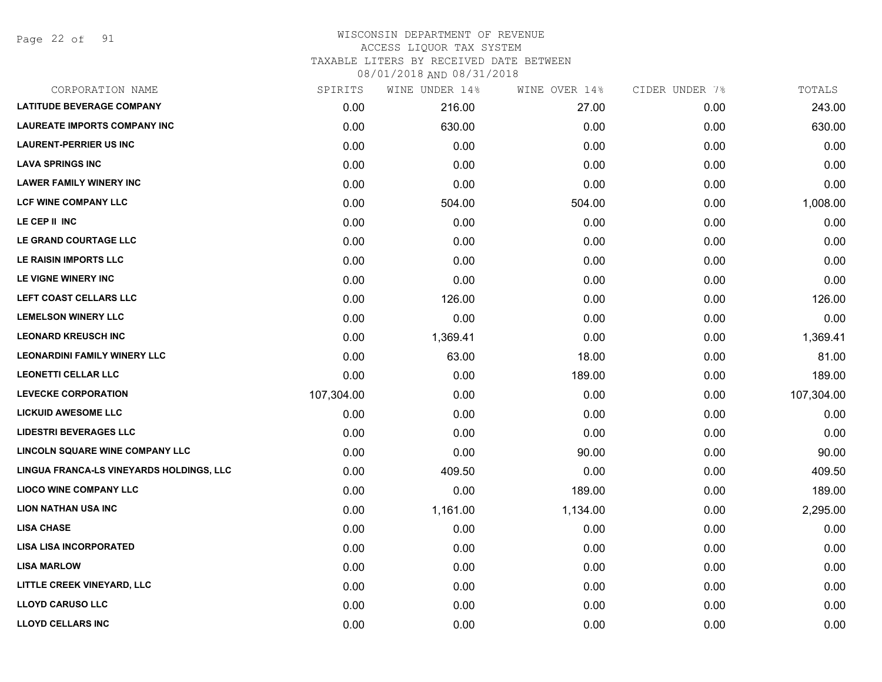Page 22 of 91

### WISCONSIN DEPARTMENT OF REVENUE ACCESS LIQUOR TAX SYSTEM TAXABLE LITERS BY RECEIVED DATE BETWEEN

| CORPORATION NAME                         | SPIRITS    | WINE UNDER 14% | WINE OVER 14% | CIDER UNDER 7% | TOTALS     |
|------------------------------------------|------------|----------------|---------------|----------------|------------|
| <b>LATITUDE BEVERAGE COMPANY</b>         | 0.00       | 216.00         | 27.00         | 0.00           | 243.00     |
| <b>LAUREATE IMPORTS COMPANY INC</b>      | 0.00       | 630.00         | 0.00          | 0.00           | 630.00     |
| <b>LAURENT-PERRIER US INC</b>            | 0.00       | 0.00           | 0.00          | 0.00           | 0.00       |
| <b>LAVA SPRINGS INC</b>                  | 0.00       | 0.00           | 0.00          | 0.00           | 0.00       |
| <b>LAWER FAMILY WINERY INC</b>           | 0.00       | 0.00           | 0.00          | 0.00           | 0.00       |
| <b>LCF WINE COMPANY LLC</b>              | 0.00       | 504.00         | 504.00        | 0.00           | 1,008.00   |
| LE CEP II INC                            | 0.00       | 0.00           | 0.00          | 0.00           | 0.00       |
| LE GRAND COURTAGE LLC                    | 0.00       | 0.00           | 0.00          | 0.00           | 0.00       |
| LE RAISIN IMPORTS LLC                    | 0.00       | 0.00           | 0.00          | 0.00           | 0.00       |
| LE VIGNE WINERY INC                      | 0.00       | 0.00           | 0.00          | 0.00           | 0.00       |
| LEFT COAST CELLARS LLC                   | 0.00       | 126.00         | 0.00          | 0.00           | 126.00     |
| <b>LEMELSON WINERY LLC</b>               | 0.00       | 0.00           | 0.00          | 0.00           | 0.00       |
| <b>LEONARD KREUSCH INC</b>               | 0.00       | 1,369.41       | 0.00          | 0.00           | 1,369.41   |
| <b>LEONARDINI FAMILY WINERY LLC</b>      | 0.00       | 63.00          | 18.00         | 0.00           | 81.00      |
| <b>LEONETTI CELLAR LLC</b>               | 0.00       | 0.00           | 189.00        | 0.00           | 189.00     |
| <b>LEVECKE CORPORATION</b>               | 107,304.00 | 0.00           | 0.00          | 0.00           | 107,304.00 |
| <b>LICKUID AWESOME LLC</b>               | 0.00       | 0.00           | 0.00          | 0.00           | 0.00       |
| <b>LIDESTRI BEVERAGES LLC</b>            | 0.00       | 0.00           | 0.00          | 0.00           | 0.00       |
| <b>LINCOLN SQUARE WINE COMPANY LLC</b>   | 0.00       | 0.00           | 90.00         | 0.00           | 90.00      |
| LINGUA FRANCA-LS VINEYARDS HOLDINGS, LLC | 0.00       | 409.50         | 0.00          | 0.00           | 409.50     |
| <b>LIOCO WINE COMPANY LLC</b>            | 0.00       | 0.00           | 189.00        | 0.00           | 189.00     |
| <b>LION NATHAN USA INC</b>               | 0.00       | 1,161.00       | 1,134.00      | 0.00           | 2,295.00   |
| <b>LISA CHASE</b>                        | 0.00       | 0.00           | 0.00          | 0.00           | 0.00       |
| <b>LISA LISA INCORPORATED</b>            | 0.00       | 0.00           | 0.00          | 0.00           | 0.00       |
| <b>LISA MARLOW</b>                       | 0.00       | 0.00           | 0.00          | 0.00           | 0.00       |
| LITTLE CREEK VINEYARD, LLC               | 0.00       | 0.00           | 0.00          | 0.00           | 0.00       |
| <b>LLOYD CARUSO LLC</b>                  | 0.00       | 0.00           | 0.00          | 0.00           | 0.00       |
| <b>LLOYD CELLARS INC</b>                 | 0.00       | 0.00           | 0.00          | 0.00           | 0.00       |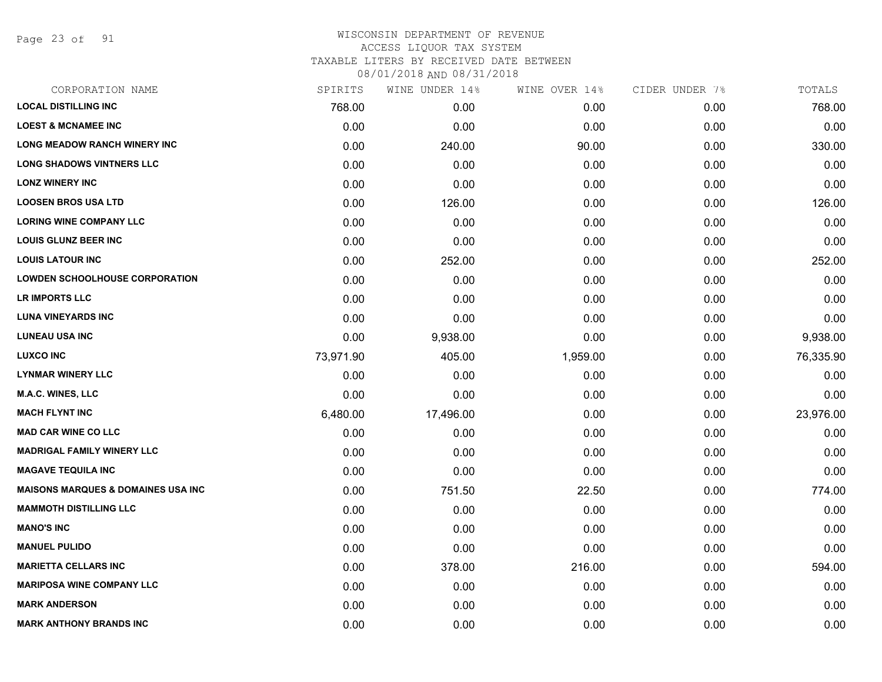Page 23 of 91

| CORPORATION NAME                              | SPIRITS   | WINE UNDER 14% | WINE OVER 14% | CIDER UNDER 7% | TOTALS    |
|-----------------------------------------------|-----------|----------------|---------------|----------------|-----------|
| <b>LOCAL DISTILLING INC</b>                   | 768.00    | 0.00           | 0.00          | 0.00           | 768.00    |
| <b>LOEST &amp; MCNAMEE INC</b>                | 0.00      | 0.00           | 0.00          | 0.00           | 0.00      |
| <b>LONG MEADOW RANCH WINERY INC</b>           | 0.00      | 240.00         | 90.00         | 0.00           | 330.00    |
| <b>LONG SHADOWS VINTNERS LLC</b>              | 0.00      | 0.00           | 0.00          | 0.00           | 0.00      |
| <b>LONZ WINERY INC</b>                        | 0.00      | 0.00           | 0.00          | 0.00           | 0.00      |
| <b>LOOSEN BROS USA LTD</b>                    | 0.00      | 126.00         | 0.00          | 0.00           | 126.00    |
| <b>LORING WINE COMPANY LLC</b>                | 0.00      | 0.00           | 0.00          | 0.00           | 0.00      |
| <b>LOUIS GLUNZ BEER INC</b>                   | 0.00      | 0.00           | 0.00          | 0.00           | 0.00      |
| <b>LOUIS LATOUR INC</b>                       | 0.00      | 252.00         | 0.00          | 0.00           | 252.00    |
| <b>LOWDEN SCHOOLHOUSE CORPORATION</b>         | 0.00      | 0.00           | 0.00          | 0.00           | 0.00      |
| LR IMPORTS LLC                                | 0.00      | 0.00           | 0.00          | 0.00           | 0.00      |
| <b>LUNA VINEYARDS INC</b>                     | 0.00      | 0.00           | 0.00          | 0.00           | 0.00      |
| <b>LUNEAU USA INC</b>                         | 0.00      | 9,938.00       | 0.00          | 0.00           | 9,938.00  |
| <b>LUXCO INC</b>                              | 73,971.90 | 405.00         | 1,959.00      | 0.00           | 76,335.90 |
| <b>LYNMAR WINERY LLC</b>                      | 0.00      | 0.00           | 0.00          | 0.00           | 0.00      |
| <b>M.A.C. WINES, LLC</b>                      | 0.00      | 0.00           | 0.00          | 0.00           | 0.00      |
| <b>MACH FLYNT INC</b>                         | 6,480.00  | 17,496.00      | 0.00          | 0.00           | 23,976.00 |
| <b>MAD CAR WINE CO LLC</b>                    | 0.00      | 0.00           | 0.00          | 0.00           | 0.00      |
| <b>MADRIGAL FAMILY WINERY LLC</b>             | 0.00      | 0.00           | 0.00          | 0.00           | 0.00      |
| <b>MAGAVE TEQUILA INC</b>                     | 0.00      | 0.00           | 0.00          | 0.00           | 0.00      |
| <b>MAISONS MARQUES &amp; DOMAINES USA INC</b> | 0.00      | 751.50         | 22.50         | 0.00           | 774.00    |
| <b>MAMMOTH DISTILLING LLC</b>                 | 0.00      | 0.00           | 0.00          | 0.00           | 0.00      |
| <b>MANO'S INC</b>                             | 0.00      | 0.00           | 0.00          | 0.00           | 0.00      |
| <b>MANUEL PULIDO</b>                          | 0.00      | 0.00           | 0.00          | 0.00           | 0.00      |
| <b>MARIETTA CELLARS INC</b>                   | 0.00      | 378.00         | 216.00        | 0.00           | 594.00    |
| <b>MARIPOSA WINE COMPANY LLC</b>              | 0.00      | 0.00           | 0.00          | 0.00           | 0.00      |
| <b>MARK ANDERSON</b>                          | 0.00      | 0.00           | 0.00          | 0.00           | 0.00      |
| <b>MARK ANTHONY BRANDS INC</b>                | 0.00      | 0.00           | 0.00          | 0.00           | 0.00      |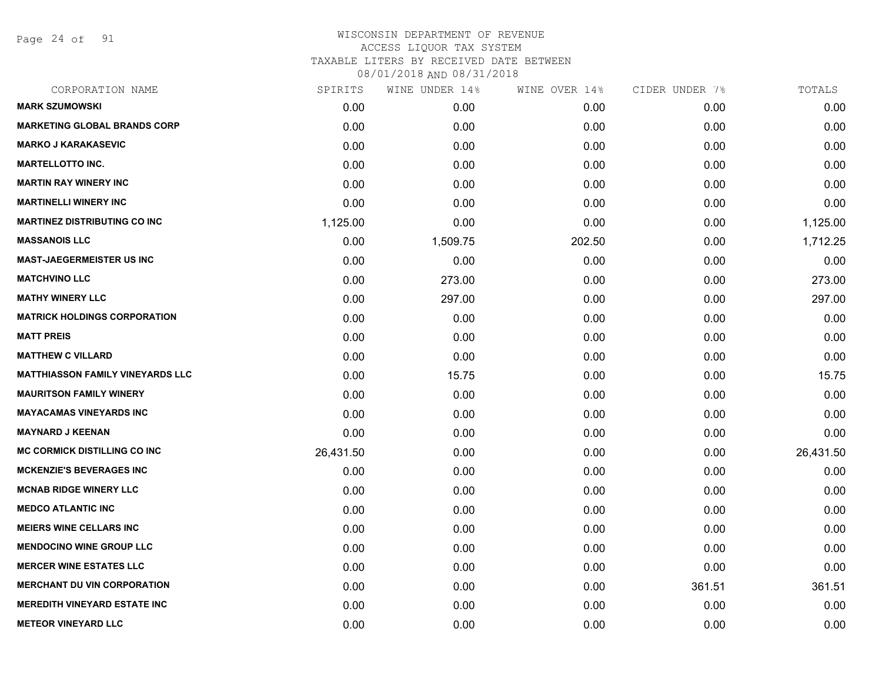Page 24 of 91

| CORPORATION NAME                        | SPIRITS   | WINE UNDER 14% | WINE OVER 14% | CIDER UNDER 7% | TOTALS    |
|-----------------------------------------|-----------|----------------|---------------|----------------|-----------|
| <b>MARK SZUMOWSKI</b>                   | 0.00      | 0.00           | 0.00          | 0.00           | 0.00      |
| <b>MARKETING GLOBAL BRANDS CORP</b>     | 0.00      | 0.00           | 0.00          | 0.00           | 0.00      |
| <b>MARKO J KARAKASEVIC</b>              | 0.00      | 0.00           | 0.00          | 0.00           | 0.00      |
| <b>MARTELLOTTO INC.</b>                 | 0.00      | 0.00           | 0.00          | 0.00           | 0.00      |
| <b>MARTIN RAY WINERY INC</b>            | 0.00      | 0.00           | 0.00          | 0.00           | 0.00      |
| <b>MARTINELLI WINERY INC</b>            | 0.00      | 0.00           | 0.00          | 0.00           | 0.00      |
| <b>MARTINEZ DISTRIBUTING CO INC</b>     | 1,125.00  | 0.00           | 0.00          | 0.00           | 1,125.00  |
| <b>MASSANOIS LLC</b>                    | 0.00      | 1,509.75       | 202.50        | 0.00           | 1,712.25  |
| <b>MAST-JAEGERMEISTER US INC</b>        | 0.00      | 0.00           | 0.00          | 0.00           | 0.00      |
| <b>MATCHVINO LLC</b>                    | 0.00      | 273.00         | 0.00          | 0.00           | 273.00    |
| <b>MATHY WINERY LLC</b>                 | 0.00      | 297.00         | 0.00          | 0.00           | 297.00    |
| <b>MATRICK HOLDINGS CORPORATION</b>     | 0.00      | 0.00           | 0.00          | 0.00           | 0.00      |
| <b>MATT PREIS</b>                       | 0.00      | 0.00           | 0.00          | 0.00           | 0.00      |
| <b>MATTHEW C VILLARD</b>                | 0.00      | 0.00           | 0.00          | 0.00           | 0.00      |
| <b>MATTHIASSON FAMILY VINEYARDS LLC</b> | 0.00      | 15.75          | 0.00          | 0.00           | 15.75     |
| <b>MAURITSON FAMILY WINERY</b>          | 0.00      | 0.00           | 0.00          | 0.00           | 0.00      |
| <b>MAYACAMAS VINEYARDS INC</b>          | 0.00      | 0.00           | 0.00          | 0.00           | 0.00      |
| <b>MAYNARD J KEENAN</b>                 | 0.00      | 0.00           | 0.00          | 0.00           | 0.00      |
| <b>MC CORMICK DISTILLING CO INC</b>     | 26,431.50 | 0.00           | 0.00          | 0.00           | 26,431.50 |
| <b>MCKENZIE'S BEVERAGES INC</b>         | 0.00      | 0.00           | 0.00          | 0.00           | 0.00      |
| <b>MCNAB RIDGE WINERY LLC</b>           | 0.00      | 0.00           | 0.00          | 0.00           | 0.00      |
| <b>MEDCO ATLANTIC INC</b>               | 0.00      | 0.00           | 0.00          | 0.00           | 0.00      |
| <b>MEIERS WINE CELLARS INC</b>          | 0.00      | 0.00           | 0.00          | 0.00           | 0.00      |
| <b>MENDOCINO WINE GROUP LLC</b>         | 0.00      | 0.00           | 0.00          | 0.00           | 0.00      |
| <b>MERCER WINE ESTATES LLC</b>          | 0.00      | 0.00           | 0.00          | 0.00           | 0.00      |
| <b>MERCHANT DU VIN CORPORATION</b>      | 0.00      | 0.00           | 0.00          | 361.51         | 361.51    |
| <b>MEREDITH VINEYARD ESTATE INC</b>     | 0.00      | 0.00           | 0.00          | 0.00           | 0.00      |
| <b>METEOR VINEYARD LLC</b>              | 0.00      | 0.00           | 0.00          | 0.00           | 0.00      |
|                                         |           |                |               |                |           |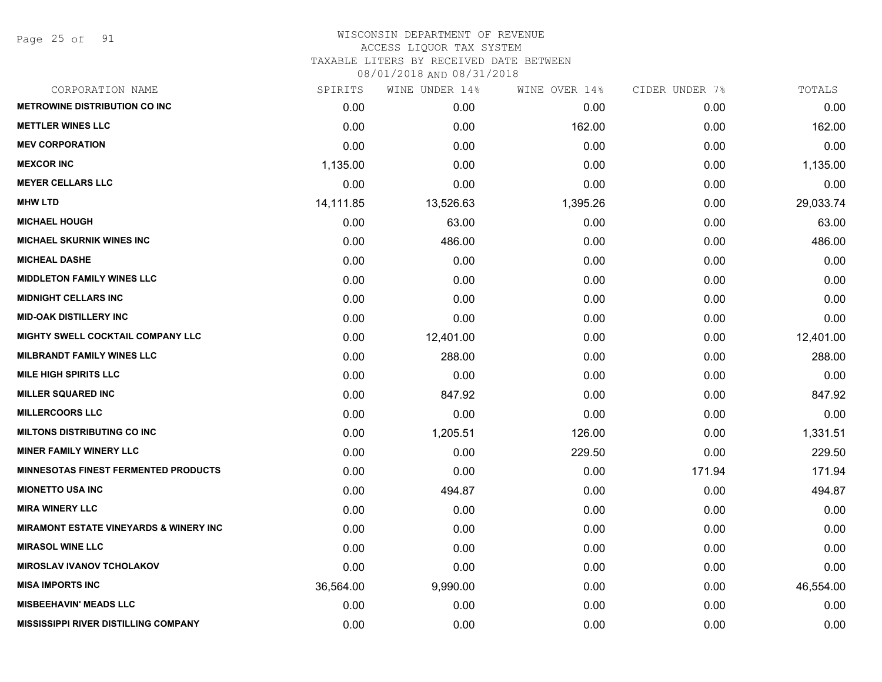Page 25 of 91

## WISCONSIN DEPARTMENT OF REVENUE ACCESS LIQUOR TAX SYSTEM

TAXABLE LITERS BY RECEIVED DATE BETWEEN

| CORPORATION NAME                                  | SPIRITS   | WINE UNDER 14% | WINE OVER 14% | CIDER UNDER 7% | TOTALS    |
|---------------------------------------------------|-----------|----------------|---------------|----------------|-----------|
| <b>METROWINE DISTRIBUTION CO INC</b>              | 0.00      | 0.00           | 0.00          | 0.00           | 0.00      |
| <b>METTLER WINES LLC</b>                          | 0.00      | 0.00           | 162.00        | 0.00           | 162.00    |
| <b>MEV CORPORATION</b>                            | 0.00      | 0.00           | 0.00          | 0.00           | 0.00      |
| <b>MEXCOR INC</b>                                 | 1,135.00  | 0.00           | 0.00          | 0.00           | 1,135.00  |
| <b>MEYER CELLARS LLC</b>                          | 0.00      | 0.00           | 0.00          | 0.00           | 0.00      |
| <b>MHW LTD</b>                                    | 14,111.85 | 13,526.63      | 1,395.26      | 0.00           | 29,033.74 |
| <b>MICHAEL HOUGH</b>                              | 0.00      | 63.00          | 0.00          | 0.00           | 63.00     |
| MICHAEL SKURNIK WINES INC                         | 0.00      | 486.00         | 0.00          | 0.00           | 486.00    |
| <b>MICHEAL DASHE</b>                              | 0.00      | 0.00           | 0.00          | 0.00           | 0.00      |
| <b>MIDDLETON FAMILY WINES LLC</b>                 | 0.00      | 0.00           | 0.00          | 0.00           | 0.00      |
| <b>MIDNIGHT CELLARS INC</b>                       | 0.00      | 0.00           | 0.00          | 0.00           | 0.00      |
| <b>MID-OAK DISTILLERY INC</b>                     | 0.00      | 0.00           | 0.00          | 0.00           | 0.00      |
| MIGHTY SWELL COCKTAIL COMPANY LLC                 | 0.00      | 12,401.00      | 0.00          | 0.00           | 12,401.00 |
| <b>MILBRANDT FAMILY WINES LLC</b>                 | 0.00      | 288.00         | 0.00          | 0.00           | 288.00    |
| <b>MILE HIGH SPIRITS LLC</b>                      | 0.00      | 0.00           | 0.00          | 0.00           | 0.00      |
| <b>MILLER SQUARED INC</b>                         | 0.00      | 847.92         | 0.00          | 0.00           | 847.92    |
| <b>MILLERCOORS LLC</b>                            | 0.00      | 0.00           | 0.00          | 0.00           | 0.00      |
| <b>MILTONS DISTRIBUTING CO INC</b>                | 0.00      | 1,205.51       | 126.00        | 0.00           | 1,331.51  |
| <b>MINER FAMILY WINERY LLC</b>                    | 0.00      | 0.00           | 229.50        | 0.00           | 229.50    |
| <b>MINNESOTAS FINEST FERMENTED PRODUCTS</b>       | 0.00      | 0.00           | 0.00          | 171.94         | 171.94    |
| <b>MIONETTO USA INC</b>                           | 0.00      | 494.87         | 0.00          | 0.00           | 494.87    |
| <b>MIRA WINERY LLC</b>                            | 0.00      | 0.00           | 0.00          | 0.00           | 0.00      |
| <b>MIRAMONT ESTATE VINEYARDS &amp; WINERY INC</b> | 0.00      | 0.00           | 0.00          | 0.00           | 0.00      |
| <b>MIRASOL WINE LLC</b>                           | 0.00      | 0.00           | 0.00          | 0.00           | 0.00      |
| <b>MIROSLAV IVANOV TCHOLAKOV</b>                  | 0.00      | 0.00           | 0.00          | 0.00           | 0.00      |
| <b>MISA IMPORTS INC</b>                           | 36,564.00 | 9,990.00       | 0.00          | 0.00           | 46,554.00 |
| <b>MISBEEHAVIN' MEADS LLC</b>                     | 0.00      | 0.00           | 0.00          | 0.00           | 0.00      |
| <b>MISSISSIPPI RIVER DISTILLING COMPANY</b>       | 0.00      | 0.00           | 0.00          | 0.00           | 0.00      |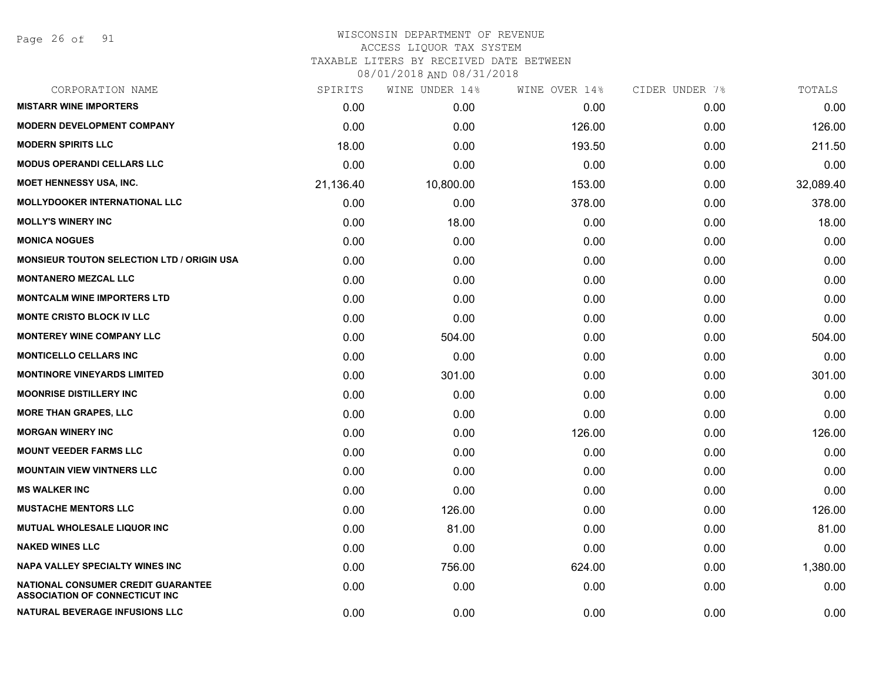Page 26 of 91

#### WISCONSIN DEPARTMENT OF REVENUE ACCESS LIQUOR TAX SYSTEM TAXABLE LITERS BY RECEIVED DATE BETWEEN

| CORPORATION NAME                                                             | SPIRITS   | WINE UNDER 14% | WINE OVER 14% | CIDER UNDER 7% | TOTALS    |
|------------------------------------------------------------------------------|-----------|----------------|---------------|----------------|-----------|
| <b>MISTARR WINE IMPORTERS</b>                                                | 0.00      | 0.00           | 0.00          | 0.00           | 0.00      |
| <b>MODERN DEVELOPMENT COMPANY</b>                                            | 0.00      | 0.00           | 126.00        | 0.00           | 126.00    |
| <b>MODERN SPIRITS LLC</b>                                                    | 18.00     | 0.00           | 193.50        | 0.00           | 211.50    |
| <b>MODUS OPERANDI CELLARS LLC</b>                                            | 0.00      | 0.00           | 0.00          | 0.00           | 0.00      |
| MOET HENNESSY USA, INC.                                                      | 21,136.40 | 10,800.00      | 153.00        | 0.00           | 32,089.40 |
| <b>MOLLYDOOKER INTERNATIONAL LLC</b>                                         | 0.00      | 0.00           | 378.00        | 0.00           | 378.00    |
| <b>MOLLY'S WINERY INC</b>                                                    | 0.00      | 18.00          | 0.00          | 0.00           | 18.00     |
| <b>MONICA NOGUES</b>                                                         | 0.00      | 0.00           | 0.00          | 0.00           | 0.00      |
| <b>MONSIEUR TOUTON SELECTION LTD / ORIGIN USA</b>                            | 0.00      | 0.00           | 0.00          | 0.00           | 0.00      |
| <b>MONTANERO MEZCAL LLC</b>                                                  | 0.00      | 0.00           | 0.00          | 0.00           | 0.00      |
| <b>MONTCALM WINE IMPORTERS LTD</b>                                           | 0.00      | 0.00           | 0.00          | 0.00           | 0.00      |
| <b>MONTE CRISTO BLOCK IV LLC</b>                                             | 0.00      | 0.00           | 0.00          | 0.00           | 0.00      |
| <b>MONTEREY WINE COMPANY LLC</b>                                             | 0.00      | 504.00         | 0.00          | 0.00           | 504.00    |
| <b>MONTICELLO CELLARS INC</b>                                                | 0.00      | 0.00           | 0.00          | 0.00           | 0.00      |
| <b>MONTINORE VINEYARDS LIMITED</b>                                           | 0.00      | 301.00         | 0.00          | 0.00           | 301.00    |
| <b>MOONRISE DISTILLERY INC</b>                                               | 0.00      | 0.00           | 0.00          | 0.00           | 0.00      |
| <b>MORE THAN GRAPES, LLC</b>                                                 | 0.00      | 0.00           | 0.00          | 0.00           | 0.00      |
| <b>MORGAN WINERY INC</b>                                                     | 0.00      | 0.00           | 126.00        | 0.00           | 126.00    |
| <b>MOUNT VEEDER FARMS LLC</b>                                                | 0.00      | 0.00           | 0.00          | 0.00           | 0.00      |
| <b>MOUNTAIN VIEW VINTNERS LLC</b>                                            | 0.00      | 0.00           | 0.00          | 0.00           | 0.00      |
| <b>MS WALKER INC</b>                                                         | 0.00      | 0.00           | 0.00          | 0.00           | 0.00      |
| <b>MUSTACHE MENTORS LLC</b>                                                  | 0.00      | 126.00         | 0.00          | 0.00           | 126.00    |
| MUTUAL WHOLESALE LIQUOR INC                                                  | 0.00      | 81.00          | 0.00          | 0.00           | 81.00     |
| <b>NAKED WINES LLC</b>                                                       | 0.00      | 0.00           | 0.00          | 0.00           | 0.00      |
| NAPA VALLEY SPECIALTY WINES INC                                              | 0.00      | 756.00         | 624.00        | 0.00           | 1,380.00  |
| NATIONAL CONSUMER CREDIT GUARANTEE<br><b>ASSOCIATION OF CONNECTICUT INC.</b> | 0.00      | 0.00           | 0.00          | 0.00           | 0.00      |
| <b>NATURAL BEVERAGE INFUSIONS LLC</b>                                        | 0.00      | 0.00           | 0.00          | 0.00           | 0.00      |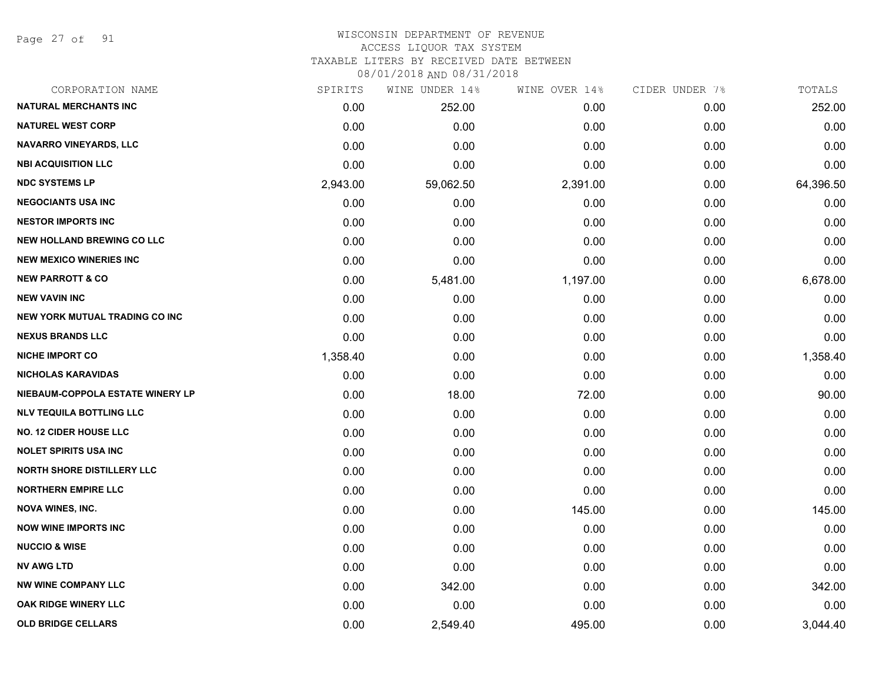Page 27 of 91

#### WISCONSIN DEPARTMENT OF REVENUE ACCESS LIQUOR TAX SYSTEM

TAXABLE LITERS BY RECEIVED DATE BETWEEN

| CORPORATION NAME                  | SPIRITS  | WINE UNDER 14% | WINE OVER 14% | CIDER UNDER 7% | TOTALS    |
|-----------------------------------|----------|----------------|---------------|----------------|-----------|
| <b>NATURAL MERCHANTS INC</b>      | 0.00     | 252.00         | 0.00          | 0.00           | 252.00    |
| <b>NATUREL WEST CORP</b>          | 0.00     | 0.00           | 0.00          | 0.00           | 0.00      |
| NAVARRO VINEYARDS, LLC            | 0.00     | 0.00           | 0.00          | 0.00           | 0.00      |
| <b>NBI ACQUISITION LLC</b>        | 0.00     | 0.00           | 0.00          | 0.00           | 0.00      |
| <b>NDC SYSTEMS LP</b>             | 2,943.00 | 59,062.50      | 2,391.00      | 0.00           | 64,396.50 |
| <b>NEGOCIANTS USA INC</b>         | 0.00     | 0.00           | 0.00          | 0.00           | 0.00      |
| <b>NESTOR IMPORTS INC</b>         | 0.00     | 0.00           | 0.00          | 0.00           | 0.00      |
| <b>NEW HOLLAND BREWING CO LLC</b> | 0.00     | 0.00           | 0.00          | 0.00           | 0.00      |
| <b>NEW MEXICO WINERIES INC</b>    | 0.00     | 0.00           | 0.00          | 0.00           | 0.00      |
| <b>NEW PARROTT &amp; CO</b>       | 0.00     | 5,481.00       | 1,197.00      | 0.00           | 6,678.00  |
| <b>NEW VAVIN INC</b>              | 0.00     | 0.00           | 0.00          | 0.00           | 0.00      |
| NEW YORK MUTUAL TRADING CO INC    | 0.00     | 0.00           | 0.00          | 0.00           | 0.00      |
| <b>NEXUS BRANDS LLC</b>           | 0.00     | 0.00           | 0.00          | 0.00           | 0.00      |
| <b>NICHE IMPORT CO</b>            | 1,358.40 | 0.00           | 0.00          | 0.00           | 1,358.40  |
| <b>NICHOLAS KARAVIDAS</b>         | 0.00     | 0.00           | 0.00          | 0.00           | 0.00      |
| NIEBAUM-COPPOLA ESTATE WINERY LP  | 0.00     | 18.00          | 72.00         | 0.00           | 90.00     |
| <b>NLV TEQUILA BOTTLING LLC</b>   | 0.00     | 0.00           | 0.00          | 0.00           | 0.00      |
| <b>NO. 12 CIDER HOUSE LLC</b>     | 0.00     | 0.00           | 0.00          | 0.00           | 0.00      |
| <b>NOLET SPIRITS USA INC</b>      | 0.00     | 0.00           | 0.00          | 0.00           | 0.00      |
| <b>NORTH SHORE DISTILLERY LLC</b> | 0.00     | 0.00           | 0.00          | 0.00           | 0.00      |
| <b>NORTHERN EMPIRE LLC</b>        | 0.00     | 0.00           | 0.00          | 0.00           | 0.00      |
| <b>NOVA WINES, INC.</b>           | 0.00     | 0.00           | 145.00        | 0.00           | 145.00    |
| <b>NOW WINE IMPORTS INC</b>       | 0.00     | 0.00           | 0.00          | 0.00           | 0.00      |
| <b>NUCCIO &amp; WISE</b>          | 0.00     | 0.00           | 0.00          | 0.00           | 0.00      |
| <b>NV AWG LTD</b>                 | 0.00     | 0.00           | 0.00          | 0.00           | 0.00      |
| <b>NW WINE COMPANY LLC</b>        | 0.00     | 342.00         | 0.00          | 0.00           | 342.00    |
| OAK RIDGE WINERY LLC              | 0.00     | 0.00           | 0.00          | 0.00           | 0.00      |
| <b>OLD BRIDGE CELLARS</b>         | 0.00     | 2,549.40       | 495.00        | 0.00           | 3,044.40  |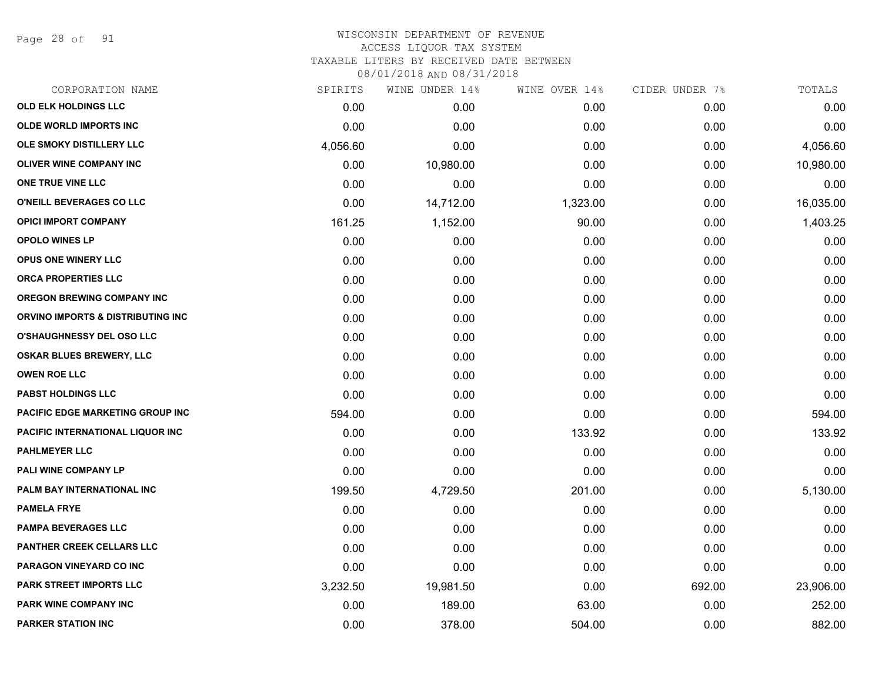Page 28 of 91

| CORPORATION NAME                        | SPIRITS  | WINE UNDER 14% | WINE OVER 14% | CIDER UNDER 7% | TOTALS    |
|-----------------------------------------|----------|----------------|---------------|----------------|-----------|
| OLD ELK HOLDINGS LLC                    | 0.00     | 0.00           | 0.00          | 0.00           | 0.00      |
| <b>OLDE WORLD IMPORTS INC</b>           | 0.00     | 0.00           | 0.00          | 0.00           | 0.00      |
| OLE SMOKY DISTILLERY LLC                | 4,056.60 | 0.00           | 0.00          | 0.00           | 4,056.60  |
| <b>OLIVER WINE COMPANY INC</b>          | 0.00     | 10,980.00      | 0.00          | 0.00           | 10,980.00 |
| ONE TRUE VINE LLC                       | 0.00     | 0.00           | 0.00          | 0.00           | 0.00      |
| O'NEILL BEVERAGES CO LLC                | 0.00     | 14,712.00      | 1,323.00      | 0.00           | 16,035.00 |
| <b>OPICI IMPORT COMPANY</b>             | 161.25   | 1,152.00       | 90.00         | 0.00           | 1,403.25  |
| <b>OPOLO WINES LP</b>                   | 0.00     | 0.00           | 0.00          | 0.00           | 0.00      |
| <b>OPUS ONE WINERY LLC</b>              | 0.00     | 0.00           | 0.00          | 0.00           | 0.00      |
| <b>ORCA PROPERTIES LLC</b>              | 0.00     | 0.00           | 0.00          | 0.00           | 0.00      |
| <b>OREGON BREWING COMPANY INC</b>       | 0.00     | 0.00           | 0.00          | 0.00           | 0.00      |
| ORVINO IMPORTS & DISTRIBUTING INC       | 0.00     | 0.00           | 0.00          | 0.00           | 0.00      |
| <b>O'SHAUGHNESSY DEL OSO LLC</b>        | 0.00     | 0.00           | 0.00          | 0.00           | 0.00      |
| <b>OSKAR BLUES BREWERY, LLC</b>         | 0.00     | 0.00           | 0.00          | 0.00           | 0.00      |
| <b>OWEN ROE LLC</b>                     | 0.00     | 0.00           | 0.00          | 0.00           | 0.00      |
| <b>PABST HOLDINGS LLC</b>               | 0.00     | 0.00           | 0.00          | 0.00           | 0.00      |
| <b>PACIFIC EDGE MARKETING GROUP INC</b> | 594.00   | 0.00           | 0.00          | 0.00           | 594.00    |
| PACIFIC INTERNATIONAL LIQUOR INC        | 0.00     | 0.00           | 133.92        | 0.00           | 133.92    |
| <b>PAHLMEYER LLC</b>                    | 0.00     | 0.00           | 0.00          | 0.00           | 0.00      |
| PALI WINE COMPANY LP                    | 0.00     | 0.00           | 0.00          | 0.00           | 0.00      |
| PALM BAY INTERNATIONAL INC              | 199.50   | 4,729.50       | 201.00        | 0.00           | 5,130.00  |
| <b>PAMELA FRYE</b>                      | 0.00     | 0.00           | 0.00          | 0.00           | 0.00      |
| <b>PAMPA BEVERAGES LLC</b>              | 0.00     | 0.00           | 0.00          | 0.00           | 0.00      |
| PANTHER CREEK CELLARS LLC               | 0.00     | 0.00           | 0.00          | 0.00           | 0.00      |
| PARAGON VINEYARD CO INC                 | 0.00     | 0.00           | 0.00          | 0.00           | 0.00      |
| <b>PARK STREET IMPORTS LLC</b>          | 3,232.50 | 19,981.50      | 0.00          | 692.00         | 23,906.00 |
| <b>PARK WINE COMPANY INC</b>            | 0.00     | 189.00         | 63.00         | 0.00           | 252.00    |
| <b>PARKER STATION INC</b>               | 0.00     | 378.00         | 504.00        | 0.00           | 882.00    |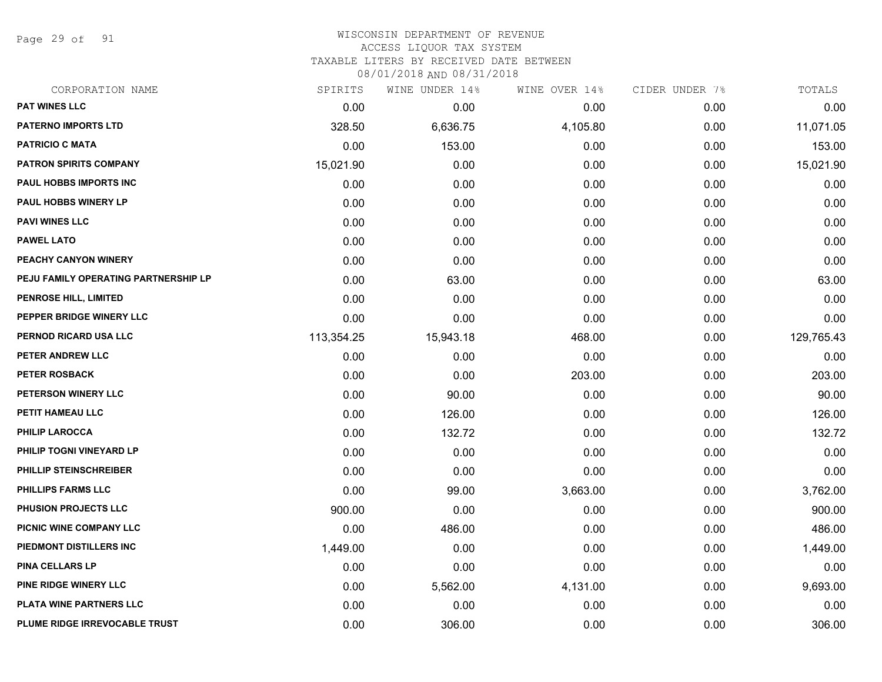Page 29 of 91

#### WISCONSIN DEPARTMENT OF REVENUE ACCESS LIQUOR TAX SYSTEM

TAXABLE LITERS BY RECEIVED DATE BETWEEN

| CORPORATION NAME                     | SPIRITS    | WINE UNDER 14% | WINE OVER 14% | CIDER UNDER 7% | TOTALS     |
|--------------------------------------|------------|----------------|---------------|----------------|------------|
| PAT WINES LLC                        | 0.00       | 0.00           | 0.00          | 0.00           | 0.00       |
| <b>PATERNO IMPORTS LTD</b>           | 328.50     | 6,636.75       | 4,105.80      | 0.00           | 11,071.05  |
| <b>PATRICIO C MATA</b>               | 0.00       | 153.00         | 0.00          | 0.00           | 153.00     |
| <b>PATRON SPIRITS COMPANY</b>        | 15,021.90  | 0.00           | 0.00          | 0.00           | 15,021.90  |
| PAUL HOBBS IMPORTS INC               | 0.00       | 0.00           | 0.00          | 0.00           | 0.00       |
| PAUL HOBBS WINERY LP                 | 0.00       | 0.00           | 0.00          | 0.00           | 0.00       |
| <b>PAVI WINES LLC</b>                | 0.00       | 0.00           | 0.00          | 0.00           | 0.00       |
| <b>PAWEL LATO</b>                    | 0.00       | 0.00           | 0.00          | 0.00           | 0.00       |
| PEACHY CANYON WINERY                 | 0.00       | 0.00           | 0.00          | 0.00           | 0.00       |
| PEJU FAMILY OPERATING PARTNERSHIP LP | 0.00       | 63.00          | 0.00          | 0.00           | 63.00      |
| PENROSE HILL, LIMITED                | 0.00       | 0.00           | 0.00          | 0.00           | 0.00       |
| PEPPER BRIDGE WINERY LLC             | 0.00       | 0.00           | 0.00          | 0.00           | 0.00       |
| PERNOD RICARD USA LLC                | 113,354.25 | 15,943.18      | 468.00        | 0.00           | 129,765.43 |
| PETER ANDREW LLC                     | 0.00       | 0.00           | 0.00          | 0.00           | 0.00       |
| PETER ROSBACK                        | 0.00       | 0.00           | 203.00        | 0.00           | 203.00     |
| PETERSON WINERY LLC                  | 0.00       | 90.00          | 0.00          | 0.00           | 90.00      |
| PETIT HAMEAU LLC                     | 0.00       | 126.00         | 0.00          | 0.00           | 126.00     |
| PHILIP LAROCCA                       | 0.00       | 132.72         | 0.00          | 0.00           | 132.72     |
| PHILIP TOGNI VINEYARD LP             | 0.00       | 0.00           | 0.00          | 0.00           | 0.00       |
| PHILLIP STEINSCHREIBER               | 0.00       | 0.00           | 0.00          | 0.00           | 0.00       |
| <b>PHILLIPS FARMS LLC</b>            | 0.00       | 99.00          | 3,663.00      | 0.00           | 3,762.00   |
| PHUSION PROJECTS LLC                 | 900.00     | 0.00           | 0.00          | 0.00           | 900.00     |
| PICNIC WINE COMPANY LLC              | 0.00       | 486.00         | 0.00          | 0.00           | 486.00     |
| PIEDMONT DISTILLERS INC              | 1,449.00   | 0.00           | 0.00          | 0.00           | 1,449.00   |
| <b>PINA CELLARS LP</b>               | 0.00       | 0.00           | 0.00          | 0.00           | 0.00       |
| PINE RIDGE WINERY LLC                | 0.00       | 5,562.00       | 4,131.00      | 0.00           | 9,693.00   |
| PLATA WINE PARTNERS LLC              | 0.00       | 0.00           | 0.00          | 0.00           | 0.00       |
| PLUME RIDGE IRREVOCABLE TRUST        | 0.00       | 306.00         | 0.00          | 0.00           | 306.00     |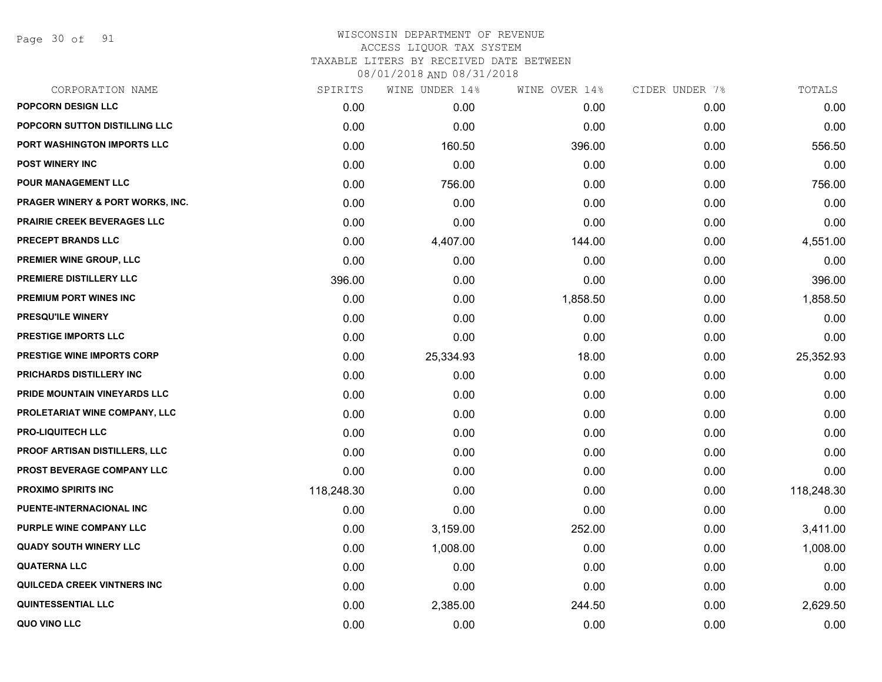Page 30 of 91

# WISCONSIN DEPARTMENT OF REVENUE ACCESS LIQUOR TAX SYSTEM TAXABLE LITERS BY RECEIVED DATE BETWEEN

| CORPORATION NAME                            | SPIRITS    | WINE UNDER 14% | WINE OVER 14% | CIDER UNDER 7% | TOTALS     |
|---------------------------------------------|------------|----------------|---------------|----------------|------------|
| POPCORN DESIGN LLC                          | 0.00       | 0.00           | 0.00          | 0.00           | 0.00       |
| POPCORN SUTTON DISTILLING LLC               | 0.00       | 0.00           | 0.00          | 0.00           | 0.00       |
| PORT WASHINGTON IMPORTS LLC                 | 0.00       | 160.50         | 396.00        | 0.00           | 556.50     |
| <b>POST WINERY INC</b>                      | 0.00       | 0.00           | 0.00          | 0.00           | 0.00       |
| POUR MANAGEMENT LLC                         | 0.00       | 756.00         | 0.00          | 0.00           | 756.00     |
| <b>PRAGER WINERY &amp; PORT WORKS, INC.</b> | 0.00       | 0.00           | 0.00          | 0.00           | 0.00       |
| <b>PRAIRIE CREEK BEVERAGES LLC</b>          | 0.00       | 0.00           | 0.00          | 0.00           | 0.00       |
| PRECEPT BRANDS LLC                          | 0.00       | 4,407.00       | 144.00        | 0.00           | 4,551.00   |
| PREMIER WINE GROUP, LLC                     | 0.00       | 0.00           | 0.00          | 0.00           | 0.00       |
| PREMIERE DISTILLERY LLC                     | 396.00     | 0.00           | 0.00          | 0.00           | 396.00     |
| <b>PREMIUM PORT WINES INC</b>               | 0.00       | 0.00           | 1,858.50      | 0.00           | 1,858.50   |
| PRESQU'ILE WINERY                           | 0.00       | 0.00           | 0.00          | 0.00           | 0.00       |
| <b>PRESTIGE IMPORTS LLC</b>                 | 0.00       | 0.00           | 0.00          | 0.00           | 0.00       |
| <b>PRESTIGE WINE IMPORTS CORP</b>           | 0.00       | 25,334.93      | 18.00         | 0.00           | 25,352.93  |
| PRICHARDS DISTILLERY INC                    | 0.00       | 0.00           | 0.00          | 0.00           | 0.00       |
| PRIDE MOUNTAIN VINEYARDS LLC                | 0.00       | 0.00           | 0.00          | 0.00           | 0.00       |
| PROLETARIAT WINE COMPANY, LLC               | 0.00       | 0.00           | 0.00          | 0.00           | 0.00       |
| <b>PRO-LIQUITECH LLC</b>                    | 0.00       | 0.00           | 0.00          | 0.00           | 0.00       |
| PROOF ARTISAN DISTILLERS, LLC               | 0.00       | 0.00           | 0.00          | 0.00           | 0.00       |
| PROST BEVERAGE COMPANY LLC                  | 0.00       | 0.00           | 0.00          | 0.00           | 0.00       |
| <b>PROXIMO SPIRITS INC</b>                  | 118,248.30 | 0.00           | 0.00          | 0.00           | 118,248.30 |
| PUENTE-INTERNACIONAL INC                    | 0.00       | 0.00           | 0.00          | 0.00           | 0.00       |
| PURPLE WINE COMPANY LLC                     | 0.00       | 3,159.00       | 252.00        | 0.00           | 3,411.00   |
| <b>QUADY SOUTH WINERY LLC</b>               | 0.00       | 1,008.00       | 0.00          | 0.00           | 1,008.00   |
| <b>QUATERNA LLC</b>                         | 0.00       | 0.00           | 0.00          | 0.00           | 0.00       |
| QUILCEDA CREEK VINTNERS INC                 | 0.00       | 0.00           | 0.00          | 0.00           | 0.00       |
| <b>QUINTESSENTIAL LLC</b>                   | 0.00       | 2,385.00       | 244.50        | 0.00           | 2,629.50   |
| QUO VINO LLC                                | 0.00       | 0.00           | 0.00          | 0.00           | 0.00       |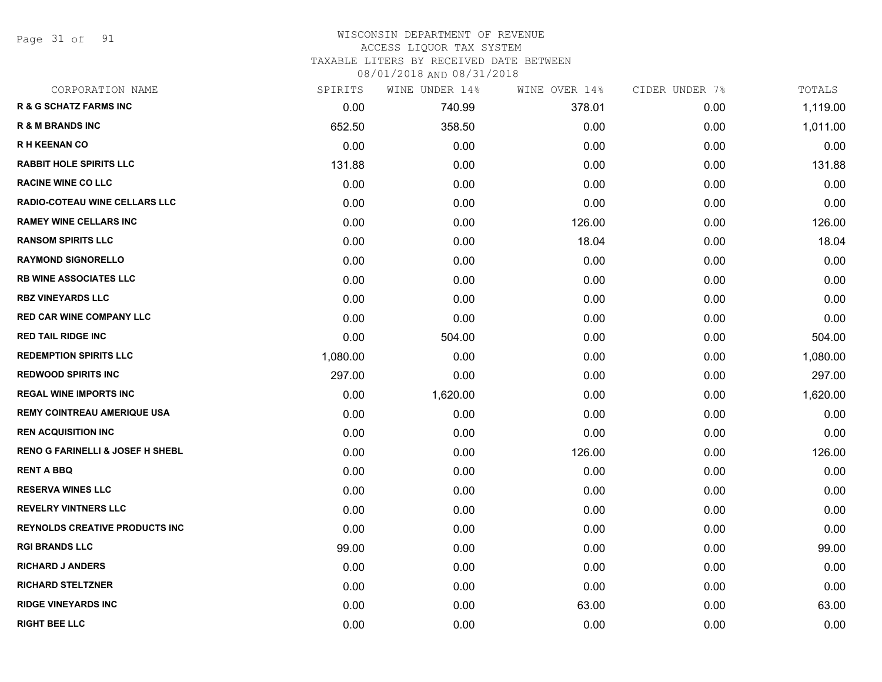Page 31 of 91

#### WISCONSIN DEPARTMENT OF REVENUE ACCESS LIQUOR TAX SYSTEM

TAXABLE LITERS BY RECEIVED DATE BETWEEN

| CORPORATION NAME                            | SPIRITS  | WINE UNDER 14% | WINE OVER 14% | CIDER UNDER 7% | TOTALS   |
|---------------------------------------------|----------|----------------|---------------|----------------|----------|
| <b>R &amp; G SCHATZ FARMS INC</b>           | 0.00     | 740.99         | 378.01        | 0.00           | 1,119.00 |
| <b>R &amp; M BRANDS INC</b>                 | 652.50   | 358.50         | 0.00          | 0.00           | 1,011.00 |
| <b>RH KEENAN CO</b>                         | 0.00     | 0.00           | 0.00          | 0.00           | 0.00     |
| <b>RABBIT HOLE SPIRITS LLC</b>              | 131.88   | 0.00           | 0.00          | 0.00           | 131.88   |
| <b>RACINE WINE CO LLC</b>                   | 0.00     | 0.00           | 0.00          | 0.00           | 0.00     |
| <b>RADIO-COTEAU WINE CELLARS LLC</b>        | 0.00     | 0.00           | 0.00          | 0.00           | 0.00     |
| <b>RAMEY WINE CELLARS INC</b>               | 0.00     | 0.00           | 126.00        | 0.00           | 126.00   |
| <b>RANSOM SPIRITS LLC</b>                   | 0.00     | 0.00           | 18.04         | 0.00           | 18.04    |
| <b>RAYMOND SIGNORELLO</b>                   | 0.00     | 0.00           | 0.00          | 0.00           | 0.00     |
| <b>RB WINE ASSOCIATES LLC</b>               | 0.00     | 0.00           | 0.00          | 0.00           | 0.00     |
| <b>RBZ VINEYARDS LLC</b>                    | 0.00     | 0.00           | 0.00          | 0.00           | 0.00     |
| <b>RED CAR WINE COMPANY LLC</b>             | 0.00     | 0.00           | 0.00          | 0.00           | 0.00     |
| <b>RED TAIL RIDGE INC</b>                   | 0.00     | 504.00         | 0.00          | 0.00           | 504.00   |
| <b>REDEMPTION SPIRITS LLC</b>               | 1,080.00 | 0.00           | 0.00          | 0.00           | 1,080.00 |
| <b>REDWOOD SPIRITS INC</b>                  | 297.00   | 0.00           | 0.00          | 0.00           | 297.00   |
| <b>REGAL WINE IMPORTS INC</b>               | 0.00     | 1,620.00       | 0.00          | 0.00           | 1,620.00 |
| <b>REMY COINTREAU AMERIQUE USA</b>          | 0.00     | 0.00           | 0.00          | 0.00           | 0.00     |
| <b>REN ACQUISITION INC</b>                  | 0.00     | 0.00           | 0.00          | 0.00           | 0.00     |
| <b>RENO G FARINELLI &amp; JOSEF H SHEBL</b> | 0.00     | 0.00           | 126.00        | 0.00           | 126.00   |
| <b>RENT A BBQ</b>                           | 0.00     | 0.00           | 0.00          | 0.00           | 0.00     |
| <b>RESERVA WINES LLC</b>                    | 0.00     | 0.00           | 0.00          | 0.00           | 0.00     |
| <b>REVELRY VINTNERS LLC</b>                 | 0.00     | 0.00           | 0.00          | 0.00           | 0.00     |
| <b>REYNOLDS CREATIVE PRODUCTS INC</b>       | 0.00     | 0.00           | 0.00          | 0.00           | 0.00     |
| <b>RGI BRANDS LLC</b>                       | 99.00    | 0.00           | 0.00          | 0.00           | 99.00    |
| <b>RICHARD J ANDERS</b>                     | 0.00     | 0.00           | 0.00          | 0.00           | 0.00     |
| <b>RICHARD STELTZNER</b>                    | 0.00     | 0.00           | 0.00          | 0.00           | 0.00     |
| <b>RIDGE VINEYARDS INC</b>                  | 0.00     | 0.00           | 63.00         | 0.00           | 63.00    |
| <b>RIGHT BEE LLC</b>                        | 0.00     | 0.00           | 0.00          | 0.00           | 0.00     |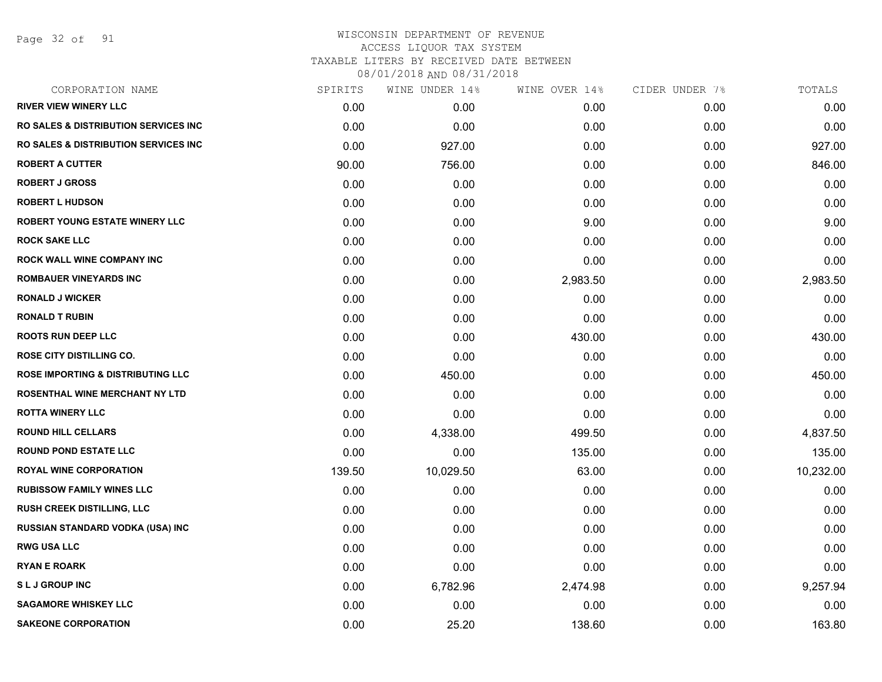Page 32 of 91

| CORPORATION NAME                                | SPIRITS | WINE UNDER 14% | WINE OVER 14% | CIDER UNDER 7% | TOTALS    |
|-------------------------------------------------|---------|----------------|---------------|----------------|-----------|
| <b>RIVER VIEW WINERY LLC</b>                    | 0.00    | 0.00           | 0.00          | 0.00           | 0.00      |
| <b>RO SALES &amp; DISTRIBUTION SERVICES INC</b> | 0.00    | 0.00           | 0.00          | 0.00           | 0.00      |
| RO SALES & DISTRIBUTION SERVICES INC            | 0.00    | 927.00         | 0.00          | 0.00           | 927.00    |
| <b>ROBERT A CUTTER</b>                          | 90.00   | 756.00         | 0.00          | 0.00           | 846.00    |
| <b>ROBERT J GROSS</b>                           | 0.00    | 0.00           | 0.00          | 0.00           | 0.00      |
| <b>ROBERT L HUDSON</b>                          | 0.00    | 0.00           | 0.00          | 0.00           | 0.00      |
| ROBERT YOUNG ESTATE WINERY LLC                  | 0.00    | 0.00           | 9.00          | 0.00           | 9.00      |
| <b>ROCK SAKE LLC</b>                            | 0.00    | 0.00           | 0.00          | 0.00           | 0.00      |
| ROCK WALL WINE COMPANY INC                      | 0.00    | 0.00           | 0.00          | 0.00           | 0.00      |
| <b>ROMBAUER VINEYARDS INC</b>                   | 0.00    | 0.00           | 2,983.50      | 0.00           | 2,983.50  |
| <b>RONALD J WICKER</b>                          | 0.00    | 0.00           | 0.00          | 0.00           | 0.00      |
| <b>RONALD T RUBIN</b>                           | 0.00    | 0.00           | 0.00          | 0.00           | 0.00      |
| <b>ROOTS RUN DEEP LLC</b>                       | 0.00    | 0.00           | 430.00        | 0.00           | 430.00    |
| ROSE CITY DISTILLING CO.                        | 0.00    | 0.00           | 0.00          | 0.00           | 0.00      |
| <b>ROSE IMPORTING &amp; DISTRIBUTING LLC</b>    | 0.00    | 450.00         | 0.00          | 0.00           | 450.00    |
| ROSENTHAL WINE MERCHANT NY LTD                  | 0.00    | 0.00           | 0.00          | 0.00           | 0.00      |
| <b>ROTTA WINERY LLC</b>                         | 0.00    | 0.00           | 0.00          | 0.00           | 0.00      |
| <b>ROUND HILL CELLARS</b>                       | 0.00    | 4,338.00       | 499.50        | 0.00           | 4,837.50  |
| <b>ROUND POND ESTATE LLC</b>                    | 0.00    | 0.00           | 135.00        | 0.00           | 135.00    |
| <b>ROYAL WINE CORPORATION</b>                   | 139.50  | 10,029.50      | 63.00         | 0.00           | 10,232.00 |
| <b>RUBISSOW FAMILY WINES LLC</b>                | 0.00    | 0.00           | 0.00          | 0.00           | 0.00      |
| <b>RUSH CREEK DISTILLING, LLC</b>               | 0.00    | 0.00           | 0.00          | 0.00           | 0.00      |
| RUSSIAN STANDARD VODKA (USA) INC                | 0.00    | 0.00           | 0.00          | 0.00           | 0.00      |
| <b>RWG USA LLC</b>                              | 0.00    | 0.00           | 0.00          | 0.00           | 0.00      |
| <b>RYAN E ROARK</b>                             | 0.00    | 0.00           | 0.00          | 0.00           | 0.00      |
| <b>SLJ GROUP INC</b>                            | 0.00    | 6,782.96       | 2,474.98      | 0.00           | 9,257.94  |
| <b>SAGAMORE WHISKEY LLC</b>                     | 0.00    | 0.00           | 0.00          | 0.00           | 0.00      |
| <b>SAKEONE CORPORATION</b>                      | 0.00    | 25.20          | 138.60        | 0.00           | 163.80    |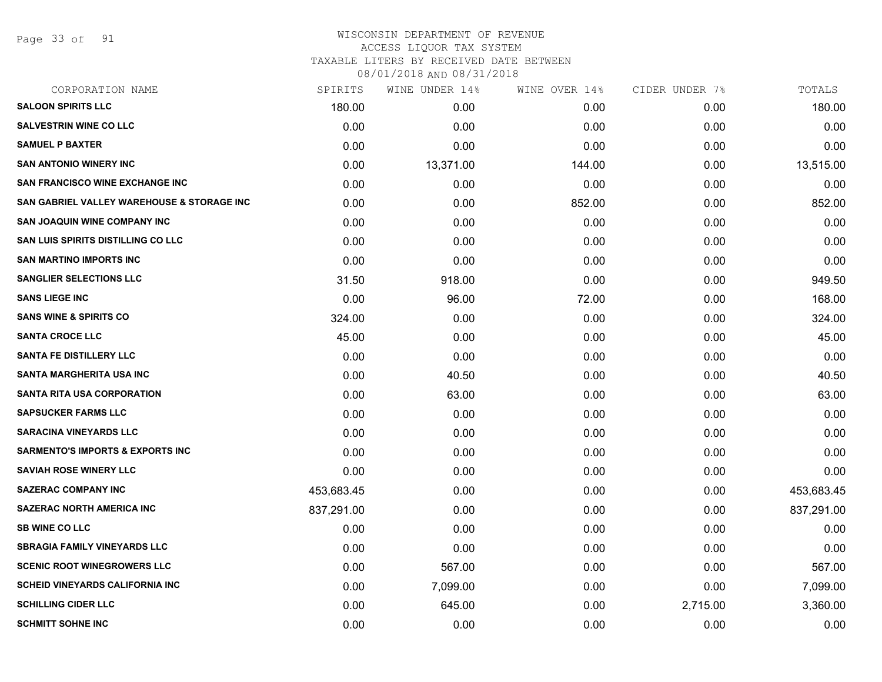Page 33 of 91

# WISCONSIN DEPARTMENT OF REVENUE ACCESS LIQUOR TAX SYSTEM

TAXABLE LITERS BY RECEIVED DATE BETWEEN

| CORPORATION NAME                            | SPIRITS    | WINE UNDER 14% | WINE OVER 14% | CIDER UNDER 7% | TOTALS     |
|---------------------------------------------|------------|----------------|---------------|----------------|------------|
| <b>SALOON SPIRITS LLC</b>                   | 180.00     | 0.00           | 0.00          | 0.00           | 180.00     |
| <b>SALVESTRIN WINE CO LLC</b>               | 0.00       | 0.00           | 0.00          | 0.00           | 0.00       |
| <b>SAMUEL P BAXTER</b>                      | 0.00       | 0.00           | 0.00          | 0.00           | 0.00       |
| <b>SAN ANTONIO WINERY INC</b>               | 0.00       | 13,371.00      | 144.00        | 0.00           | 13,515.00  |
| <b>SAN FRANCISCO WINE EXCHANGE INC</b>      | 0.00       | 0.00           | 0.00          | 0.00           | 0.00       |
| SAN GABRIEL VALLEY WAREHOUSE & STORAGE INC  | 0.00       | 0.00           | 852.00        | 0.00           | 852.00     |
| SAN JOAQUIN WINE COMPANY INC                | 0.00       | 0.00           | 0.00          | 0.00           | 0.00       |
| SAN LUIS SPIRITS DISTILLING CO LLC          | 0.00       | 0.00           | 0.00          | 0.00           | 0.00       |
| <b>SAN MARTINO IMPORTS INC</b>              | 0.00       | 0.00           | 0.00          | 0.00           | 0.00       |
| <b>SANGLIER SELECTIONS LLC</b>              | 31.50      | 918.00         | 0.00          | 0.00           | 949.50     |
| <b>SANS LIEGE INC</b>                       | 0.00       | 96.00          | 72.00         | 0.00           | 168.00     |
| <b>SANS WINE &amp; SPIRITS CO</b>           | 324.00     | 0.00           | 0.00          | 0.00           | 324.00     |
| <b>SANTA CROCE LLC</b>                      | 45.00      | 0.00           | 0.00          | 0.00           | 45.00      |
| <b>SANTA FE DISTILLERY LLC</b>              | 0.00       | 0.00           | 0.00          | 0.00           | 0.00       |
| <b>SANTA MARGHERITA USA INC</b>             | 0.00       | 40.50          | 0.00          | 0.00           | 40.50      |
| <b>SANTA RITA USA CORPORATION</b>           | 0.00       | 63.00          | 0.00          | 0.00           | 63.00      |
| <b>SAPSUCKER FARMS LLC</b>                  | 0.00       | 0.00           | 0.00          | 0.00           | 0.00       |
| <b>SARACINA VINEYARDS LLC</b>               | 0.00       | 0.00           | 0.00          | 0.00           | 0.00       |
| <b>SARMENTO'S IMPORTS &amp; EXPORTS INC</b> | 0.00       | 0.00           | 0.00          | 0.00           | 0.00       |
| <b>SAVIAH ROSE WINERY LLC</b>               | 0.00       | 0.00           | 0.00          | 0.00           | 0.00       |
| <b>SAZERAC COMPANY INC</b>                  | 453,683.45 | 0.00           | 0.00          | 0.00           | 453,683.45 |
| <b>SAZERAC NORTH AMERICA INC</b>            | 837,291.00 | 0.00           | 0.00          | 0.00           | 837,291.00 |
| <b>SB WINE CO LLC</b>                       | 0.00       | 0.00           | 0.00          | 0.00           | 0.00       |
| <b>SBRAGIA FAMILY VINEYARDS LLC</b>         | 0.00       | 0.00           | 0.00          | 0.00           | 0.00       |
| <b>SCENIC ROOT WINEGROWERS LLC</b>          | 0.00       | 567.00         | 0.00          | 0.00           | 567.00     |
| <b>SCHEID VINEYARDS CALIFORNIA INC</b>      | 0.00       | 7,099.00       | 0.00          | 0.00           | 7,099.00   |
| <b>SCHILLING CIDER LLC</b>                  | 0.00       | 645.00         | 0.00          | 2,715.00       | 3,360.00   |
| <b>SCHMITT SOHNE INC</b>                    | 0.00       | 0.00           | 0.00          | 0.00           | 0.00       |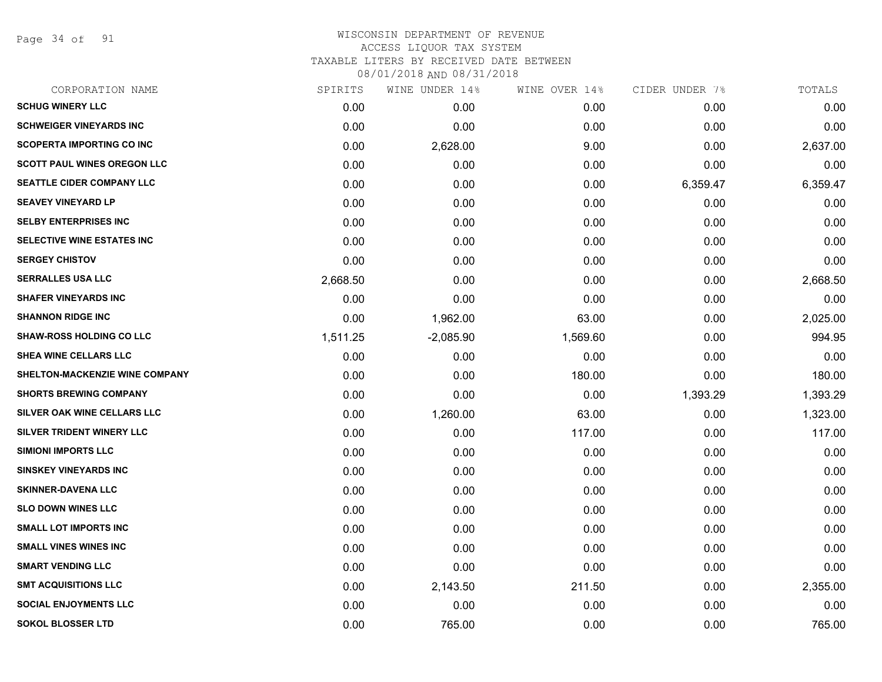Page 34 of 91

# WISCONSIN DEPARTMENT OF REVENUE ACCESS LIQUOR TAX SYSTEM TAXABLE LITERS BY RECEIVED DATE BETWEEN

| CORPORATION NAME                   | SPIRITS  | WINE UNDER 14% | WINE OVER 14% | CIDER UNDER 7% | TOTALS   |
|------------------------------------|----------|----------------|---------------|----------------|----------|
| <b>SCHUG WINERY LLC</b>            | 0.00     | 0.00           | 0.00          | 0.00           | 0.00     |
| <b>SCHWEIGER VINEYARDS INC</b>     | 0.00     | 0.00           | 0.00          | 0.00           | 0.00     |
| <b>SCOPERTA IMPORTING CO INC</b>   | 0.00     | 2,628.00       | 9.00          | 0.00           | 2,637.00 |
| <b>SCOTT PAUL WINES OREGON LLC</b> | 0.00     | 0.00           | 0.00          | 0.00           | 0.00     |
| SEATTLE CIDER COMPANY LLC          | 0.00     | 0.00           | 0.00          | 6,359.47       | 6,359.47 |
| <b>SEAVEY VINEYARD LP</b>          | 0.00     | 0.00           | 0.00          | 0.00           | 0.00     |
| <b>SELBY ENTERPRISES INC</b>       | 0.00     | 0.00           | 0.00          | 0.00           | 0.00     |
| <b>SELECTIVE WINE ESTATES INC</b>  | 0.00     | 0.00           | 0.00          | 0.00           | 0.00     |
| <b>SERGEY CHISTOV</b>              | 0.00     | 0.00           | 0.00          | 0.00           | 0.00     |
| <b>SERRALLES USA LLC</b>           | 2,668.50 | 0.00           | 0.00          | 0.00           | 2,668.50 |
| <b>SHAFER VINEYARDS INC</b>        | 0.00     | 0.00           | 0.00          | 0.00           | 0.00     |
| <b>SHANNON RIDGE INC</b>           | 0.00     | 1,962.00       | 63.00         | 0.00           | 2,025.00 |
| <b>SHAW-ROSS HOLDING CO LLC</b>    | 1,511.25 | $-2,085.90$    | 1,569.60      | 0.00           | 994.95   |
| <b>SHEA WINE CELLARS LLC</b>       | 0.00     | 0.00           | 0.00          | 0.00           | 0.00     |
| SHELTON-MACKENZIE WINE COMPANY     | 0.00     | 0.00           | 180.00        | 0.00           | 180.00   |
| <b>SHORTS BREWING COMPANY</b>      | 0.00     | 0.00           | 0.00          | 1,393.29       | 1,393.29 |
| SILVER OAK WINE CELLARS LLC        | 0.00     | 1,260.00       | 63.00         | 0.00           | 1,323.00 |
| SILVER TRIDENT WINERY LLC          | 0.00     | 0.00           | 117.00        | 0.00           | 117.00   |
| <b>SIMIONI IMPORTS LLC</b>         | 0.00     | 0.00           | 0.00          | 0.00           | 0.00     |
| <b>SINSKEY VINEYARDS INC</b>       | 0.00     | 0.00           | 0.00          | 0.00           | 0.00     |
| <b>SKINNER-DAVENA LLC</b>          | 0.00     | 0.00           | 0.00          | 0.00           | 0.00     |
| <b>SLO DOWN WINES LLC</b>          | 0.00     | 0.00           | 0.00          | 0.00           | 0.00     |
| <b>SMALL LOT IMPORTS INC</b>       | 0.00     | 0.00           | 0.00          | 0.00           | 0.00     |
| <b>SMALL VINES WINES INC</b>       | 0.00     | 0.00           | 0.00          | 0.00           | 0.00     |
| <b>SMART VENDING LLC</b>           | 0.00     | 0.00           | 0.00          | 0.00           | 0.00     |
| <b>SMT ACQUISITIONS LLC</b>        | 0.00     | 2,143.50       | 211.50        | 0.00           | 2,355.00 |
| <b>SOCIAL ENJOYMENTS LLC</b>       | 0.00     | 0.00           | 0.00          | 0.00           | 0.00     |
| <b>SOKOL BLOSSER LTD</b>           | 0.00     | 765.00         | 0.00          | 0.00           | 765.00   |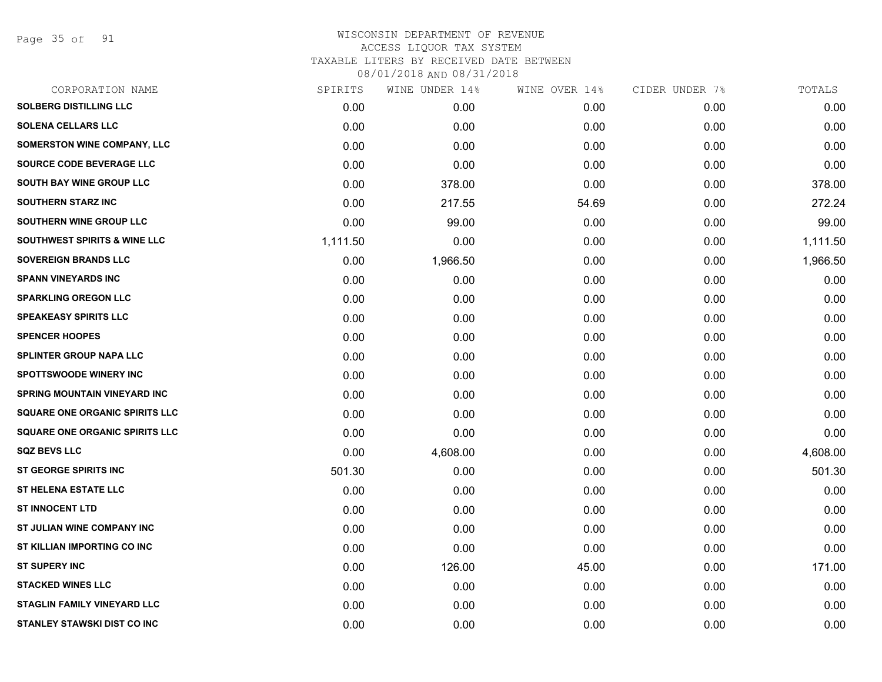Page 35 of 91

# WISCONSIN DEPARTMENT OF REVENUE ACCESS LIQUOR TAX SYSTEM TAXABLE LITERS BY RECEIVED DATE BETWEEN

| CORPORATION NAME                        | SPIRITS  | WINE UNDER 14% | WINE OVER 14% | CIDER UNDER 7% | TOTALS   |
|-----------------------------------------|----------|----------------|---------------|----------------|----------|
| <b>SOLBERG DISTILLING LLC</b>           | 0.00     | 0.00           | 0.00          | 0.00           | 0.00     |
| <b>SOLENA CELLARS LLC</b>               | 0.00     | 0.00           | 0.00          | 0.00           | 0.00     |
| SOMERSTON WINE COMPANY, LLC             | 0.00     | 0.00           | 0.00          | 0.00           | 0.00     |
| SOURCE CODE BEVERAGE LLC                | 0.00     | 0.00           | 0.00          | 0.00           | 0.00     |
| <b>SOUTH BAY WINE GROUP LLC</b>         | 0.00     | 378.00         | 0.00          | 0.00           | 378.00   |
| <b>SOUTHERN STARZ INC</b>               | 0.00     | 217.55         | 54.69         | 0.00           | 272.24   |
| SOUTHERN WINE GROUP LLC                 | 0.00     | 99.00          | 0.00          | 0.00           | 99.00    |
| <b>SOUTHWEST SPIRITS &amp; WINE LLC</b> | 1,111.50 | 0.00           | 0.00          | 0.00           | 1,111.50 |
| <b>SOVEREIGN BRANDS LLC</b>             | 0.00     | 1,966.50       | 0.00          | 0.00           | 1,966.50 |
| <b>SPANN VINEYARDS INC</b>              | 0.00     | 0.00           | 0.00          | 0.00           | 0.00     |
| <b>SPARKLING OREGON LLC</b>             | 0.00     | 0.00           | 0.00          | 0.00           | 0.00     |
| <b>SPEAKEASY SPIRITS LLC</b>            | 0.00     | 0.00           | 0.00          | 0.00           | 0.00     |
| <b>SPENCER HOOPES</b>                   | 0.00     | 0.00           | 0.00          | 0.00           | 0.00     |
| <b>SPLINTER GROUP NAPA LLC</b>          | 0.00     | 0.00           | 0.00          | 0.00           | 0.00     |
| <b>SPOTTSWOODE WINERY INC</b>           | 0.00     | 0.00           | 0.00          | 0.00           | 0.00     |
| <b>SPRING MOUNTAIN VINEYARD INC</b>     | 0.00     | 0.00           | 0.00          | 0.00           | 0.00     |
| <b>SQUARE ONE ORGANIC SPIRITS LLC</b>   | 0.00     | 0.00           | 0.00          | 0.00           | 0.00     |
| <b>SQUARE ONE ORGANIC SPIRITS LLC</b>   | 0.00     | 0.00           | 0.00          | 0.00           | 0.00     |
| <b>SQZ BEVS LLC</b>                     | 0.00     | 4,608.00       | 0.00          | 0.00           | 4,608.00 |
| <b>ST GEORGE SPIRITS INC</b>            | 501.30   | 0.00           | 0.00          | 0.00           | 501.30   |
| <b>ST HELENA ESTATE LLC</b>             | 0.00     | 0.00           | 0.00          | 0.00           | 0.00     |
| <b>ST INNOCENT LTD</b>                  | 0.00     | 0.00           | 0.00          | 0.00           | 0.00     |
| ST JULIAN WINE COMPANY INC              | 0.00     | 0.00           | 0.00          | 0.00           | 0.00     |
| ST KILLIAN IMPORTING CO INC             | 0.00     | 0.00           | 0.00          | 0.00           | 0.00     |
| <b>ST SUPERY INC</b>                    | 0.00     | 126.00         | 45.00         | 0.00           | 171.00   |
| <b>STACKED WINES LLC</b>                | 0.00     | 0.00           | 0.00          | 0.00           | 0.00     |
| <b>STAGLIN FAMILY VINEYARD LLC</b>      | 0.00     | 0.00           | 0.00          | 0.00           | 0.00     |
| STANLEY STAWSKI DIST CO INC             | 0.00     | 0.00           | 0.00          | 0.00           | 0.00     |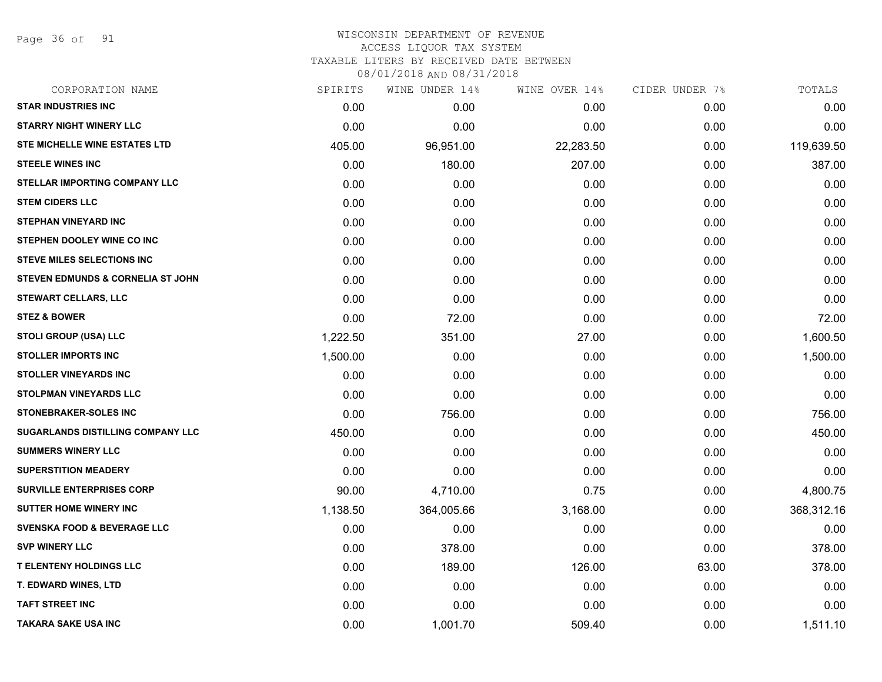Page 36 of 91

# WISCONSIN DEPARTMENT OF REVENUE ACCESS LIQUOR TAX SYSTEM TAXABLE LITERS BY RECEIVED DATE BETWEEN

| CORPORATION NAME                         | SPIRITS  | WINE UNDER 14% | WINE OVER 14% | CIDER UNDER 7% | TOTALS     |
|------------------------------------------|----------|----------------|---------------|----------------|------------|
| <b>STAR INDUSTRIES INC</b>               | 0.00     | 0.00           | 0.00          | 0.00           | 0.00       |
| <b>STARRY NIGHT WINERY LLC</b>           | 0.00     | 0.00           | 0.00          | 0.00           | 0.00       |
| <b>STE MICHELLE WINE ESTATES LTD</b>     | 405.00   | 96,951.00      | 22,283.50     | 0.00           | 119,639.50 |
| <b>STEELE WINES INC</b>                  | 0.00     | 180.00         | 207.00        | 0.00           | 387.00     |
| <b>STELLAR IMPORTING COMPANY LLC</b>     | 0.00     | 0.00           | 0.00          | 0.00           | 0.00       |
| <b>STEM CIDERS LLC</b>                   | 0.00     | 0.00           | 0.00          | 0.00           | 0.00       |
| <b>STEPHAN VINEYARD INC</b>              | 0.00     | 0.00           | 0.00          | 0.00           | 0.00       |
| STEPHEN DOOLEY WINE CO INC               | 0.00     | 0.00           | 0.00          | 0.00           | 0.00       |
| <b>STEVE MILES SELECTIONS INC</b>        | 0.00     | 0.00           | 0.00          | 0.00           | 0.00       |
| STEVEN EDMUNDS & CORNELIA ST JOHN        | 0.00     | 0.00           | 0.00          | 0.00           | 0.00       |
| <b>STEWART CELLARS, LLC</b>              | 0.00     | 0.00           | 0.00          | 0.00           | 0.00       |
| <b>STEZ &amp; BOWER</b>                  | 0.00     | 72.00          | 0.00          | 0.00           | 72.00      |
| <b>STOLI GROUP (USA) LLC</b>             | 1,222.50 | 351.00         | 27.00         | 0.00           | 1,600.50   |
| <b>STOLLER IMPORTS INC</b>               | 1,500.00 | 0.00           | 0.00          | 0.00           | 1,500.00   |
| <b>STOLLER VINEYARDS INC</b>             | 0.00     | 0.00           | 0.00          | 0.00           | 0.00       |
| STOLPMAN VINEYARDS LLC                   | 0.00     | 0.00           | 0.00          | 0.00           | 0.00       |
| <b>STONEBRAKER-SOLES INC</b>             | 0.00     | 756.00         | 0.00          | 0.00           | 756.00     |
| <b>SUGARLANDS DISTILLING COMPANY LLC</b> | 450.00   | 0.00           | 0.00          | 0.00           | 450.00     |
| <b>SUMMERS WINERY LLC</b>                | 0.00     | 0.00           | 0.00          | 0.00           | 0.00       |
| <b>SUPERSTITION MEADERY</b>              | 0.00     | 0.00           | 0.00          | 0.00           | 0.00       |
| <b>SURVILLE ENTERPRISES CORP</b>         | 90.00    | 4,710.00       | 0.75          | 0.00           | 4,800.75   |
| <b>SUTTER HOME WINERY INC</b>            | 1,138.50 | 364,005.66     | 3,168.00      | 0.00           | 368,312.16 |
| SVENSKA FOOD & BEVERAGE LLC              | 0.00     | 0.00           | 0.00          | 0.00           | 0.00       |
| <b>SVP WINERY LLC</b>                    | 0.00     | 378.00         | 0.00          | 0.00           | 378.00     |
| <b>T ELENTENY HOLDINGS LLC</b>           | 0.00     | 189.00         | 126.00        | 63.00          | 378.00     |
| <b>T. EDWARD WINES, LTD</b>              | 0.00     | 0.00           | 0.00          | 0.00           | 0.00       |
| <b>TAFT STREET INC</b>                   | 0.00     | 0.00           | 0.00          | 0.00           | 0.00       |
| <b>TAKARA SAKE USA INC</b>               | 0.00     | 1,001.70       | 509.40        | 0.00           | 1,511.10   |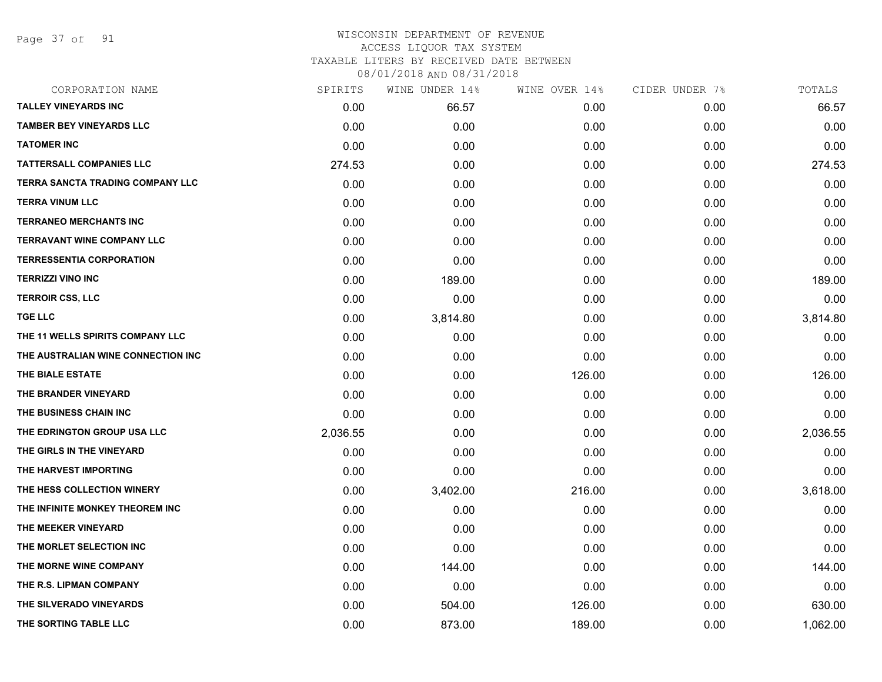Page 37 of 91

## WISCONSIN DEPARTMENT OF REVENUE ACCESS LIQUOR TAX SYSTEM TAXABLE LITERS BY RECEIVED DATE BETWEEN

| CORPORATION NAME                   | SPIRITS  | WINE UNDER 14% | WINE OVER 14% | CIDER UNDER 7% | TOTALS   |
|------------------------------------|----------|----------------|---------------|----------------|----------|
| <b>TALLEY VINEYARDS INC</b>        | 0.00     | 66.57          | 0.00          | 0.00           | 66.57    |
| <b>TAMBER BEY VINEYARDS LLC</b>    | 0.00     | 0.00           | 0.00          | 0.00           | 0.00     |
| <b>TATOMER INC</b>                 | 0.00     | 0.00           | 0.00          | 0.00           | 0.00     |
| <b>TATTERSALL COMPANIES LLC</b>    | 274.53   | 0.00           | 0.00          | 0.00           | 274.53   |
| TERRA SANCTA TRADING COMPANY LLC   | 0.00     | 0.00           | 0.00          | 0.00           | 0.00     |
| <b>TERRA VINUM LLC</b>             | 0.00     | 0.00           | 0.00          | 0.00           | 0.00     |
| <b>TERRANEO MERCHANTS INC</b>      | 0.00     | 0.00           | 0.00          | 0.00           | 0.00     |
| <b>TERRAVANT WINE COMPANY LLC</b>  | 0.00     | 0.00           | 0.00          | 0.00           | 0.00     |
| <b>TERRESSENTIA CORPORATION</b>    | 0.00     | 0.00           | 0.00          | 0.00           | 0.00     |
| <b>TERRIZZI VINO INC</b>           | 0.00     | 189.00         | 0.00          | 0.00           | 189.00   |
| <b>TERROIR CSS, LLC</b>            | 0.00     | 0.00           | 0.00          | 0.00           | 0.00     |
| <b>TGE LLC</b>                     | 0.00     | 3,814.80       | 0.00          | 0.00           | 3,814.80 |
| THE 11 WELLS SPIRITS COMPANY LLC   | 0.00     | 0.00           | 0.00          | 0.00           | 0.00     |
| THE AUSTRALIAN WINE CONNECTION INC | 0.00     | 0.00           | 0.00          | 0.00           | 0.00     |
| THE BIALE ESTATE                   | 0.00     | 0.00           | 126.00        | 0.00           | 126.00   |
| THE BRANDER VINEYARD               | 0.00     | 0.00           | 0.00          | 0.00           | 0.00     |
| THE BUSINESS CHAIN INC             | 0.00     | 0.00           | 0.00          | 0.00           | 0.00     |
| THE EDRINGTON GROUP USA LLC        | 2,036.55 | 0.00           | 0.00          | 0.00           | 2,036.55 |
| THE GIRLS IN THE VINEYARD          | 0.00     | 0.00           | 0.00          | 0.00           | 0.00     |
| THE HARVEST IMPORTING              | 0.00     | 0.00           | 0.00          | 0.00           | 0.00     |
| THE HESS COLLECTION WINERY         | 0.00     | 3,402.00       | 216.00        | 0.00           | 3,618.00 |
| THE INFINITE MONKEY THEOREM INC    | 0.00     | 0.00           | 0.00          | 0.00           | 0.00     |
| THE MEEKER VINEYARD                | 0.00     | 0.00           | 0.00          | 0.00           | 0.00     |
| THE MORLET SELECTION INC           | 0.00     | 0.00           | 0.00          | 0.00           | 0.00     |
| THE MORNE WINE COMPANY             | 0.00     | 144.00         | 0.00          | 0.00           | 144.00   |
| THE R.S. LIPMAN COMPANY            | 0.00     | 0.00           | 0.00          | 0.00           | 0.00     |
| THE SILVERADO VINEYARDS            | 0.00     | 504.00         | 126.00        | 0.00           | 630.00   |
| THE SORTING TABLE LLC              | 0.00     | 873.00         | 189.00        | 0.00           | 1,062.00 |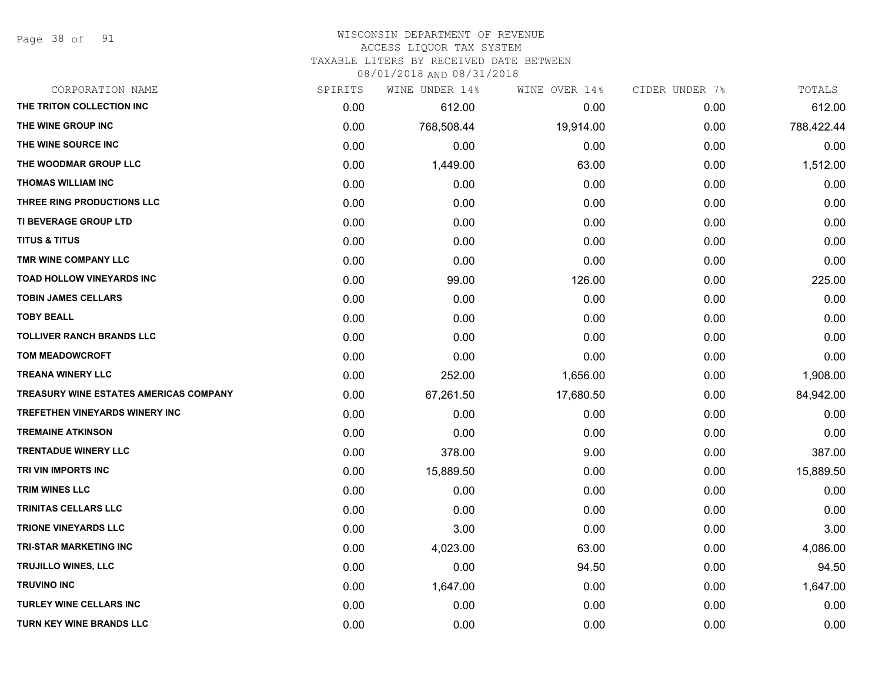Page 38 of 91

## WISCONSIN DEPARTMENT OF REVENUE

### ACCESS LIQUOR TAX SYSTEM

TAXABLE LITERS BY RECEIVED DATE BETWEEN

| CORPORATION NAME                              | SPIRITS | WINE UNDER 14% | WINE OVER 14% | CIDER UNDER 7% | TOTALS     |
|-----------------------------------------------|---------|----------------|---------------|----------------|------------|
| THE TRITON COLLECTION INC                     | 0.00    | 612.00         | 0.00          | 0.00           | 612.00     |
| THE WINE GROUP INC                            | 0.00    | 768,508.44     | 19,914.00     | 0.00           | 788,422.44 |
| THE WINE SOURCE INC                           | 0.00    | 0.00           | 0.00          | 0.00           | 0.00       |
| THE WOODMAR GROUP LLC                         | 0.00    | 1,449.00       | 63.00         | 0.00           | 1,512.00   |
| <b>THOMAS WILLIAM INC</b>                     | 0.00    | 0.00           | 0.00          | 0.00           | 0.00       |
| THREE RING PRODUCTIONS LLC                    | 0.00    | 0.00           | 0.00          | 0.00           | 0.00       |
| TI BEVERAGE GROUP LTD                         | 0.00    | 0.00           | 0.00          | 0.00           | 0.00       |
| <b>TITUS &amp; TITUS</b>                      | 0.00    | 0.00           | 0.00          | 0.00           | 0.00       |
| TMR WINE COMPANY LLC                          | 0.00    | 0.00           | 0.00          | 0.00           | 0.00       |
| TOAD HOLLOW VINEYARDS INC                     | 0.00    | 99.00          | 126.00        | 0.00           | 225.00     |
| <b>TOBIN JAMES CELLARS</b>                    | 0.00    | 0.00           | 0.00          | 0.00           | 0.00       |
| <b>TOBY BEALL</b>                             | 0.00    | 0.00           | 0.00          | 0.00           | 0.00       |
| <b>TOLLIVER RANCH BRANDS LLC</b>              | 0.00    | 0.00           | 0.00          | 0.00           | 0.00       |
| <b>TOM MEADOWCROFT</b>                        | 0.00    | 0.00           | 0.00          | 0.00           | 0.00       |
| <b>TREANA WINERY LLC</b>                      | 0.00    | 252.00         | 1,656.00      | 0.00           | 1,908.00   |
| <b>TREASURY WINE ESTATES AMERICAS COMPANY</b> | 0.00    | 67,261.50      | 17,680.50     | 0.00           | 84,942.00  |
| TREFETHEN VINEYARDS WINERY INC                | 0.00    | 0.00           | 0.00          | 0.00           | 0.00       |
| <b>TREMAINE ATKINSON</b>                      | 0.00    | 0.00           | 0.00          | 0.00           | 0.00       |
| <b>TRENTADUE WINERY LLC</b>                   | 0.00    | 378.00         | 9.00          | 0.00           | 387.00     |
| TRI VIN IMPORTS INC                           | 0.00    | 15,889.50      | 0.00          | 0.00           | 15,889.50  |
| <b>TRIM WINES LLC</b>                         | 0.00    | 0.00           | 0.00          | 0.00           | 0.00       |
| TRINITAS CELLARS LLC                          | 0.00    | 0.00           | 0.00          | 0.00           | 0.00       |
| <b>TRIONE VINEYARDS LLC</b>                   | 0.00    | 3.00           | 0.00          | 0.00           | 3.00       |
| <b>TRI-STAR MARKETING INC</b>                 | 0.00    | 4,023.00       | 63.00         | 0.00           | 4,086.00   |
| TRUJILLO WINES, LLC                           | 0.00    | 0.00           | 94.50         | 0.00           | 94.50      |
| <b>TRUVINO INC</b>                            | 0.00    | 1,647.00       | 0.00          | 0.00           | 1,647.00   |
| <b>TURLEY WINE CELLARS INC</b>                | 0.00    | 0.00           | 0.00          | 0.00           | 0.00       |
| <b>TURN KEY WINE BRANDS LLC</b>               | 0.00    | 0.00           | 0.00          | 0.00           | 0.00       |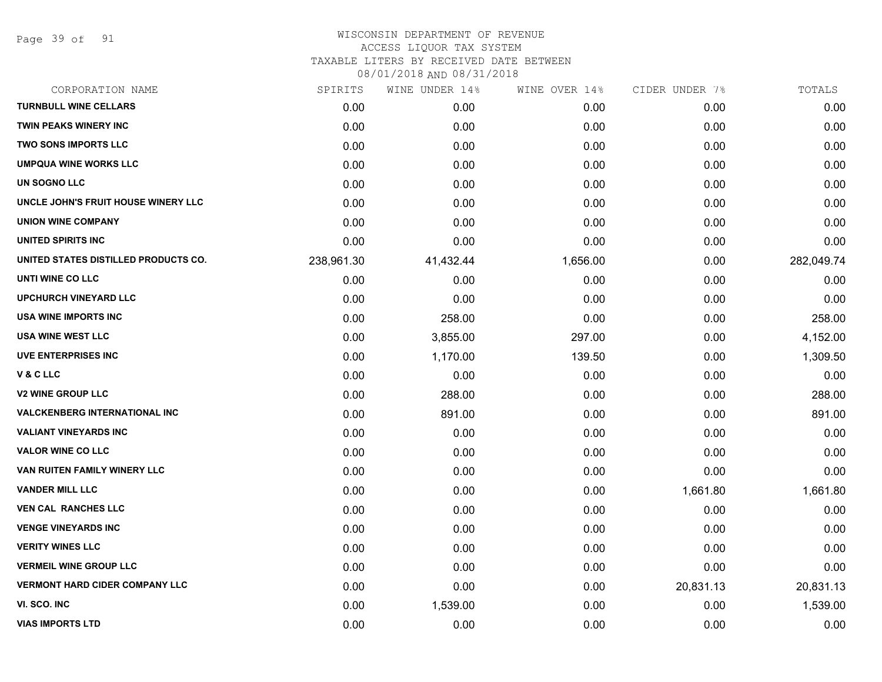Page 39 of 91

## WISCONSIN DEPARTMENT OF REVENUE ACCESS LIQUOR TAX SYSTEM

TAXABLE LITERS BY RECEIVED DATE BETWEEN

| CORPORATION NAME                      | SPIRITS    | WINE UNDER 14% | WINE OVER 14% | CIDER UNDER 7% | TOTALS     |
|---------------------------------------|------------|----------------|---------------|----------------|------------|
| <b>TURNBULL WINE CELLARS</b>          | 0.00       | 0.00           | 0.00          | 0.00           | 0.00       |
| <b>TWIN PEAKS WINERY INC</b>          | 0.00       | 0.00           | 0.00          | 0.00           | 0.00       |
| <b>TWO SONS IMPORTS LLC</b>           | 0.00       | 0.00           | 0.00          | 0.00           | 0.00       |
| <b>UMPQUA WINE WORKS LLC</b>          | 0.00       | 0.00           | 0.00          | 0.00           | 0.00       |
| UN SOGNO LLC                          | 0.00       | 0.00           | 0.00          | 0.00           | 0.00       |
| UNCLE JOHN'S FRUIT HOUSE WINERY LLC   | 0.00       | 0.00           | 0.00          | 0.00           | 0.00       |
| <b>UNION WINE COMPANY</b>             | 0.00       | 0.00           | 0.00          | 0.00           | 0.00       |
| UNITED SPIRITS INC                    | 0.00       | 0.00           | 0.00          | 0.00           | 0.00       |
| UNITED STATES DISTILLED PRODUCTS CO.  | 238,961.30 | 41,432.44      | 1,656.00      | 0.00           | 282,049.74 |
| UNTI WINE CO LLC                      | 0.00       | 0.00           | 0.00          | 0.00           | 0.00       |
| <b>UPCHURCH VINEYARD LLC</b>          | 0.00       | 0.00           | 0.00          | 0.00           | 0.00       |
| USA WINE IMPORTS INC                  | 0.00       | 258.00         | 0.00          | 0.00           | 258.00     |
| <b>USA WINE WEST LLC</b>              | 0.00       | 3,855.00       | 297.00        | 0.00           | 4,152.00   |
| <b>UVE ENTERPRISES INC</b>            | 0.00       | 1,170.00       | 139.50        | 0.00           | 1,309.50   |
| V&CLLC                                | 0.00       | 0.00           | 0.00          | 0.00           | 0.00       |
| <b>V2 WINE GROUP LLC</b>              | 0.00       | 288.00         | 0.00          | 0.00           | 288.00     |
| <b>VALCKENBERG INTERNATIONAL INC</b>  | 0.00       | 891.00         | 0.00          | 0.00           | 891.00     |
| <b>VALIANT VINEYARDS INC</b>          | 0.00       | 0.00           | 0.00          | 0.00           | 0.00       |
| <b>VALOR WINE CO LLC</b>              | 0.00       | 0.00           | 0.00          | 0.00           | 0.00       |
| VAN RUITEN FAMILY WINERY LLC          | 0.00       | 0.00           | 0.00          | 0.00           | 0.00       |
| <b>VANDER MILL LLC</b>                | 0.00       | 0.00           | 0.00          | 1,661.80       | 1,661.80   |
| <b>VEN CAL RANCHES LLC</b>            | 0.00       | 0.00           | 0.00          | 0.00           | 0.00       |
| <b>VENGE VINEYARDS INC</b>            | 0.00       | 0.00           | 0.00          | 0.00           | 0.00       |
| <b>VERITY WINES LLC</b>               | 0.00       | 0.00           | 0.00          | 0.00           | 0.00       |
| <b>VERMEIL WINE GROUP LLC</b>         | 0.00       | 0.00           | 0.00          | 0.00           | 0.00       |
| <b>VERMONT HARD CIDER COMPANY LLC</b> | 0.00       | 0.00           | 0.00          | 20,831.13      | 20,831.13  |
| VI. SCO. INC                          | 0.00       | 1,539.00       | 0.00          | 0.00           | 1,539.00   |
| <b>VIAS IMPORTS LTD</b>               | 0.00       | 0.00           | 0.00          | 0.00           | 0.00       |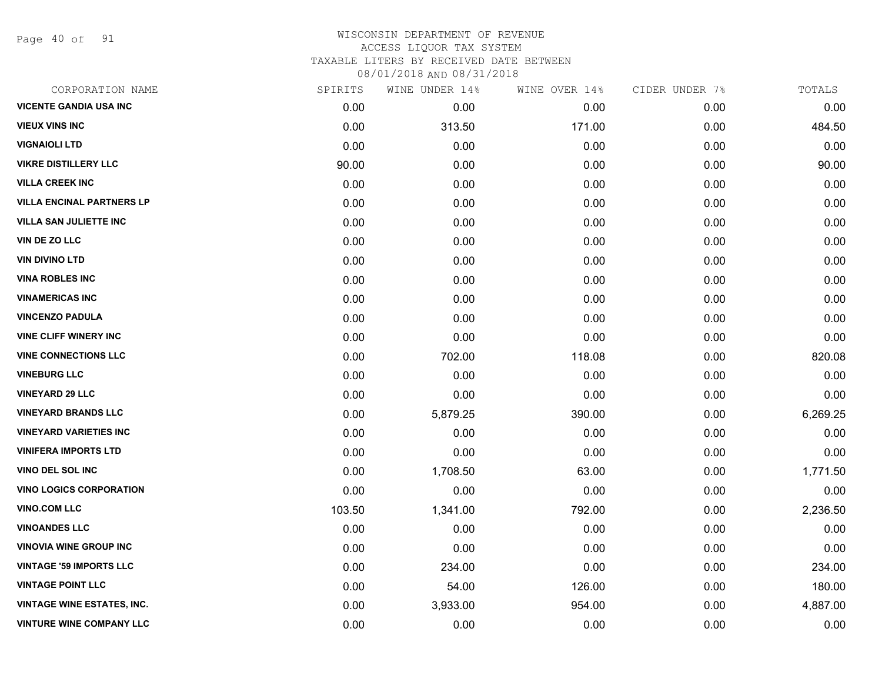Page 40 of 91

## WISCONSIN DEPARTMENT OF REVENUE ACCESS LIQUOR TAX SYSTEM TAXABLE LITERS BY RECEIVED DATE BETWEEN

| CORPORATION NAME                  | SPIRITS | WINE UNDER 14% | WINE OVER 14% | CIDER UNDER 7% | TOTALS   |
|-----------------------------------|---------|----------------|---------------|----------------|----------|
| <b>VICENTE GANDIA USA INC</b>     | 0.00    | 0.00           | 0.00          | 0.00           | 0.00     |
| <b>VIEUX VINS INC</b>             | 0.00    | 313.50         | 171.00        | 0.00           | 484.50   |
| <b>VIGNAIOLI LTD</b>              | 0.00    | 0.00           | 0.00          | 0.00           | 0.00     |
| <b>VIKRE DISTILLERY LLC</b>       | 90.00   | 0.00           | 0.00          | 0.00           | 90.00    |
| <b>VILLA CREEK INC</b>            | 0.00    | 0.00           | 0.00          | 0.00           | 0.00     |
| <b>VILLA ENCINAL PARTNERS LP</b>  | 0.00    | 0.00           | 0.00          | 0.00           | 0.00     |
| <b>VILLA SAN JULIETTE INC</b>     | 0.00    | 0.00           | 0.00          | 0.00           | 0.00     |
| VIN DE ZO LLC                     | 0.00    | 0.00           | 0.00          | 0.00           | 0.00     |
| <b>VIN DIVINO LTD</b>             | 0.00    | 0.00           | 0.00          | 0.00           | 0.00     |
| <b>VINA ROBLES INC</b>            | 0.00    | 0.00           | 0.00          | 0.00           | 0.00     |
| <b>VINAMERICAS INC</b>            | 0.00    | 0.00           | 0.00          | 0.00           | 0.00     |
| <b>VINCENZO PADULA</b>            | 0.00    | 0.00           | 0.00          | 0.00           | 0.00     |
| <b>VINE CLIFF WINERY INC</b>      | 0.00    | 0.00           | 0.00          | 0.00           | 0.00     |
| <b>VINE CONNECTIONS LLC</b>       | 0.00    | 702.00         | 118.08        | 0.00           | 820.08   |
| <b>VINEBURG LLC</b>               | 0.00    | 0.00           | 0.00          | 0.00           | 0.00     |
| <b>VINEYARD 29 LLC</b>            | 0.00    | 0.00           | 0.00          | 0.00           | 0.00     |
| <b>VINEYARD BRANDS LLC</b>        | 0.00    | 5,879.25       | 390.00        | 0.00           | 6,269.25 |
| <b>VINEYARD VARIETIES INC</b>     | 0.00    | 0.00           | 0.00          | 0.00           | 0.00     |
| <b>VINIFERA IMPORTS LTD</b>       | 0.00    | 0.00           | 0.00          | 0.00           | 0.00     |
| VINO DEL SOL INC                  | 0.00    | 1,708.50       | 63.00         | 0.00           | 1,771.50 |
| <b>VINO LOGICS CORPORATION</b>    | 0.00    | 0.00           | 0.00          | 0.00           | 0.00     |
| <b>VINO.COM LLC</b>               | 103.50  | 1,341.00       | 792.00        | 0.00           | 2,236.50 |
| <b>VINOANDES LLC</b>              | 0.00    | 0.00           | 0.00          | 0.00           | 0.00     |
| <b>VINOVIA WINE GROUP INC</b>     | 0.00    | 0.00           | 0.00          | 0.00           | 0.00     |
| <b>VINTAGE '59 IMPORTS LLC</b>    | 0.00    | 234.00         | 0.00          | 0.00           | 234.00   |
| <b>VINTAGE POINT LLC</b>          | 0.00    | 54.00          | 126.00        | 0.00           | 180.00   |
| <b>VINTAGE WINE ESTATES, INC.</b> | 0.00    | 3,933.00       | 954.00        | 0.00           | 4,887.00 |
| <b>VINTURE WINE COMPANY LLC</b>   | 0.00    | 0.00           | 0.00          | 0.00           | 0.00     |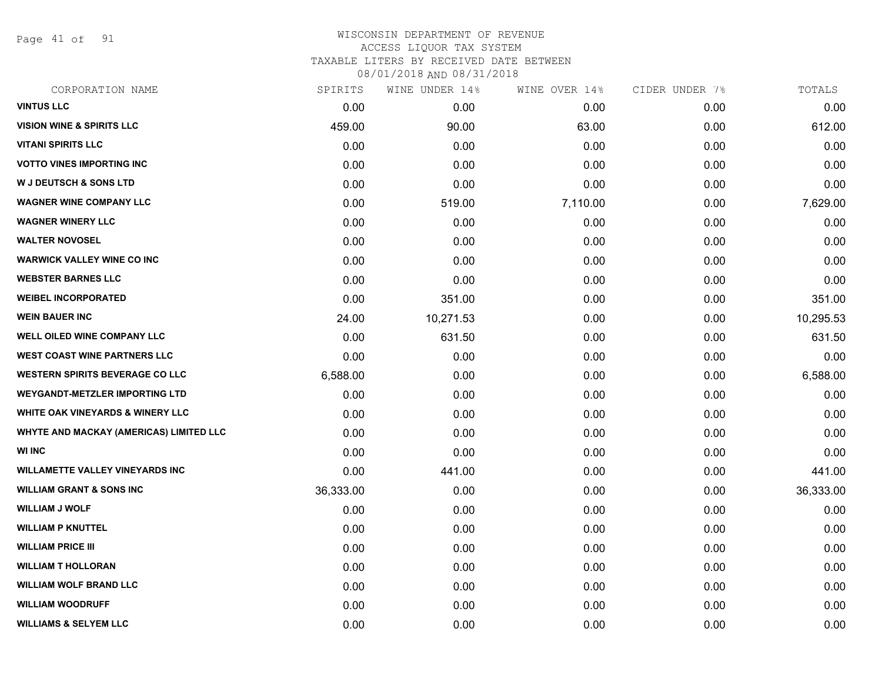Page 41 of 91

### WISCONSIN DEPARTMENT OF REVENUE ACCESS LIQUOR TAX SYSTEM TAXABLE LITERS BY RECEIVED DATE BETWEEN

| CORPORATION NAME                            | SPIRITS   | WINE UNDER 14% | WINE OVER 14% | CIDER UNDER 7% | TOTALS    |
|---------------------------------------------|-----------|----------------|---------------|----------------|-----------|
| <b>VINTUS LLC</b>                           | 0.00      | 0.00           | 0.00          | 0.00           | 0.00      |
| <b>VISION WINE &amp; SPIRITS LLC</b>        | 459.00    | 90.00          | 63.00         | 0.00           | 612.00    |
| <b>VITANI SPIRITS LLC</b>                   | 0.00      | 0.00           | 0.00          | 0.00           | 0.00      |
| <b>VOTTO VINES IMPORTING INC</b>            | 0.00      | 0.00           | 0.00          | 0.00           | 0.00      |
| <b>W J DEUTSCH &amp; SONS LTD</b>           | 0.00      | 0.00           | 0.00          | 0.00           | 0.00      |
| <b>WAGNER WINE COMPANY LLC</b>              | 0.00      | 519.00         | 7,110.00      | 0.00           | 7,629.00  |
| <b>WAGNER WINERY LLC</b>                    | 0.00      | 0.00           | 0.00          | 0.00           | 0.00      |
| <b>WALTER NOVOSEL</b>                       | 0.00      | 0.00           | 0.00          | 0.00           | 0.00      |
| <b>WARWICK VALLEY WINE CO INC</b>           | 0.00      | 0.00           | 0.00          | 0.00           | 0.00      |
| <b>WEBSTER BARNES LLC</b>                   | 0.00      | 0.00           | 0.00          | 0.00           | 0.00      |
| <b>WEIBEL INCORPORATED</b>                  | 0.00      | 351.00         | 0.00          | 0.00           | 351.00    |
| <b>WEIN BAUER INC</b>                       | 24.00     | 10,271.53      | 0.00          | 0.00           | 10,295.53 |
| <b>WELL OILED WINE COMPANY LLC</b>          | 0.00      | 631.50         | 0.00          | 0.00           | 631.50    |
| <b>WEST COAST WINE PARTNERS LLC</b>         | 0.00      | 0.00           | 0.00          | 0.00           | 0.00      |
| <b>WESTERN SPIRITS BEVERAGE CO LLC</b>      | 6,588.00  | 0.00           | 0.00          | 0.00           | 6,588.00  |
| <b>WEYGANDT-METZLER IMPORTING LTD</b>       | 0.00      | 0.00           | 0.00          | 0.00           | 0.00      |
| <b>WHITE OAK VINEYARDS &amp; WINERY LLC</b> | 0.00      | 0.00           | 0.00          | 0.00           | 0.00      |
| WHYTE AND MACKAY (AMERICAS) LIMITED LLC     | 0.00      | 0.00           | 0.00          | 0.00           | 0.00      |
| <b>WI INC</b>                               | 0.00      | 0.00           | 0.00          | 0.00           | 0.00      |
| <b>WILLAMETTE VALLEY VINEYARDS INC</b>      | 0.00      | 441.00         | 0.00          | 0.00           | 441.00    |
| <b>WILLIAM GRANT &amp; SONS INC</b>         | 36,333.00 | 0.00           | 0.00          | 0.00           | 36,333.00 |
| <b>WILLIAM J WOLF</b>                       | 0.00      | 0.00           | 0.00          | 0.00           | 0.00      |
| <b>WILLIAM P KNUTTEL</b>                    | 0.00      | 0.00           | 0.00          | 0.00           | 0.00      |
| <b>WILLIAM PRICE III</b>                    | 0.00      | 0.00           | 0.00          | 0.00           | 0.00      |
| <b>WILLIAM T HOLLORAN</b>                   | 0.00      | 0.00           | 0.00          | 0.00           | 0.00      |
| <b>WILLIAM WOLF BRAND LLC</b>               | 0.00      | 0.00           | 0.00          | 0.00           | 0.00      |
| <b>WILLIAM WOODRUFF</b>                     | 0.00      | 0.00           | 0.00          | 0.00           | 0.00      |
| <b>WILLIAMS &amp; SELYEM LLC</b>            | 0.00      | 0.00           | 0.00          | 0.00           | 0.00      |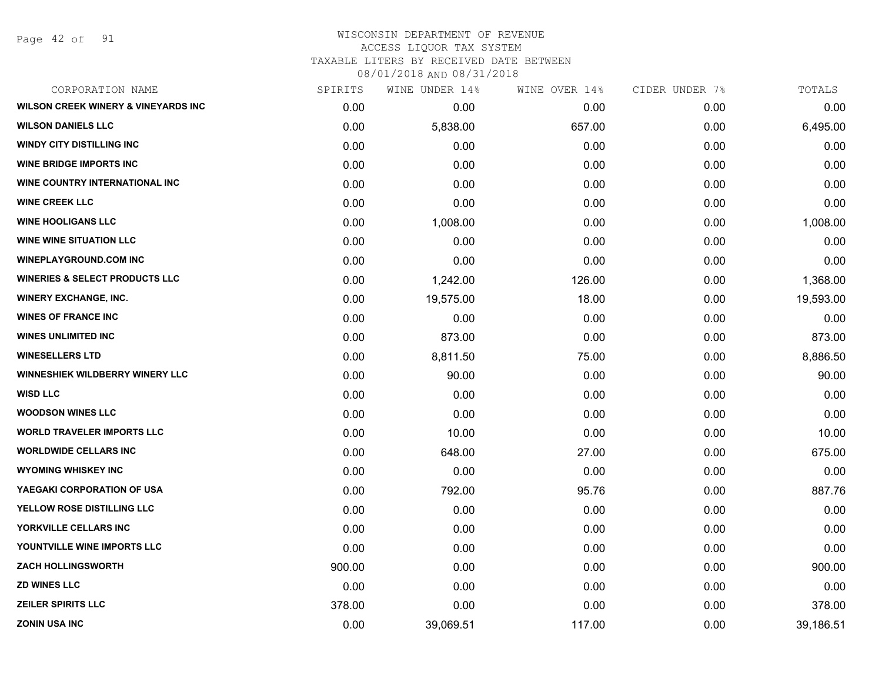Page 42 of 91

## WISCONSIN DEPARTMENT OF REVENUE ACCESS LIQUOR TAX SYSTEM TAXABLE LITERS BY RECEIVED DATE BETWEEN

| CORPORATION NAME                               | SPIRITS | WINE UNDER 14% | WINE OVER 14% | CIDER UNDER 7% | TOTALS    |
|------------------------------------------------|---------|----------------|---------------|----------------|-----------|
| <b>WILSON CREEK WINERY &amp; VINEYARDS INC</b> | 0.00    | 0.00           | 0.00          | 0.00           | 0.00      |
| <b>WILSON DANIELS LLC</b>                      | 0.00    | 5,838.00       | 657.00        | 0.00           | 6,495.00  |
| <b>WINDY CITY DISTILLING INC</b>               | 0.00    | 0.00           | 0.00          | 0.00           | 0.00      |
| <b>WINE BRIDGE IMPORTS INC</b>                 | 0.00    | 0.00           | 0.00          | 0.00           | 0.00      |
| WINE COUNTRY INTERNATIONAL INC                 | 0.00    | 0.00           | 0.00          | 0.00           | 0.00      |
| <b>WINE CREEK LLC</b>                          | 0.00    | 0.00           | 0.00          | 0.00           | 0.00      |
| <b>WINE HOOLIGANS LLC</b>                      | 0.00    | 1,008.00       | 0.00          | 0.00           | 1,008.00  |
| <b>WINE WINE SITUATION LLC</b>                 | 0.00    | 0.00           | 0.00          | 0.00           | 0.00      |
| <b>WINEPLAYGROUND.COM INC</b>                  | 0.00    | 0.00           | 0.00          | 0.00           | 0.00      |
| <b>WINERIES &amp; SELECT PRODUCTS LLC</b>      | 0.00    | 1,242.00       | 126.00        | 0.00           | 1,368.00  |
| <b>WINERY EXCHANGE, INC.</b>                   | 0.00    | 19,575.00      | 18.00         | 0.00           | 19,593.00 |
| <b>WINES OF FRANCE INC</b>                     | 0.00    | 0.00           | 0.00          | 0.00           | 0.00      |
| <b>WINES UNLIMITED INC</b>                     | 0.00    | 873.00         | 0.00          | 0.00           | 873.00    |
| <b>WINESELLERS LTD</b>                         | 0.00    | 8,811.50       | 75.00         | 0.00           | 8,886.50  |
| <b>WINNESHIEK WILDBERRY WINERY LLC</b>         | 0.00    | 90.00          | 0.00          | 0.00           | 90.00     |
| <b>WISD LLC</b>                                | 0.00    | 0.00           | 0.00          | 0.00           | 0.00      |
| <b>WOODSON WINES LLC</b>                       | 0.00    | 0.00           | 0.00          | 0.00           | 0.00      |
| <b>WORLD TRAVELER IMPORTS LLC</b>              | 0.00    | 10.00          | 0.00          | 0.00           | 10.00     |
| <b>WORLDWIDE CELLARS INC</b>                   | 0.00    | 648.00         | 27.00         | 0.00           | 675.00    |
| <b>WYOMING WHISKEY INC</b>                     | 0.00    | 0.00           | 0.00          | 0.00           | 0.00      |
| YAEGAKI CORPORATION OF USA                     | 0.00    | 792.00         | 95.76         | 0.00           | 887.76    |
| YELLOW ROSE DISTILLING LLC                     | 0.00    | 0.00           | 0.00          | 0.00           | 0.00      |
| YORKVILLE CELLARS INC                          | 0.00    | 0.00           | 0.00          | 0.00           | 0.00      |
| YOUNTVILLE WINE IMPORTS LLC                    | 0.00    | 0.00           | 0.00          | 0.00           | 0.00      |
| <b>ZACH HOLLINGSWORTH</b>                      | 900.00  | 0.00           | 0.00          | 0.00           | 900.00    |
| <b>ZD WINES LLC</b>                            | 0.00    | 0.00           | 0.00          | 0.00           | 0.00      |
| <b>ZEILER SPIRITS LLC</b>                      | 378.00  | 0.00           | 0.00          | 0.00           | 378.00    |
| <b>ZONIN USA INC</b>                           | 0.00    | 39,069.51      | 117.00        | 0.00           | 39,186.51 |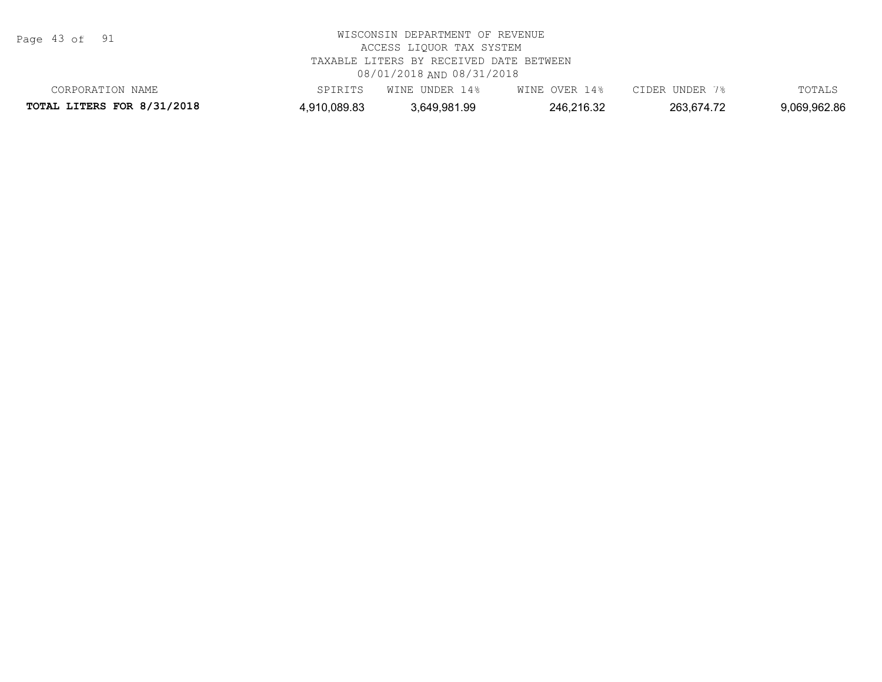Page 43 of 91

| CORPORATION NAME           | SPIRITS      | WINE UNDER 14% | WINE OVER 14% | CIDER UNDER | TOTALS       |
|----------------------------|--------------|----------------|---------------|-------------|--------------|
| TOTAL LITERS FOR 8/31/2018 | 4,910,089.83 | 3.649.981.99   | 246,216.32    | 263,674.72  | 9,069,962.86 |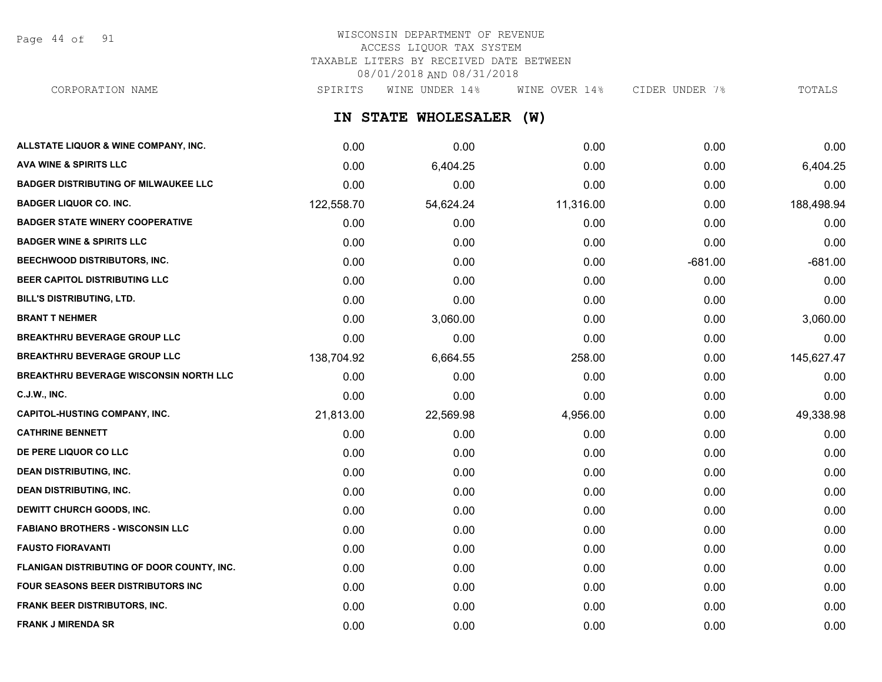Page 44 of 91

# WISCONSIN DEPARTMENT OF REVENUE ACCESS LIQUOR TAX SYSTEM TAXABLE LITERS BY RECEIVED DATE BETWEEN 08/01/2018 AND 08/31/2018

CORPORATION NAME SPIRITS WINE UNDER 14% WINE OVER 14% CIDER UNDER 7% TOTALS

**IN STATE WHOLESALER (W)**

| ALLSTATE LIQUOR & WINE COMPANY, INC.        | 0.00       | 0.00      | 0.00      | 0.00      | 0.00       |
|---------------------------------------------|------------|-----------|-----------|-----------|------------|
| <b>AVA WINE &amp; SPIRITS LLC</b>           | 0.00       | 6,404.25  | 0.00      | 0.00      | 6,404.25   |
| <b>BADGER DISTRIBUTING OF MILWAUKEE LLC</b> | 0.00       | 0.00      | 0.00      | 0.00      | 0.00       |
| <b>BADGER LIQUOR CO. INC.</b>               | 122,558.70 | 54,624.24 | 11,316.00 | 0.00      | 188,498.94 |
| <b>BADGER STATE WINERY COOPERATIVE</b>      | 0.00       | 0.00      | 0.00      | 0.00      | 0.00       |
| <b>BADGER WINE &amp; SPIRITS LLC</b>        | 0.00       | 0.00      | 0.00      | 0.00      | 0.00       |
| BEECHWOOD DISTRIBUTORS, INC.                | 0.00       | 0.00      | 0.00      | $-681.00$ | $-681.00$  |
| BEER CAPITOL DISTRIBUTING LLC               | 0.00       | 0.00      | 0.00      | 0.00      | 0.00       |
| BILL'S DISTRIBUTING, LTD.                   | 0.00       | 0.00      | 0.00      | 0.00      | 0.00       |
| <b>BRANT T NEHMER</b>                       | 0.00       | 3,060.00  | 0.00      | 0.00      | 3,060.00   |
| <b>BREAKTHRU BEVERAGE GROUP LLC</b>         | 0.00       | 0.00      | 0.00      | 0.00      | 0.00       |
| <b>BREAKTHRU BEVERAGE GROUP LLC</b>         | 138,704.92 | 6,664.55  | 258.00    | 0.00      | 145,627.47 |
| BREAKTHRU BEVERAGE WISCONSIN NORTH LLC      | 0.00       | 0.00      | 0.00      | 0.00      | 0.00       |
| <b>C.J.W., INC.</b>                         | 0.00       | 0.00      | 0.00      | 0.00      | 0.00       |
| <b>CAPITOL-HUSTING COMPANY, INC.</b>        | 21,813.00  | 22,569.98 | 4,956.00  | 0.00      | 49,338.98  |
| <b>CATHRINE BENNETT</b>                     | 0.00       | 0.00      | 0.00      | 0.00      | 0.00       |
| DE PERE LIQUOR CO LLC                       | 0.00       | 0.00      | 0.00      | 0.00      | 0.00       |
| <b>DEAN DISTRIBUTING, INC.</b>              | 0.00       | 0.00      | 0.00      | 0.00      | 0.00       |
| <b>DEAN DISTRIBUTING, INC.</b>              | 0.00       | 0.00      | 0.00      | 0.00      | 0.00       |
| <b>DEWITT CHURCH GOODS, INC.</b>            | 0.00       | 0.00      | 0.00      | 0.00      | 0.00       |
| <b>FABIANO BROTHERS - WISCONSIN LLC</b>     | 0.00       | 0.00      | 0.00      | 0.00      | 0.00       |
| <b>FAUSTO FIORAVANTI</b>                    | 0.00       | 0.00      | 0.00      | 0.00      | 0.00       |
| FLANIGAN DISTRIBUTING OF DOOR COUNTY, INC.  | 0.00       | 0.00      | 0.00      | 0.00      | 0.00       |
| FOUR SEASONS BEER DISTRIBUTORS INC          | 0.00       | 0.00      | 0.00      | 0.00      | 0.00       |
| <b>FRANK BEER DISTRIBUTORS, INC.</b>        | 0.00       | 0.00      | 0.00      | 0.00      | 0.00       |
| <b>FRANK J MIRENDA SR</b>                   | 0.00       | 0.00      | 0.00      | 0.00      | 0.00       |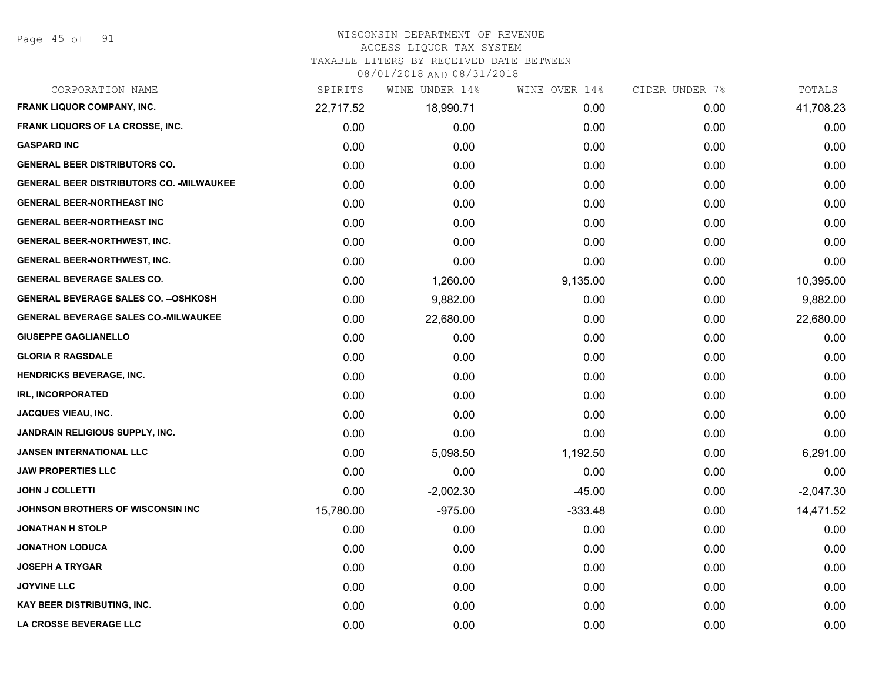## WISCONSIN DEPARTMENT OF REVENUE

#### ACCESS LIQUOR TAX SYSTEM

TAXABLE LITERS BY RECEIVED DATE BETWEEN

| CORPORATION NAME                                 | SPIRITS   | WINE UNDER 14% | WINE OVER 14% | CIDER UNDER 7% | TOTALS      |
|--------------------------------------------------|-----------|----------------|---------------|----------------|-------------|
| <b>FRANK LIQUOR COMPANY, INC.</b>                | 22,717.52 | 18,990.71      | 0.00          | 0.00           | 41,708.23   |
| FRANK LIQUORS OF LA CROSSE, INC.                 | 0.00      | 0.00           | 0.00          | 0.00           | 0.00        |
| <b>GASPARD INC</b>                               | 0.00      | 0.00           | 0.00          | 0.00           | 0.00        |
| <b>GENERAL BEER DISTRIBUTORS CO.</b>             | 0.00      | 0.00           | 0.00          | 0.00           | 0.00        |
| <b>GENERAL BEER DISTRIBUTORS CO. - MILWAUKEE</b> | 0.00      | 0.00           | 0.00          | 0.00           | 0.00        |
| <b>GENERAL BEER-NORTHEAST INC</b>                | 0.00      | 0.00           | 0.00          | 0.00           | 0.00        |
| <b>GENERAL BEER-NORTHEAST INC</b>                | 0.00      | 0.00           | 0.00          | 0.00           | 0.00        |
| <b>GENERAL BEER-NORTHWEST, INC.</b>              | 0.00      | 0.00           | 0.00          | 0.00           | 0.00        |
| GENERAL BEER-NORTHWEST, INC.                     | 0.00      | 0.00           | 0.00          | 0.00           | 0.00        |
| <b>GENERAL BEVERAGE SALES CO.</b>                | 0.00      | 1,260.00       | 9,135.00      | 0.00           | 10,395.00   |
| <b>GENERAL BEVERAGE SALES CO. -- OSHKOSH</b>     | 0.00      | 9,882.00       | 0.00          | 0.00           | 9,882.00    |
| <b>GENERAL BEVERAGE SALES CO.-MILWAUKEE</b>      | 0.00      | 22,680.00      | 0.00          | 0.00           | 22,680.00   |
| <b>GIUSEPPE GAGLIANELLO</b>                      | 0.00      | 0.00           | 0.00          | 0.00           | 0.00        |
| <b>GLORIA R RAGSDALE</b>                         | 0.00      | 0.00           | 0.00          | 0.00           | 0.00        |
| <b>HENDRICKS BEVERAGE, INC.</b>                  | 0.00      | 0.00           | 0.00          | 0.00           | 0.00        |
| <b>IRL, INCORPORATED</b>                         | 0.00      | 0.00           | 0.00          | 0.00           | 0.00        |
| <b>JACQUES VIEAU, INC.</b>                       | 0.00      | 0.00           | 0.00          | 0.00           | 0.00        |
| <b>JANDRAIN RELIGIOUS SUPPLY, INC.</b>           | 0.00      | 0.00           | 0.00          | 0.00           | 0.00        |
| <b>JANSEN INTERNATIONAL LLC</b>                  | 0.00      | 5,098.50       | 1,192.50      | 0.00           | 6,291.00    |
| <b>JAW PROPERTIES LLC</b>                        | 0.00      | 0.00           | 0.00          | 0.00           | 0.00        |
| <b>JOHN J COLLETTI</b>                           | 0.00      | $-2,002.30$    | $-45.00$      | 0.00           | $-2,047.30$ |
| JOHNSON BROTHERS OF WISCONSIN INC                | 15,780.00 | $-975.00$      | $-333.48$     | 0.00           | 14,471.52   |
| <b>JONATHAN H STOLP</b>                          | 0.00      | 0.00           | 0.00          | 0.00           | 0.00        |
| <b>JONATHON LODUCA</b>                           | 0.00      | 0.00           | 0.00          | 0.00           | 0.00        |
| <b>JOSEPH A TRYGAR</b>                           | 0.00      | 0.00           | 0.00          | 0.00           | 0.00        |
| <b>JOYVINE LLC</b>                               | 0.00      | 0.00           | 0.00          | 0.00           | 0.00        |
| <b>KAY BEER DISTRIBUTING, INC.</b>               | 0.00      | 0.00           | 0.00          | 0.00           | 0.00        |
| LA CROSSE BEVERAGE LLC                           | 0.00      | 0.00           | 0.00          | 0.00           | 0.00        |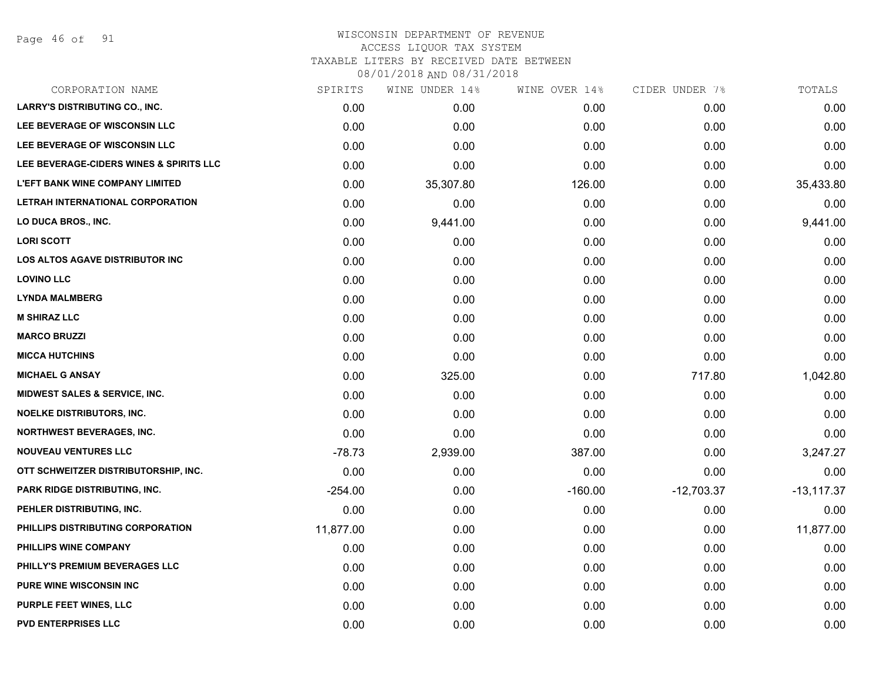Page 46 of 91

#### WISCONSIN DEPARTMENT OF REVENUE ACCESS LIQUOR TAX SYSTEM

TAXABLE LITERS BY RECEIVED DATE BETWEEN

| CORPORATION NAME                        | SPIRITS   | WINE UNDER 14% | WINE OVER 14% | CIDER UNDER 7% | TOTALS        |
|-----------------------------------------|-----------|----------------|---------------|----------------|---------------|
| <b>LARRY'S DISTRIBUTING CO., INC.</b>   | 0.00      | 0.00           | 0.00          | 0.00           | 0.00          |
| LEE BEVERAGE OF WISCONSIN LLC           | 0.00      | 0.00           | 0.00          | 0.00           | 0.00          |
| LEE BEVERAGE OF WISCONSIN LLC           | 0.00      | 0.00           | 0.00          | 0.00           | 0.00          |
| LEE BEVERAGE-CIDERS WINES & SPIRITS LLC | 0.00      | 0.00           | 0.00          | 0.00           | 0.00          |
| <b>L'EFT BANK WINE COMPANY LIMITED</b>  | 0.00      | 35,307.80      | 126.00        | 0.00           | 35,433.80     |
| LETRAH INTERNATIONAL CORPORATION        | 0.00      | 0.00           | 0.00          | 0.00           | 0.00          |
| LO DUCA BROS., INC.                     | 0.00      | 9,441.00       | 0.00          | 0.00           | 9,441.00      |
| <b>LORI SCOTT</b>                       | 0.00      | 0.00           | 0.00          | 0.00           | 0.00          |
| <b>LOS ALTOS AGAVE DISTRIBUTOR INC</b>  | 0.00      | 0.00           | 0.00          | 0.00           | 0.00          |
| <b>LOVINO LLC</b>                       | 0.00      | 0.00           | 0.00          | 0.00           | 0.00          |
| <b>LYNDA MALMBERG</b>                   | 0.00      | 0.00           | 0.00          | 0.00           | 0.00          |
| <b>M SHIRAZ LLC</b>                     | 0.00      | 0.00           | 0.00          | 0.00           | 0.00          |
| <b>MARCO BRUZZI</b>                     | 0.00      | 0.00           | 0.00          | 0.00           | 0.00          |
| <b>MICCA HUTCHINS</b>                   | 0.00      | 0.00           | 0.00          | 0.00           | 0.00          |
| <b>MICHAEL G ANSAY</b>                  | 0.00      | 325.00         | 0.00          | 717.80         | 1,042.80      |
| MIDWEST SALES & SERVICE, INC.           | 0.00      | 0.00           | 0.00          | 0.00           | 0.00          |
| <b>NOELKE DISTRIBUTORS, INC.</b>        | 0.00      | 0.00           | 0.00          | 0.00           | 0.00          |
| <b>NORTHWEST BEVERAGES, INC.</b>        | 0.00      | 0.00           | 0.00          | 0.00           | 0.00          |
| <b>NOUVEAU VENTURES LLC</b>             | $-78.73$  | 2,939.00       | 387.00        | 0.00           | 3,247.27      |
| OTT SCHWEITZER DISTRIBUTORSHIP, INC.    | 0.00      | 0.00           | 0.00          | 0.00           | 0.00          |
| <b>PARK RIDGE DISTRIBUTING, INC.</b>    | $-254.00$ | 0.00           | $-160.00$     | $-12,703.37$   | $-13, 117.37$ |
| PEHLER DISTRIBUTING, INC.               | 0.00      | 0.00           | 0.00          | 0.00           | 0.00          |
| PHILLIPS DISTRIBUTING CORPORATION       | 11,877.00 | 0.00           | 0.00          | 0.00           | 11,877.00     |
| PHILLIPS WINE COMPANY                   | 0.00      | 0.00           | 0.00          | 0.00           | 0.00          |
| PHILLY'S PREMIUM BEVERAGES LLC          | 0.00      | 0.00           | 0.00          | 0.00           | 0.00          |
| <b>PURE WINE WISCONSIN INC</b>          | 0.00      | 0.00           | 0.00          | 0.00           | 0.00          |
| <b>PURPLE FEET WINES, LLC</b>           | 0.00      | 0.00           | 0.00          | 0.00           | 0.00          |
| <b>PVD ENTERPRISES LLC</b>              | 0.00      | 0.00           | 0.00          | 0.00           | 0.00          |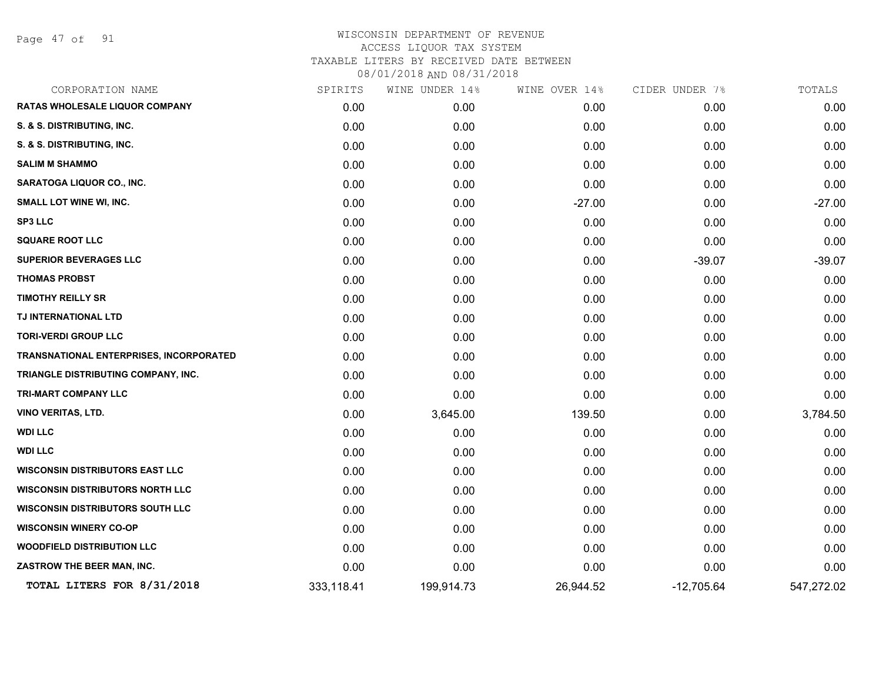Page 47 of 91

| CORPORATION NAME                        | SPIRITS    | WINE UNDER 14% | WINE OVER 14% | CIDER UNDER 7% | TOTALS     |
|-----------------------------------------|------------|----------------|---------------|----------------|------------|
| RATAS WHOLESALE LIQUOR COMPANY          | 0.00       | 0.00           | 0.00          | 0.00           | 0.00       |
| S. & S. DISTRIBUTING, INC.              | 0.00       | 0.00           | 0.00          | 0.00           | 0.00       |
| S. & S. DISTRIBUTING, INC.              | 0.00       | 0.00           | 0.00          | 0.00           | 0.00       |
| <b>SALIM M SHAMMO</b>                   | 0.00       | 0.00           | 0.00          | 0.00           | 0.00       |
| SARATOGA LIQUOR CO., INC.               | 0.00       | 0.00           | 0.00          | 0.00           | 0.00       |
| <b>SMALL LOT WINE WI, INC.</b>          | 0.00       | 0.00           | $-27.00$      | 0.00           | $-27.00$   |
| <b>SP3 LLC</b>                          | 0.00       | 0.00           | 0.00          | 0.00           | 0.00       |
| <b>SQUARE ROOT LLC</b>                  | 0.00       | 0.00           | 0.00          | 0.00           | 0.00       |
| <b>SUPERIOR BEVERAGES LLC</b>           | 0.00       | 0.00           | 0.00          | $-39.07$       | $-39.07$   |
| <b>THOMAS PROBST</b>                    | 0.00       | 0.00           | 0.00          | 0.00           | 0.00       |
| <b>TIMOTHY REILLY SR</b>                | 0.00       | 0.00           | 0.00          | 0.00           | 0.00       |
| TJ INTERNATIONAL LTD                    | 0.00       | 0.00           | 0.00          | 0.00           | 0.00       |
| <b>TORI-VERDI GROUP LLC</b>             | 0.00       | 0.00           | 0.00          | 0.00           | 0.00       |
| TRANSNATIONAL ENTERPRISES, INCORPORATED | 0.00       | 0.00           | 0.00          | 0.00           | 0.00       |
| TRIANGLE DISTRIBUTING COMPANY, INC.     | 0.00       | 0.00           | 0.00          | 0.00           | 0.00       |
| <b>TRI-MART COMPANY LLC</b>             | 0.00       | 0.00           | 0.00          | 0.00           | 0.00       |
| <b>VINO VERITAS, LTD.</b>               | 0.00       | 3,645.00       | 139.50        | 0.00           | 3,784.50   |
| <b>WDI LLC</b>                          | 0.00       | 0.00           | 0.00          | 0.00           | 0.00       |
| <b>WDI LLC</b>                          | 0.00       | 0.00           | 0.00          | 0.00           | 0.00       |
| <b>WISCONSIN DISTRIBUTORS EAST LLC</b>  | 0.00       | 0.00           | 0.00          | 0.00           | 0.00       |
| <b>WISCONSIN DISTRIBUTORS NORTH LLC</b> | 0.00       | 0.00           | 0.00          | 0.00           | 0.00       |
| <b>WISCONSIN DISTRIBUTORS SOUTH LLC</b> | 0.00       | 0.00           | 0.00          | 0.00           | 0.00       |
| <b>WISCONSIN WINERY CO-OP</b>           | 0.00       | 0.00           | 0.00          | 0.00           | 0.00       |
| <b>WOODFIELD DISTRIBUTION LLC</b>       | 0.00       | 0.00           | 0.00          | 0.00           | 0.00       |
| ZASTROW THE BEER MAN, INC.              | 0.00       | 0.00           | 0.00          | 0.00           | 0.00       |
| TOTAL LITERS FOR 8/31/2018              | 333,118.41 | 199,914.73     | 26,944.52     | $-12,705.64$   | 547,272.02 |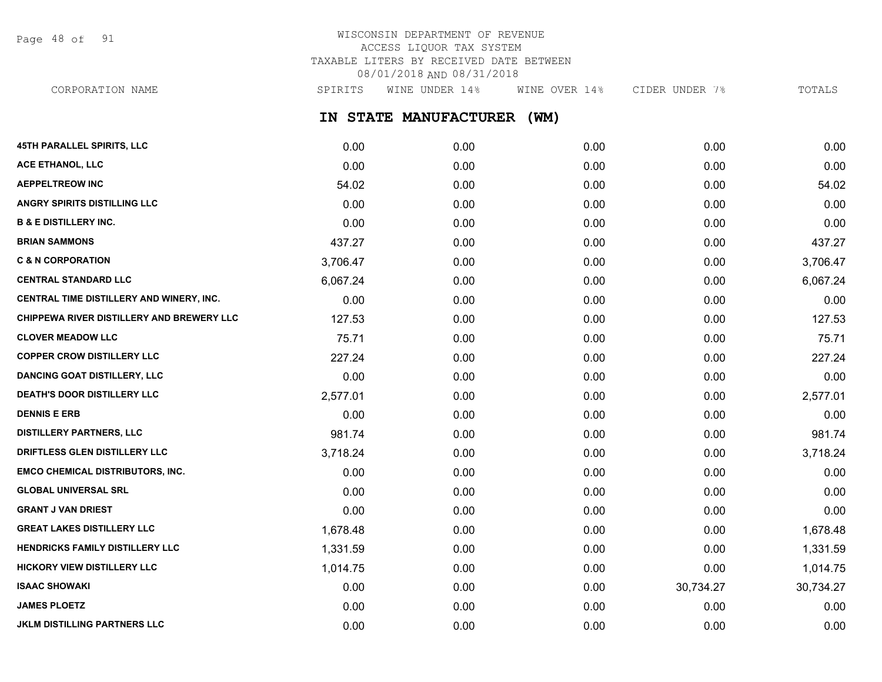Page 48 of 91

## WISCONSIN DEPARTMENT OF REVENUE ACCESS LIQUOR TAX SYSTEM TAXABLE LITERS BY RECEIVED DATE BETWEEN 08/01/2018 AND 08/31/2018

**IN STATE MANUFACTURER (WM) 45TH PARALLEL SPIRITS, LLC** 0.00 0.00 0.00 0.00 0.00 **ACE ETHANOL, LLC** 0.00 0.00 0.00 0.00 0.00 **AEPPELTREOW INC** 54.02 0.00 0.00 0.00 54.02 **ANGRY SPIRITS DISTILLING LLC** 0.00 0.00 0.00 0.00 0.00 **B & E DISTILLERY INC.** 0.00 0.00 0.00 0.00 0.00 **BRIAN SAMMONS** 6.000 6.000 6.000 6.000 6.000 6.000 6.000 6.000 6.000 6.000 437.27 **C & N CORPORATION** 3,706.47 0.00 0.00 0.00 3,706.47 **CENTRAL STANDARD LLC** 6,067.24 0.00 0.00 0.00 6,067.24 **CENTRAL TIME DISTILLERY AND WINERY, INC.** 0.00 0.00 0.00 0.00 0.00 **CHIPPEWA RIVER DISTILLERY AND BREWERY LLC**  $127.53$  0.00 0.00 0.00 0.00 0.00 0.00 0.00 127.53 **CLOVER MEADOW LLC** 75.71 0.00 0.00 0.00 75.71 **COPPER CROW DISTILLERY LLC** 227.24 0.00 0.00 0.00 0.00 0.00 0.00 227.24 **DANCING GOAT DISTILLERY, LLC** 0.00 0.00 0.00 0.00 0.00 **DEATH'S DOOR DISTILLERY LLC** 2,577.01 0.00 0.00 0.00 2,577.01 **DENNIS E ERB** 0.00 0.00 0.00 0.00 0.00 CORPORATION NAME SPIRITS WINE UNDER 14% WINE OVER 14% CIDER UNDER 7% TOTALS

**DISTILLERY PARTNERS, LLC** 981.74 0.00 0.00 0.00 981.74 **DRIFTLESS GLEN DISTILLERY LLC** 3,718.24 0.00 0.00 0.00 3,718.24 **EMCO CHEMICAL DISTRIBUTORS, INC.** 0.00 0.00 0.00 0.00 0.00 **GLOBAL UNIVERSAL SRL** 0.00 0.00 0.00 0.00 0.00 **GRANT J VAN DRIEST** 0.00 0.00 0.00 0.00 0.00 **GREAT LAKES DISTILLERY LLC** 1,678.48 0.00 0.00 0.00 1,678.48 **HENDRICKS FAMILY DISTILLERY LLC** 1,331.59 0.00 0.00 0.00 1,331.59 **HICKORY VIEW DISTILLERY LLC** 1.014.75 0.00 0.00 0.00 0.00 0.00 0.00 0.00 1.014.75 **ISAAC SHOWAKI** 0.00 0.00 0.00 30,734.27 30,734.27 **JAMES PLOETZ** 0.00 0.00 0.00 0.00 0.00 **JKLM DISTILLING PARTNERS LLC** 0.00 0.00 0.00 0.00 0.00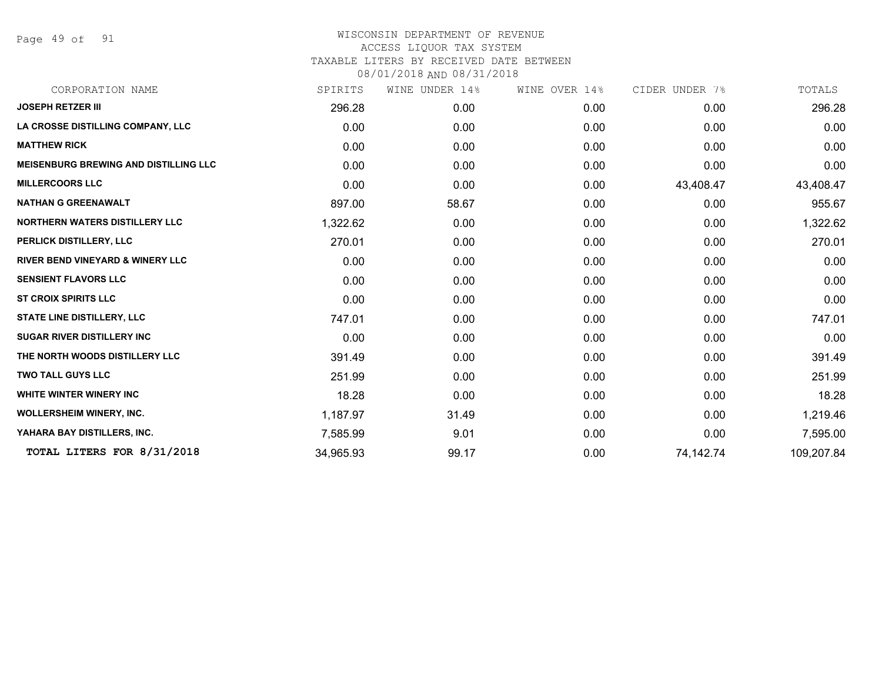Page 49 of 91

| CORPORATION NAME                             | SPIRITS   | WINE UNDER 14% | WINE OVER 14% | CIDER UNDER 7% | TOTALS     |
|----------------------------------------------|-----------|----------------|---------------|----------------|------------|
| <b>JOSEPH RETZER III</b>                     | 296.28    | 0.00           | 0.00          | 0.00           | 296.28     |
| LA CROSSE DISTILLING COMPANY, LLC            | 0.00      | 0.00           | 0.00          | 0.00           | 0.00       |
| <b>MATTHEW RICK</b>                          | 0.00      | 0.00           | 0.00          | 0.00           | 0.00       |
| <b>MEISENBURG BREWING AND DISTILLING LLC</b> | 0.00      | 0.00           | 0.00          | 0.00           | 0.00       |
| <b>MILLERCOORS LLC</b>                       | 0.00      | 0.00           | 0.00          | 43,408.47      | 43,408.47  |
| <b>NATHAN G GREENAWALT</b>                   | 897.00    | 58.67          | 0.00          | 0.00           | 955.67     |
| <b>NORTHERN WATERS DISTILLERY LLC</b>        | 1,322.62  | 0.00           | 0.00          | 0.00           | 1,322.62   |
| PERLICK DISTILLERY, LLC                      | 270.01    | 0.00           | 0.00          | 0.00           | 270.01     |
| <b>RIVER BEND VINEYARD &amp; WINERY LLC</b>  | 0.00      | 0.00           | 0.00          | 0.00           | 0.00       |
| <b>SENSIENT FLAVORS LLC</b>                  | 0.00      | 0.00           | 0.00          | 0.00           | 0.00       |
| <b>ST CROIX SPIRITS LLC</b>                  | 0.00      | 0.00           | 0.00          | 0.00           | 0.00       |
| STATE LINE DISTILLERY, LLC                   | 747.01    | 0.00           | 0.00          | 0.00           | 747.01     |
| <b>SUGAR RIVER DISTILLERY INC</b>            | 0.00      | 0.00           | 0.00          | 0.00           | 0.00       |
| THE NORTH WOODS DISTILLERY LLC               | 391.49    | 0.00           | 0.00          | 0.00           | 391.49     |
| <b>TWO TALL GUYS LLC</b>                     | 251.99    | 0.00           | 0.00          | 0.00           | 251.99     |
| <b>WHITE WINTER WINERY INC.</b>              | 18.28     | 0.00           | 0.00          | 0.00           | 18.28      |
| <b>WOLLERSHEIM WINERY, INC.</b>              | 1,187.97  | 31.49          | 0.00          | 0.00           | 1,219.46   |
| YAHARA BAY DISTILLERS, INC.                  | 7,585.99  | 9.01           | 0.00          | 0.00           | 7,595.00   |
| TOTAL LITERS FOR 8/31/2018                   | 34,965.93 | 99.17          | 0.00          | 74,142.74      | 109,207.84 |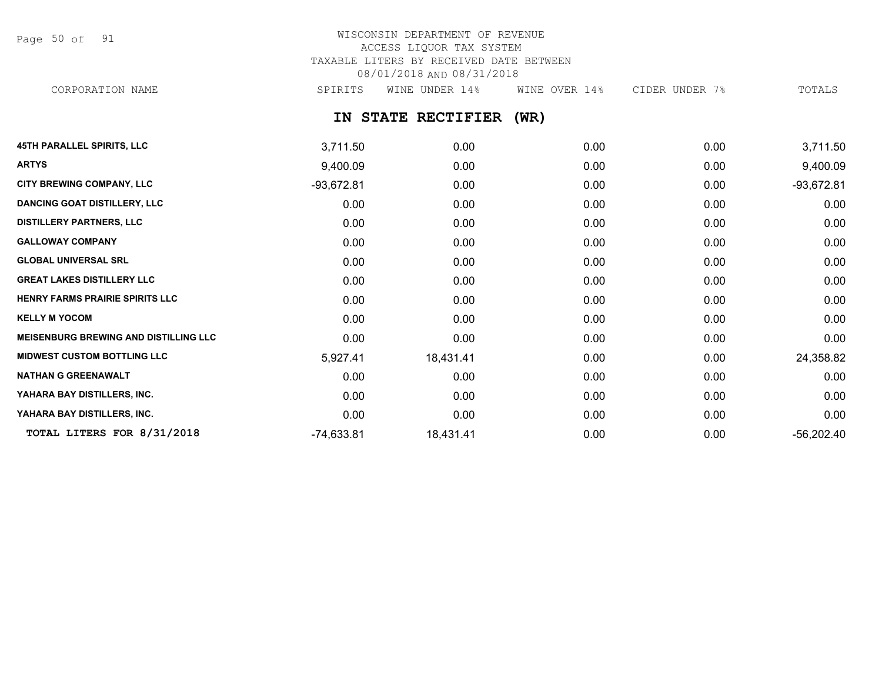Page 50 of 91

# WISCONSIN DEPARTMENT OF REVENUE ACCESS LIQUOR TAX SYSTEM TAXABLE LITERS BY RECEIVED DATE BETWEEN 08/01/2018 AND 08/31/2018

CORPORATION NAME SPIRITS WINE UNDER 14% WINE OVER 14% CIDER UNDER 7% TOTALS

**IN STATE RECTIFIER (WR)**

| <b>45TH PARALLEL SPIRITS, LLC</b>            | 3,711.50     | 0.00      | 0.00 | 0.00 | 3,711.50     |
|----------------------------------------------|--------------|-----------|------|------|--------------|
| <b>ARTYS</b>                                 | 9,400.09     | 0.00      | 0.00 | 0.00 | 9,400.09     |
| <b>CITY BREWING COMPANY, LLC</b>             | $-93,672.81$ | 0.00      | 0.00 | 0.00 | $-93,672.81$ |
| <b>DANCING GOAT DISTILLERY, LLC</b>          | 0.00         | 0.00      | 0.00 | 0.00 | 0.00         |
| <b>DISTILLERY PARTNERS, LLC</b>              | 0.00         | 0.00      | 0.00 | 0.00 | 0.00         |
| <b>GALLOWAY COMPANY</b>                      | 0.00         | 0.00      | 0.00 | 0.00 | 0.00         |
| <b>GLOBAL UNIVERSAL SRL</b>                  | 0.00         | 0.00      | 0.00 | 0.00 | 0.00         |
| <b>GREAT LAKES DISTILLERY LLC</b>            | 0.00         | 0.00      | 0.00 | 0.00 | 0.00         |
| HENRY FARMS PRAIRIE SPIRITS LLC              | 0.00         | 0.00      | 0.00 | 0.00 | 0.00         |
| <b>KELLY M YOCOM</b>                         | 0.00         | 0.00      | 0.00 | 0.00 | 0.00         |
| <b>MEISENBURG BREWING AND DISTILLING LLC</b> | 0.00         | 0.00      | 0.00 | 0.00 | 0.00         |
| <b>MIDWEST CUSTOM BOTTLING LLC</b>           | 5,927.41     | 18,431.41 | 0.00 | 0.00 | 24,358.82    |
| <b>NATHAN G GREENAWALT</b>                   | 0.00         | 0.00      | 0.00 | 0.00 | 0.00         |
| YAHARA BAY DISTILLERS, INC.                  | 0.00         | 0.00      | 0.00 | 0.00 | 0.00         |
| YAHARA BAY DISTILLERS, INC.                  | 0.00         | 0.00      | 0.00 | 0.00 | 0.00         |
| TOTAL LITERS FOR 8/31/2018                   | $-74,633.81$ | 18,431.41 | 0.00 | 0.00 | $-56,202.40$ |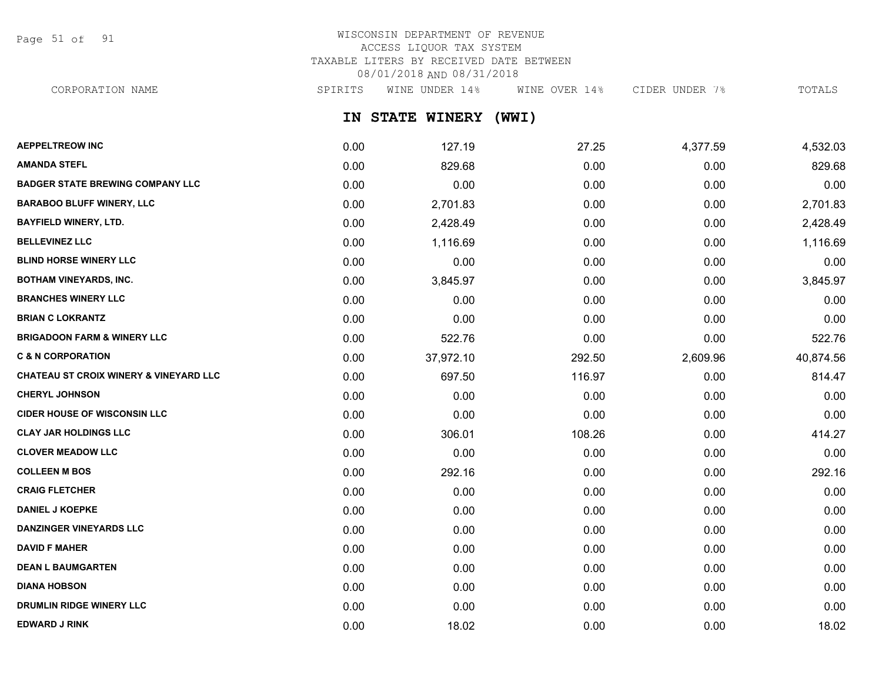Page 51 of 91

# WISCONSIN DEPARTMENT OF REVENUE ACCESS LIQUOR TAX SYSTEM TAXABLE LITERS BY RECEIVED DATE BETWEEN 08/01/2018 AND 08/31/2018

CORPORATION NAME SPIRITS WINE UNDER 14% WINE OVER 14% CIDER UNDER 7% TOTALS

**IN STATE WINERY (WWI)**

| <b>AEPPELTREOW INC</b>                  | 0.00 | 127.19    | 27.25  | 4,377.59 | 4,532.03  |
|-----------------------------------------|------|-----------|--------|----------|-----------|
| <b>AMANDA STEFL</b>                     | 0.00 | 829.68    | 0.00   | 0.00     | 829.68    |
| <b>BADGER STATE BREWING COMPANY LLC</b> | 0.00 | 0.00      | 0.00   | 0.00     | 0.00      |
| <b>BARABOO BLUFF WINERY, LLC</b>        | 0.00 | 2,701.83  | 0.00   | 0.00     | 2,701.83  |
| <b>BAYFIELD WINERY, LTD.</b>            | 0.00 | 2,428.49  | 0.00   | 0.00     | 2,428.49  |
| <b>BELLEVINEZ LLC</b>                   | 0.00 | 1,116.69  | 0.00   | 0.00     | 1,116.69  |
| <b>BLIND HORSE WINERY LLC</b>           | 0.00 | 0.00      | 0.00   | 0.00     | 0.00      |
| <b>BOTHAM VINEYARDS, INC.</b>           | 0.00 | 3,845.97  | 0.00   | 0.00     | 3,845.97  |
| <b>BRANCHES WINERY LLC</b>              | 0.00 | 0.00      | 0.00   | 0.00     | 0.00      |
| <b>BRIAN C LOKRANTZ</b>                 | 0.00 | 0.00      | 0.00   | 0.00     | 0.00      |
| <b>BRIGADOON FARM &amp; WINERY LLC</b>  | 0.00 | 522.76    | 0.00   | 0.00     | 522.76    |
| <b>C &amp; N CORPORATION</b>            | 0.00 | 37,972.10 | 292.50 | 2,609.96 | 40,874.56 |
| CHATEAU ST CROIX WINERY & VINEYARD LLC  | 0.00 | 697.50    | 116.97 | 0.00     | 814.47    |
| <b>CHERYL JOHNSON</b>                   | 0.00 | 0.00      | 0.00   | 0.00     | 0.00      |
| <b>CIDER HOUSE OF WISCONSIN LLC</b>     | 0.00 | 0.00      | 0.00   | 0.00     | 0.00      |
| <b>CLAY JAR HOLDINGS LLC</b>            | 0.00 | 306.01    | 108.26 | 0.00     | 414.27    |
| <b>CLOVER MEADOW LLC</b>                | 0.00 | 0.00      | 0.00   | 0.00     | 0.00      |
| <b>COLLEEN M BOS</b>                    | 0.00 | 292.16    | 0.00   | 0.00     | 292.16    |
| <b>CRAIG FLETCHER</b>                   | 0.00 | 0.00      | 0.00   | 0.00     | 0.00      |
| <b>DANIEL J KOEPKE</b>                  | 0.00 | 0.00      | 0.00   | 0.00     | 0.00      |
| <b>DANZINGER VINEYARDS LLC</b>          | 0.00 | 0.00      | 0.00   | 0.00     | 0.00      |
| <b>DAVID F MAHER</b>                    | 0.00 | 0.00      | 0.00   | 0.00     | 0.00      |
| <b>DEAN L BAUMGARTEN</b>                | 0.00 | 0.00      | 0.00   | 0.00     | 0.00      |
| <b>DIANA HOBSON</b>                     | 0.00 | 0.00      | 0.00   | 0.00     | 0.00      |
| <b>DRUMLIN RIDGE WINERY LLC</b>         | 0.00 | 0.00      | 0.00   | 0.00     | 0.00      |
| <b>EDWARD J RINK</b>                    | 0.00 | 18.02     | 0.00   | 0.00     | 18.02     |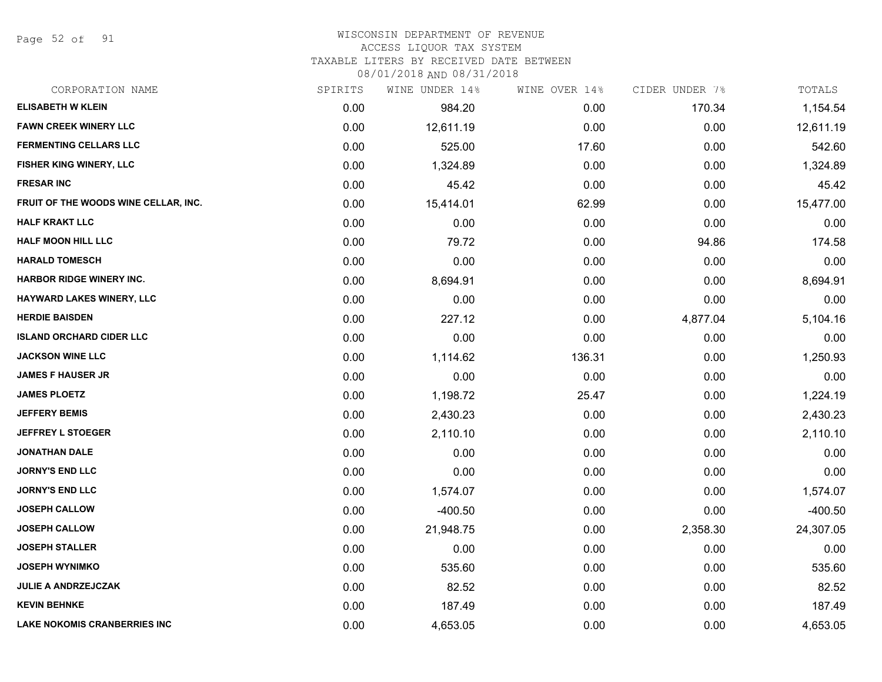Page 52 of 91

## WISCONSIN DEPARTMENT OF REVENUE

#### ACCESS LIQUOR TAX SYSTEM

TAXABLE LITERS BY RECEIVED DATE BETWEEN

| CORPORATION NAME                     | SPIRITS | WINE UNDER 14% | WINE OVER 14% | CIDER UNDER 7% | TOTALS    |
|--------------------------------------|---------|----------------|---------------|----------------|-----------|
| <b>ELISABETH W KLEIN</b>             | 0.00    | 984.20         | 0.00          | 170.34         | 1,154.54  |
| <b>FAWN CREEK WINERY LLC</b>         | 0.00    | 12,611.19      | 0.00          | 0.00           | 12,611.19 |
| <b>FERMENTING CELLARS LLC</b>        | 0.00    | 525.00         | 17.60         | 0.00           | 542.60    |
| FISHER KING WINERY, LLC              | 0.00    | 1,324.89       | 0.00          | 0.00           | 1,324.89  |
| <b>FRESAR INC</b>                    | 0.00    | 45.42          | 0.00          | 0.00           | 45.42     |
| FRUIT OF THE WOODS WINE CELLAR, INC. | 0.00    | 15,414.01      | 62.99         | 0.00           | 15,477.00 |
| <b>HALF KRAKT LLC</b>                | 0.00    | 0.00           | 0.00          | 0.00           | 0.00      |
| <b>HALF MOON HILL LLC</b>            | 0.00    | 79.72          | 0.00          | 94.86          | 174.58    |
| <b>HARALD TOMESCH</b>                | 0.00    | 0.00           | 0.00          | 0.00           | 0.00      |
| <b>HARBOR RIDGE WINERY INC.</b>      | 0.00    | 8,694.91       | 0.00          | 0.00           | 8,694.91  |
| <b>HAYWARD LAKES WINERY, LLC</b>     | 0.00    | 0.00           | 0.00          | 0.00           | 0.00      |
| <b>HERDIE BAISDEN</b>                | 0.00    | 227.12         | 0.00          | 4,877.04       | 5,104.16  |
| <b>ISLAND ORCHARD CIDER LLC</b>      | 0.00    | 0.00           | 0.00          | 0.00           | 0.00      |
| <b>JACKSON WINE LLC</b>              | 0.00    | 1,114.62       | 136.31        | 0.00           | 1,250.93  |
| <b>JAMES F HAUSER JR</b>             | 0.00    | 0.00           | 0.00          | 0.00           | 0.00      |
| <b>JAMES PLOETZ</b>                  | 0.00    | 1,198.72       | 25.47         | 0.00           | 1,224.19  |
| <b>JEFFERY BEMIS</b>                 | 0.00    | 2,430.23       | 0.00          | 0.00           | 2,430.23  |
| <b>JEFFREY L STOEGER</b>             | 0.00    | 2,110.10       | 0.00          | 0.00           | 2,110.10  |
| <b>JONATHAN DALE</b>                 | 0.00    | 0.00           | 0.00          | 0.00           | 0.00      |
| <b>JORNY'S END LLC</b>               | 0.00    | 0.00           | 0.00          | 0.00           | 0.00      |
| <b>JORNY'S END LLC</b>               | 0.00    | 1,574.07       | 0.00          | 0.00           | 1,574.07  |
| <b>JOSEPH CALLOW</b>                 | 0.00    | $-400.50$      | 0.00          | 0.00           | $-400.50$ |
| <b>JOSEPH CALLOW</b>                 | 0.00    | 21,948.75      | 0.00          | 2,358.30       | 24,307.05 |
| <b>JOSEPH STALLER</b>                | 0.00    | 0.00           | 0.00          | 0.00           | 0.00      |
| <b>JOSEPH WYNIMKO</b>                | 0.00    | 535.60         | 0.00          | 0.00           | 535.60    |
| <b>JULIE A ANDRZEJCZAK</b>           | 0.00    | 82.52          | 0.00          | 0.00           | 82.52     |
| <b>KEVIN BEHNKE</b>                  | 0.00    | 187.49         | 0.00          | 0.00           | 187.49    |
| <b>LAKE NOKOMIS CRANBERRIES INC</b>  | 0.00    | 4,653.05       | 0.00          | 0.00           | 4,653.05  |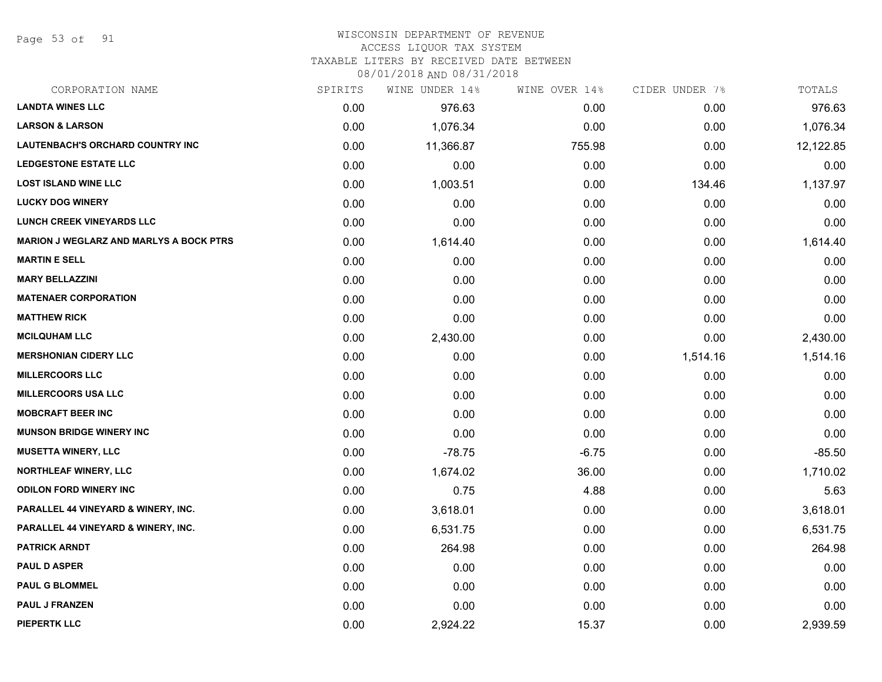Page 53 of 91

# WISCONSIN DEPARTMENT OF REVENUE

## ACCESS LIQUOR TAX SYSTEM

TAXABLE LITERS BY RECEIVED DATE BETWEEN

| CORPORATION NAME                               | SPIRITS | WINE UNDER 14% | WINE OVER 14% | CIDER UNDER 7% | TOTALS    |
|------------------------------------------------|---------|----------------|---------------|----------------|-----------|
| <b>LANDTA WINES LLC</b>                        | 0.00    | 976.63         | 0.00          | 0.00           | 976.63    |
| <b>LARSON &amp; LARSON</b>                     | 0.00    | 1,076.34       | 0.00          | 0.00           | 1,076.34  |
| <b>LAUTENBACH'S ORCHARD COUNTRY INC</b>        | 0.00    | 11,366.87      | 755.98        | 0.00           | 12,122.85 |
| <b>LEDGESTONE ESTATE LLC</b>                   | 0.00    | 0.00           | 0.00          | 0.00           | 0.00      |
| <b>LOST ISLAND WINE LLC</b>                    | 0.00    | 1,003.51       | 0.00          | 134.46         | 1,137.97  |
| <b>LUCKY DOG WINERY</b>                        | 0.00    | 0.00           | 0.00          | 0.00           | 0.00      |
| <b>LUNCH CREEK VINEYARDS LLC</b>               | 0.00    | 0.00           | 0.00          | 0.00           | 0.00      |
| <b>MARION J WEGLARZ AND MARLYS A BOCK PTRS</b> | 0.00    | 1,614.40       | 0.00          | 0.00           | 1,614.40  |
| <b>MARTIN E SELL</b>                           | 0.00    | 0.00           | 0.00          | 0.00           | 0.00      |
| <b>MARY BELLAZZINI</b>                         | 0.00    | 0.00           | 0.00          | 0.00           | 0.00      |
| <b>MATENAER CORPORATION</b>                    | 0.00    | 0.00           | 0.00          | 0.00           | 0.00      |
| <b>MATTHEW RICK</b>                            | 0.00    | 0.00           | 0.00          | 0.00           | 0.00      |
| <b>MCILQUHAM LLC</b>                           | 0.00    | 2,430.00       | 0.00          | 0.00           | 2,430.00  |
| <b>MERSHONIAN CIDERY LLC</b>                   | 0.00    | 0.00           | 0.00          | 1,514.16       | 1,514.16  |
| <b>MILLERCOORS LLC</b>                         | 0.00    | 0.00           | 0.00          | 0.00           | 0.00      |
| <b>MILLERCOORS USA LLC</b>                     | 0.00    | 0.00           | 0.00          | 0.00           | 0.00      |
| <b>MOBCRAFT BEER INC</b>                       | 0.00    | 0.00           | 0.00          | 0.00           | 0.00      |
| <b>MUNSON BRIDGE WINERY INC</b>                | 0.00    | 0.00           | 0.00          | 0.00           | 0.00      |
| <b>MUSETTA WINERY, LLC</b>                     | 0.00    | $-78.75$       | $-6.75$       | 0.00           | $-85.50$  |
| <b>NORTHLEAF WINERY, LLC</b>                   | 0.00    | 1,674.02       | 36.00         | 0.00           | 1,710.02  |
| <b>ODILON FORD WINERY INC</b>                  | 0.00    | 0.75           | 4.88          | 0.00           | 5.63      |
| PARALLEL 44 VINEYARD & WINERY, INC.            | 0.00    | 3,618.01       | 0.00          | 0.00           | 3,618.01  |
| PARALLEL 44 VINEYARD & WINERY, INC.            | 0.00    | 6,531.75       | 0.00          | 0.00           | 6,531.75  |
| <b>PATRICK ARNDT</b>                           | 0.00    | 264.98         | 0.00          | 0.00           | 264.98    |
| <b>PAUL D ASPER</b>                            | 0.00    | 0.00           | 0.00          | 0.00           | 0.00      |
| <b>PAUL G BLOMMEL</b>                          | 0.00    | 0.00           | 0.00          | 0.00           | 0.00      |
| <b>PAUL J FRANZEN</b>                          | 0.00    | 0.00           | 0.00          | 0.00           | 0.00      |
| <b>PIEPERTK LLC</b>                            | 0.00    | 2,924.22       | 15.37         | 0.00           | 2,939.59  |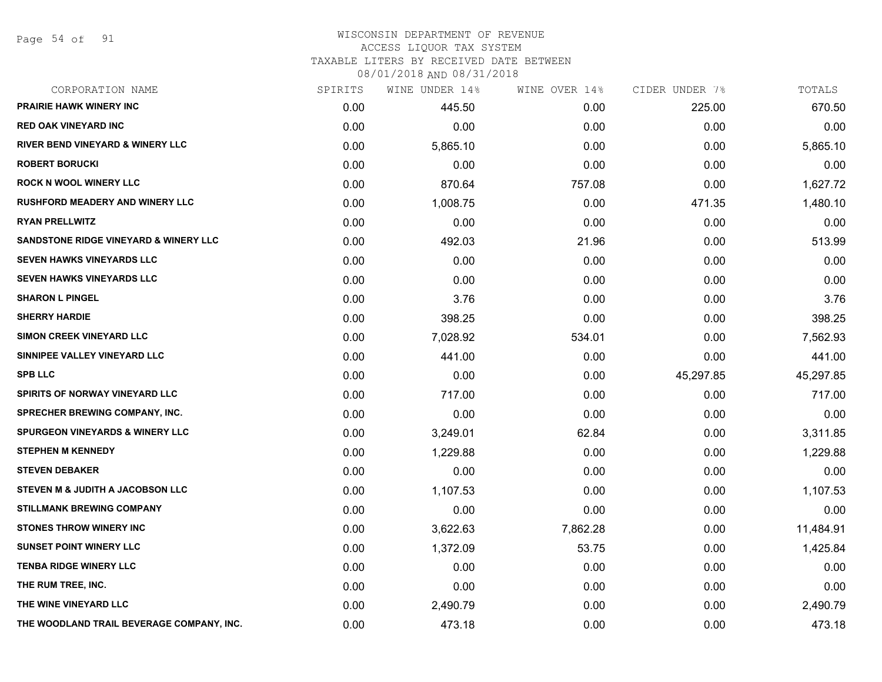Page 54 of 91

#### WISCONSIN DEPARTMENT OF REVENUE ACCESS LIQUOR TAX SYSTEM

TAXABLE LITERS BY RECEIVED DATE BETWEEN

| CORPORATION NAME                                 | SPIRITS | WINE UNDER 14% | WINE OVER 14% | CIDER UNDER 7% | TOTALS    |
|--------------------------------------------------|---------|----------------|---------------|----------------|-----------|
| <b>PRAIRIE HAWK WINERY INC</b>                   | 0.00    | 445.50         | 0.00          | 225.00         | 670.50    |
| <b>RED OAK VINEYARD INC</b>                      | 0.00    | 0.00           | 0.00          | 0.00           | 0.00      |
| <b>RIVER BEND VINEYARD &amp; WINERY LLC</b>      | 0.00    | 5,865.10       | 0.00          | 0.00           | 5,865.10  |
| <b>ROBERT BORUCKI</b>                            | 0.00    | 0.00           | 0.00          | 0.00           | 0.00      |
| <b>ROCK N WOOL WINERY LLC</b>                    | 0.00    | 870.64         | 757.08        | 0.00           | 1,627.72  |
| <b>RUSHFORD MEADERY AND WINERY LLC</b>           | 0.00    | 1,008.75       | 0.00          | 471.35         | 1,480.10  |
| <b>RYAN PRELLWITZ</b>                            | 0.00    | 0.00           | 0.00          | 0.00           | 0.00      |
| <b>SANDSTONE RIDGE VINEYARD &amp; WINERY LLC</b> | 0.00    | 492.03         | 21.96         | 0.00           | 513.99    |
| <b>SEVEN HAWKS VINEYARDS LLC</b>                 | 0.00    | 0.00           | 0.00          | 0.00           | 0.00      |
| SEVEN HAWKS VINEYARDS LLC                        | 0.00    | 0.00           | 0.00          | 0.00           | 0.00      |
| <b>SHARON L PINGEL</b>                           | 0.00    | 3.76           | 0.00          | 0.00           | 3.76      |
| <b>SHERRY HARDIE</b>                             | 0.00    | 398.25         | 0.00          | 0.00           | 398.25    |
| SIMON CREEK VINEYARD LLC                         | 0.00    | 7,028.92       | 534.01        | 0.00           | 7,562.93  |
| SINNIPEE VALLEY VINEYARD LLC                     | 0.00    | 441.00         | 0.00          | 0.00           | 441.00    |
| <b>SPB LLC</b>                                   | 0.00    | 0.00           | 0.00          | 45,297.85      | 45,297.85 |
| SPIRITS OF NORWAY VINEYARD LLC                   | 0.00    | 717.00         | 0.00          | 0.00           | 717.00    |
| <b>SPRECHER BREWING COMPANY, INC.</b>            | 0.00    | 0.00           | 0.00          | 0.00           | 0.00      |
| <b>SPURGEON VINEYARDS &amp; WINERY LLC</b>       | 0.00    | 3,249.01       | 62.84         | 0.00           | 3,311.85  |
| <b>STEPHEN M KENNEDY</b>                         | 0.00    | 1,229.88       | 0.00          | 0.00           | 1,229.88  |
| <b>STEVEN DEBAKER</b>                            | 0.00    | 0.00           | 0.00          | 0.00           | 0.00      |
| STEVEN M & JUDITH A JACOBSON LLC                 | 0.00    | 1,107.53       | 0.00          | 0.00           | 1,107.53  |
| <b>STILLMANK BREWING COMPANY</b>                 | 0.00    | 0.00           | 0.00          | 0.00           | 0.00      |
| <b>STONES THROW WINERY INC</b>                   | 0.00    | 3,622.63       | 7,862.28      | 0.00           | 11,484.91 |
| <b>SUNSET POINT WINERY LLC</b>                   | 0.00    | 1,372.09       | 53.75         | 0.00           | 1,425.84  |
| <b>TENBA RIDGE WINERY LLC</b>                    | 0.00    | 0.00           | 0.00          | 0.00           | 0.00      |
| THE RUM TREE, INC.                               | 0.00    | 0.00           | 0.00          | 0.00           | 0.00      |
| THE WINE VINEYARD LLC                            | 0.00    | 2,490.79       | 0.00          | 0.00           | 2,490.79  |
| THE WOODLAND TRAIL BEVERAGE COMPANY, INC.        | 0.00    | 473.18         | 0.00          | 0.00           | 473.18    |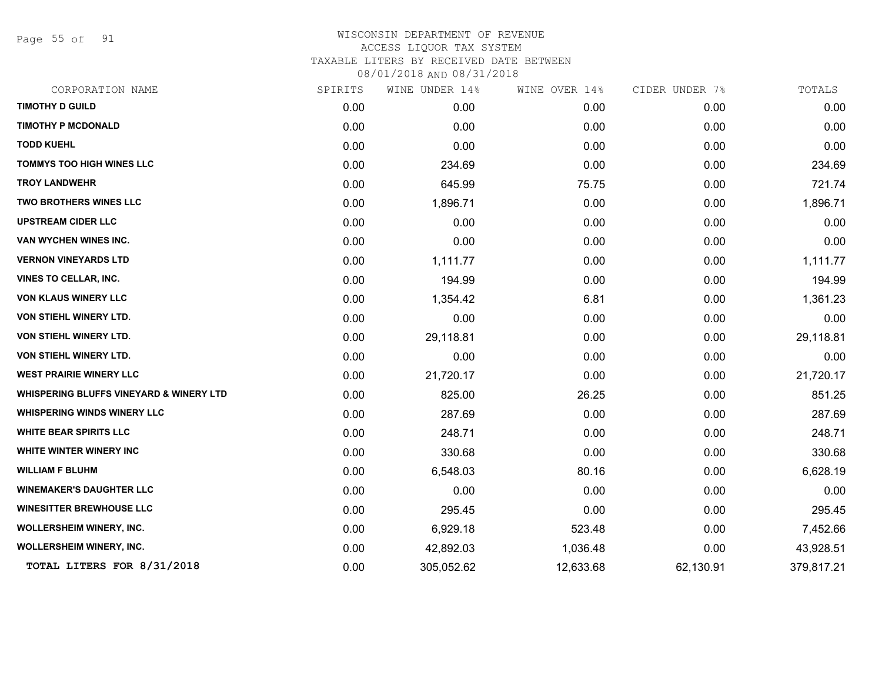Page 55 of 91

| CORPORATION NAME                                   | SPIRITS | WINE UNDER 14% | WINE OVER 14% | CIDER UNDER 7% | TOTALS     |
|----------------------------------------------------|---------|----------------|---------------|----------------|------------|
| <b>TIMOTHY D GUILD</b>                             | 0.00    | 0.00           | 0.00          | 0.00           | 0.00       |
| <b>TIMOTHY P MCDONALD</b>                          | 0.00    | 0.00           | 0.00          | 0.00           | 0.00       |
| <b>TODD KUEHL</b>                                  | 0.00    | 0.00           | 0.00          | 0.00           | 0.00       |
| <b>TOMMYS TOO HIGH WINES LLC</b>                   | 0.00    | 234.69         | 0.00          | 0.00           | 234.69     |
| <b>TROY LANDWEHR</b>                               | 0.00    | 645.99         | 75.75         | 0.00           | 721.74     |
| TWO BROTHERS WINES LLC                             | 0.00    | 1,896.71       | 0.00          | 0.00           | 1,896.71   |
| <b>UPSTREAM CIDER LLC</b>                          | 0.00    | 0.00           | 0.00          | 0.00           | 0.00       |
| VAN WYCHEN WINES INC.                              | 0.00    | 0.00           | 0.00          | 0.00           | 0.00       |
| <b>VERNON VINEYARDS LTD</b>                        | 0.00    | 1,111.77       | 0.00          | 0.00           | 1,111.77   |
| VINES TO CELLAR, INC.                              | 0.00    | 194.99         | 0.00          | 0.00           | 194.99     |
| VON KLAUS WINERY LLC                               | 0.00    | 1,354.42       | 6.81          | 0.00           | 1,361.23   |
| VON STIEHL WINERY LTD.                             | 0.00    | 0.00           | 0.00          | 0.00           | 0.00       |
| VON STIEHL WINERY LTD.                             | 0.00    | 29,118.81      | 0.00          | 0.00           | 29,118.81  |
| <b>VON STIEHL WINERY LTD.</b>                      | 0.00    | 0.00           | 0.00          | 0.00           | 0.00       |
| <b>WEST PRAIRIE WINERY LLC</b>                     | 0.00    | 21,720.17      | 0.00          | 0.00           | 21,720.17  |
| <b>WHISPERING BLUFFS VINEYARD &amp; WINERY LTD</b> | 0.00    | 825.00         | 26.25         | 0.00           | 851.25     |
| <b>WHISPERING WINDS WINERY LLC</b>                 | 0.00    | 287.69         | 0.00          | 0.00           | 287.69     |
| <b>WHITE BEAR SPIRITS LLC</b>                      | 0.00    | 248.71         | 0.00          | 0.00           | 248.71     |
| <b>WHITE WINTER WINERY INC</b>                     | 0.00    | 330.68         | 0.00          | 0.00           | 330.68     |
| <b>WILLIAM F BLUHM</b>                             | 0.00    | 6,548.03       | 80.16         | 0.00           | 6,628.19   |
| <b>WINEMAKER'S DAUGHTER LLC</b>                    | 0.00    | 0.00           | 0.00          | 0.00           | 0.00       |
| <b>WINESITTER BREWHOUSE LLC</b>                    | 0.00    | 295.45         | 0.00          | 0.00           | 295.45     |
| WOLLERSHEIM WINERY, INC.                           | 0.00    | 6,929.18       | 523.48        | 0.00           | 7,452.66   |
| <b>WOLLERSHEIM WINERY, INC.</b>                    | 0.00    | 42,892.03      | 1,036.48      | 0.00           | 43,928.51  |
| TOTAL LITERS FOR 8/31/2018                         | 0.00    | 305,052.62     | 12,633.68     | 62,130.91      | 379,817.21 |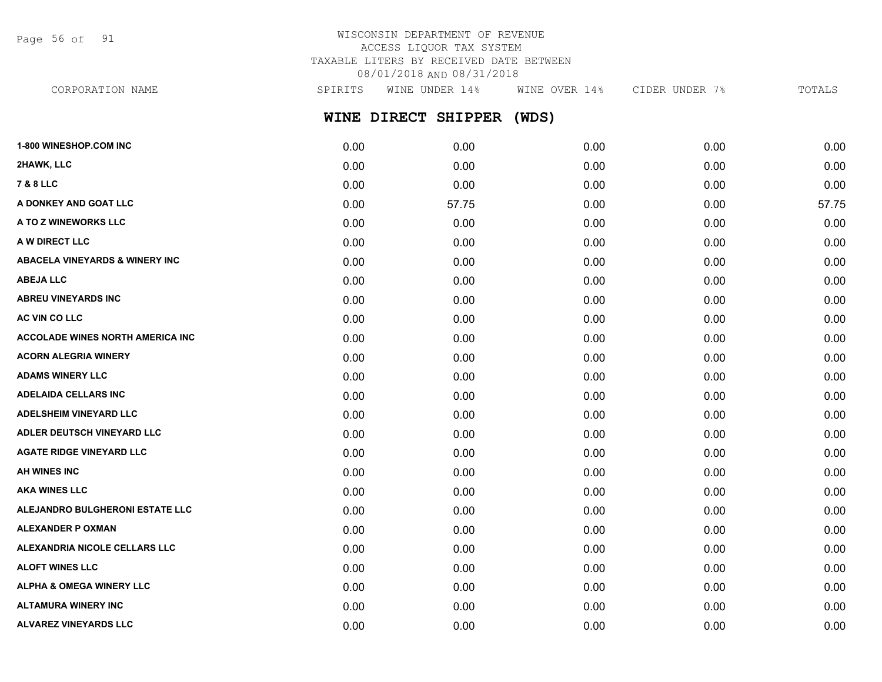Page 56 of 91

## WISCONSIN DEPARTMENT OF REVENUE ACCESS LIQUOR TAX SYSTEM TAXABLE LITERS BY RECEIVED DATE BETWEEN 08/01/2018 AND 08/31/2018

**WINE DIRECT SHIPPER (WDS) 1-800 WINESHOP.COM INC** 0.00 0.00 0.00 0.00 0.00 **2HAWK, LLC** 0.00 0.00 0.00 0.00 0.00 **7 & 8 LLC** 0.00 0.00 0.00 0.00 0.00 CORPORATION NAME SPIRITS WINE UNDER 14% WINE OVER 14% CIDER UNDER 7% TOTALS

**A DONKEY AND GOAT LLC** 0.00 57.75 0.00 0.00 57.75 **A TO Z WINEWORKS LLC** 0.00 0.00 0.00 0.00 0.00 **A W DIRECT LLC** 0.00 0.00 0.00 0.00 0.00 **ABACELA VINEYARDS & WINERY INC** 0.00 0.00 0.00 0.00 0.00 **ABEJA LLC** 0.00 0.00 0.00 0.00 0.00 **ABREU VINEYARDS INC** 0.00 0.00 0.00 0.00 0.00 **AC VIN CO LLC** 0.00 0.00 0.00 0.00 0.00 **ACCOLADE WINES NORTH AMERICA INC** 0.00 0.00 0.00 0.00 0.00 **ACORN ALEGRIA WINERY** 0.00 0.00 0.00 0.00 0.00 **ADAMS WINERY LLC** 0.00 0.00 0.00 0.00 0.00 **ADELAIDA CELLARS INC** 0.00 0.00 0.00 0.00 0.00 **ADELSHEIM VINEYARD LLC** 0.00 0.00 0.00 0.00 0.00 **ADLER DEUTSCH VINEYARD LLC** 0.00 0.00 0.00 0.00 0.00 **AGATE RIDGE VINEYARD LLC** 0.00 0.00 0.00 0.00 0.00 **AH WINES INC** 0.00 0.00 0.00 0.00 0.00 **AKA WINES LLC** 0.00 0.00 0.00 0.00 0.00 **ALEJANDRO BULGHERONI ESTATE LLC** 0.00 0.00 0.00 0.00 0.00 **ALEXANDER P OXMAN** 0.00 0.00 0.00 0.00 0.00 **ALEXANDRIA NICOLE CELLARS LLC** 0.00 0.00 0.00 0.00 0.00 **ALOFT WINES LLC** 0.00 0.00 0.00 0.00 0.00

**ALPHA & OMEGA WINERY LLC**  $\begin{array}{ccc} 0.00 & 0.00 & 0.00 & 0.00 & 0.00 & 0.00 \end{array}$ **ALTAMURA WINERY INC** 0.00 0.00 0.00 0.00 0.00 **ALVAREZ VINEYARDS LLC** 0.00 0.00 0.00 0.00 0.00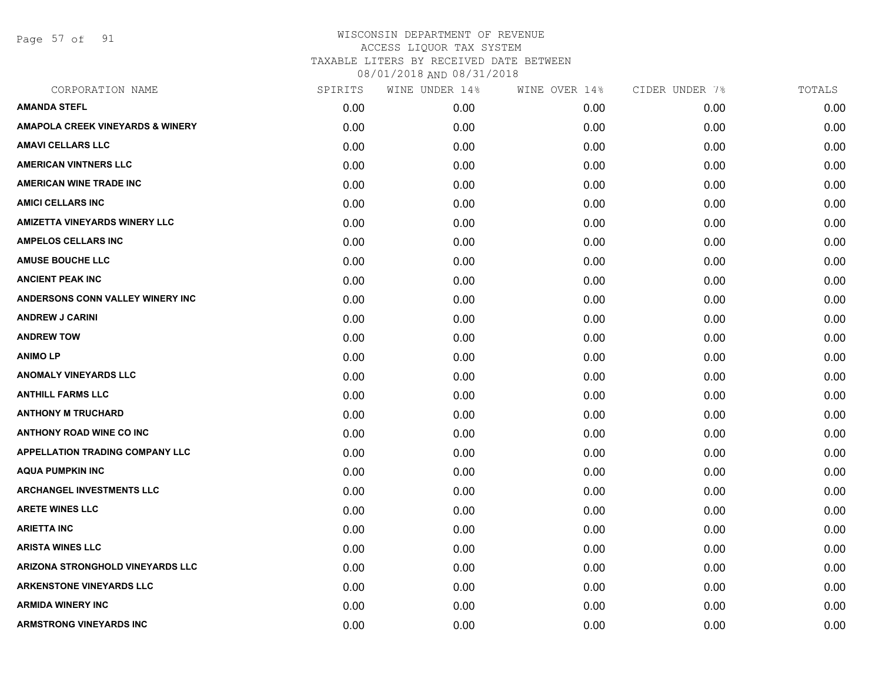Page 57 of 91

| CORPORATION NAME                        | SPIRITS | WINE UNDER 14% | WINE OVER 14% | CIDER UNDER 7% | TOTALS |
|-----------------------------------------|---------|----------------|---------------|----------------|--------|
| <b>AMANDA STEFL</b>                     | 0.00    | 0.00           | 0.00          | 0.00           | 0.00   |
| AMAPOLA CREEK VINEYARDS & WINERY        | 0.00    | 0.00           | 0.00          | 0.00           | 0.00   |
| <b>AMAVI CELLARS LLC</b>                | 0.00    | 0.00           | 0.00          | 0.00           | 0.00   |
| <b>AMERICAN VINTNERS LLC</b>            | 0.00    | 0.00           | 0.00          | 0.00           | 0.00   |
| AMERICAN WINE TRADE INC                 | 0.00    | 0.00           | 0.00          | 0.00           | 0.00   |
| <b>AMICI CELLARS INC</b>                | 0.00    | 0.00           | 0.00          | 0.00           | 0.00   |
| <b>AMIZETTA VINEYARDS WINERY LLC</b>    | 0.00    | 0.00           | 0.00          | 0.00           | 0.00   |
| <b>AMPELOS CELLARS INC</b>              | 0.00    | 0.00           | 0.00          | 0.00           | 0.00   |
| <b>AMUSE BOUCHE LLC</b>                 | 0.00    | 0.00           | 0.00          | 0.00           | 0.00   |
| <b>ANCIENT PEAK INC</b>                 | 0.00    | 0.00           | 0.00          | 0.00           | 0.00   |
| <b>ANDERSONS CONN VALLEY WINERY INC</b> | 0.00    | 0.00           | 0.00          | 0.00           | 0.00   |
| <b>ANDREW J CARINI</b>                  | 0.00    | 0.00           | 0.00          | 0.00           | 0.00   |
| <b>ANDREW TOW</b>                       | 0.00    | 0.00           | 0.00          | 0.00           | 0.00   |
| <b>ANIMO LP</b>                         | 0.00    | 0.00           | 0.00          | 0.00           | 0.00   |
| <b>ANOMALY VINEYARDS LLC</b>            | 0.00    | 0.00           | 0.00          | 0.00           | 0.00   |
| <b>ANTHILL FARMS LLC</b>                | 0.00    | 0.00           | 0.00          | 0.00           | 0.00   |
| <b>ANTHONY M TRUCHARD</b>               | 0.00    | 0.00           | 0.00          | 0.00           | 0.00   |
| <b>ANTHONY ROAD WINE CO INC</b>         | 0.00    | 0.00           | 0.00          | 0.00           | 0.00   |
| APPELLATION TRADING COMPANY LLC         | 0.00    | 0.00           | 0.00          | 0.00           | 0.00   |
| <b>AQUA PUMPKIN INC</b>                 | 0.00    | 0.00           | 0.00          | 0.00           | 0.00   |
| <b>ARCHANGEL INVESTMENTS LLC</b>        | 0.00    | 0.00           | 0.00          | 0.00           | 0.00   |
| <b>ARETE WINES LLC</b>                  | 0.00    | 0.00           | 0.00          | 0.00           | 0.00   |
| <b>ARIETTA INC</b>                      | 0.00    | 0.00           | 0.00          | 0.00           | 0.00   |
| <b>ARISTA WINES LLC</b>                 | 0.00    | 0.00           | 0.00          | 0.00           | 0.00   |
| ARIZONA STRONGHOLD VINEYARDS LLC        | 0.00    | 0.00           | 0.00          | 0.00           | 0.00   |
| <b>ARKENSTONE VINEYARDS LLC</b>         | 0.00    | 0.00           | 0.00          | 0.00           | 0.00   |
| <b>ARMIDA WINERY INC</b>                | 0.00    | 0.00           | 0.00          | 0.00           | 0.00   |
| <b>ARMSTRONG VINEYARDS INC</b>          | 0.00    | 0.00           | 0.00          | 0.00           | 0.00   |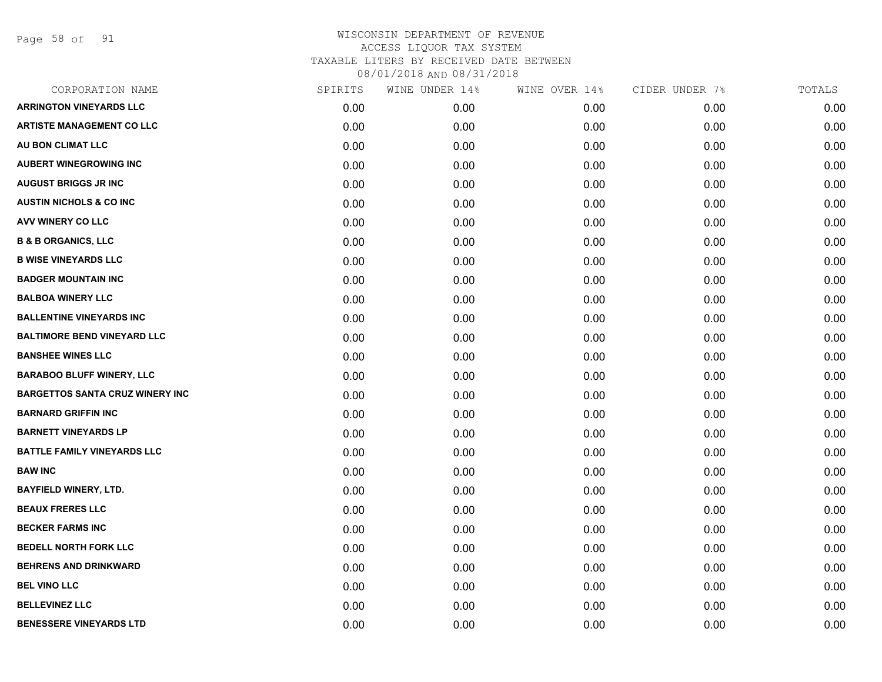Page 58 of 91

| CORPORATION NAME                       | SPIRITS | WINE UNDER 14% | WINE OVER 14% | CIDER UNDER 7% | TOTALS |
|----------------------------------------|---------|----------------|---------------|----------------|--------|
| <b>ARRINGTON VINEYARDS LLC</b>         | 0.00    | 0.00           | 0.00          | 0.00           | 0.00   |
| <b>ARTISTE MANAGEMENT CO LLC</b>       | 0.00    | 0.00           | 0.00          | 0.00           | 0.00   |
| AU BON CLIMAT LLC                      | 0.00    | 0.00           | 0.00          | 0.00           | 0.00   |
| <b>AUBERT WINEGROWING INC</b>          | 0.00    | 0.00           | 0.00          | 0.00           | 0.00   |
| <b>AUGUST BRIGGS JR INC</b>            | 0.00    | 0.00           | 0.00          | 0.00           | 0.00   |
| <b>AUSTIN NICHOLS &amp; CO INC</b>     | 0.00    | 0.00           | 0.00          | 0.00           | 0.00   |
| AVV WINERY CO LLC                      | 0.00    | 0.00           | 0.00          | 0.00           | 0.00   |
| <b>B &amp; B ORGANICS, LLC</b>         | 0.00    | 0.00           | 0.00          | 0.00           | 0.00   |
| <b>B WISE VINEYARDS LLC</b>            | 0.00    | 0.00           | 0.00          | 0.00           | 0.00   |
| <b>BADGER MOUNTAIN INC</b>             | 0.00    | 0.00           | 0.00          | 0.00           | 0.00   |
| <b>BALBOA WINERY LLC</b>               | 0.00    | 0.00           | 0.00          | 0.00           | 0.00   |
| <b>BALLENTINE VINEYARDS INC</b>        | 0.00    | 0.00           | 0.00          | 0.00           | 0.00   |
| <b>BALTIMORE BEND VINEYARD LLC</b>     | 0.00    | 0.00           | 0.00          | 0.00           | 0.00   |
| <b>BANSHEE WINES LLC</b>               | 0.00    | 0.00           | 0.00          | 0.00           | 0.00   |
| <b>BARABOO BLUFF WINERY, LLC</b>       | 0.00    | 0.00           | 0.00          | 0.00           | 0.00   |
| <b>BARGETTOS SANTA CRUZ WINERY INC</b> | 0.00    | 0.00           | 0.00          | 0.00           | 0.00   |
| <b>BARNARD GRIFFIN INC</b>             | 0.00    | 0.00           | 0.00          | 0.00           | 0.00   |
| <b>BARNETT VINEYARDS LP</b>            | 0.00    | 0.00           | 0.00          | 0.00           | 0.00   |
| <b>BATTLE FAMILY VINEYARDS LLC</b>     | 0.00    | 0.00           | 0.00          | 0.00           | 0.00   |
| <b>BAW INC</b>                         | 0.00    | 0.00           | 0.00          | 0.00           | 0.00   |
| <b>BAYFIELD WINERY, LTD.</b>           | 0.00    | 0.00           | 0.00          | 0.00           | 0.00   |
| <b>BEAUX FRERES LLC</b>                | 0.00    | 0.00           | 0.00          | 0.00           | 0.00   |
| <b>BECKER FARMS INC</b>                | 0.00    | 0.00           | 0.00          | 0.00           | 0.00   |
| <b>BEDELL NORTH FORK LLC</b>           | 0.00    | 0.00           | 0.00          | 0.00           | 0.00   |
| <b>BEHRENS AND DRINKWARD</b>           | 0.00    | 0.00           | 0.00          | 0.00           | 0.00   |
| <b>BEL VINO LLC</b>                    | 0.00    | 0.00           | 0.00          | 0.00           | 0.00   |
| <b>BELLEVINEZ LLC</b>                  | 0.00    | 0.00           | 0.00          | 0.00           | 0.00   |
| <b>BENESSERE VINEYARDS LTD</b>         | 0.00    | 0.00           | 0.00          | 0.00           | 0.00   |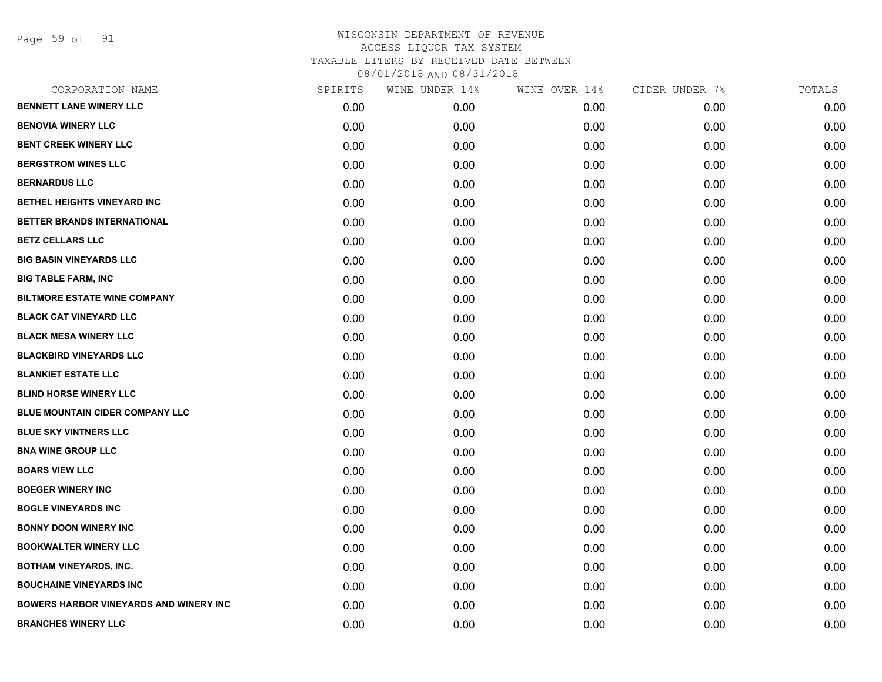Page 59 of 91

| SPIRITS | WINE UNDER 14% | WINE OVER 14% | CIDER UNDER 7% | TOTALS |
|---------|----------------|---------------|----------------|--------|
| 0.00    | 0.00           | 0.00          | 0.00           | 0.00   |
| 0.00    | 0.00           | 0.00          | 0.00           | 0.00   |
| 0.00    | 0.00           | 0.00          | 0.00           | 0.00   |
| 0.00    | 0.00           | 0.00          | 0.00           | 0.00   |
| 0.00    | 0.00           | 0.00          | 0.00           | 0.00   |
| 0.00    | 0.00           | 0.00          | 0.00           | 0.00   |
| 0.00    | 0.00           | 0.00          | 0.00           | 0.00   |
| 0.00    | 0.00           | 0.00          | 0.00           | 0.00   |
| 0.00    | 0.00           | 0.00          | 0.00           | 0.00   |
| 0.00    | 0.00           | 0.00          | 0.00           | 0.00   |
| 0.00    | 0.00           | 0.00          | 0.00           | 0.00   |
| 0.00    | 0.00           | 0.00          | 0.00           | 0.00   |
| 0.00    | 0.00           | 0.00          | 0.00           | 0.00   |
| 0.00    | 0.00           | 0.00          | 0.00           | 0.00   |
| 0.00    | 0.00           | 0.00          | 0.00           | 0.00   |
| 0.00    | 0.00           | 0.00          | 0.00           | 0.00   |
| 0.00    | 0.00           | 0.00          | 0.00           | 0.00   |
| 0.00    | 0.00           | 0.00          | 0.00           | 0.00   |
| 0.00    | 0.00           | 0.00          | 0.00           | 0.00   |
| 0.00    | 0.00           | 0.00          | 0.00           | 0.00   |
| 0.00    | 0.00           | 0.00          | 0.00           | 0.00   |
| 0.00    | 0.00           | 0.00          | 0.00           | 0.00   |
| 0.00    | 0.00           | 0.00          | 0.00           | 0.00   |
| 0.00    | 0.00           | 0.00          | 0.00           | 0.00   |
| 0.00    | 0.00           | 0.00          | 0.00           | 0.00   |
| 0.00    | 0.00           | 0.00          | 0.00           | 0.00   |
| 0.00    | 0.00           | 0.00          | 0.00           | 0.00   |
| 0.00    | 0.00           | 0.00          | 0.00           | 0.00   |
|         |                |               |                |        |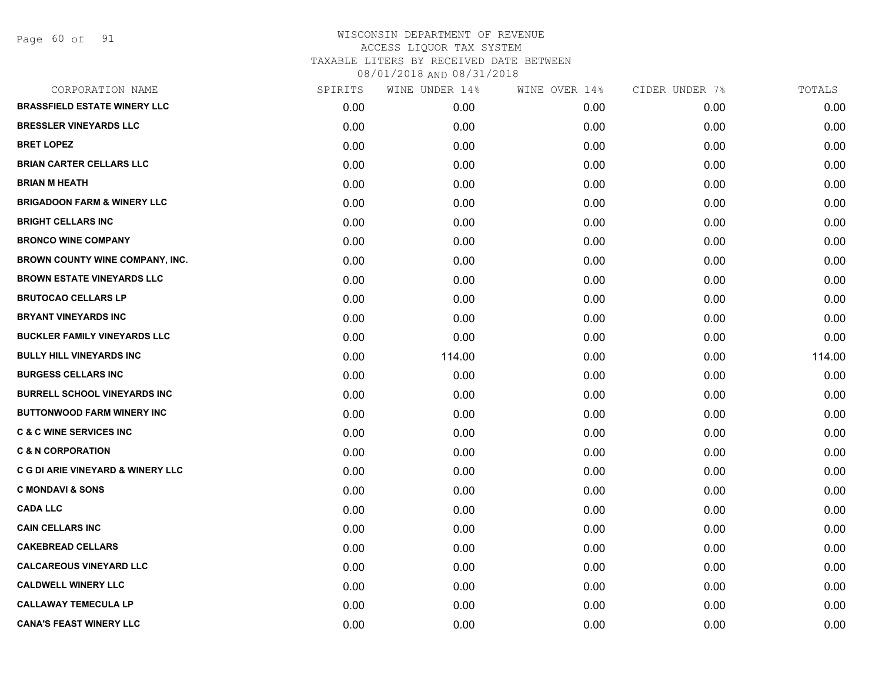Page 60 of 91

| CORPORATION NAME                       | SPIRITS | WINE UNDER 14% | WINE OVER 14% | CIDER UNDER 7% | TOTALS |
|----------------------------------------|---------|----------------|---------------|----------------|--------|
| <b>BRASSFIELD ESTATE WINERY LLC</b>    | 0.00    | 0.00           | 0.00          | 0.00           | 0.00   |
| <b>BRESSLER VINEYARDS LLC</b>          | 0.00    | 0.00           | 0.00          | 0.00           | 0.00   |
| <b>BRET LOPEZ</b>                      | 0.00    | 0.00           | 0.00          | 0.00           | 0.00   |
| <b>BRIAN CARTER CELLARS LLC</b>        | 0.00    | 0.00           | 0.00          | 0.00           | 0.00   |
| <b>BRIAN M HEATH</b>                   | 0.00    | 0.00           | 0.00          | 0.00           | 0.00   |
| <b>BRIGADOON FARM &amp; WINERY LLC</b> | 0.00    | 0.00           | 0.00          | 0.00           | 0.00   |
| <b>BRIGHT CELLARS INC</b>              | 0.00    | 0.00           | 0.00          | 0.00           | 0.00   |
| <b>BRONCO WINE COMPANY</b>             | 0.00    | 0.00           | 0.00          | 0.00           | 0.00   |
| BROWN COUNTY WINE COMPANY, INC.        | 0.00    | 0.00           | 0.00          | 0.00           | 0.00   |
| <b>BROWN ESTATE VINEYARDS LLC</b>      | 0.00    | 0.00           | 0.00          | 0.00           | 0.00   |
| <b>BRUTOCAO CELLARS LP</b>             | 0.00    | 0.00           | 0.00          | 0.00           | 0.00   |
| <b>BRYANT VINEYARDS INC</b>            | 0.00    | 0.00           | 0.00          | 0.00           | 0.00   |
| <b>BUCKLER FAMILY VINEYARDS LLC</b>    | 0.00    | 0.00           | 0.00          | 0.00           | 0.00   |
| <b>BULLY HILL VINEYARDS INC</b>        | 0.00    | 114.00         | 0.00          | 0.00           | 114.00 |
| <b>BURGESS CELLARS INC</b>             | 0.00    | 0.00           | 0.00          | 0.00           | 0.00   |
| <b>BURRELL SCHOOL VINEYARDS INC</b>    | 0.00    | 0.00           | 0.00          | 0.00           | 0.00   |
| <b>BUTTONWOOD FARM WINERY INC</b>      | 0.00    | 0.00           | 0.00          | 0.00           | 0.00   |
| <b>C &amp; C WINE SERVICES INC</b>     | 0.00    | 0.00           | 0.00          | 0.00           | 0.00   |
| <b>C &amp; N CORPORATION</b>           | 0.00    | 0.00           | 0.00          | 0.00           | 0.00   |
| C G DI ARIE VINEYARD & WINERY LLC      | 0.00    | 0.00           | 0.00          | 0.00           | 0.00   |
| <b>C MONDAVI &amp; SONS</b>            | 0.00    | 0.00           | 0.00          | 0.00           | 0.00   |
| <b>CADA LLC</b>                        | 0.00    | 0.00           | 0.00          | 0.00           | 0.00   |
| <b>CAIN CELLARS INC</b>                | 0.00    | 0.00           | 0.00          | 0.00           | 0.00   |
| <b>CAKEBREAD CELLARS</b>               | 0.00    | 0.00           | 0.00          | 0.00           | 0.00   |
| <b>CALCAREOUS VINEYARD LLC</b>         | 0.00    | 0.00           | 0.00          | 0.00           | 0.00   |
| <b>CALDWELL WINERY LLC</b>             | 0.00    | 0.00           | 0.00          | 0.00           | 0.00   |
| <b>CALLAWAY TEMECULA LP</b>            | 0.00    | 0.00           | 0.00          | 0.00           | 0.00   |
| <b>CANA'S FEAST WINERY LLC</b>         | 0.00    | 0.00           | 0.00          | 0.00           | 0.00   |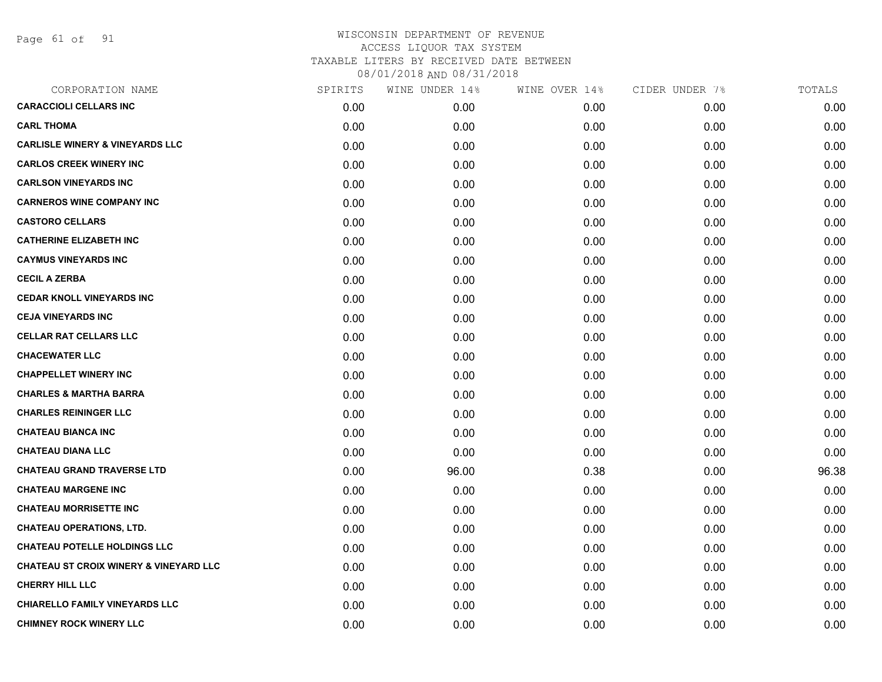Page 61 of 91

| CORPORATION NAME                                  | SPIRITS | WINE UNDER 14% | WINE OVER 14% | CIDER UNDER 7% | TOTALS |
|---------------------------------------------------|---------|----------------|---------------|----------------|--------|
| <b>CARACCIOLI CELLARS INC</b>                     | 0.00    | 0.00           | 0.00          | 0.00           | 0.00   |
| <b>CARL THOMA</b>                                 | 0.00    | 0.00           | 0.00          | 0.00           | 0.00   |
| <b>CARLISLE WINERY &amp; VINEYARDS LLC</b>        | 0.00    | 0.00           | 0.00          | 0.00           | 0.00   |
| <b>CARLOS CREEK WINERY INC</b>                    | 0.00    | 0.00           | 0.00          | 0.00           | 0.00   |
| <b>CARLSON VINEYARDS INC</b>                      | 0.00    | 0.00           | 0.00          | 0.00           | 0.00   |
| <b>CARNEROS WINE COMPANY INC</b>                  | 0.00    | 0.00           | 0.00          | 0.00           | 0.00   |
| <b>CASTORO CELLARS</b>                            | 0.00    | 0.00           | 0.00          | 0.00           | 0.00   |
| <b>CATHERINE ELIZABETH INC</b>                    | 0.00    | 0.00           | 0.00          | 0.00           | 0.00   |
| <b>CAYMUS VINEYARDS INC</b>                       | 0.00    | 0.00           | 0.00          | 0.00           | 0.00   |
| <b>CECIL A ZERBA</b>                              | 0.00    | 0.00           | 0.00          | 0.00           | 0.00   |
| <b>CEDAR KNOLL VINEYARDS INC</b>                  | 0.00    | 0.00           | 0.00          | 0.00           | 0.00   |
| <b>CEJA VINEYARDS INC</b>                         | 0.00    | 0.00           | 0.00          | 0.00           | 0.00   |
| <b>CELLAR RAT CELLARS LLC</b>                     | 0.00    | 0.00           | 0.00          | 0.00           | 0.00   |
| <b>CHACEWATER LLC</b>                             | 0.00    | 0.00           | 0.00          | 0.00           | 0.00   |
| <b>CHAPPELLET WINERY INC</b>                      | 0.00    | 0.00           | 0.00          | 0.00           | 0.00   |
| <b>CHARLES &amp; MARTHA BARRA</b>                 | 0.00    | 0.00           | 0.00          | 0.00           | 0.00   |
| <b>CHARLES REININGER LLC</b>                      | 0.00    | 0.00           | 0.00          | 0.00           | 0.00   |
| <b>CHATEAU BIANCA INC</b>                         | 0.00    | 0.00           | 0.00          | 0.00           | 0.00   |
| <b>CHATEAU DIANA LLC</b>                          | 0.00    | 0.00           | 0.00          | 0.00           | 0.00   |
| <b>CHATEAU GRAND TRAVERSE LTD</b>                 | 0.00    | 96.00          | 0.38          | 0.00           | 96.38  |
| <b>CHATEAU MARGENE INC</b>                        | 0.00    | 0.00           | 0.00          | 0.00           | 0.00   |
| <b>CHATEAU MORRISETTE INC</b>                     | 0.00    | 0.00           | 0.00          | 0.00           | 0.00   |
| <b>CHATEAU OPERATIONS, LTD.</b>                   | 0.00    | 0.00           | 0.00          | 0.00           | 0.00   |
| <b>CHATEAU POTELLE HOLDINGS LLC</b>               | 0.00    | 0.00           | 0.00          | 0.00           | 0.00   |
| <b>CHATEAU ST CROIX WINERY &amp; VINEYARD LLC</b> | 0.00    | 0.00           | 0.00          | 0.00           | 0.00   |
| <b>CHERRY HILL LLC</b>                            | 0.00    | 0.00           | 0.00          | 0.00           | 0.00   |
| <b>CHIARELLO FAMILY VINEYARDS LLC</b>             | 0.00    | 0.00           | 0.00          | 0.00           | 0.00   |
| <b>CHIMNEY ROCK WINERY LLC</b>                    | 0.00    | 0.00           | 0.00          | 0.00           | 0.00   |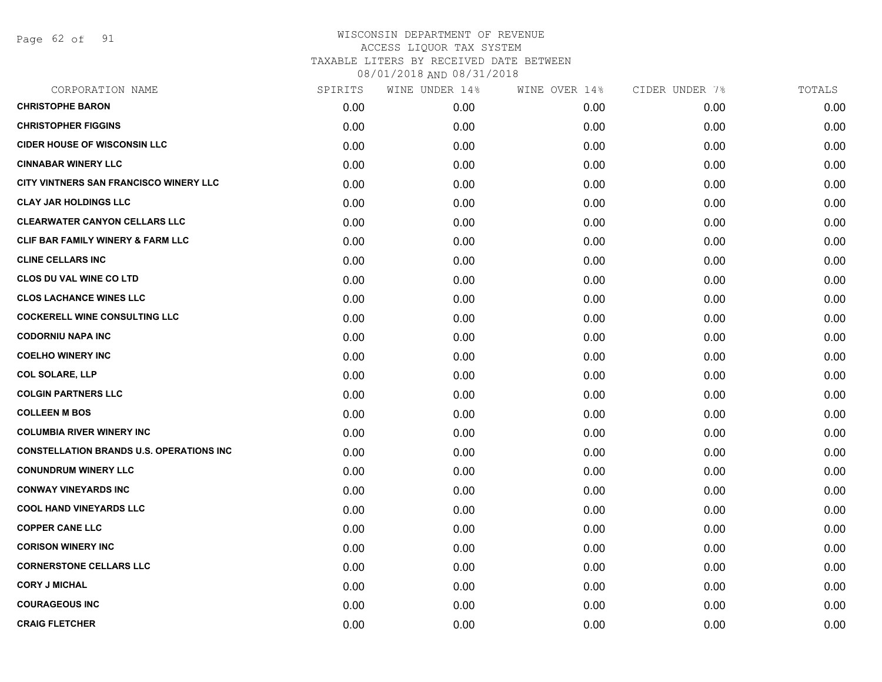Page 62 of 91

| CORPORATION NAME                                | SPIRITS | WINE UNDER 14% | WINE OVER 14% | CIDER UNDER 7% | TOTALS |
|-------------------------------------------------|---------|----------------|---------------|----------------|--------|
| <b>CHRISTOPHE BARON</b>                         | 0.00    | 0.00           | 0.00          | 0.00           | 0.00   |
| <b>CHRISTOPHER FIGGINS</b>                      | 0.00    | 0.00           | 0.00          | 0.00           | 0.00   |
| <b>CIDER HOUSE OF WISCONSIN LLC</b>             | 0.00    | 0.00           | 0.00          | 0.00           | 0.00   |
| <b>CINNABAR WINERY LLC</b>                      | 0.00    | 0.00           | 0.00          | 0.00           | 0.00   |
| CITY VINTNERS SAN FRANCISCO WINERY LLC          | 0.00    | 0.00           | 0.00          | 0.00           | 0.00   |
| <b>CLAY JAR HOLDINGS LLC</b>                    | 0.00    | 0.00           | 0.00          | 0.00           | 0.00   |
| <b>CLEARWATER CANYON CELLARS LLC</b>            | 0.00    | 0.00           | 0.00          | 0.00           | 0.00   |
| <b>CLIF BAR FAMILY WINERY &amp; FARM LLC</b>    | 0.00    | 0.00           | 0.00          | 0.00           | 0.00   |
| <b>CLINE CELLARS INC</b>                        | 0.00    | 0.00           | 0.00          | 0.00           | 0.00   |
| CLOS DU VAL WINE CO LTD                         | 0.00    | 0.00           | 0.00          | 0.00           | 0.00   |
| <b>CLOS LACHANCE WINES LLC</b>                  | 0.00    | 0.00           | 0.00          | 0.00           | 0.00   |
| <b>COCKERELL WINE CONSULTING LLC</b>            | 0.00    | 0.00           | 0.00          | 0.00           | 0.00   |
| <b>CODORNIU NAPA INC</b>                        | 0.00    | 0.00           | 0.00          | 0.00           | 0.00   |
| <b>COELHO WINERY INC</b>                        | 0.00    | 0.00           | 0.00          | 0.00           | 0.00   |
| <b>COL SOLARE, LLP</b>                          | 0.00    | 0.00           | 0.00          | 0.00           | 0.00   |
| <b>COLGIN PARTNERS LLC</b>                      | 0.00    | 0.00           | 0.00          | 0.00           | 0.00   |
| <b>COLLEEN M BOS</b>                            | 0.00    | 0.00           | 0.00          | 0.00           | 0.00   |
| <b>COLUMBIA RIVER WINERY INC</b>                | 0.00    | 0.00           | 0.00          | 0.00           | 0.00   |
| <b>CONSTELLATION BRANDS U.S. OPERATIONS INC</b> | 0.00    | 0.00           | 0.00          | 0.00           | 0.00   |
| <b>CONUNDRUM WINERY LLC</b>                     | 0.00    | 0.00           | 0.00          | 0.00           | 0.00   |
| <b>CONWAY VINEYARDS INC</b>                     | 0.00    | 0.00           | 0.00          | 0.00           | 0.00   |
| <b>COOL HAND VINEYARDS LLC</b>                  | 0.00    | 0.00           | 0.00          | 0.00           | 0.00   |
| <b>COPPER CANE LLC</b>                          | 0.00    | 0.00           | 0.00          | 0.00           | 0.00   |
| <b>CORISON WINERY INC</b>                       | 0.00    | 0.00           | 0.00          | 0.00           | 0.00   |
| <b>CORNERSTONE CELLARS LLC</b>                  | 0.00    | 0.00           | 0.00          | 0.00           | 0.00   |
| <b>CORY J MICHAL</b>                            | 0.00    | 0.00           | 0.00          | 0.00           | 0.00   |
| <b>COURAGEOUS INC</b>                           | 0.00    | 0.00           | 0.00          | 0.00           | 0.00   |
| <b>CRAIG FLETCHER</b>                           | 0.00    | 0.00           | 0.00          | 0.00           | 0.00   |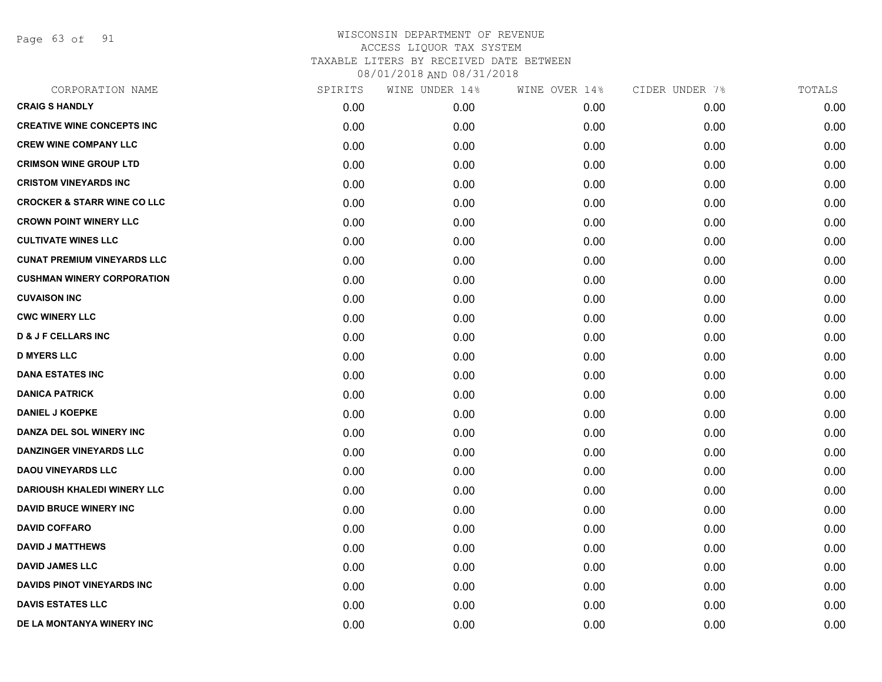Page 63 of 91

| CORPORATION NAME                       | SPIRITS | WINE UNDER 14% | WINE OVER 14% | CIDER UNDER 7% | TOTALS |
|----------------------------------------|---------|----------------|---------------|----------------|--------|
| <b>CRAIG S HANDLY</b>                  | 0.00    | 0.00           | 0.00          | 0.00           | 0.00   |
| <b>CREATIVE WINE CONCEPTS INC</b>      | 0.00    | 0.00           | 0.00          | 0.00           | 0.00   |
| <b>CREW WINE COMPANY LLC</b>           | 0.00    | 0.00           | 0.00          | 0.00           | 0.00   |
| <b>CRIMSON WINE GROUP LTD</b>          | 0.00    | 0.00           | 0.00          | 0.00           | 0.00   |
| <b>CRISTOM VINEYARDS INC</b>           | 0.00    | 0.00           | 0.00          | 0.00           | 0.00   |
| <b>CROCKER &amp; STARR WINE CO LLC</b> | 0.00    | 0.00           | 0.00          | 0.00           | 0.00   |
| <b>CROWN POINT WINERY LLC</b>          | 0.00    | 0.00           | 0.00          | 0.00           | 0.00   |
| <b>CULTIVATE WINES LLC</b>             | 0.00    | 0.00           | 0.00          | 0.00           | 0.00   |
| <b>CUNAT PREMIUM VINEYARDS LLC</b>     | 0.00    | 0.00           | 0.00          | 0.00           | 0.00   |
| <b>CUSHMAN WINERY CORPORATION</b>      | 0.00    | 0.00           | 0.00          | 0.00           | 0.00   |
| <b>CUVAISON INC</b>                    | 0.00    | 0.00           | 0.00          | 0.00           | 0.00   |
| <b>CWC WINERY LLC</b>                  | 0.00    | 0.00           | 0.00          | 0.00           | 0.00   |
| <b>D &amp; J F CELLARS INC</b>         | 0.00    | 0.00           | 0.00          | 0.00           | 0.00   |
| <b>D MYERS LLC</b>                     | 0.00    | 0.00           | 0.00          | 0.00           | 0.00   |
| <b>DANA ESTATES INC</b>                | 0.00    | 0.00           | 0.00          | 0.00           | 0.00   |
| <b>DANICA PATRICK</b>                  | 0.00    | 0.00           | 0.00          | 0.00           | 0.00   |
| <b>DANIEL J KOEPKE</b>                 | 0.00    | 0.00           | 0.00          | 0.00           | 0.00   |
| DANZA DEL SOL WINERY INC               | 0.00    | 0.00           | 0.00          | 0.00           | 0.00   |
| <b>DANZINGER VINEYARDS LLC</b>         | 0.00    | 0.00           | 0.00          | 0.00           | 0.00   |
| <b>DAOU VINEYARDS LLC</b>              | 0.00    | 0.00           | 0.00          | 0.00           | 0.00   |
| <b>DARIOUSH KHALEDI WINERY LLC</b>     | 0.00    | 0.00           | 0.00          | 0.00           | 0.00   |
| <b>DAVID BRUCE WINERY INC</b>          | 0.00    | 0.00           | 0.00          | 0.00           | 0.00   |
| <b>DAVID COFFARO</b>                   | 0.00    | 0.00           | 0.00          | 0.00           | 0.00   |
| <b>DAVID J MATTHEWS</b>                | 0.00    | 0.00           | 0.00          | 0.00           | 0.00   |
| <b>DAVID JAMES LLC</b>                 | 0.00    | 0.00           | 0.00          | 0.00           | 0.00   |
| <b>DAVIDS PINOT VINEYARDS INC</b>      | 0.00    | 0.00           | 0.00          | 0.00           | 0.00   |
| <b>DAVIS ESTATES LLC</b>               | 0.00    | 0.00           | 0.00          | 0.00           | 0.00   |
| DE LA MONTANYA WINERY INC              | 0.00    | 0.00           | 0.00          | 0.00           | 0.00   |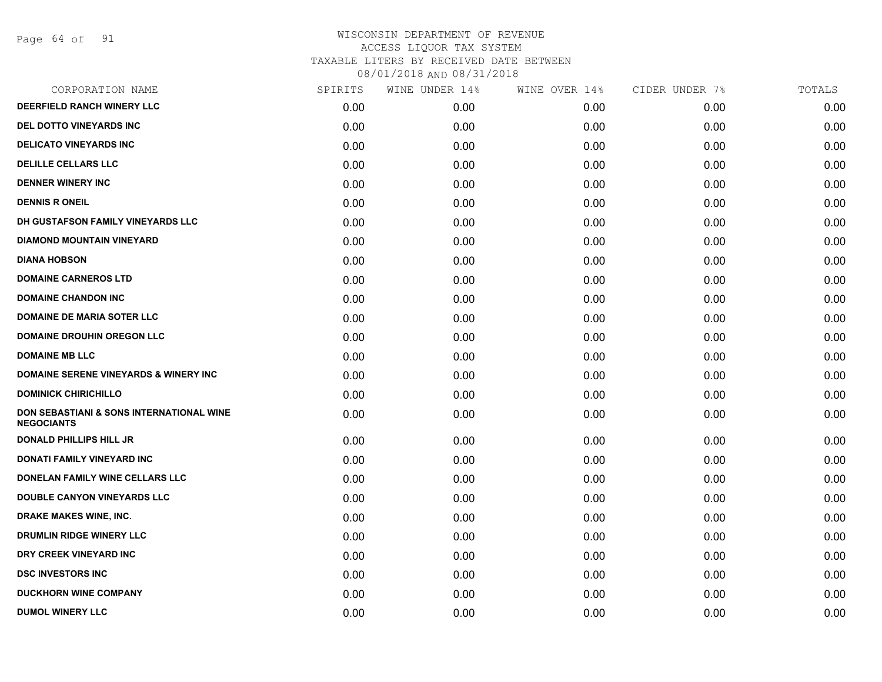Page 64 of 91

| SPIRITS | WINE UNDER 14% | WINE OVER 14% | CIDER UNDER 7% | TOTALS |
|---------|----------------|---------------|----------------|--------|
| 0.00    | 0.00           | 0.00          | 0.00           | 0.00   |
| 0.00    | 0.00           | 0.00          | 0.00           | 0.00   |
| 0.00    | 0.00           | 0.00          | 0.00           | 0.00   |
| 0.00    | 0.00           | 0.00          | 0.00           | 0.00   |
| 0.00    | 0.00           | 0.00          | 0.00           | 0.00   |
| 0.00    | 0.00           | 0.00          | 0.00           | 0.00   |
| 0.00    | 0.00           | 0.00          | 0.00           | 0.00   |
| 0.00    | 0.00           | 0.00          | 0.00           | 0.00   |
| 0.00    | 0.00           | 0.00          | 0.00           | 0.00   |
| 0.00    | 0.00           | 0.00          | 0.00           | 0.00   |
| 0.00    | 0.00           | 0.00          | 0.00           | 0.00   |
| 0.00    | 0.00           | 0.00          | 0.00           | 0.00   |
| 0.00    | 0.00           | 0.00          | 0.00           | 0.00   |
| 0.00    | 0.00           | 0.00          | 0.00           | 0.00   |
| 0.00    | 0.00           | 0.00          | 0.00           | 0.00   |
| 0.00    | 0.00           | 0.00          | 0.00           | 0.00   |
| 0.00    | 0.00           | 0.00          | 0.00           | 0.00   |
| 0.00    | 0.00           | 0.00          | 0.00           | 0.00   |
| 0.00    | 0.00           | 0.00          | 0.00           | 0.00   |
| 0.00    | 0.00           | 0.00          | 0.00           | 0.00   |
| 0.00    | 0.00           | 0.00          | 0.00           | 0.00   |
| 0.00    | 0.00           | 0.00          | 0.00           | 0.00   |
| 0.00    | 0.00           | 0.00          | 0.00           | 0.00   |
| 0.00    | 0.00           | 0.00          | 0.00           | 0.00   |
| 0.00    | 0.00           | 0.00          | 0.00           | 0.00   |
| 0.00    | 0.00           | 0.00          | 0.00           | 0.00   |
| 0.00    | 0.00           | 0.00          | 0.00           | 0.00   |
|         |                |               |                |        |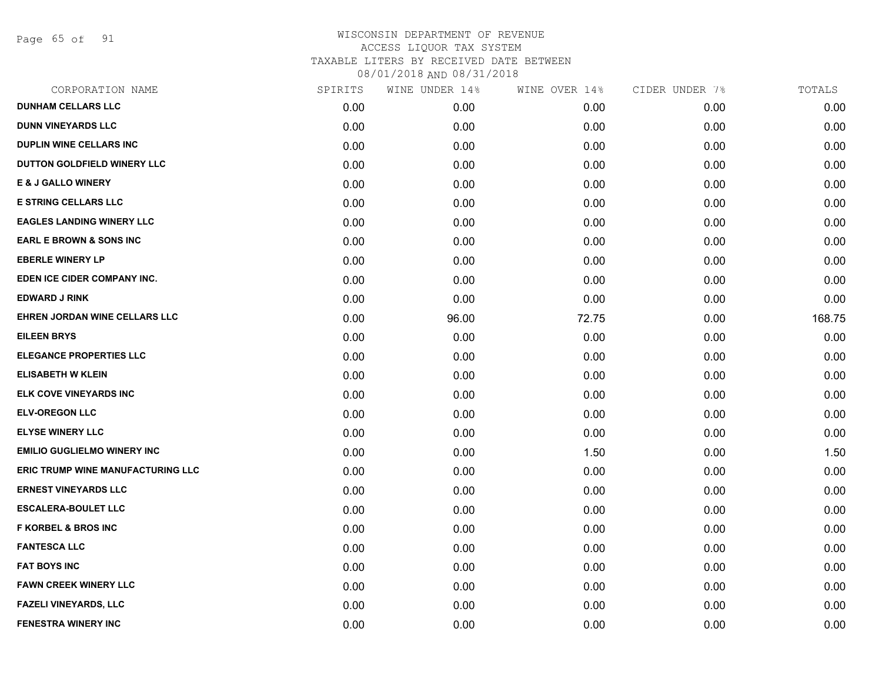Page 65 of 91

| CORPORATION NAME                         | SPIRITS | WINE UNDER 14% | WINE OVER 14% | CIDER UNDER 7% | TOTALS |
|------------------------------------------|---------|----------------|---------------|----------------|--------|
| <b>DUNHAM CELLARS LLC</b>                | 0.00    | 0.00           | 0.00          | 0.00           | 0.00   |
| <b>DUNN VINEYARDS LLC</b>                | 0.00    | 0.00           | 0.00          | 0.00           | 0.00   |
| <b>DUPLIN WINE CELLARS INC</b>           | 0.00    | 0.00           | 0.00          | 0.00           | 0.00   |
| DUTTON GOLDFIELD WINERY LLC              | 0.00    | 0.00           | 0.00          | 0.00           | 0.00   |
| <b>E &amp; J GALLO WINERY</b>            | 0.00    | 0.00           | 0.00          | 0.00           | 0.00   |
| <b>E STRING CELLARS LLC</b>              | 0.00    | 0.00           | 0.00          | 0.00           | 0.00   |
| <b>EAGLES LANDING WINERY LLC</b>         | 0.00    | 0.00           | 0.00          | 0.00           | 0.00   |
| <b>EARL E BROWN &amp; SONS INC</b>       | 0.00    | 0.00           | 0.00          | 0.00           | 0.00   |
| <b>EBERLE WINERY LP</b>                  | 0.00    | 0.00           | 0.00          | 0.00           | 0.00   |
| EDEN ICE CIDER COMPANY INC.              | 0.00    | 0.00           | 0.00          | 0.00           | 0.00   |
| <b>EDWARD J RINK</b>                     | 0.00    | 0.00           | 0.00          | 0.00           | 0.00   |
| EHREN JORDAN WINE CELLARS LLC            | 0.00    | 96.00          | 72.75         | 0.00           | 168.75 |
| <b>EILEEN BRYS</b>                       | 0.00    | 0.00           | 0.00          | 0.00           | 0.00   |
| <b>ELEGANCE PROPERTIES LLC</b>           | 0.00    | 0.00           | 0.00          | 0.00           | 0.00   |
| <b>ELISABETH W KLEIN</b>                 | 0.00    | 0.00           | 0.00          | 0.00           | 0.00   |
| ELK COVE VINEYARDS INC                   | 0.00    | 0.00           | 0.00          | 0.00           | 0.00   |
| <b>ELV-OREGON LLC</b>                    | 0.00    | 0.00           | 0.00          | 0.00           | 0.00   |
| <b>ELYSE WINERY LLC</b>                  | 0.00    | 0.00           | 0.00          | 0.00           | 0.00   |
| <b>EMILIO GUGLIELMO WINERY INC</b>       | 0.00    | 0.00           | 1.50          | 0.00           | 1.50   |
| <b>ERIC TRUMP WINE MANUFACTURING LLC</b> | 0.00    | 0.00           | 0.00          | 0.00           | 0.00   |
| <b>ERNEST VINEYARDS LLC</b>              | 0.00    | 0.00           | 0.00          | 0.00           | 0.00   |
| <b>ESCALERA-BOULET LLC</b>               | 0.00    | 0.00           | 0.00          | 0.00           | 0.00   |
| <b>F KORBEL &amp; BROS INC</b>           | 0.00    | 0.00           | 0.00          | 0.00           | 0.00   |
| <b>FANTESCA LLC</b>                      | 0.00    | 0.00           | 0.00          | 0.00           | 0.00   |
| <b>FAT BOYS INC</b>                      | 0.00    | 0.00           | 0.00          | 0.00           | 0.00   |
| <b>FAWN CREEK WINERY LLC</b>             | 0.00    | 0.00           | 0.00          | 0.00           | 0.00   |
| <b>FAZELI VINEYARDS, LLC</b>             | 0.00    | 0.00           | 0.00          | 0.00           | 0.00   |
| <b>FENESTRA WINERY INC</b>               | 0.00    | 0.00           | 0.00          | 0.00           | 0.00   |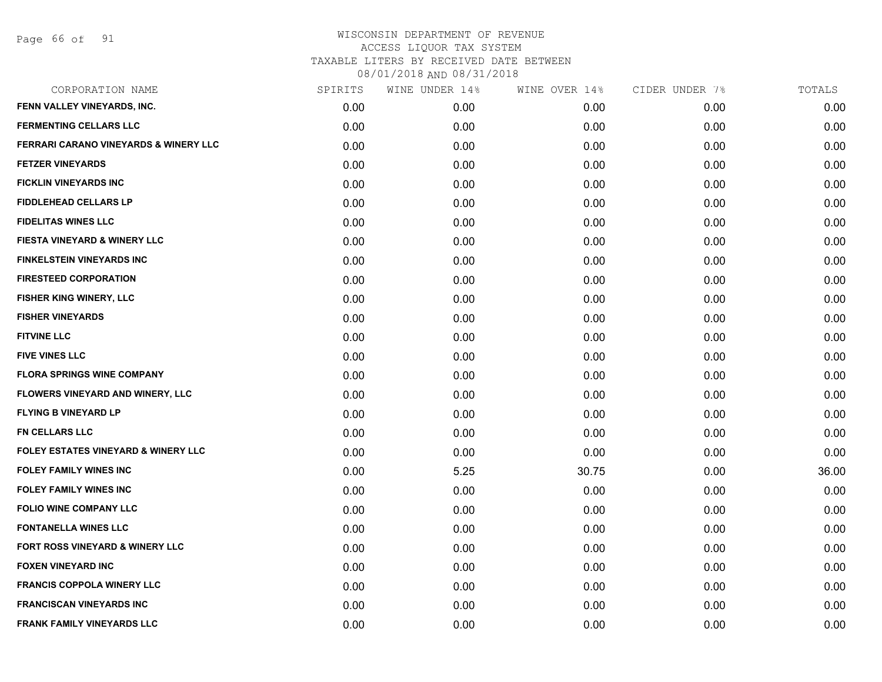Page 66 of 91

| CORPORATION NAME                                 | SPIRITS | WINE UNDER 14% | WINE OVER 14% | CIDER UNDER 7% | TOTALS |
|--------------------------------------------------|---------|----------------|---------------|----------------|--------|
| FENN VALLEY VINEYARDS, INC.                      | 0.00    | 0.00           | 0.00          | 0.00           | 0.00   |
| <b>FERMENTING CELLARS LLC</b>                    | 0.00    | 0.00           | 0.00          | 0.00           | 0.00   |
| <b>FERRARI CARANO VINEYARDS &amp; WINERY LLC</b> | 0.00    | 0.00           | 0.00          | 0.00           | 0.00   |
| <b>FETZER VINEYARDS</b>                          | 0.00    | 0.00           | 0.00          | 0.00           | 0.00   |
| <b>FICKLIN VINEYARDS INC</b>                     | 0.00    | 0.00           | 0.00          | 0.00           | 0.00   |
| <b>FIDDLEHEAD CELLARS LP</b>                     | 0.00    | 0.00           | 0.00          | 0.00           | 0.00   |
| <b>FIDELITAS WINES LLC</b>                       | 0.00    | 0.00           | 0.00          | 0.00           | 0.00   |
| <b>FIESTA VINEYARD &amp; WINERY LLC</b>          | 0.00    | 0.00           | 0.00          | 0.00           | 0.00   |
| <b>FINKELSTEIN VINEYARDS INC</b>                 | 0.00    | 0.00           | 0.00          | 0.00           | 0.00   |
| <b>FIRESTEED CORPORATION</b>                     | 0.00    | 0.00           | 0.00          | 0.00           | 0.00   |
| <b>FISHER KING WINERY, LLC</b>                   | 0.00    | 0.00           | 0.00          | 0.00           | 0.00   |
| <b>FISHER VINEYARDS</b>                          | 0.00    | 0.00           | 0.00          | 0.00           | 0.00   |
| <b>FITVINE LLC</b>                               | 0.00    | 0.00           | 0.00          | 0.00           | 0.00   |
| <b>FIVE VINES LLC</b>                            | 0.00    | 0.00           | 0.00          | 0.00           | 0.00   |
| <b>FLORA SPRINGS WINE COMPANY</b>                | 0.00    | 0.00           | 0.00          | 0.00           | 0.00   |
| FLOWERS VINEYARD AND WINERY, LLC                 | 0.00    | 0.00           | 0.00          | 0.00           | 0.00   |
| <b>FLYING B VINEYARD LP</b>                      | 0.00    | 0.00           | 0.00          | 0.00           | 0.00   |
| <b>FN CELLARS LLC</b>                            | 0.00    | 0.00           | 0.00          | 0.00           | 0.00   |
| <b>FOLEY ESTATES VINEYARD &amp; WINERY LLC</b>   | 0.00    | 0.00           | 0.00          | 0.00           | 0.00   |
| <b>FOLEY FAMILY WINES INC</b>                    | 0.00    | 5.25           | 30.75         | 0.00           | 36.00  |
| <b>FOLEY FAMILY WINES INC</b>                    | 0.00    | 0.00           | 0.00          | 0.00           | 0.00   |
| <b>FOLIO WINE COMPANY LLC</b>                    | 0.00    | 0.00           | 0.00          | 0.00           | 0.00   |
| <b>FONTANELLA WINES LLC</b>                      | 0.00    | 0.00           | 0.00          | 0.00           | 0.00   |
| FORT ROSS VINEYARD & WINERY LLC                  | 0.00    | 0.00           | 0.00          | 0.00           | 0.00   |
| <b>FOXEN VINEYARD INC</b>                        | 0.00    | 0.00           | 0.00          | 0.00           | 0.00   |
| <b>FRANCIS COPPOLA WINERY LLC</b>                | 0.00    | 0.00           | 0.00          | 0.00           | 0.00   |
| <b>FRANCISCAN VINEYARDS INC</b>                  | 0.00    | 0.00           | 0.00          | 0.00           | 0.00   |
| <b>FRANK FAMILY VINEYARDS LLC</b>                | 0.00    | 0.00           | 0.00          | 0.00           | 0.00   |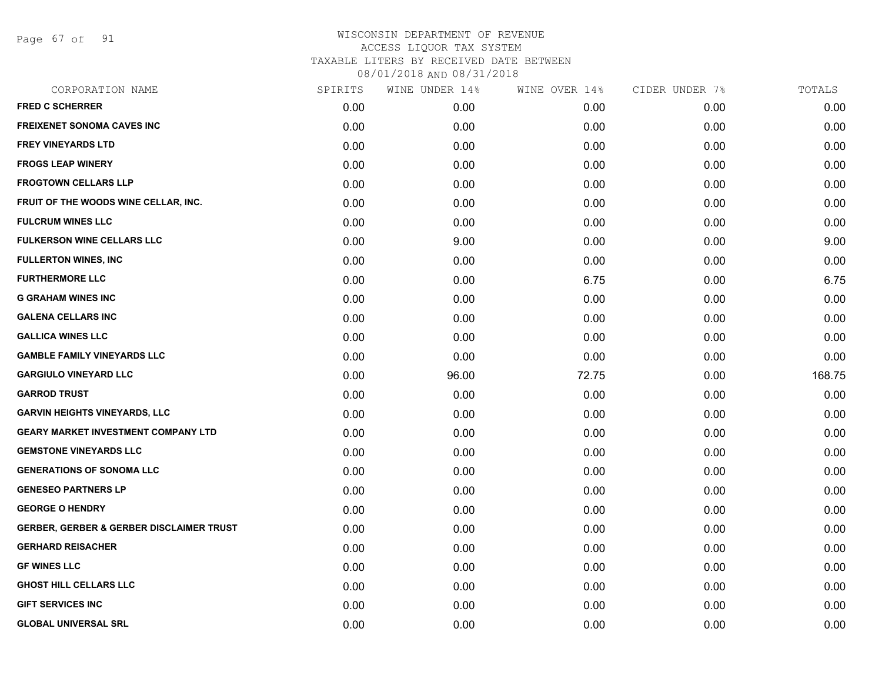Page 67 of 91

| CORPORATION NAME                                    | SPIRITS | WINE UNDER 14% | WINE OVER 14% | CIDER UNDER 7% | TOTALS |
|-----------------------------------------------------|---------|----------------|---------------|----------------|--------|
| <b>FRED C SCHERRER</b>                              | 0.00    | 0.00           | 0.00          | 0.00           | 0.00   |
| <b>FREIXENET SONOMA CAVES INC</b>                   | 0.00    | 0.00           | 0.00          | 0.00           | 0.00   |
| <b>FREY VINEYARDS LTD</b>                           | 0.00    | 0.00           | 0.00          | 0.00           | 0.00   |
| <b>FROGS LEAP WINERY</b>                            | 0.00    | 0.00           | 0.00          | 0.00           | 0.00   |
| <b>FROGTOWN CELLARS LLP</b>                         | 0.00    | 0.00           | 0.00          | 0.00           | 0.00   |
| FRUIT OF THE WOODS WINE CELLAR, INC.                | 0.00    | 0.00           | 0.00          | 0.00           | 0.00   |
| <b>FULCRUM WINES LLC</b>                            | 0.00    | 0.00           | 0.00          | 0.00           | 0.00   |
| <b>FULKERSON WINE CELLARS LLC</b>                   | 0.00    | 9.00           | 0.00          | 0.00           | 9.00   |
| <b>FULLERTON WINES, INC</b>                         | 0.00    | 0.00           | 0.00          | 0.00           | 0.00   |
| <b>FURTHERMORE LLC</b>                              | 0.00    | 0.00           | 6.75          | 0.00           | 6.75   |
| <b>G GRAHAM WINES INC</b>                           | 0.00    | 0.00           | 0.00          | 0.00           | 0.00   |
| <b>GALENA CELLARS INC</b>                           | 0.00    | 0.00           | 0.00          | 0.00           | 0.00   |
| <b>GALLICA WINES LLC</b>                            | 0.00    | 0.00           | 0.00          | 0.00           | 0.00   |
| <b>GAMBLE FAMILY VINEYARDS LLC</b>                  | 0.00    | 0.00           | 0.00          | 0.00           | 0.00   |
| <b>GARGIULO VINEYARD LLC</b>                        | 0.00    | 96.00          | 72.75         | 0.00           | 168.75 |
| <b>GARROD TRUST</b>                                 | 0.00    | 0.00           | 0.00          | 0.00           | 0.00   |
| <b>GARVIN HEIGHTS VINEYARDS, LLC</b>                | 0.00    | 0.00           | 0.00          | 0.00           | 0.00   |
| <b>GEARY MARKET INVESTMENT COMPANY LTD</b>          | 0.00    | 0.00           | 0.00          | 0.00           | 0.00   |
| <b>GEMSTONE VINEYARDS LLC</b>                       | 0.00    | 0.00           | 0.00          | 0.00           | 0.00   |
| <b>GENERATIONS OF SONOMA LLC</b>                    | 0.00    | 0.00           | 0.00          | 0.00           | 0.00   |
| <b>GENESEO PARTNERS LP</b>                          | 0.00    | 0.00           | 0.00          | 0.00           | 0.00   |
| <b>GEORGE O HENDRY</b>                              | 0.00    | 0.00           | 0.00          | 0.00           | 0.00   |
| <b>GERBER, GERBER &amp; GERBER DISCLAIMER TRUST</b> | 0.00    | 0.00           | 0.00          | 0.00           | 0.00   |
| <b>GERHARD REISACHER</b>                            | 0.00    | 0.00           | 0.00          | 0.00           | 0.00   |
| <b>GF WINES LLC</b>                                 | 0.00    | 0.00           | 0.00          | 0.00           | 0.00   |
| <b>GHOST HILL CELLARS LLC</b>                       | 0.00    | 0.00           | 0.00          | 0.00           | 0.00   |
| <b>GIFT SERVICES INC</b>                            | 0.00    | 0.00           | 0.00          | 0.00           | 0.00   |
| <b>GLOBAL UNIVERSAL SRL</b>                         | 0.00    | 0.00           | 0.00          | 0.00           | 0.00   |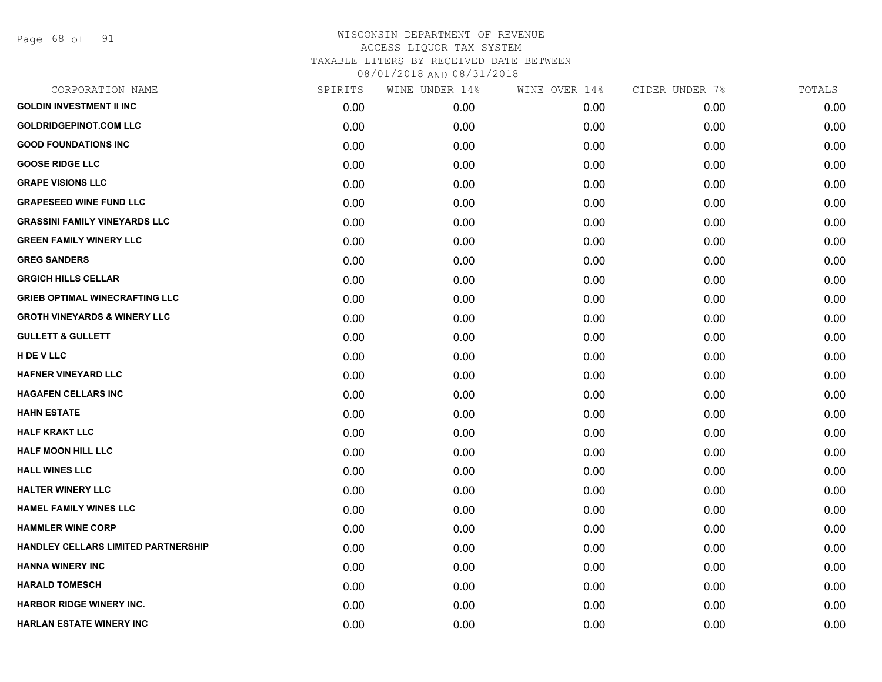Page 68 of 91

| CORPORATION NAME                           | SPIRITS | WINE UNDER 14% | WINE OVER 14% | CIDER UNDER 7% | TOTALS |
|--------------------------------------------|---------|----------------|---------------|----------------|--------|
| <b>GOLDIN INVESTMENT II INC</b>            | 0.00    | 0.00           | 0.00          | 0.00           | 0.00   |
| <b>GOLDRIDGEPINOT.COM LLC</b>              | 0.00    | 0.00           | 0.00          | 0.00           | 0.00   |
| <b>GOOD FOUNDATIONS INC</b>                | 0.00    | 0.00           | 0.00          | 0.00           | 0.00   |
| <b>GOOSE RIDGE LLC</b>                     | 0.00    | 0.00           | 0.00          | 0.00           | 0.00   |
| <b>GRAPE VISIONS LLC</b>                   | 0.00    | 0.00           | 0.00          | 0.00           | 0.00   |
| <b>GRAPESEED WINE FUND LLC</b>             | 0.00    | 0.00           | 0.00          | 0.00           | 0.00   |
| <b>GRASSINI FAMILY VINEYARDS LLC</b>       | 0.00    | 0.00           | 0.00          | 0.00           | 0.00   |
| <b>GREEN FAMILY WINERY LLC</b>             | 0.00    | 0.00           | 0.00          | 0.00           | 0.00   |
| <b>GREG SANDERS</b>                        | 0.00    | 0.00           | 0.00          | 0.00           | 0.00   |
| <b>GRGICH HILLS CELLAR</b>                 | 0.00    | 0.00           | 0.00          | 0.00           | 0.00   |
| <b>GRIEB OPTIMAL WINECRAFTING LLC</b>      | 0.00    | 0.00           | 0.00          | 0.00           | 0.00   |
| <b>GROTH VINEYARDS &amp; WINERY LLC</b>    | 0.00    | 0.00           | 0.00          | 0.00           | 0.00   |
| <b>GULLETT &amp; GULLETT</b>               | 0.00    | 0.00           | 0.00          | 0.00           | 0.00   |
| H DE V LLC                                 | 0.00    | 0.00           | 0.00          | 0.00           | 0.00   |
| <b>HAFNER VINEYARD LLC</b>                 | 0.00    | 0.00           | 0.00          | 0.00           | 0.00   |
| <b>HAGAFEN CELLARS INC</b>                 | 0.00    | 0.00           | 0.00          | 0.00           | 0.00   |
| <b>HAHN ESTATE</b>                         | 0.00    | 0.00           | 0.00          | 0.00           | 0.00   |
| <b>HALF KRAKT LLC</b>                      | 0.00    | 0.00           | 0.00          | 0.00           | 0.00   |
| <b>HALF MOON HILL LLC</b>                  | 0.00    | 0.00           | 0.00          | 0.00           | 0.00   |
| <b>HALL WINES LLC</b>                      | 0.00    | 0.00           | 0.00          | 0.00           | 0.00   |
| <b>HALTER WINERY LLC</b>                   | 0.00    | 0.00           | 0.00          | 0.00           | 0.00   |
| <b>HAMEL FAMILY WINES LLC</b>              | 0.00    | 0.00           | 0.00          | 0.00           | 0.00   |
| <b>HAMMLER WINE CORP</b>                   | 0.00    | 0.00           | 0.00          | 0.00           | 0.00   |
| <b>HANDLEY CELLARS LIMITED PARTNERSHIP</b> | 0.00    | 0.00           | 0.00          | 0.00           | 0.00   |
| <b>HANNA WINERY INC</b>                    | 0.00    | 0.00           | 0.00          | 0.00           | 0.00   |
| <b>HARALD TOMESCH</b>                      | 0.00    | 0.00           | 0.00          | 0.00           | 0.00   |
| <b>HARBOR RIDGE WINERY INC.</b>            | 0.00    | 0.00           | 0.00          | 0.00           | 0.00   |
| <b>HARLAN ESTATE WINERY INC</b>            | 0.00    | 0.00           | 0.00          | 0.00           | 0.00   |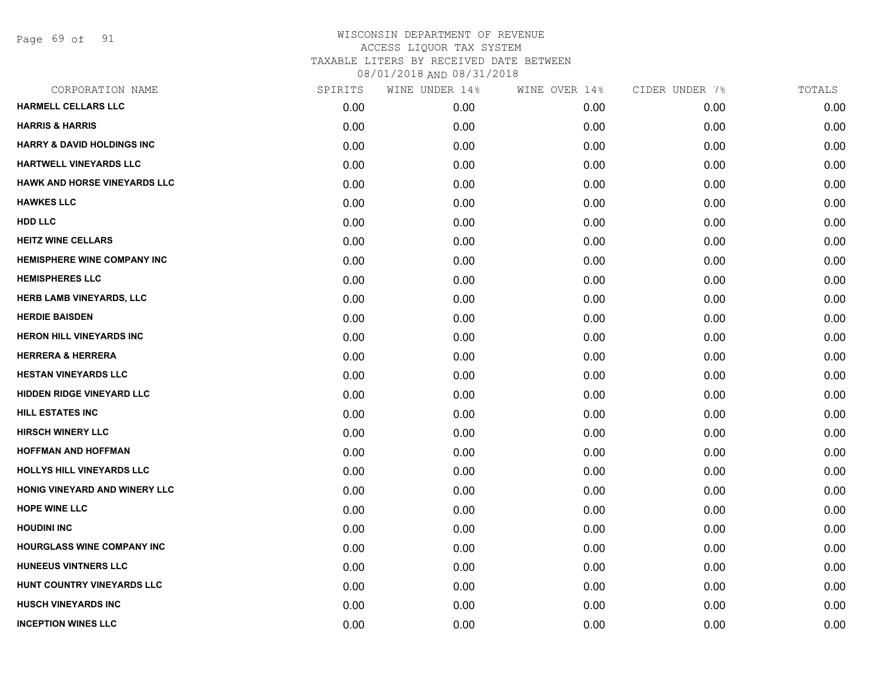Page 69 of 91

| CORPORATION NAME                      | SPIRITS | WINE UNDER 14% | WINE OVER 14% | CIDER UNDER 7% | TOTALS |
|---------------------------------------|---------|----------------|---------------|----------------|--------|
| <b>HARMELL CELLARS LLC</b>            | 0.00    | 0.00           | 0.00          | 0.00           | 0.00   |
| <b>HARRIS &amp; HARRIS</b>            | 0.00    | 0.00           | 0.00          | 0.00           | 0.00   |
| <b>HARRY &amp; DAVID HOLDINGS INC</b> | 0.00    | 0.00           | 0.00          | 0.00           | 0.00   |
| <b>HARTWELL VINEYARDS LLC</b>         | 0.00    | 0.00           | 0.00          | 0.00           | 0.00   |
| <b>HAWK AND HORSE VINEYARDS LLC</b>   | 0.00    | 0.00           | 0.00          | 0.00           | 0.00   |
| <b>HAWKES LLC</b>                     | 0.00    | 0.00           | 0.00          | 0.00           | 0.00   |
| <b>HDD LLC</b>                        | 0.00    | 0.00           | 0.00          | 0.00           | 0.00   |
| <b>HEITZ WINE CELLARS</b>             | 0.00    | 0.00           | 0.00          | 0.00           | 0.00   |
| <b>HEMISPHERE WINE COMPANY INC</b>    | 0.00    | 0.00           | 0.00          | 0.00           | 0.00   |
| <b>HEMISPHERES LLC</b>                | 0.00    | 0.00           | 0.00          | 0.00           | 0.00   |
| HERB LAMB VINEYARDS, LLC              | 0.00    | 0.00           | 0.00          | 0.00           | 0.00   |
| <b>HERDIE BAISDEN</b>                 | 0.00    | 0.00           | 0.00          | 0.00           | 0.00   |
| <b>HERON HILL VINEYARDS INC</b>       | 0.00    | 0.00           | 0.00          | 0.00           | 0.00   |
| <b>HERRERA &amp; HERRERA</b>          | 0.00    | 0.00           | 0.00          | 0.00           | 0.00   |
| <b>HESTAN VINEYARDS LLC</b>           | 0.00    | 0.00           | 0.00          | 0.00           | 0.00   |
| HIDDEN RIDGE VINEYARD LLC             | 0.00    | 0.00           | 0.00          | 0.00           | 0.00   |
| <b>HILL ESTATES INC</b>               | 0.00    | 0.00           | 0.00          | 0.00           | 0.00   |
| <b>HIRSCH WINERY LLC</b>              | 0.00    | 0.00           | 0.00          | 0.00           | 0.00   |
| <b>HOFFMAN AND HOFFMAN</b>            | 0.00    | 0.00           | 0.00          | 0.00           | 0.00   |
| HOLLYS HILL VINEYARDS LLC             | 0.00    | 0.00           | 0.00          | 0.00           | 0.00   |
| HONIG VINEYARD AND WINERY LLC         | 0.00    | 0.00           | 0.00          | 0.00           | 0.00   |
| <b>HOPE WINE LLC</b>                  | 0.00    | 0.00           | 0.00          | 0.00           | 0.00   |
| <b>HOUDINI INC</b>                    | 0.00    | 0.00           | 0.00          | 0.00           | 0.00   |
| <b>HOURGLASS WINE COMPANY INC</b>     | 0.00    | 0.00           | 0.00          | 0.00           | 0.00   |
| <b>HUNEEUS VINTNERS LLC</b>           | 0.00    | 0.00           | 0.00          | 0.00           | 0.00   |
| HUNT COUNTRY VINEYARDS LLC            | 0.00    | 0.00           | 0.00          | 0.00           | 0.00   |
| <b>HUSCH VINEYARDS INC</b>            | 0.00    | 0.00           | 0.00          | 0.00           | 0.00   |
| <b>INCEPTION WINES LLC</b>            | 0.00    | 0.00           | 0.00          | 0.00           | 0.00   |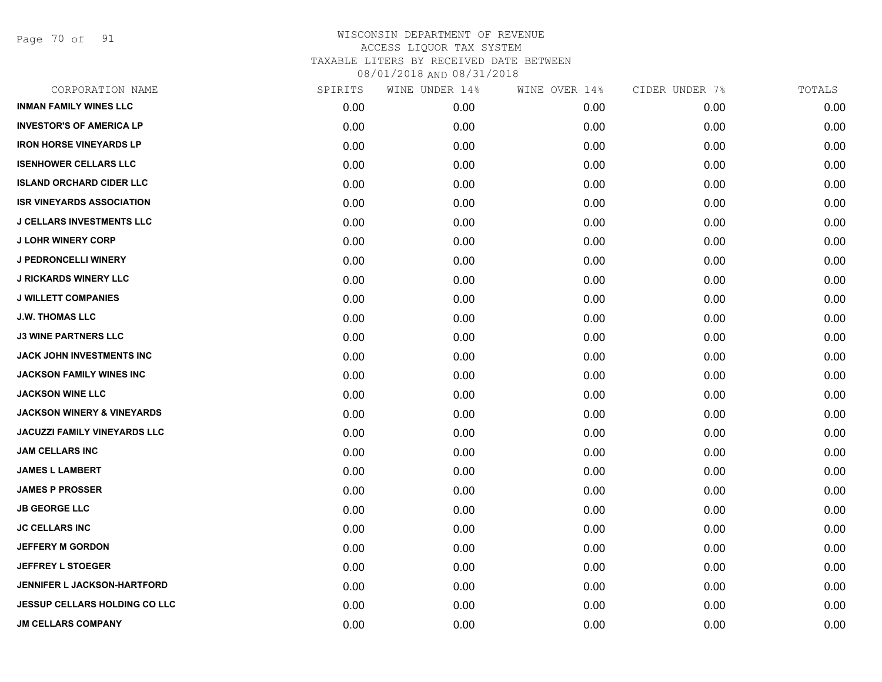Page 70 of 91

| CORPORATION NAME                      | SPIRITS | WINE UNDER 14% | WINE OVER 14% | CIDER UNDER 7% | TOTALS |
|---------------------------------------|---------|----------------|---------------|----------------|--------|
| <b>INMAN FAMILY WINES LLC</b>         | 0.00    | 0.00           | 0.00          | 0.00           | 0.00   |
| <b>INVESTOR'S OF AMERICA LP</b>       | 0.00    | 0.00           | 0.00          | 0.00           | 0.00   |
| <b>IRON HORSE VINEYARDS LP</b>        | 0.00    | 0.00           | 0.00          | 0.00           | 0.00   |
| <b>ISENHOWER CELLARS LLC</b>          | 0.00    | 0.00           | 0.00          | 0.00           | 0.00   |
| <b>ISLAND ORCHARD CIDER LLC</b>       | 0.00    | 0.00           | 0.00          | 0.00           | 0.00   |
| <b>ISR VINEYARDS ASSOCIATION</b>      | 0.00    | 0.00           | 0.00          | 0.00           | 0.00   |
| <b>J CELLARS INVESTMENTS LLC</b>      | 0.00    | 0.00           | 0.00          | 0.00           | 0.00   |
| <b>J LOHR WINERY CORP</b>             | 0.00    | 0.00           | 0.00          | 0.00           | 0.00   |
| <b>J PEDRONCELLI WINERY</b>           | 0.00    | 0.00           | 0.00          | 0.00           | 0.00   |
| <b>J RICKARDS WINERY LLC</b>          | 0.00    | 0.00           | 0.00          | 0.00           | 0.00   |
| <b>J WILLETT COMPANIES</b>            | 0.00    | 0.00           | 0.00          | 0.00           | 0.00   |
| <b>J.W. THOMAS LLC</b>                | 0.00    | 0.00           | 0.00          | 0.00           | 0.00   |
| <b>J3 WINE PARTNERS LLC</b>           | 0.00    | 0.00           | 0.00          | 0.00           | 0.00   |
| JACK JOHN INVESTMENTS INC             | 0.00    | 0.00           | 0.00          | 0.00           | 0.00   |
| <b>JACKSON FAMILY WINES INC</b>       | 0.00    | 0.00           | 0.00          | 0.00           | 0.00   |
| <b>JACKSON WINE LLC</b>               | 0.00    | 0.00           | 0.00          | 0.00           | 0.00   |
| <b>JACKSON WINERY &amp; VINEYARDS</b> | 0.00    | 0.00           | 0.00          | 0.00           | 0.00   |
| <b>JACUZZI FAMILY VINEYARDS LLC</b>   | 0.00    | 0.00           | 0.00          | 0.00           | 0.00   |
| <b>JAM CELLARS INC</b>                | 0.00    | 0.00           | 0.00          | 0.00           | 0.00   |
| <b>JAMES L LAMBERT</b>                | 0.00    | 0.00           | 0.00          | 0.00           | 0.00   |
| <b>JAMES P PROSSER</b>                | 0.00    | 0.00           | 0.00          | 0.00           | 0.00   |
| <b>JB GEORGE LLC</b>                  | 0.00    | 0.00           | 0.00          | 0.00           | 0.00   |
| <b>JC CELLARS INC</b>                 | 0.00    | 0.00           | 0.00          | 0.00           | 0.00   |
| <b>JEFFERY M GORDON</b>               | 0.00    | 0.00           | 0.00          | 0.00           | 0.00   |
| <b>JEFFREY L STOEGER</b>              | 0.00    | 0.00           | 0.00          | 0.00           | 0.00   |
| JENNIFER L JACKSON-HARTFORD           | 0.00    | 0.00           | 0.00          | 0.00           | 0.00   |
| <b>JESSUP CELLARS HOLDING CO LLC</b>  | 0.00    | 0.00           | 0.00          | 0.00           | 0.00   |
| <b>JM CELLARS COMPANY</b>             | 0.00    | 0.00           | 0.00          | 0.00           | 0.00   |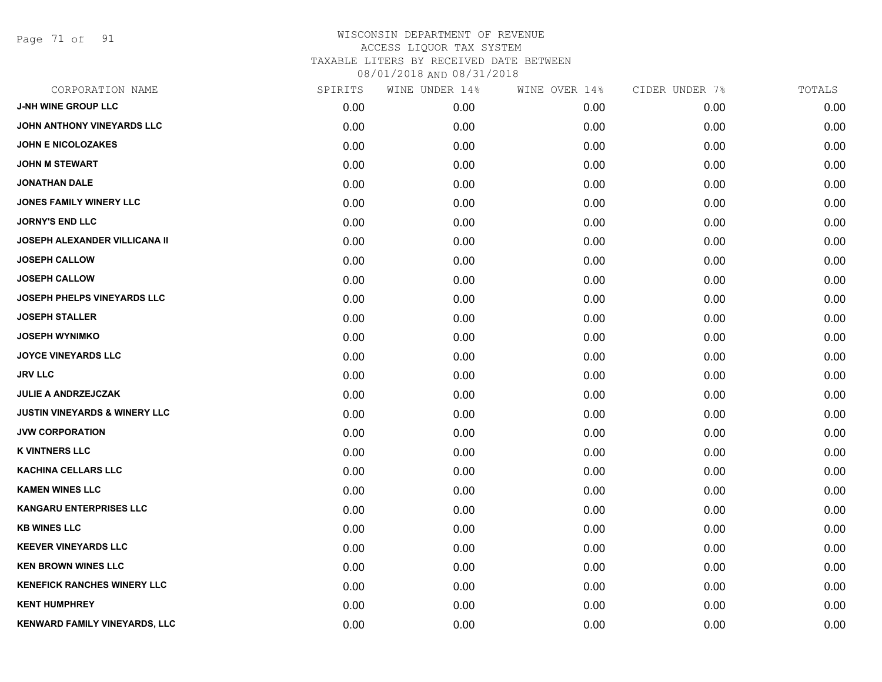Page 71 of 91

| CORPORATION NAME                         | SPIRITS | WINE UNDER 14% | WINE OVER 14% | CIDER UNDER 7% | TOTALS |
|------------------------------------------|---------|----------------|---------------|----------------|--------|
| <b>J-NH WINE GROUP LLC</b>               | 0.00    | 0.00           | 0.00          | 0.00           | 0.00   |
| JOHN ANTHONY VINEYARDS LLC               | 0.00    | 0.00           | 0.00          | 0.00           | 0.00   |
| <b>JOHN E NICOLOZAKES</b>                | 0.00    | 0.00           | 0.00          | 0.00           | 0.00   |
| <b>JOHN M STEWART</b>                    | 0.00    | 0.00           | 0.00          | 0.00           | 0.00   |
| <b>JONATHAN DALE</b>                     | 0.00    | 0.00           | 0.00          | 0.00           | 0.00   |
| <b>JONES FAMILY WINERY LLC</b>           | 0.00    | 0.00           | 0.00          | 0.00           | 0.00   |
| <b>JORNY'S END LLC</b>                   | 0.00    | 0.00           | 0.00          | 0.00           | 0.00   |
| <b>JOSEPH ALEXANDER VILLICANA II</b>     | 0.00    | 0.00           | 0.00          | 0.00           | 0.00   |
| <b>JOSEPH CALLOW</b>                     | 0.00    | 0.00           | 0.00          | 0.00           | 0.00   |
| <b>JOSEPH CALLOW</b>                     | 0.00    | 0.00           | 0.00          | 0.00           | 0.00   |
| <b>JOSEPH PHELPS VINEYARDS LLC</b>       | 0.00    | 0.00           | 0.00          | 0.00           | 0.00   |
| <b>JOSEPH STALLER</b>                    | 0.00    | 0.00           | 0.00          | 0.00           | 0.00   |
| <b>JOSEPH WYNIMKO</b>                    | 0.00    | 0.00           | 0.00          | 0.00           | 0.00   |
| <b>JOYCE VINEYARDS LLC</b>               | 0.00    | 0.00           | 0.00          | 0.00           | 0.00   |
| <b>JRV LLC</b>                           | 0.00    | 0.00           | 0.00          | 0.00           | 0.00   |
| <b>JULIE A ANDRZEJCZAK</b>               | 0.00    | 0.00           | 0.00          | 0.00           | 0.00   |
| <b>JUSTIN VINEYARDS &amp; WINERY LLC</b> | 0.00    | 0.00           | 0.00          | 0.00           | 0.00   |
| <b>JVW CORPORATION</b>                   | 0.00    | 0.00           | 0.00          | 0.00           | 0.00   |
| <b>K VINTNERS LLC</b>                    | 0.00    | 0.00           | 0.00          | 0.00           | 0.00   |
| <b>KACHINA CELLARS LLC</b>               | 0.00    | 0.00           | 0.00          | 0.00           | 0.00   |
| <b>KAMEN WINES LLC</b>                   | 0.00    | 0.00           | 0.00          | 0.00           | 0.00   |
| <b>KANGARU ENTERPRISES LLC</b>           | 0.00    | 0.00           | 0.00          | 0.00           | 0.00   |
| <b>KB WINES LLC</b>                      | 0.00    | 0.00           | 0.00          | 0.00           | 0.00   |
| <b>KEEVER VINEYARDS LLC</b>              | 0.00    | 0.00           | 0.00          | 0.00           | 0.00   |
| <b>KEN BROWN WINES LLC</b>               | 0.00    | 0.00           | 0.00          | 0.00           | 0.00   |
| <b>KENEFICK RANCHES WINERY LLC</b>       | 0.00    | 0.00           | 0.00          | 0.00           | 0.00   |
| <b>KENT HUMPHREY</b>                     | 0.00    | 0.00           | 0.00          | 0.00           | 0.00   |
| KENWARD FAMILY VINEYARDS, LLC            | 0.00    | 0.00           | 0.00          | 0.00           | 0.00   |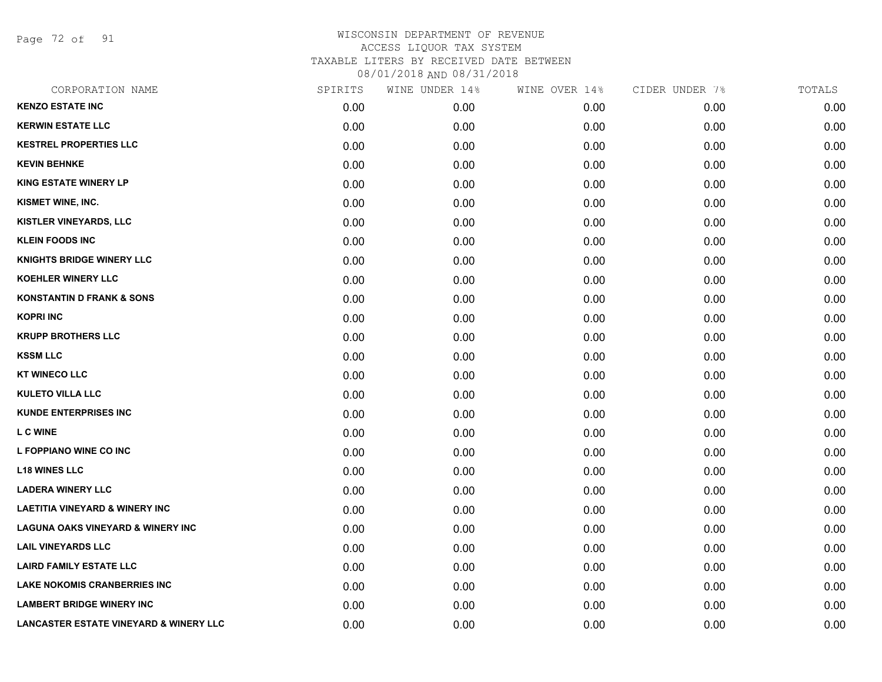Page 72 of 91

| CORPORATION NAME                                  | SPIRITS | WINE UNDER 14% | WINE OVER 14% | CIDER UNDER 7% | TOTALS |
|---------------------------------------------------|---------|----------------|---------------|----------------|--------|
| <b>KENZO ESTATE INC</b>                           | 0.00    | 0.00           | 0.00          | 0.00           | 0.00   |
| <b>KERWIN ESTATE LLC</b>                          | 0.00    | 0.00           | 0.00          | 0.00           | 0.00   |
| <b>KESTREL PROPERTIES LLC</b>                     | 0.00    | 0.00           | 0.00          | 0.00           | 0.00   |
| <b>KEVIN BEHNKE</b>                               | 0.00    | 0.00           | 0.00          | 0.00           | 0.00   |
| <b>KING ESTATE WINERY LP</b>                      | 0.00    | 0.00           | 0.00          | 0.00           | 0.00   |
| KISMET WINE, INC.                                 | 0.00    | 0.00           | 0.00          | 0.00           | 0.00   |
| <b>KISTLER VINEYARDS, LLC</b>                     | 0.00    | 0.00           | 0.00          | 0.00           | 0.00   |
| <b>KLEIN FOODS INC</b>                            | 0.00    | 0.00           | 0.00          | 0.00           | 0.00   |
| <b>KNIGHTS BRIDGE WINERY LLC</b>                  | 0.00    | 0.00           | 0.00          | 0.00           | 0.00   |
| <b>KOEHLER WINERY LLC</b>                         | 0.00    | 0.00           | 0.00          | 0.00           | 0.00   |
| <b>KONSTANTIN D FRANK &amp; SONS</b>              | 0.00    | 0.00           | 0.00          | 0.00           | 0.00   |
| <b>KOPRI INC</b>                                  | 0.00    | 0.00           | 0.00          | 0.00           | 0.00   |
| <b>KRUPP BROTHERS LLC</b>                         | 0.00    | 0.00           | 0.00          | 0.00           | 0.00   |
| <b>KSSM LLC</b>                                   | 0.00    | 0.00           | 0.00          | 0.00           | 0.00   |
| <b>KT WINECO LLC</b>                              | 0.00    | 0.00           | 0.00          | 0.00           | 0.00   |
| <b>KULETO VILLA LLC</b>                           | 0.00    | 0.00           | 0.00          | 0.00           | 0.00   |
| <b>KUNDE ENTERPRISES INC</b>                      | 0.00    | 0.00           | 0.00          | 0.00           | 0.00   |
| <b>L C WINE</b>                                   | 0.00    | 0.00           | 0.00          | 0.00           | 0.00   |
| L FOPPIANO WINE CO INC                            | 0.00    | 0.00           | 0.00          | 0.00           | 0.00   |
| <b>L18 WINES LLC</b>                              | 0.00    | 0.00           | 0.00          | 0.00           | 0.00   |
| <b>LADERA WINERY LLC</b>                          | 0.00    | 0.00           | 0.00          | 0.00           | 0.00   |
| <b>LAETITIA VINEYARD &amp; WINERY INC</b>         | 0.00    | 0.00           | 0.00          | 0.00           | 0.00   |
| <b>LAGUNA OAKS VINEYARD &amp; WINERY INC</b>      | 0.00    | 0.00           | 0.00          | 0.00           | 0.00   |
| <b>LAIL VINEYARDS LLC</b>                         | 0.00    | 0.00           | 0.00          | 0.00           | 0.00   |
| <b>LAIRD FAMILY ESTATE LLC</b>                    | 0.00    | 0.00           | 0.00          | 0.00           | 0.00   |
| <b>LAKE NOKOMIS CRANBERRIES INC</b>               | 0.00    | 0.00           | 0.00          | 0.00           | 0.00   |
| <b>LAMBERT BRIDGE WINERY INC</b>                  | 0.00    | 0.00           | 0.00          | 0.00           | 0.00   |
| <b>LANCASTER ESTATE VINEYARD &amp; WINERY LLC</b> | 0.00    | 0.00           | 0.00          | 0.00           | 0.00   |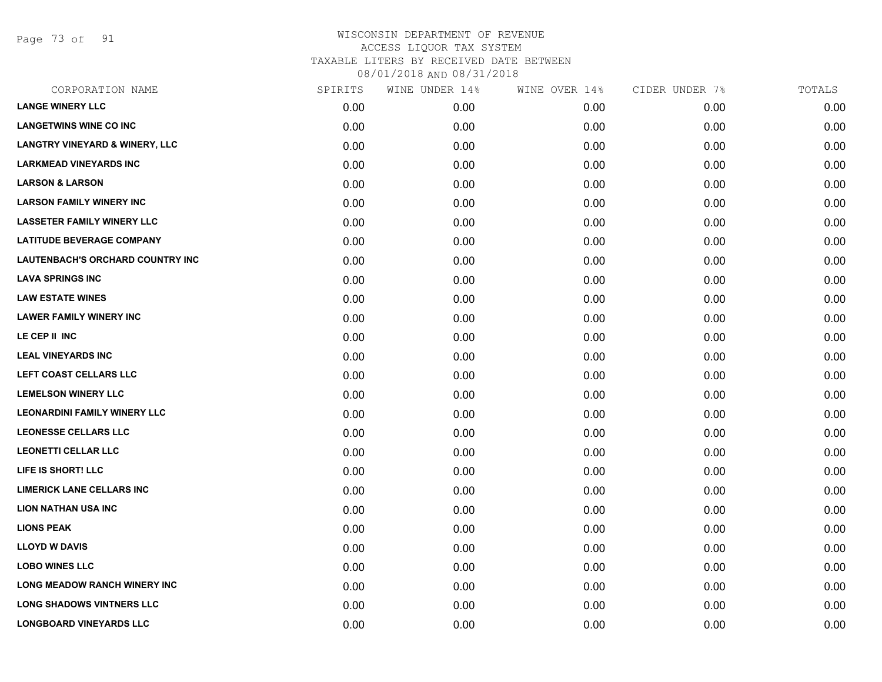Page 73 of 91

|      | WINE UNDER 14% | WINE OVER 14% | CIDER UNDER 7% | TOTALS |
|------|----------------|---------------|----------------|--------|
| 0.00 | 0.00           | 0.00          | 0.00           | 0.00   |
| 0.00 | 0.00           | 0.00          | 0.00           | 0.00   |
| 0.00 | 0.00           | 0.00          | 0.00           | 0.00   |
| 0.00 | 0.00           | 0.00          | 0.00           | 0.00   |
| 0.00 | 0.00           | 0.00          | 0.00           | 0.00   |
| 0.00 | 0.00           | 0.00          | 0.00           | 0.00   |
| 0.00 | 0.00           | 0.00          | 0.00           | 0.00   |
| 0.00 | 0.00           | 0.00          | 0.00           | 0.00   |
| 0.00 | 0.00           | 0.00          | 0.00           | 0.00   |
| 0.00 | 0.00           | 0.00          | 0.00           | 0.00   |
| 0.00 | 0.00           | 0.00          | 0.00           | 0.00   |
| 0.00 | 0.00           | 0.00          | 0.00           | 0.00   |
| 0.00 | 0.00           | 0.00          | 0.00           | 0.00   |
| 0.00 | 0.00           | 0.00          | 0.00           | 0.00   |
| 0.00 | 0.00           | 0.00          | 0.00           | 0.00   |
| 0.00 | 0.00           | 0.00          | 0.00           | 0.00   |
| 0.00 | 0.00           | 0.00          | 0.00           | 0.00   |
| 0.00 | 0.00           | 0.00          | 0.00           | 0.00   |
| 0.00 | 0.00           | 0.00          | 0.00           | 0.00   |
| 0.00 | 0.00           | 0.00          | 0.00           | 0.00   |
| 0.00 | 0.00           | 0.00          | 0.00           | 0.00   |
| 0.00 | 0.00           | 0.00          | 0.00           | 0.00   |
| 0.00 | 0.00           | 0.00          | 0.00           | 0.00   |
| 0.00 | 0.00           | 0.00          | 0.00           | 0.00   |
| 0.00 | 0.00           | 0.00          | 0.00           | 0.00   |
| 0.00 | 0.00           | 0.00          | 0.00           | 0.00   |
| 0.00 | 0.00           | 0.00          | 0.00           | 0.00   |
| 0.00 | 0.00           | 0.00          | 0.00           | 0.00   |
|      | SPIRITS        |               |                |        |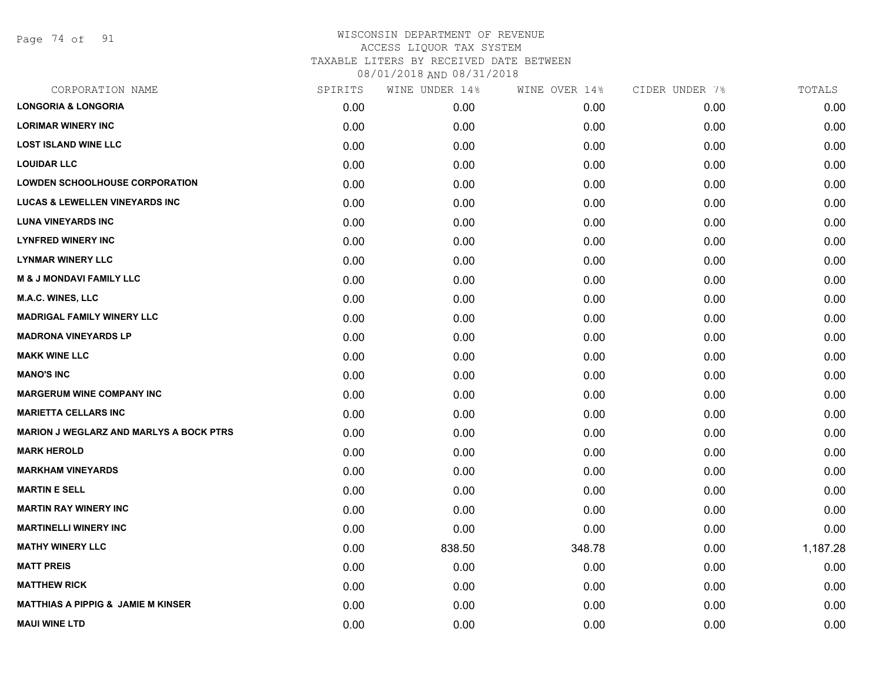Page 74 of 91

|      | WINE UNDER 14% |        | CIDER UNDER 7% | TOTALS   |
|------|----------------|--------|----------------|----------|
| 0.00 | 0.00           | 0.00   | 0.00           | 0.00     |
| 0.00 | 0.00           | 0.00   | 0.00           | 0.00     |
| 0.00 | 0.00           | 0.00   | 0.00           | 0.00     |
| 0.00 | 0.00           | 0.00   | 0.00           | 0.00     |
| 0.00 | 0.00           | 0.00   | 0.00           | 0.00     |
| 0.00 | 0.00           | 0.00   | 0.00           | 0.00     |
| 0.00 | 0.00           | 0.00   | 0.00           | 0.00     |
| 0.00 | 0.00           | 0.00   | 0.00           | 0.00     |
| 0.00 | 0.00           | 0.00   | 0.00           | 0.00     |
| 0.00 | 0.00           | 0.00   | 0.00           | 0.00     |
| 0.00 | 0.00           | 0.00   | 0.00           | 0.00     |
| 0.00 | 0.00           | 0.00   | 0.00           | 0.00     |
| 0.00 | 0.00           | 0.00   | 0.00           | 0.00     |
| 0.00 | 0.00           | 0.00   | 0.00           | 0.00     |
| 0.00 | 0.00           | 0.00   | 0.00           | 0.00     |
| 0.00 | 0.00           | 0.00   | 0.00           | 0.00     |
| 0.00 | 0.00           | 0.00   | 0.00           | 0.00     |
| 0.00 | 0.00           | 0.00   | 0.00           | 0.00     |
| 0.00 | 0.00           | 0.00   | 0.00           | 0.00     |
| 0.00 | 0.00           | 0.00   | 0.00           | 0.00     |
| 0.00 | 0.00           | 0.00   | 0.00           | 0.00     |
| 0.00 | 0.00           | 0.00   | 0.00           | 0.00     |
| 0.00 | 0.00           | 0.00   | 0.00           | 0.00     |
| 0.00 | 838.50         | 348.78 | 0.00           | 1,187.28 |
| 0.00 | 0.00           | 0.00   | 0.00           | 0.00     |
| 0.00 | 0.00           | 0.00   | 0.00           | 0.00     |
| 0.00 | 0.00           | 0.00   | 0.00           | 0.00     |
| 0.00 | 0.00           | 0.00   | 0.00           | 0.00     |
|      | SPIRITS        |        | WINE OVER 14%  |          |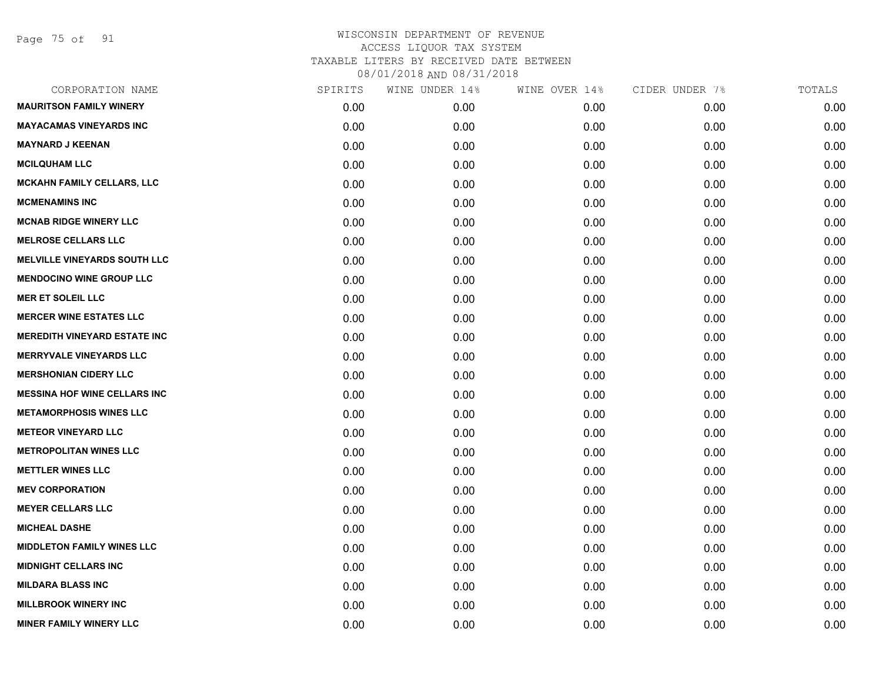Page 75 of 91

| CORPORATION NAME                    | SPIRITS | WINE UNDER 14% | WINE OVER 14% | CIDER UNDER 7% | TOTALS |
|-------------------------------------|---------|----------------|---------------|----------------|--------|
| <b>MAURITSON FAMILY WINERY</b>      | 0.00    | 0.00           | 0.00          | 0.00           | 0.00   |
| <b>MAYACAMAS VINEYARDS INC</b>      | 0.00    | 0.00           | 0.00          | 0.00           | 0.00   |
| <b>MAYNARD J KEENAN</b>             | 0.00    | 0.00           | 0.00          | 0.00           | 0.00   |
| <b>MCILQUHAM LLC</b>                | 0.00    | 0.00           | 0.00          | 0.00           | 0.00   |
| <b>MCKAHN FAMILY CELLARS, LLC</b>   | 0.00    | 0.00           | 0.00          | 0.00           | 0.00   |
| <b>MCMENAMINS INC</b>               | 0.00    | 0.00           | 0.00          | 0.00           | 0.00   |
| <b>MCNAB RIDGE WINERY LLC</b>       | 0.00    | 0.00           | 0.00          | 0.00           | 0.00   |
| <b>MELROSE CELLARS LLC</b>          | 0.00    | 0.00           | 0.00          | 0.00           | 0.00   |
| <b>MELVILLE VINEYARDS SOUTH LLC</b> | 0.00    | 0.00           | 0.00          | 0.00           | 0.00   |
| <b>MENDOCINO WINE GROUP LLC</b>     | 0.00    | 0.00           | 0.00          | 0.00           | 0.00   |
| <b>MER ET SOLEIL LLC</b>            | 0.00    | 0.00           | 0.00          | 0.00           | 0.00   |
| <b>MERCER WINE ESTATES LLC</b>      | 0.00    | 0.00           | 0.00          | 0.00           | 0.00   |
| <b>MEREDITH VINEYARD ESTATE INC</b> | 0.00    | 0.00           | 0.00          | 0.00           | 0.00   |
| <b>MERRYVALE VINEYARDS LLC</b>      | 0.00    | 0.00           | 0.00          | 0.00           | 0.00   |
| <b>MERSHONIAN CIDERY LLC</b>        | 0.00    | 0.00           | 0.00          | 0.00           | 0.00   |
| <b>MESSINA HOF WINE CELLARS INC</b> | 0.00    | 0.00           | 0.00          | 0.00           | 0.00   |
| <b>METAMORPHOSIS WINES LLC</b>      | 0.00    | 0.00           | 0.00          | 0.00           | 0.00   |
| <b>METEOR VINEYARD LLC</b>          | 0.00    | 0.00           | 0.00          | 0.00           | 0.00   |
| <b>METROPOLITAN WINES LLC</b>       | 0.00    | 0.00           | 0.00          | 0.00           | 0.00   |
| <b>METTLER WINES LLC</b>            | 0.00    | 0.00           | 0.00          | 0.00           | 0.00   |
| <b>MEV CORPORATION</b>              | 0.00    | 0.00           | 0.00          | 0.00           | 0.00   |
| <b>MEYER CELLARS LLC</b>            | 0.00    | 0.00           | 0.00          | 0.00           | 0.00   |
| <b>MICHEAL DASHE</b>                | 0.00    | 0.00           | 0.00          | 0.00           | 0.00   |
| <b>MIDDLETON FAMILY WINES LLC</b>   | 0.00    | 0.00           | 0.00          | 0.00           | 0.00   |
| <b>MIDNIGHT CELLARS INC</b>         | 0.00    | 0.00           | 0.00          | 0.00           | 0.00   |
| <b>MILDARA BLASS INC</b>            | 0.00    | 0.00           | 0.00          | 0.00           | 0.00   |
| <b>MILLBROOK WINERY INC</b>         | 0.00    | 0.00           | 0.00          | 0.00           | 0.00   |
| <b>MINER FAMILY WINERY LLC</b>      | 0.00    | 0.00           | 0.00          | 0.00           | 0.00   |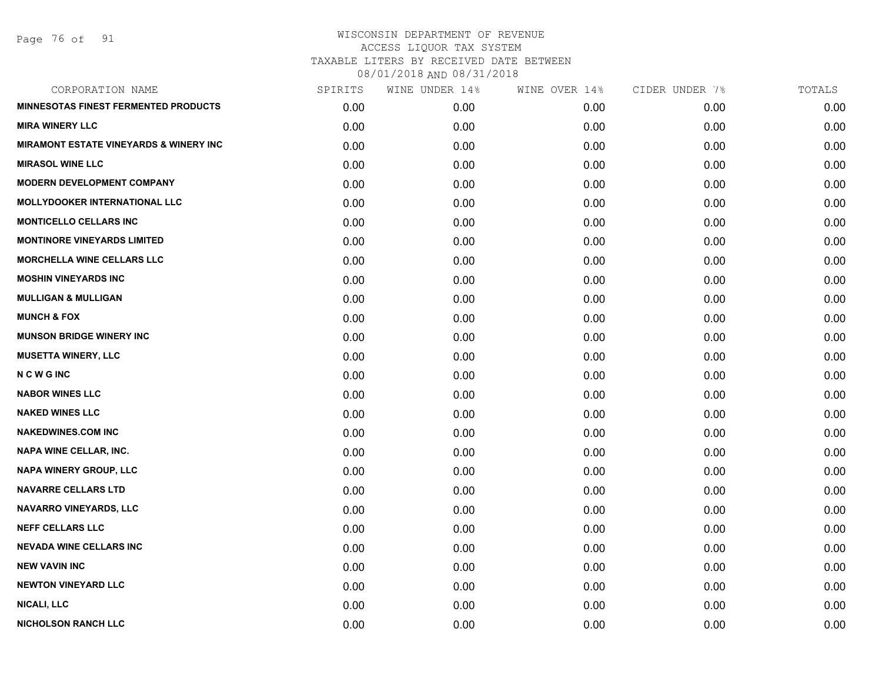Page 76 of 91

| CORPORATION NAME                                  | SPIRITS | WINE UNDER 14% | WINE OVER 14% | CIDER UNDER 7% | TOTALS |
|---------------------------------------------------|---------|----------------|---------------|----------------|--------|
| <b>MINNESOTAS FINEST FERMENTED PRODUCTS</b>       | 0.00    | 0.00           | 0.00          | 0.00           | 0.00   |
| <b>MIRA WINERY LLC</b>                            | 0.00    | 0.00           | 0.00          | 0.00           | 0.00   |
| <b>MIRAMONT ESTATE VINEYARDS &amp; WINERY INC</b> | 0.00    | 0.00           | 0.00          | 0.00           | 0.00   |
| <b>MIRASOL WINE LLC</b>                           | 0.00    | 0.00           | 0.00          | 0.00           | 0.00   |
| <b>MODERN DEVELOPMENT COMPANY</b>                 | 0.00    | 0.00           | 0.00          | 0.00           | 0.00   |
| <b>MOLLYDOOKER INTERNATIONAL LLC</b>              | 0.00    | 0.00           | 0.00          | 0.00           | 0.00   |
| <b>MONTICELLO CELLARS INC</b>                     | 0.00    | 0.00           | 0.00          | 0.00           | 0.00   |
| <b>MONTINORE VINEYARDS LIMITED</b>                | 0.00    | 0.00           | 0.00          | 0.00           | 0.00   |
| <b>MORCHELLA WINE CELLARS LLC</b>                 | 0.00    | 0.00           | 0.00          | 0.00           | 0.00   |
| <b>MOSHIN VINEYARDS INC</b>                       | 0.00    | 0.00           | 0.00          | 0.00           | 0.00   |
| <b>MULLIGAN &amp; MULLIGAN</b>                    | 0.00    | 0.00           | 0.00          | 0.00           | 0.00   |
| <b>MUNCH &amp; FOX</b>                            | 0.00    | 0.00           | 0.00          | 0.00           | 0.00   |
| <b>MUNSON BRIDGE WINERY INC</b>                   | 0.00    | 0.00           | 0.00          | 0.00           | 0.00   |
| <b>MUSETTA WINERY, LLC</b>                        | 0.00    | 0.00           | 0.00          | 0.00           | 0.00   |
| <b>NCWGINC</b>                                    | 0.00    | 0.00           | 0.00          | 0.00           | 0.00   |
| <b>NABOR WINES LLC</b>                            | 0.00    | 0.00           | 0.00          | 0.00           | 0.00   |
| <b>NAKED WINES LLC</b>                            | 0.00    | 0.00           | 0.00          | 0.00           | 0.00   |
| <b>NAKEDWINES.COM INC</b>                         | 0.00    | 0.00           | 0.00          | 0.00           | 0.00   |
| NAPA WINE CELLAR, INC.                            | 0.00    | 0.00           | 0.00          | 0.00           | 0.00   |
| <b>NAPA WINERY GROUP, LLC</b>                     | 0.00    | 0.00           | 0.00          | 0.00           | 0.00   |
| <b>NAVARRE CELLARS LTD</b>                        | 0.00    | 0.00           | 0.00          | 0.00           | 0.00   |
| <b>NAVARRO VINEYARDS, LLC</b>                     | 0.00    | 0.00           | 0.00          | 0.00           | 0.00   |
| <b>NEFF CELLARS LLC</b>                           | 0.00    | 0.00           | 0.00          | 0.00           | 0.00   |
| <b>NEVADA WINE CELLARS INC</b>                    | 0.00    | 0.00           | 0.00          | 0.00           | 0.00   |
| <b>NEW VAVIN INC</b>                              | 0.00    | 0.00           | 0.00          | 0.00           | 0.00   |
| <b>NEWTON VINEYARD LLC</b>                        | 0.00    | 0.00           | 0.00          | 0.00           | 0.00   |
| <b>NICALI, LLC</b>                                | 0.00    | 0.00           | 0.00          | 0.00           | 0.00   |
| <b>NICHOLSON RANCH LLC</b>                        | 0.00    | 0.00           | 0.00          | 0.00           | 0.00   |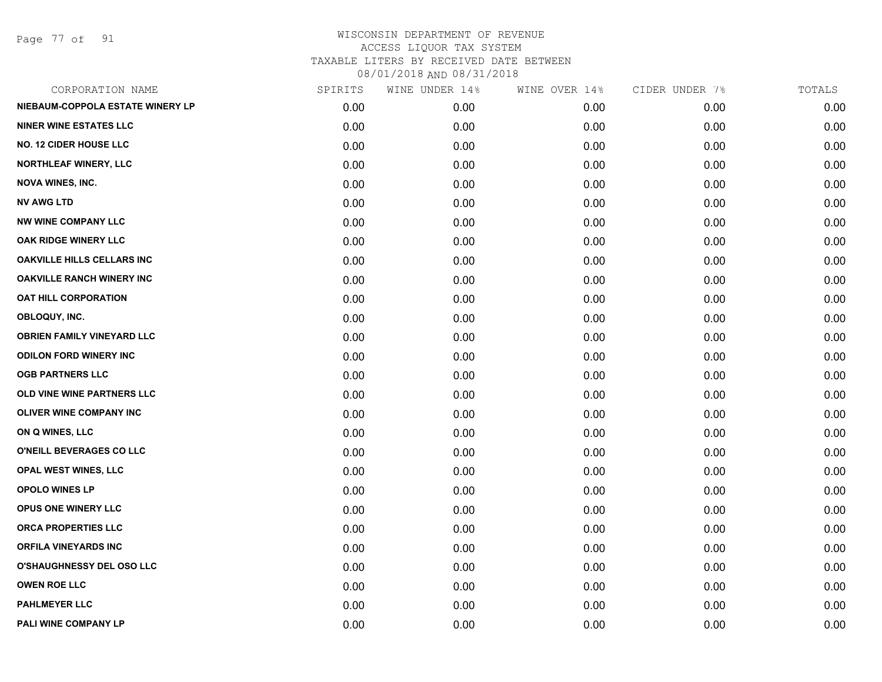Page 77 of 91

| CORPORATION NAME                  | SPIRITS | WINE UNDER 14% | WINE OVER 14% | CIDER UNDER 7% | TOTALS |
|-----------------------------------|---------|----------------|---------------|----------------|--------|
| NIEBAUM-COPPOLA ESTATE WINERY LP  | 0.00    | 0.00           | 0.00          | 0.00           | 0.00   |
| <b>NINER WINE ESTATES LLC</b>     | 0.00    | 0.00           | 0.00          | 0.00           | 0.00   |
| <b>NO. 12 CIDER HOUSE LLC</b>     | 0.00    | 0.00           | 0.00          | 0.00           | 0.00   |
| <b>NORTHLEAF WINERY, LLC</b>      | 0.00    | 0.00           | 0.00          | 0.00           | 0.00   |
| <b>NOVA WINES, INC.</b>           | 0.00    | 0.00           | 0.00          | 0.00           | 0.00   |
| <b>NV AWG LTD</b>                 | 0.00    | 0.00           | 0.00          | 0.00           | 0.00   |
| <b>NW WINE COMPANY LLC</b>        | 0.00    | 0.00           | 0.00          | 0.00           | 0.00   |
| <b>OAK RIDGE WINERY LLC</b>       | 0.00    | 0.00           | 0.00          | 0.00           | 0.00   |
| OAKVILLE HILLS CELLARS INC        | 0.00    | 0.00           | 0.00          | 0.00           | 0.00   |
| <b>OAKVILLE RANCH WINERY INC</b>  | 0.00    | 0.00           | 0.00          | 0.00           | 0.00   |
| <b>OAT HILL CORPORATION</b>       | 0.00    | 0.00           | 0.00          | 0.00           | 0.00   |
| OBLOQUY, INC.                     | 0.00    | 0.00           | 0.00          | 0.00           | 0.00   |
| <b>OBRIEN FAMILY VINEYARD LLC</b> | 0.00    | 0.00           | 0.00          | 0.00           | 0.00   |
| <b>ODILON FORD WINERY INC</b>     | 0.00    | 0.00           | 0.00          | 0.00           | 0.00   |
| <b>OGB PARTNERS LLC</b>           | 0.00    | 0.00           | 0.00          | 0.00           | 0.00   |
| OLD VINE WINE PARTNERS LLC        | 0.00    | 0.00           | 0.00          | 0.00           | 0.00   |
| <b>OLIVER WINE COMPANY INC</b>    | 0.00    | 0.00           | 0.00          | 0.00           | 0.00   |
| ON Q WINES, LLC                   | 0.00    | 0.00           | 0.00          | 0.00           | 0.00   |
| O'NEILL BEVERAGES CO LLC          | 0.00    | 0.00           | 0.00          | 0.00           | 0.00   |
| OPAL WEST WINES, LLC              | 0.00    | 0.00           | 0.00          | 0.00           | 0.00   |
| <b>OPOLO WINES LP</b>             | 0.00    | 0.00           | 0.00          | 0.00           | 0.00   |
| <b>OPUS ONE WINERY LLC</b>        | 0.00    | 0.00           | 0.00          | 0.00           | 0.00   |
| <b>ORCA PROPERTIES LLC</b>        | 0.00    | 0.00           | 0.00          | 0.00           | 0.00   |
| <b>ORFILA VINEYARDS INC</b>       | 0.00    | 0.00           | 0.00          | 0.00           | 0.00   |
| <b>O'SHAUGHNESSY DEL OSO LLC</b>  | 0.00    | 0.00           | 0.00          | 0.00           | 0.00   |
| <b>OWEN ROE LLC</b>               | 0.00    | 0.00           | 0.00          | 0.00           | 0.00   |
| <b>PAHLMEYER LLC</b>              | 0.00    | 0.00           | 0.00          | 0.00           | 0.00   |
| PALI WINE COMPANY LP              | 0.00    | 0.00           | 0.00          | 0.00           | 0.00   |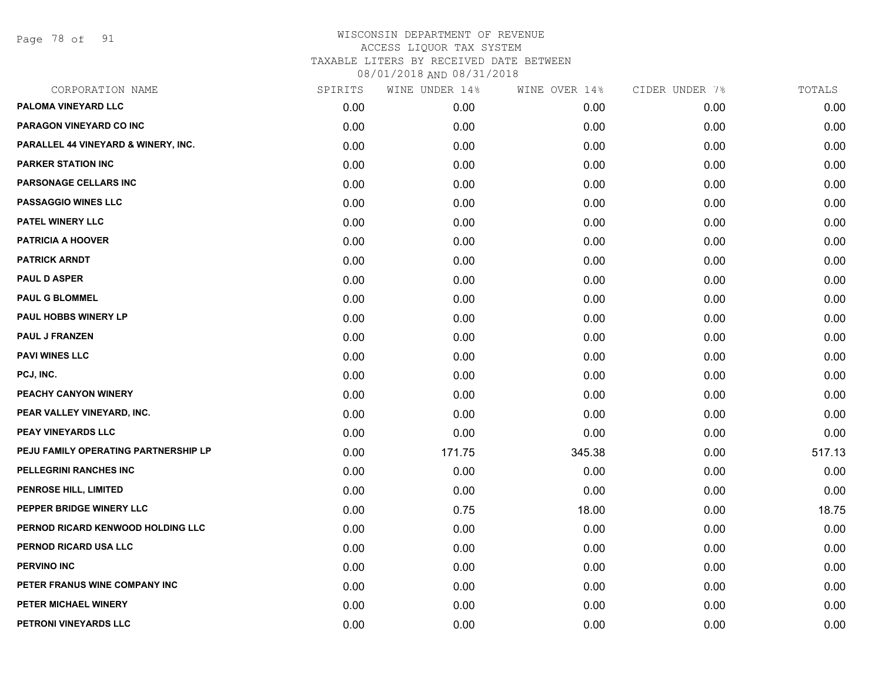Page 78 of 91

| CORPORATION NAME                     | SPIRITS | WINE UNDER 14% | WINE OVER 14% | CIDER UNDER 7% | TOTALS |
|--------------------------------------|---------|----------------|---------------|----------------|--------|
| PALOMA VINEYARD LLC                  | 0.00    | 0.00           | 0.00          | 0.00           | 0.00   |
| PARAGON VINEYARD CO INC              | 0.00    | 0.00           | 0.00          | 0.00           | 0.00   |
| PARALLEL 44 VINEYARD & WINERY, INC.  | 0.00    | 0.00           | 0.00          | 0.00           | 0.00   |
| <b>PARKER STATION INC</b>            | 0.00    | 0.00           | 0.00          | 0.00           | 0.00   |
| <b>PARSONAGE CELLARS INC</b>         | 0.00    | 0.00           | 0.00          | 0.00           | 0.00   |
| <b>PASSAGGIO WINES LLC</b>           | 0.00    | 0.00           | 0.00          | 0.00           | 0.00   |
| PATEL WINERY LLC                     | 0.00    | 0.00           | 0.00          | 0.00           | 0.00   |
| <b>PATRICIA A HOOVER</b>             | 0.00    | 0.00           | 0.00          | 0.00           | 0.00   |
| <b>PATRICK ARNDT</b>                 | 0.00    | 0.00           | 0.00          | 0.00           | 0.00   |
| <b>PAUL D ASPER</b>                  | 0.00    | 0.00           | 0.00          | 0.00           | 0.00   |
| <b>PAUL G BLOMMEL</b>                | 0.00    | 0.00           | 0.00          | 0.00           | 0.00   |
| <b>PAUL HOBBS WINERY LP</b>          | 0.00    | 0.00           | 0.00          | 0.00           | 0.00   |
| <b>PAUL J FRANZEN</b>                | 0.00    | 0.00           | 0.00          | 0.00           | 0.00   |
| <b>PAVI WINES LLC</b>                | 0.00    | 0.00           | 0.00          | 0.00           | 0.00   |
| PCJ, INC.                            | 0.00    | 0.00           | 0.00          | 0.00           | 0.00   |
| PEACHY CANYON WINERY                 | 0.00    | 0.00           | 0.00          | 0.00           | 0.00   |
| PEAR VALLEY VINEYARD, INC.           | 0.00    | 0.00           | 0.00          | 0.00           | 0.00   |
| <b>PEAY VINEYARDS LLC</b>            | 0.00    | 0.00           | 0.00          | 0.00           | 0.00   |
| PEJU FAMILY OPERATING PARTNERSHIP LP | 0.00    | 171.75         | 345.38        | 0.00           | 517.13 |
| PELLEGRINI RANCHES INC               | 0.00    | 0.00           | 0.00          | 0.00           | 0.00   |
| <b>PENROSE HILL, LIMITED</b>         | 0.00    | 0.00           | 0.00          | 0.00           | 0.00   |
| PEPPER BRIDGE WINERY LLC             | 0.00    | 0.75           | 18.00         | 0.00           | 18.75  |
| PERNOD RICARD KENWOOD HOLDING LLC    | 0.00    | 0.00           | 0.00          | 0.00           | 0.00   |
| PERNOD RICARD USA LLC                | 0.00    | 0.00           | 0.00          | 0.00           | 0.00   |
| <b>PERVINO INC</b>                   | 0.00    | 0.00           | 0.00          | 0.00           | 0.00   |
| PETER FRANUS WINE COMPANY INC        | 0.00    | 0.00           | 0.00          | 0.00           | 0.00   |
| PETER MICHAEL WINERY                 | 0.00    | 0.00           | 0.00          | 0.00           | 0.00   |
| PETRONI VINEYARDS LLC                | 0.00    | 0.00           | 0.00          | 0.00           | 0.00   |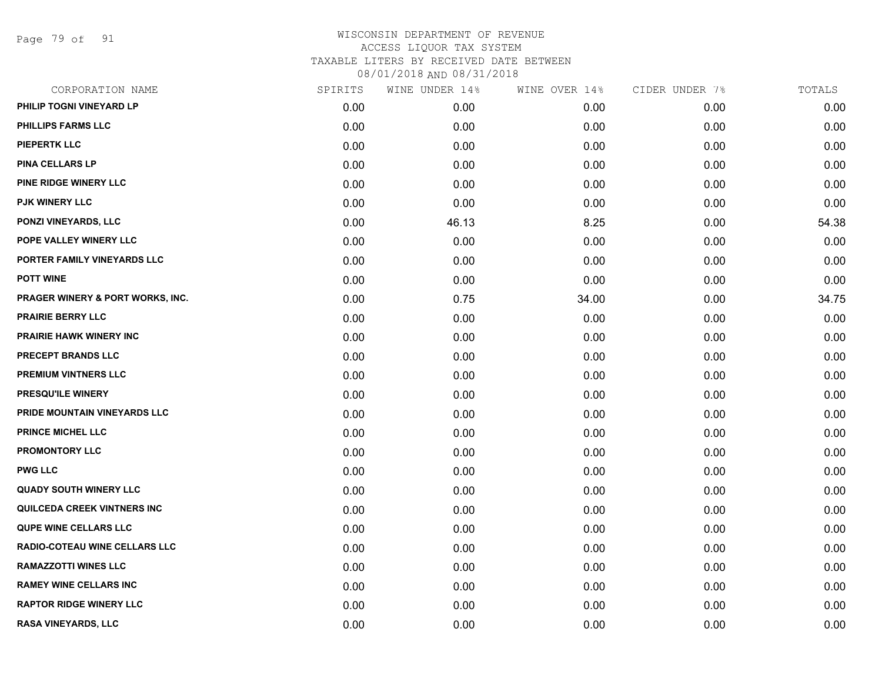Page 79 of 91

| CORPORATION NAME                     | SPIRITS | WINE UNDER 14% | WINE OVER 14% | CIDER UNDER 7% | TOTALS |
|--------------------------------------|---------|----------------|---------------|----------------|--------|
| PHILIP TOGNI VINEYARD LP             | 0.00    | 0.00           | 0.00          | 0.00           | 0.00   |
| PHILLIPS FARMS LLC                   | 0.00    | 0.00           | 0.00          | 0.00           | 0.00   |
| <b>PIEPERTK LLC</b>                  | 0.00    | 0.00           | 0.00          | 0.00           | 0.00   |
| <b>PINA CELLARS LP</b>               | 0.00    | 0.00           | 0.00          | 0.00           | 0.00   |
| <b>PINE RIDGE WINERY LLC</b>         | 0.00    | 0.00           | 0.00          | 0.00           | 0.00   |
| <b>PJK WINERY LLC</b>                | 0.00    | 0.00           | 0.00          | 0.00           | 0.00   |
| <b>PONZI VINEYARDS, LLC</b>          | 0.00    | 46.13          | 8.25          | 0.00           | 54.38  |
| POPE VALLEY WINERY LLC               | 0.00    | 0.00           | 0.00          | 0.00           | 0.00   |
| PORTER FAMILY VINEYARDS LLC          | 0.00    | 0.00           | 0.00          | 0.00           | 0.00   |
| <b>POTT WINE</b>                     | 0.00    | 0.00           | 0.00          | 0.00           | 0.00   |
| PRAGER WINERY & PORT WORKS, INC.     | 0.00    | 0.75           | 34.00         | 0.00           | 34.75  |
| <b>PRAIRIE BERRY LLC</b>             | 0.00    | 0.00           | 0.00          | 0.00           | 0.00   |
| <b>PRAIRIE HAWK WINERY INC</b>       | 0.00    | 0.00           | 0.00          | 0.00           | 0.00   |
| <b>PRECEPT BRANDS LLC</b>            | 0.00    | 0.00           | 0.00          | 0.00           | 0.00   |
| <b>PREMIUM VINTNERS LLC</b>          | 0.00    | 0.00           | 0.00          | 0.00           | 0.00   |
| PRESQU'ILE WINERY                    | 0.00    | 0.00           | 0.00          | 0.00           | 0.00   |
| PRIDE MOUNTAIN VINEYARDS LLC         | 0.00    | 0.00           | 0.00          | 0.00           | 0.00   |
| <b>PRINCE MICHEL LLC</b>             | 0.00    | 0.00           | 0.00          | 0.00           | 0.00   |
| PROMONTORY LLC                       | 0.00    | 0.00           | 0.00          | 0.00           | 0.00   |
| <b>PWG LLC</b>                       | 0.00    | 0.00           | 0.00          | 0.00           | 0.00   |
| <b>QUADY SOUTH WINERY LLC</b>        | 0.00    | 0.00           | 0.00          | 0.00           | 0.00   |
| <b>QUILCEDA CREEK VINTNERS INC</b>   | 0.00    | 0.00           | 0.00          | 0.00           | 0.00   |
| <b>QUPE WINE CELLARS LLC</b>         | 0.00    | 0.00           | 0.00          | 0.00           | 0.00   |
| <b>RADIO-COTEAU WINE CELLARS LLC</b> | 0.00    | 0.00           | 0.00          | 0.00           | 0.00   |
| <b>RAMAZZOTTI WINES LLC</b>          | 0.00    | 0.00           | 0.00          | 0.00           | 0.00   |
| <b>RAMEY WINE CELLARS INC</b>        | 0.00    | 0.00           | 0.00          | 0.00           | 0.00   |
| <b>RAPTOR RIDGE WINERY LLC</b>       | 0.00    | 0.00           | 0.00          | 0.00           | 0.00   |
| <b>RASA VINEYARDS, LLC</b>           | 0.00    | 0.00           | 0.00          | 0.00           | 0.00   |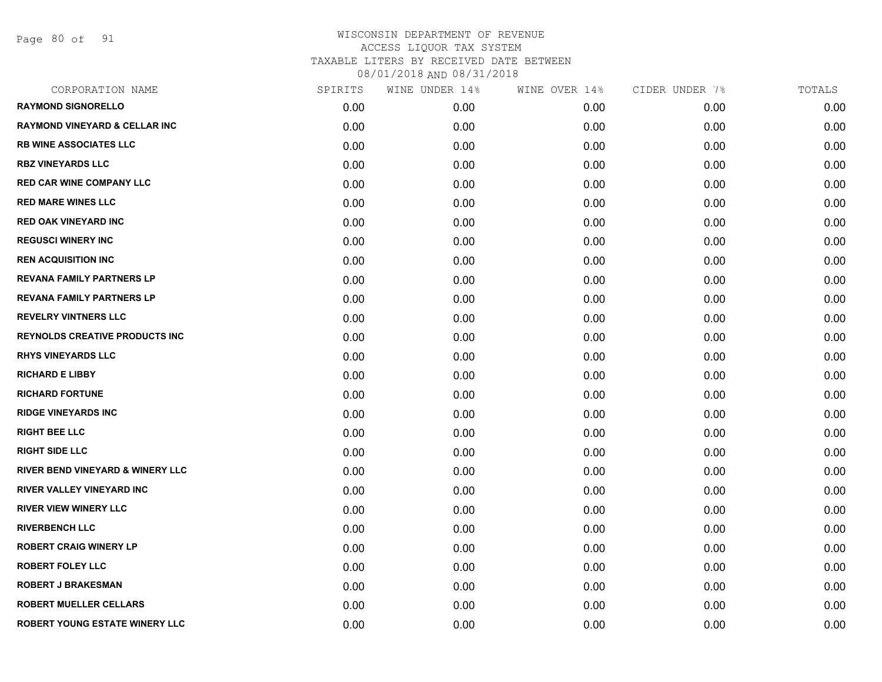Page 80 of 91

| CORPORATION NAME                            | SPIRITS | WINE UNDER 14% | WINE OVER 14% | CIDER UNDER 7% | TOTALS |
|---------------------------------------------|---------|----------------|---------------|----------------|--------|
| <b>RAYMOND SIGNORELLO</b>                   | 0.00    | 0.00           | 0.00          | 0.00           | 0.00   |
| <b>RAYMOND VINEYARD &amp; CELLAR INC</b>    | 0.00    | 0.00           | 0.00          | 0.00           | 0.00   |
| <b>RB WINE ASSOCIATES LLC</b>               | 0.00    | 0.00           | 0.00          | 0.00           | 0.00   |
| <b>RBZ VINEYARDS LLC</b>                    | 0.00    | 0.00           | 0.00          | 0.00           | 0.00   |
| <b>RED CAR WINE COMPANY LLC</b>             | 0.00    | 0.00           | 0.00          | 0.00           | 0.00   |
| <b>RED MARE WINES LLC</b>                   | 0.00    | 0.00           | 0.00          | 0.00           | 0.00   |
| <b>RED OAK VINEYARD INC</b>                 | 0.00    | 0.00           | 0.00          | 0.00           | 0.00   |
| <b>REGUSCI WINERY INC</b>                   | 0.00    | 0.00           | 0.00          | 0.00           | 0.00   |
| <b>REN ACQUISITION INC</b>                  | 0.00    | 0.00           | 0.00          | 0.00           | 0.00   |
| <b>REVANA FAMILY PARTNERS LP</b>            | 0.00    | 0.00           | 0.00          | 0.00           | 0.00   |
| <b>REVANA FAMILY PARTNERS LP</b>            | 0.00    | 0.00           | 0.00          | 0.00           | 0.00   |
| <b>REVELRY VINTNERS LLC</b>                 | 0.00    | 0.00           | 0.00          | 0.00           | 0.00   |
| <b>REYNOLDS CREATIVE PRODUCTS INC</b>       | 0.00    | 0.00           | 0.00          | 0.00           | 0.00   |
| <b>RHYS VINEYARDS LLC</b>                   | 0.00    | 0.00           | 0.00          | 0.00           | 0.00   |
| <b>RICHARD E LIBBY</b>                      | 0.00    | 0.00           | 0.00          | 0.00           | 0.00   |
| <b>RICHARD FORTUNE</b>                      | 0.00    | 0.00           | 0.00          | 0.00           | 0.00   |
| <b>RIDGE VINEYARDS INC</b>                  | 0.00    | 0.00           | 0.00          | 0.00           | 0.00   |
| <b>RIGHT BEE LLC</b>                        | 0.00    | 0.00           | 0.00          | 0.00           | 0.00   |
| <b>RIGHT SIDE LLC</b>                       | 0.00    | 0.00           | 0.00          | 0.00           | 0.00   |
| <b>RIVER BEND VINEYARD &amp; WINERY LLC</b> | 0.00    | 0.00           | 0.00          | 0.00           | 0.00   |
| <b>RIVER VALLEY VINEYARD INC</b>            | 0.00    | 0.00           | 0.00          | 0.00           | 0.00   |
| <b>RIVER VIEW WINERY LLC</b>                | 0.00    | 0.00           | 0.00          | 0.00           | 0.00   |
| <b>RIVERBENCH LLC</b>                       | 0.00    | 0.00           | 0.00          | 0.00           | 0.00   |
| <b>ROBERT CRAIG WINERY LP</b>               | 0.00    | 0.00           | 0.00          | 0.00           | 0.00   |
| <b>ROBERT FOLEY LLC</b>                     | 0.00    | 0.00           | 0.00          | 0.00           | 0.00   |
| <b>ROBERT J BRAKESMAN</b>                   | 0.00    | 0.00           | 0.00          | 0.00           | 0.00   |
| <b>ROBERT MUELLER CELLARS</b>               | 0.00    | 0.00           | 0.00          | 0.00           | 0.00   |
| ROBERT YOUNG ESTATE WINERY LLC              | 0.00    | 0.00           | 0.00          | 0.00           | 0.00   |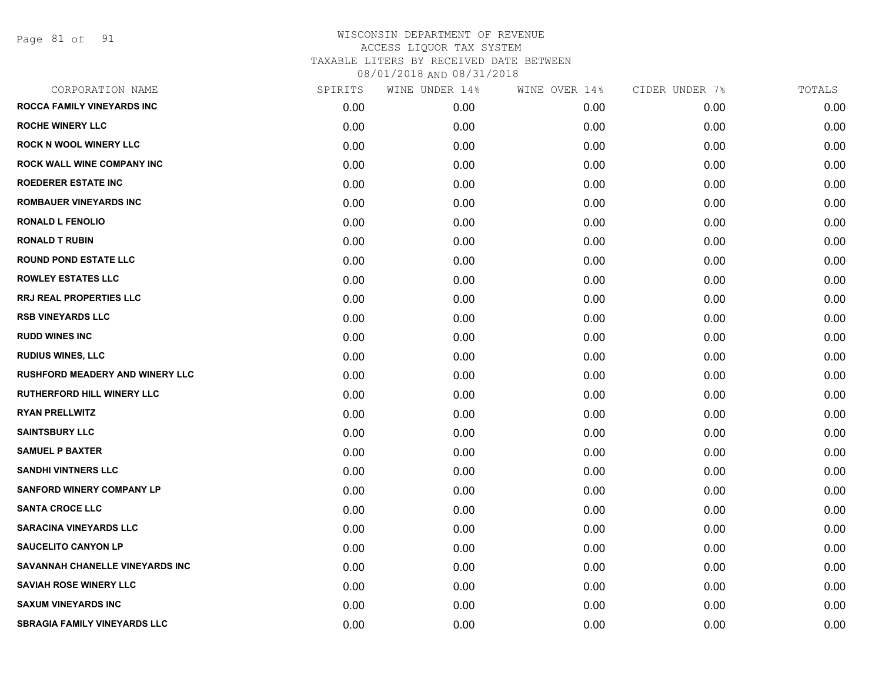Page 81 of 91

| CORPORATION NAME                       | SPIRITS | WINE UNDER 14% | WINE OVER 14% | CIDER UNDER 7% | TOTALS |
|----------------------------------------|---------|----------------|---------------|----------------|--------|
| ROCCA FAMILY VINEYARDS INC             | 0.00    | 0.00           | 0.00          | 0.00           | 0.00   |
| <b>ROCHE WINERY LLC</b>                | 0.00    | 0.00           | 0.00          | 0.00           | 0.00   |
| <b>ROCK N WOOL WINERY LLC</b>          | 0.00    | 0.00           | 0.00          | 0.00           | 0.00   |
| ROCK WALL WINE COMPANY INC             | 0.00    | 0.00           | 0.00          | 0.00           | 0.00   |
| <b>ROEDERER ESTATE INC</b>             | 0.00    | 0.00           | 0.00          | 0.00           | 0.00   |
| <b>ROMBAUER VINEYARDS INC</b>          | 0.00    | 0.00           | 0.00          | 0.00           | 0.00   |
| <b>RONALD L FENOLIO</b>                | 0.00    | 0.00           | 0.00          | 0.00           | 0.00   |
| <b>RONALD T RUBIN</b>                  | 0.00    | 0.00           | 0.00          | 0.00           | 0.00   |
| <b>ROUND POND ESTATE LLC</b>           | 0.00    | 0.00           | 0.00          | 0.00           | 0.00   |
| <b>ROWLEY ESTATES LLC</b>              | 0.00    | 0.00           | 0.00          | 0.00           | 0.00   |
| <b>RRJ REAL PROPERTIES LLC</b>         | 0.00    | 0.00           | 0.00          | 0.00           | 0.00   |
| <b>RSB VINEYARDS LLC</b>               | 0.00    | 0.00           | 0.00          | 0.00           | 0.00   |
| <b>RUDD WINES INC</b>                  | 0.00    | 0.00           | 0.00          | 0.00           | 0.00   |
| <b>RUDIUS WINES, LLC</b>               | 0.00    | 0.00           | 0.00          | 0.00           | 0.00   |
| <b>RUSHFORD MEADERY AND WINERY LLC</b> | 0.00    | 0.00           | 0.00          | 0.00           | 0.00   |
| <b>RUTHERFORD HILL WINERY LLC</b>      | 0.00    | 0.00           | 0.00          | 0.00           | 0.00   |
| <b>RYAN PRELLWITZ</b>                  | 0.00    | 0.00           | 0.00          | 0.00           | 0.00   |
| <b>SAINTSBURY LLC</b>                  | 0.00    | 0.00           | 0.00          | 0.00           | 0.00   |
| <b>SAMUEL P BAXTER</b>                 | 0.00    | 0.00           | 0.00          | 0.00           | 0.00   |
| <b>SANDHI VINTNERS LLC</b>             | 0.00    | 0.00           | 0.00          | 0.00           | 0.00   |
| <b>SANFORD WINERY COMPANY LP</b>       | 0.00    | 0.00           | 0.00          | 0.00           | 0.00   |
| <b>SANTA CROCE LLC</b>                 | 0.00    | 0.00           | 0.00          | 0.00           | 0.00   |
| <b>SARACINA VINEYARDS LLC</b>          | 0.00    | 0.00           | 0.00          | 0.00           | 0.00   |
| <b>SAUCELITO CANYON LP</b>             | 0.00    | 0.00           | 0.00          | 0.00           | 0.00   |
| SAVANNAH CHANELLE VINEYARDS INC        | 0.00    | 0.00           | 0.00          | 0.00           | 0.00   |
| <b>SAVIAH ROSE WINERY LLC</b>          | 0.00    | 0.00           | 0.00          | 0.00           | 0.00   |
| <b>SAXUM VINEYARDS INC</b>             | 0.00    | 0.00           | 0.00          | 0.00           | 0.00   |
| <b>SBRAGIA FAMILY VINEYARDS LLC</b>    | 0.00    | 0.00           | 0.00          | 0.00           | 0.00   |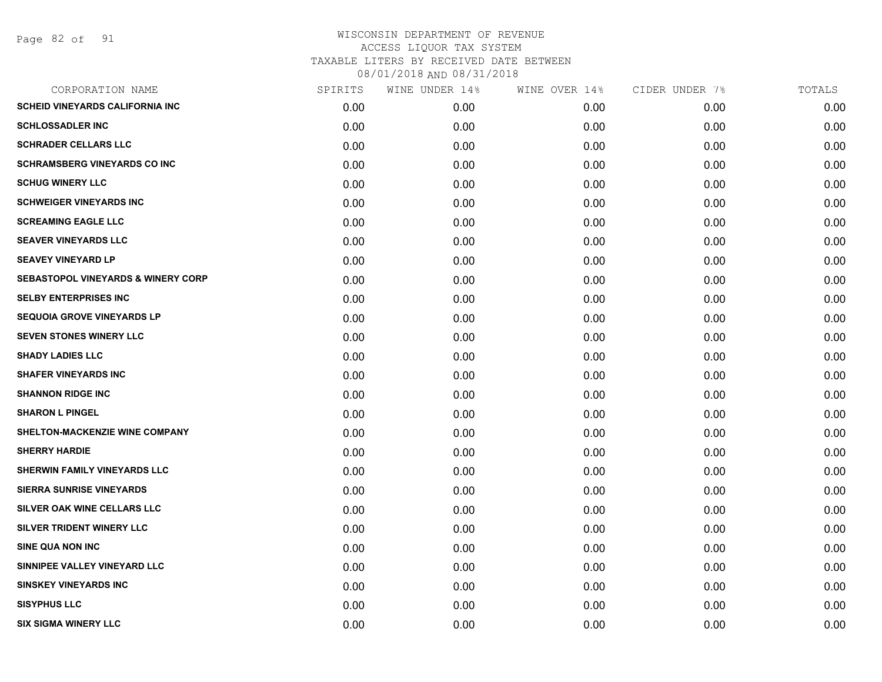Page 82 of 91

| CORPORATION NAME                              | SPIRITS | WINE UNDER 14% | WINE OVER 14% | CIDER UNDER 7% | TOTALS |
|-----------------------------------------------|---------|----------------|---------------|----------------|--------|
| <b>SCHEID VINEYARDS CALIFORNIA INC</b>        | 0.00    | 0.00           | 0.00          | 0.00           | 0.00   |
| <b>SCHLOSSADLER INC</b>                       | 0.00    | 0.00           | 0.00          | 0.00           | 0.00   |
| <b>SCHRADER CELLARS LLC</b>                   | 0.00    | 0.00           | 0.00          | 0.00           | 0.00   |
| <b>SCHRAMSBERG VINEYARDS CO INC</b>           | 0.00    | 0.00           | 0.00          | 0.00           | 0.00   |
| <b>SCHUG WINERY LLC</b>                       | 0.00    | 0.00           | 0.00          | 0.00           | 0.00   |
| <b>SCHWEIGER VINEYARDS INC</b>                | 0.00    | 0.00           | 0.00          | 0.00           | 0.00   |
| <b>SCREAMING EAGLE LLC</b>                    | 0.00    | 0.00           | 0.00          | 0.00           | 0.00   |
| <b>SEAVER VINEYARDS LLC</b>                   | 0.00    | 0.00           | 0.00          | 0.00           | 0.00   |
| <b>SEAVEY VINEYARD LP</b>                     | 0.00    | 0.00           | 0.00          | 0.00           | 0.00   |
| <b>SEBASTOPOL VINEYARDS &amp; WINERY CORP</b> | 0.00    | 0.00           | 0.00          | 0.00           | 0.00   |
| <b>SELBY ENTERPRISES INC</b>                  | 0.00    | 0.00           | 0.00          | 0.00           | 0.00   |
| <b>SEQUOIA GROVE VINEYARDS LP</b>             | 0.00    | 0.00           | 0.00          | 0.00           | 0.00   |
| <b>SEVEN STONES WINERY LLC</b>                | 0.00    | 0.00           | 0.00          | 0.00           | 0.00   |
| <b>SHADY LADIES LLC</b>                       | 0.00    | 0.00           | 0.00          | 0.00           | 0.00   |
| <b>SHAFER VINEYARDS INC</b>                   | 0.00    | 0.00           | 0.00          | 0.00           | 0.00   |
| <b>SHANNON RIDGE INC</b>                      | 0.00    | 0.00           | 0.00          | 0.00           | 0.00   |
| <b>SHARON L PINGEL</b>                        | 0.00    | 0.00           | 0.00          | 0.00           | 0.00   |
| SHELTON-MACKENZIE WINE COMPANY                | 0.00    | 0.00           | 0.00          | 0.00           | 0.00   |
| <b>SHERRY HARDIE</b>                          | 0.00    | 0.00           | 0.00          | 0.00           | 0.00   |
| SHERWIN FAMILY VINEYARDS LLC                  | 0.00    | 0.00           | 0.00          | 0.00           | 0.00   |
| <b>SIERRA SUNRISE VINEYARDS</b>               | 0.00    | 0.00           | 0.00          | 0.00           | 0.00   |
| SILVER OAK WINE CELLARS LLC                   | 0.00    | 0.00           | 0.00          | 0.00           | 0.00   |
| SILVER TRIDENT WINERY LLC                     | 0.00    | 0.00           | 0.00          | 0.00           | 0.00   |
| <b>SINE QUA NON INC</b>                       | 0.00    | 0.00           | 0.00          | 0.00           | 0.00   |
| SINNIPEE VALLEY VINEYARD LLC                  | 0.00    | 0.00           | 0.00          | 0.00           | 0.00   |
| <b>SINSKEY VINEYARDS INC</b>                  | 0.00    | 0.00           | 0.00          | 0.00           | 0.00   |
| <b>SISYPHUS LLC</b>                           | 0.00    | 0.00           | 0.00          | 0.00           | 0.00   |
| <b>SIX SIGMA WINERY LLC</b>                   | 0.00    | 0.00           | 0.00          | 0.00           | 0.00   |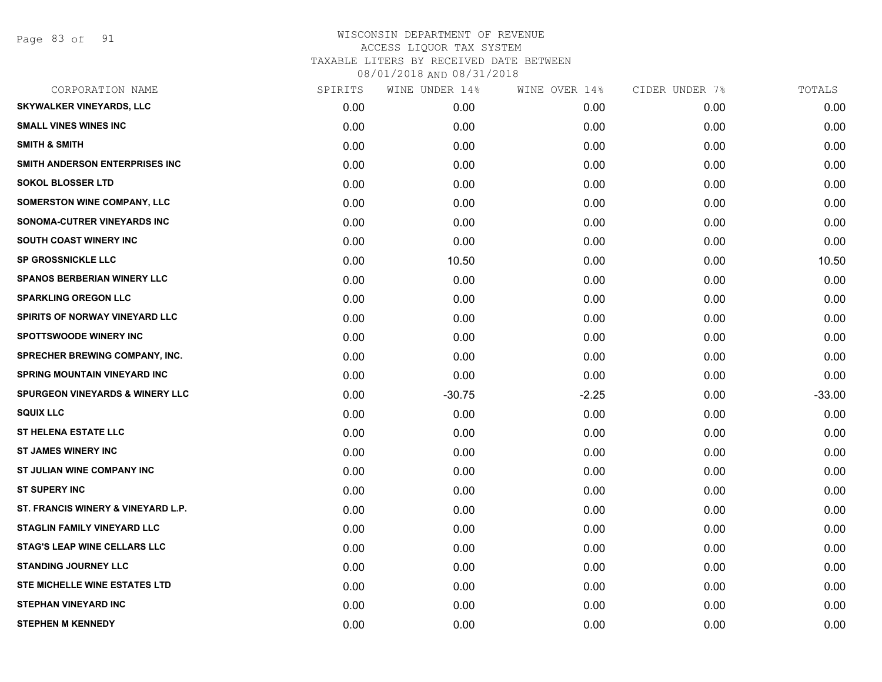Page 83 of 91

| <b>SKYWALKER VINEYARDS, LLC</b><br><b>SMALL VINES WINES INC</b> | 0.00<br>0.00<br>0.00<br>0.00 | 0.00<br>0.00<br>0.00 | 0.00<br>0.00 | 0.00<br>0.00 | 0.00<br>0.00 |
|-----------------------------------------------------------------|------------------------------|----------------------|--------------|--------------|--------------|
|                                                                 |                              |                      |              |              |              |
|                                                                 |                              |                      |              |              |              |
| <b>SMITH &amp; SMITH</b>                                        |                              |                      | 0.00         | 0.00         | 0.00         |
| SMITH ANDERSON ENTERPRISES INC.                                 |                              | 0.00                 | 0.00         | 0.00         | 0.00         |
| <b>SOKOL BLOSSER LTD</b>                                        | 0.00                         | 0.00                 | 0.00         | 0.00         | 0.00         |
| <b>SOMERSTON WINE COMPANY, LLC</b>                              | 0.00                         | 0.00                 | 0.00         | 0.00         | 0.00         |
| SONOMA-CUTRER VINEYARDS INC                                     | 0.00                         | 0.00                 | 0.00         | 0.00         | 0.00         |
| <b>SOUTH COAST WINERY INC</b>                                   | 0.00                         | 0.00                 | 0.00         | 0.00         | 0.00         |
| <b>SP GROSSNICKLE LLC</b>                                       | 0.00                         | 10.50                | 0.00         | 0.00         | 10.50        |
| <b>SPANOS BERBERIAN WINERY LLC</b>                              | 0.00                         | 0.00                 | 0.00         | 0.00         | 0.00         |
| <b>SPARKLING OREGON LLC</b>                                     | 0.00                         | 0.00                 | 0.00         | 0.00         | 0.00         |
| SPIRITS OF NORWAY VINEYARD LLC                                  | 0.00                         | 0.00                 | 0.00         | 0.00         | 0.00         |
| <b>SPOTTSWOODE WINERY INC</b>                                   | 0.00                         | 0.00                 | 0.00         | 0.00         | 0.00         |
| <b>SPRECHER BREWING COMPANY, INC.</b>                           | 0.00                         | 0.00                 | 0.00         | 0.00         | 0.00         |
| <b>SPRING MOUNTAIN VINEYARD INC</b>                             | 0.00                         | 0.00                 | 0.00         | 0.00         | 0.00         |
| <b>SPURGEON VINEYARDS &amp; WINERY LLC</b>                      | 0.00                         | $-30.75$             | $-2.25$      | 0.00         | $-33.00$     |
| <b>SQUIX LLC</b>                                                | 0.00                         | 0.00                 | 0.00         | 0.00         | 0.00         |
| <b>ST HELENA ESTATE LLC</b>                                     | 0.00                         | 0.00                 | 0.00         | 0.00         | 0.00         |
| <b>ST JAMES WINERY INC</b>                                      | 0.00                         | 0.00                 | 0.00         | 0.00         | 0.00         |
| ST JULIAN WINE COMPANY INC                                      | 0.00                         | 0.00                 | 0.00         | 0.00         | 0.00         |
| <b>ST SUPERY INC</b>                                            | 0.00                         | 0.00                 | 0.00         | 0.00         | 0.00         |
| ST. FRANCIS WINERY & VINEYARD L.P.                              | 0.00                         | 0.00                 | 0.00         | 0.00         | 0.00         |
| STAGLIN FAMILY VINEYARD LLC                                     | 0.00                         | 0.00                 | 0.00         | 0.00         | 0.00         |
| <b>STAG'S LEAP WINE CELLARS LLC</b>                             | 0.00                         | 0.00                 | 0.00         | 0.00         | 0.00         |
| <b>STANDING JOURNEY LLC</b>                                     | 0.00                         | 0.00                 | 0.00         | 0.00         | 0.00         |
| STE MICHELLE WINE ESTATES LTD                                   | 0.00                         | 0.00                 | 0.00         | 0.00         | 0.00         |
| <b>STEPHAN VINEYARD INC</b>                                     | 0.00                         | 0.00                 | 0.00         | 0.00         | 0.00         |
| <b>STEPHEN M KENNEDY</b>                                        | 0.00                         | 0.00                 | 0.00         | 0.00         | 0.00         |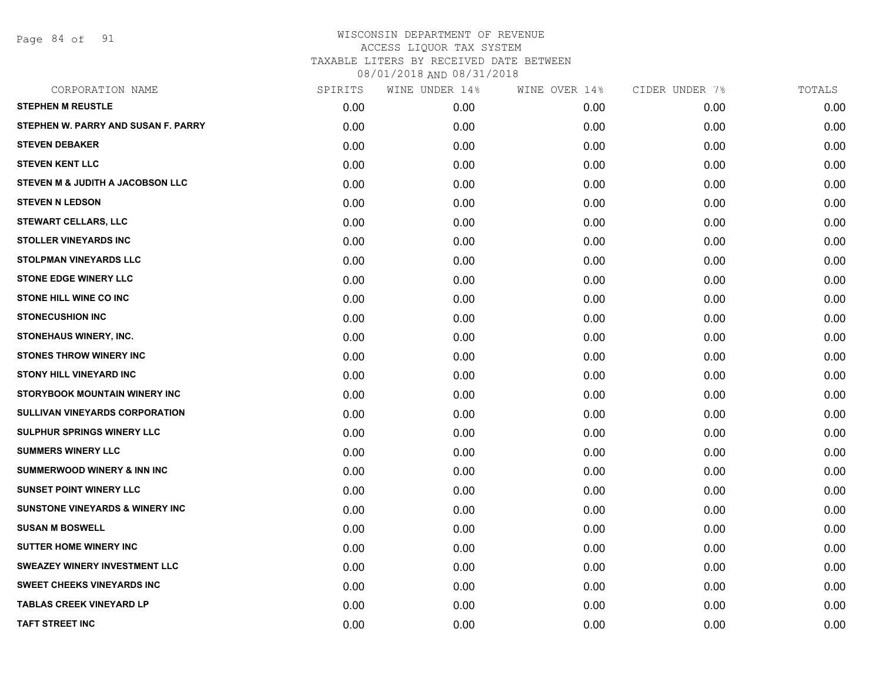Page 84 of 91

| SPIRITS | WINE UNDER 14% | WINE OVER 14% | CIDER UNDER 7% | TOTALS |
|---------|----------------|---------------|----------------|--------|
| 0.00    | 0.00           | 0.00          | 0.00           | 0.00   |
| 0.00    | 0.00           | 0.00          | 0.00           | 0.00   |
| 0.00    | 0.00           | 0.00          | 0.00           | 0.00   |
| 0.00    | 0.00           | 0.00          | 0.00           | 0.00   |
| 0.00    | 0.00           | 0.00          | 0.00           | 0.00   |
| 0.00    | 0.00           | 0.00          | 0.00           | 0.00   |
| 0.00    | 0.00           | 0.00          | 0.00           | 0.00   |
| 0.00    | 0.00           | 0.00          | 0.00           | 0.00   |
| 0.00    | 0.00           | 0.00          | 0.00           | 0.00   |
| 0.00    | 0.00           | 0.00          | 0.00           | 0.00   |
| 0.00    | 0.00           | 0.00          | 0.00           | 0.00   |
| 0.00    | 0.00           | 0.00          | 0.00           | 0.00   |
| 0.00    | 0.00           | 0.00          | 0.00           | 0.00   |
| 0.00    | 0.00           | 0.00          | 0.00           | 0.00   |
| 0.00    | 0.00           | 0.00          | 0.00           | 0.00   |
| 0.00    | 0.00           | 0.00          | 0.00           | 0.00   |
| 0.00    | 0.00           | 0.00          | 0.00           | 0.00   |
| 0.00    | 0.00           | 0.00          | 0.00           | 0.00   |
| 0.00    | 0.00           | 0.00          | 0.00           | 0.00   |
| 0.00    | 0.00           | 0.00          | 0.00           | 0.00   |
| 0.00    | 0.00           | 0.00          | 0.00           | 0.00   |
| 0.00    | 0.00           | 0.00          | 0.00           | 0.00   |
| 0.00    | 0.00           | 0.00          | 0.00           | 0.00   |
| 0.00    | 0.00           | 0.00          | 0.00           | 0.00   |
| 0.00    | 0.00           | 0.00          | 0.00           | 0.00   |
| 0.00    | 0.00           | 0.00          | 0.00           | 0.00   |
| 0.00    | 0.00           | 0.00          | 0.00           | 0.00   |
| 0.00    | 0.00           | 0.00          | 0.00           | 0.00   |
|         |                |               |                |        |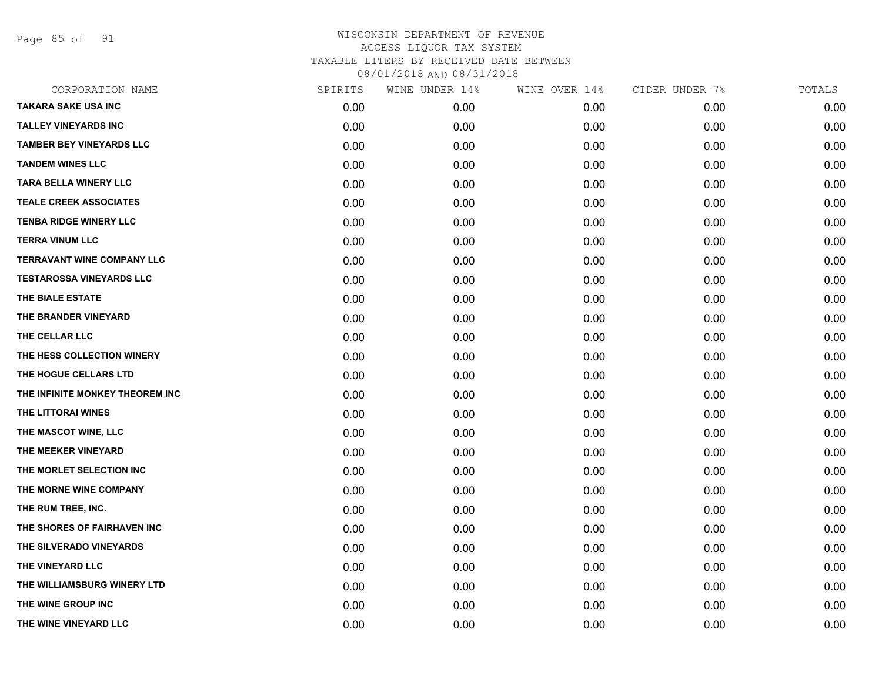Page 85 of 91

| CORPORATION NAME                  | SPIRITS | WINE UNDER 14% | WINE OVER 14% | CIDER UNDER 7% | TOTALS |
|-----------------------------------|---------|----------------|---------------|----------------|--------|
| <b>TAKARA SAKE USA INC</b>        | 0.00    | 0.00           | 0.00          | 0.00           | 0.00   |
| <b>TALLEY VINEYARDS INC</b>       | 0.00    | 0.00           | 0.00          | 0.00           | 0.00   |
| <b>TAMBER BEY VINEYARDS LLC</b>   | 0.00    | 0.00           | 0.00          | 0.00           | 0.00   |
| <b>TANDEM WINES LLC</b>           | 0.00    | 0.00           | 0.00          | 0.00           | 0.00   |
| <b>TARA BELLA WINERY LLC</b>      | 0.00    | 0.00           | 0.00          | 0.00           | 0.00   |
| <b>TEALE CREEK ASSOCIATES</b>     | 0.00    | 0.00           | 0.00          | 0.00           | 0.00   |
| <b>TENBA RIDGE WINERY LLC</b>     | 0.00    | 0.00           | 0.00          | 0.00           | 0.00   |
| <b>TERRA VINUM LLC</b>            | 0.00    | 0.00           | 0.00          | 0.00           | 0.00   |
| <b>TERRAVANT WINE COMPANY LLC</b> | 0.00    | 0.00           | 0.00          | 0.00           | 0.00   |
| <b>TESTAROSSA VINEYARDS LLC</b>   | 0.00    | 0.00           | 0.00          | 0.00           | 0.00   |
| THE BIALE ESTATE                  | 0.00    | 0.00           | 0.00          | 0.00           | 0.00   |
| THE BRANDER VINEYARD              | 0.00    | 0.00           | 0.00          | 0.00           | 0.00   |
| THE CELLAR LLC                    | 0.00    | 0.00           | 0.00          | 0.00           | 0.00   |
| THE HESS COLLECTION WINERY        | 0.00    | 0.00           | 0.00          | 0.00           | 0.00   |
| THE HOGUE CELLARS LTD             | 0.00    | 0.00           | 0.00          | 0.00           | 0.00   |
| THE INFINITE MONKEY THEOREM INC   | 0.00    | 0.00           | 0.00          | 0.00           | 0.00   |
| THE LITTORAI WINES                | 0.00    | 0.00           | 0.00          | 0.00           | 0.00   |
| THE MASCOT WINE, LLC              | 0.00    | 0.00           | 0.00          | 0.00           | 0.00   |
| THE MEEKER VINEYARD               | 0.00    | 0.00           | 0.00          | 0.00           | 0.00   |
| THE MORLET SELECTION INC          | 0.00    | 0.00           | 0.00          | 0.00           | 0.00   |
| THE MORNE WINE COMPANY            | 0.00    | 0.00           | 0.00          | 0.00           | 0.00   |
| THE RUM TREE, INC.                | 0.00    | 0.00           | 0.00          | 0.00           | 0.00   |
| THE SHORES OF FAIRHAVEN INC       | 0.00    | 0.00           | 0.00          | 0.00           | 0.00   |
| THE SILVERADO VINEYARDS           | 0.00    | 0.00           | 0.00          | 0.00           | 0.00   |
| THE VINEYARD LLC                  | 0.00    | 0.00           | 0.00          | 0.00           | 0.00   |
| THE WILLIAMSBURG WINERY LTD       | 0.00    | 0.00           | 0.00          | 0.00           | 0.00   |
| THE WINE GROUP INC                | 0.00    | 0.00           | 0.00          | 0.00           | 0.00   |
| THE WINE VINEYARD LLC             | 0.00    | 0.00           | 0.00          | 0.00           | 0.00   |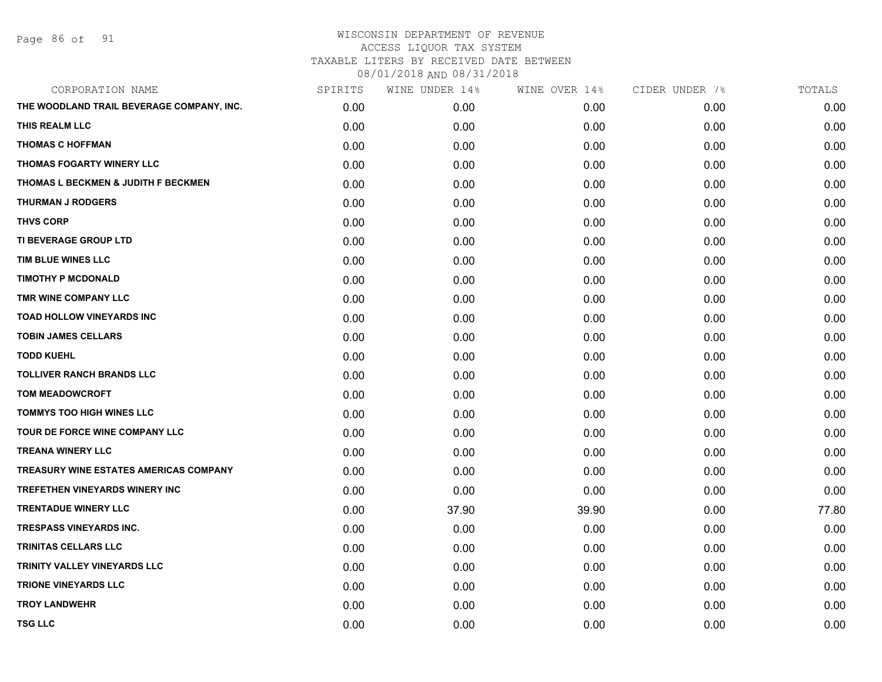Page 86 of 91

| CORPORATION NAME                              | SPIRITS | WINE UNDER 14% | WINE OVER 14% | CIDER UNDER 7% | TOTALS |
|-----------------------------------------------|---------|----------------|---------------|----------------|--------|
| THE WOODLAND TRAIL BEVERAGE COMPANY, INC.     | 0.00    | 0.00           | 0.00          | 0.00           | 0.00   |
| THIS REALM LLC                                | 0.00    | 0.00           | 0.00          | 0.00           | 0.00   |
| <b>THOMAS C HOFFMAN</b>                       | 0.00    | 0.00           | 0.00          | 0.00           | 0.00   |
| THOMAS FOGARTY WINERY LLC                     | 0.00    | 0.00           | 0.00          | 0.00           | 0.00   |
| THOMAS L BECKMEN & JUDITH F BECKMEN           | 0.00    | 0.00           | 0.00          | 0.00           | 0.00   |
| <b>THURMAN J RODGERS</b>                      | 0.00    | 0.00           | 0.00          | 0.00           | 0.00   |
| <b>THVS CORP</b>                              | 0.00    | 0.00           | 0.00          | 0.00           | 0.00   |
| TI BEVERAGE GROUP LTD                         | 0.00    | 0.00           | 0.00          | 0.00           | 0.00   |
| TIM BLUE WINES LLC                            | 0.00    | 0.00           | 0.00          | 0.00           | 0.00   |
| <b>TIMOTHY P MCDONALD</b>                     | 0.00    | 0.00           | 0.00          | 0.00           | 0.00   |
| TMR WINE COMPANY LLC                          | 0.00    | 0.00           | 0.00          | 0.00           | 0.00   |
| <b>TOAD HOLLOW VINEYARDS INC</b>              | 0.00    | 0.00           | 0.00          | 0.00           | 0.00   |
| <b>TOBIN JAMES CELLARS</b>                    | 0.00    | 0.00           | 0.00          | 0.00           | 0.00   |
| <b>TODD KUEHL</b>                             | 0.00    | 0.00           | 0.00          | 0.00           | 0.00   |
| <b>TOLLIVER RANCH BRANDS LLC</b>              | 0.00    | 0.00           | 0.00          | 0.00           | 0.00   |
| <b>TOM MEADOWCROFT</b>                        | 0.00    | 0.00           | 0.00          | 0.00           | 0.00   |
| <b>TOMMYS TOO HIGH WINES LLC</b>              | 0.00    | 0.00           | 0.00          | 0.00           | 0.00   |
| TOUR DE FORCE WINE COMPANY LLC                | 0.00    | 0.00           | 0.00          | 0.00           | 0.00   |
| <b>TREANA WINERY LLC</b>                      | 0.00    | 0.00           | 0.00          | 0.00           | 0.00   |
| <b>TREASURY WINE ESTATES AMERICAS COMPANY</b> | 0.00    | 0.00           | 0.00          | 0.00           | 0.00   |
| <b>TREFETHEN VINEYARDS WINERY INC</b>         | 0.00    | 0.00           | 0.00          | 0.00           | 0.00   |
| <b>TRENTADUE WINERY LLC</b>                   | 0.00    | 37.90          | 39.90         | 0.00           | 77.80  |
| TRESPASS VINEYARDS INC.                       | 0.00    | 0.00           | 0.00          | 0.00           | 0.00   |
| <b>TRINITAS CELLARS LLC</b>                   | 0.00    | 0.00           | 0.00          | 0.00           | 0.00   |
| TRINITY VALLEY VINEYARDS LLC                  | 0.00    | 0.00           | 0.00          | 0.00           | 0.00   |
| <b>TRIONE VINEYARDS LLC</b>                   | 0.00    | 0.00           | 0.00          | 0.00           | 0.00   |
| <b>TROY LANDWEHR</b>                          | 0.00    | 0.00           | 0.00          | 0.00           | 0.00   |
| <b>TSG LLC</b>                                | 0.00    | 0.00           | 0.00          | 0.00           | 0.00   |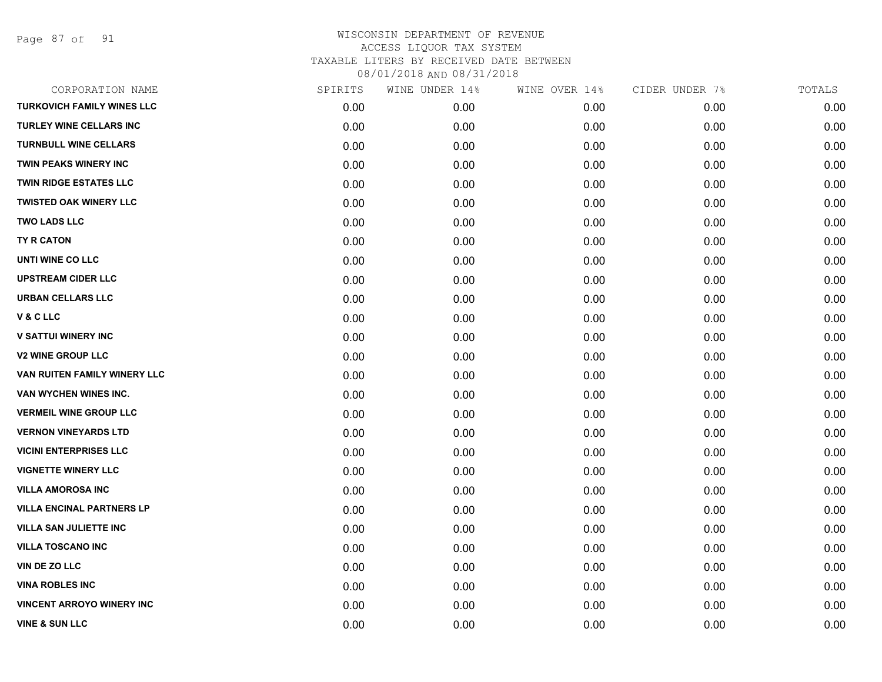Page 87 of 91

| CORPORATION NAME                  | SPIRITS | WINE UNDER 14% | WINE OVER 14% | CIDER UNDER 7% | TOTALS |
|-----------------------------------|---------|----------------|---------------|----------------|--------|
| <b>TURKOVICH FAMILY WINES LLC</b> | 0.00    | 0.00           | 0.00          | 0.00           | 0.00   |
| TURLEY WINE CELLARS INC           | 0.00    | 0.00           | 0.00          | 0.00           | 0.00   |
| <b>TURNBULL WINE CELLARS</b>      | 0.00    | 0.00           | 0.00          | 0.00           | 0.00   |
| TWIN PEAKS WINERY INC             | 0.00    | 0.00           | 0.00          | 0.00           | 0.00   |
| <b>TWIN RIDGE ESTATES LLC</b>     | 0.00    | 0.00           | 0.00          | 0.00           | 0.00   |
| <b>TWISTED OAK WINERY LLC</b>     | 0.00    | 0.00           | 0.00          | 0.00           | 0.00   |
| <b>TWO LADS LLC</b>               | 0.00    | 0.00           | 0.00          | 0.00           | 0.00   |
| TY R CATON                        | 0.00    | 0.00           | 0.00          | 0.00           | 0.00   |
| UNTI WINE CO LLC                  | 0.00    | 0.00           | 0.00          | 0.00           | 0.00   |
| <b>UPSTREAM CIDER LLC</b>         | 0.00    | 0.00           | 0.00          | 0.00           | 0.00   |
| <b>URBAN CELLARS LLC</b>          | 0.00    | 0.00           | 0.00          | 0.00           | 0.00   |
| V&CLLC                            | 0.00    | 0.00           | 0.00          | 0.00           | 0.00   |
| <b>V SATTUI WINERY INC</b>        | 0.00    | 0.00           | 0.00          | 0.00           | 0.00   |
| <b>V2 WINE GROUP LLC</b>          | 0.00    | 0.00           | 0.00          | 0.00           | 0.00   |
| VAN RUITEN FAMILY WINERY LLC      | 0.00    | 0.00           | 0.00          | 0.00           | 0.00   |
| VAN WYCHEN WINES INC.             | 0.00    | 0.00           | 0.00          | 0.00           | 0.00   |
| <b>VERMEIL WINE GROUP LLC</b>     | 0.00    | 0.00           | 0.00          | 0.00           | 0.00   |
| <b>VERNON VINEYARDS LTD</b>       | 0.00    | 0.00           | 0.00          | 0.00           | 0.00   |
| <b>VICINI ENTERPRISES LLC</b>     | 0.00    | 0.00           | 0.00          | 0.00           | 0.00   |
| <b>VIGNETTE WINERY LLC</b>        | 0.00    | 0.00           | 0.00          | 0.00           | 0.00   |
| <b>VILLA AMOROSA INC</b>          | 0.00    | 0.00           | 0.00          | 0.00           | 0.00   |
| <b>VILLA ENCINAL PARTNERS LP</b>  | 0.00    | 0.00           | 0.00          | 0.00           | 0.00   |
| <b>VILLA SAN JULIETTE INC</b>     | 0.00    | 0.00           | 0.00          | 0.00           | 0.00   |
| <b>VILLA TOSCANO INC</b>          | 0.00    | 0.00           | 0.00          | 0.00           | 0.00   |
| VIN DE ZO LLC                     | 0.00    | 0.00           | 0.00          | 0.00           | 0.00   |
| <b>VINA ROBLES INC</b>            | 0.00    | 0.00           | 0.00          | 0.00           | 0.00   |
| <b>VINCENT ARROYO WINERY INC</b>  | 0.00    | 0.00           | 0.00          | 0.00           | 0.00   |
| <b>VINE &amp; SUN LLC</b>         | 0.00    | 0.00           | 0.00          | 0.00           | 0.00   |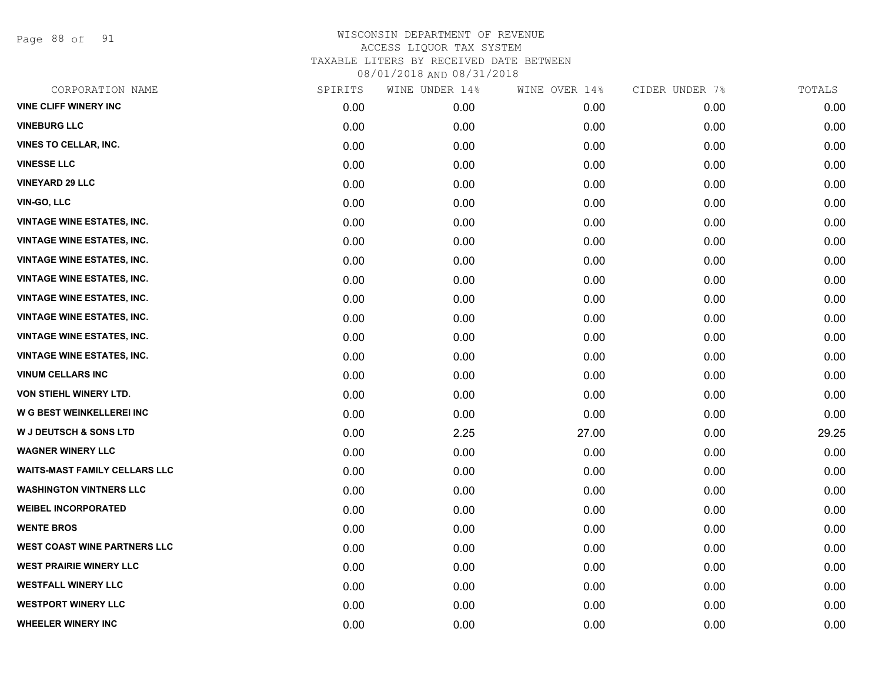Page 88 of 91

| CORPORATION NAME                     | SPIRITS | WINE UNDER 14% | WINE OVER 14% | CIDER UNDER 7% | TOTALS |
|--------------------------------------|---------|----------------|---------------|----------------|--------|
| <b>VINE CLIFF WINERY INC</b>         | 0.00    | 0.00           | 0.00          | 0.00           | 0.00   |
| <b>VINEBURG LLC</b>                  | 0.00    | 0.00           | 0.00          | 0.00           | 0.00   |
| <b>VINES TO CELLAR, INC.</b>         | 0.00    | 0.00           | 0.00          | 0.00           | 0.00   |
| <b>VINESSE LLC</b>                   | 0.00    | 0.00           | 0.00          | 0.00           | 0.00   |
| <b>VINEYARD 29 LLC</b>               | 0.00    | 0.00           | 0.00          | 0.00           | 0.00   |
| <b>VIN-GO, LLC</b>                   | 0.00    | 0.00           | 0.00          | 0.00           | 0.00   |
| <b>VINTAGE WINE ESTATES, INC.</b>    | 0.00    | 0.00           | 0.00          | 0.00           | 0.00   |
| <b>VINTAGE WINE ESTATES, INC.</b>    | 0.00    | 0.00           | 0.00          | 0.00           | 0.00   |
| <b>VINTAGE WINE ESTATES, INC.</b>    | 0.00    | 0.00           | 0.00          | 0.00           | 0.00   |
| <b>VINTAGE WINE ESTATES, INC.</b>    | 0.00    | 0.00           | 0.00          | 0.00           | 0.00   |
| <b>VINTAGE WINE ESTATES, INC.</b>    | 0.00    | 0.00           | 0.00          | 0.00           | 0.00   |
| <b>VINTAGE WINE ESTATES, INC.</b>    | 0.00    | 0.00           | 0.00          | 0.00           | 0.00   |
| <b>VINTAGE WINE ESTATES, INC.</b>    | 0.00    | 0.00           | 0.00          | 0.00           | 0.00   |
| <b>VINTAGE WINE ESTATES, INC.</b>    | 0.00    | 0.00           | 0.00          | 0.00           | 0.00   |
| <b>VINUM CELLARS INC</b>             | 0.00    | 0.00           | 0.00          | 0.00           | 0.00   |
| VON STIEHL WINERY LTD.               | 0.00    | 0.00           | 0.00          | 0.00           | 0.00   |
| W G BEST WEINKELLEREI INC            | 0.00    | 0.00           | 0.00          | 0.00           | 0.00   |
| <b>W J DEUTSCH &amp; SONS LTD</b>    | 0.00    | 2.25           | 27.00         | 0.00           | 29.25  |
| <b>WAGNER WINERY LLC</b>             | 0.00    | 0.00           | 0.00          | 0.00           | 0.00   |
| <b>WAITS-MAST FAMILY CELLARS LLC</b> | 0.00    | 0.00           | 0.00          | 0.00           | 0.00   |
| <b>WASHINGTON VINTNERS LLC</b>       | 0.00    | 0.00           | 0.00          | 0.00           | 0.00   |
| <b>WEIBEL INCORPORATED</b>           | 0.00    | 0.00           | 0.00          | 0.00           | 0.00   |
| <b>WENTE BROS</b>                    | 0.00    | 0.00           | 0.00          | 0.00           | 0.00   |
| <b>WEST COAST WINE PARTNERS LLC</b>  | 0.00    | 0.00           | 0.00          | 0.00           | 0.00   |
| <b>WEST PRAIRIE WINERY LLC</b>       | 0.00    | 0.00           | 0.00          | 0.00           | 0.00   |
| <b>WESTFALL WINERY LLC</b>           | 0.00    | 0.00           | 0.00          | 0.00           | 0.00   |
| <b>WESTPORT WINERY LLC</b>           | 0.00    | 0.00           | 0.00          | 0.00           | 0.00   |
| <b>WHEELER WINERY INC</b>            | 0.00    | 0.00           | 0.00          | 0.00           | 0.00   |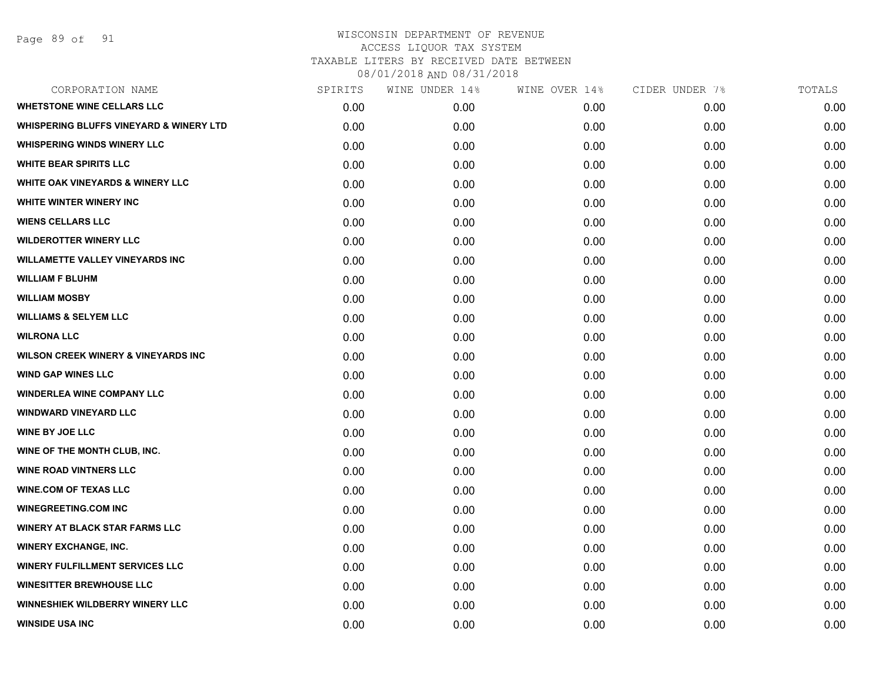| CORPORATION NAME                                   | SPIRITS | WINE UNDER 14% | WINE OVER 14% | CIDER UNDER 7% | TOTALS |
|----------------------------------------------------|---------|----------------|---------------|----------------|--------|
| <b>WHETSTONE WINE CELLARS LLC</b>                  | 0.00    | 0.00           | 0.00          | 0.00           | 0.00   |
| <b>WHISPERING BLUFFS VINEYARD &amp; WINERY LTD</b> | 0.00    | 0.00           | 0.00          | 0.00           | 0.00   |
| <b>WHISPERING WINDS WINERY LLC</b>                 | 0.00    | 0.00           | 0.00          | 0.00           | 0.00   |
| <b>WHITE BEAR SPIRITS LLC</b>                      | 0.00    | 0.00           | 0.00          | 0.00           | 0.00   |
| <b>WHITE OAK VINEYARDS &amp; WINERY LLC</b>        | 0.00    | 0.00           | 0.00          | 0.00           | 0.00   |
| WHITE WINTER WINERY INC                            | 0.00    | 0.00           | 0.00          | 0.00           | 0.00   |
| <b>WIENS CELLARS LLC</b>                           | 0.00    | 0.00           | 0.00          | 0.00           | 0.00   |
| <b>WILDEROTTER WINERY LLC</b>                      | 0.00    | 0.00           | 0.00          | 0.00           | 0.00   |
| <b>WILLAMETTE VALLEY VINEYARDS INC</b>             | 0.00    | 0.00           | 0.00          | 0.00           | 0.00   |
| <b>WILLIAM F BLUHM</b>                             | 0.00    | 0.00           | 0.00          | 0.00           | 0.00   |
| <b>WILLIAM MOSBY</b>                               | 0.00    | 0.00           | 0.00          | 0.00           | 0.00   |
| <b>WILLIAMS &amp; SELYEM LLC</b>                   | 0.00    | 0.00           | 0.00          | 0.00           | 0.00   |
| <b>WILRONA LLC</b>                                 | 0.00    | 0.00           | 0.00          | 0.00           | 0.00   |
| <b>WILSON CREEK WINERY &amp; VINEYARDS INC</b>     | 0.00    | 0.00           | 0.00          | 0.00           | 0.00   |
| <b>WIND GAP WINES LLC</b>                          | 0.00    | 0.00           | 0.00          | 0.00           | 0.00   |
| <b>WINDERLEA WINE COMPANY LLC</b>                  | 0.00    | 0.00           | 0.00          | 0.00           | 0.00   |
| <b>WINDWARD VINEYARD LLC</b>                       | 0.00    | 0.00           | 0.00          | 0.00           | 0.00   |
| <b>WINE BY JOE LLC</b>                             | 0.00    | 0.00           | 0.00          | 0.00           | 0.00   |
| WINE OF THE MONTH CLUB, INC.                       | 0.00    | 0.00           | 0.00          | 0.00           | 0.00   |
| <b>WINE ROAD VINTNERS LLC</b>                      | 0.00    | 0.00           | 0.00          | 0.00           | 0.00   |
| <b>WINE.COM OF TEXAS LLC</b>                       | 0.00    | 0.00           | 0.00          | 0.00           | 0.00   |
| <b>WINEGREETING.COM INC</b>                        | 0.00    | 0.00           | 0.00          | 0.00           | 0.00   |
| <b>WINERY AT BLACK STAR FARMS LLC</b>              | 0.00    | 0.00           | 0.00          | 0.00           | 0.00   |
| <b>WINERY EXCHANGE, INC.</b>                       | 0.00    | 0.00           | 0.00          | 0.00           | 0.00   |
| <b>WINERY FULFILLMENT SERVICES LLC</b>             | 0.00    | 0.00           | 0.00          | 0.00           | 0.00   |
| <b>WINESITTER BREWHOUSE LLC</b>                    | 0.00    | 0.00           | 0.00          | 0.00           | 0.00   |
| <b>WINNESHIEK WILDBERRY WINERY LLC</b>             | 0.00    | 0.00           | 0.00          | 0.00           | 0.00   |
| <b>WINSIDE USA INC</b>                             | 0.00    | 0.00           | 0.00          | 0.00           | 0.00   |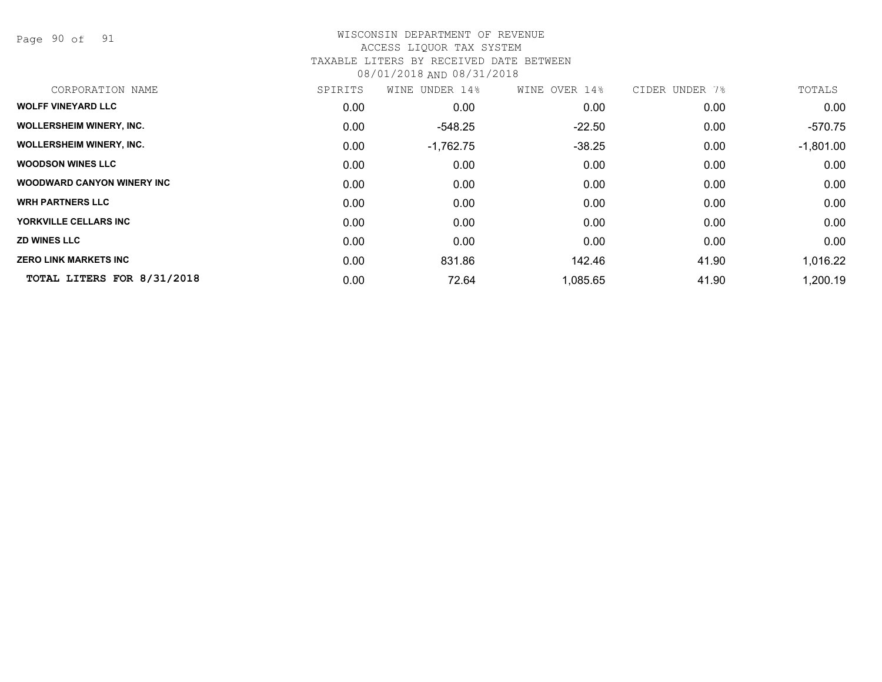Page 90 of 91

#### WISCONSIN DEPARTMENT OF REVENUE ACCESS LIQUOR TAX SYSTEM TAXABLE LITERS BY RECEIVED DATE BETWEEN

08/01/2018 AND 08/31/2018

| CORPORATION NAME                   | SPIRITS | WINE UNDER 14% | WINE OVER 14% | CIDER UNDER 7% | TOTALS      |
|------------------------------------|---------|----------------|---------------|----------------|-------------|
| <b>WOLFF VINEYARD LLC</b>          | 0.00    | 0.00           | 0.00          | 0.00           | 0.00        |
| <b>WOLLERSHEIM WINERY, INC.</b>    | 0.00    | $-548.25$      | $-22.50$      | 0.00           | $-570.75$   |
| <b>WOLLERSHEIM WINERY, INC.</b>    | 0.00    | $-1,762.75$    | $-38.25$      | 0.00           | $-1,801.00$ |
| <b>WOODSON WINES LLC</b>           | 0.00    | 0.00           | 0.00          | 0.00           | 0.00        |
| <b>WOODWARD CANYON WINERY INC.</b> | 0.00    | 0.00           | 0.00          | 0.00           | 0.00        |
| <b>WRH PARTNERS LLC</b>            | 0.00    | 0.00           | 0.00          | 0.00           | 0.00        |
| YORKVILLE CELLARS INC              | 0.00    | 0.00           | 0.00          | 0.00           | 0.00        |
| <b>ZD WINES LLC</b>                | 0.00    | 0.00           | 0.00          | 0.00           | 0.00        |
| <b>ZERO LINK MARKETS INC</b>       | 0.00    | 831.86         | 142.46        | 41.90          | 1,016.22    |
| TOTAL LITERS FOR 8/31/2018         | 0.00    | 72.64          | 1,085.65      | 41.90          | 1,200.19    |